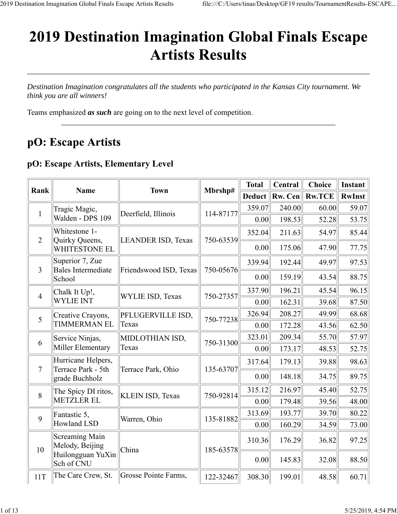# **2019 Destination Imagination Global Finals Escape Artists Results**

*Destination Imagination congratulates all the students who participated in the Kansas City tournament. We think you are all winners!*

Teams emphasized *as such* are going on to the next level of competition.

# pO: Escape Artists

#### **pO: Escape Artists, Elementary Level**

| Rank           |                                          |                           |           | <b>Total</b> | Central | <b>Choice</b> | Instant       |
|----------------|------------------------------------------|---------------------------|-----------|--------------|---------|---------------|---------------|
|                | <b>Name</b>                              | <b>Town</b>               | Mbrshp#   | Deduct       | Rw. Cen | <b>Rw.TCE</b> | <b>RwInst</b> |
| $\mathbf{1}$   | Tragic Magic,                            | Deerfield, Illinois       | 114-87177 | 359.07       | 240.00  | 60.00         | 59.07         |
|                | Walden - DPS 109                         |                           |           | 0.00         | 198.53  | 52.28         | 53.75         |
|                | Whitestone 1-                            |                           |           | 352.04       | 211.63  | 54.97         | 85.44         |
| $\overline{2}$ | Quirky Queens,<br><b>WHITESTONE EL</b>   | <b>LEANDER ISD, Texas</b> | 750-63539 | 0.00         | 175.06  | 47.90         | 77.75         |
|                | Superior 7, Zue                          |                           |           | 339.94       | 192.44  | 49.97         | 97.53         |
| $\overline{3}$ | Bales Intermediate<br>School             | Friendswood ISD, Texas    | 750-05676 | 0.00         | 159.19  | 43.54         | 88.75         |
| $\overline{4}$ | Chalk It Up!,                            | <b>WYLIE ISD, Texas</b>   | 750-27357 | 337.90       | 196.21  | 45.54         | 96.15         |
|                | <b>WYLIE INT</b>                         |                           |           | 0.00         | 162.31  | 39.68         | 87.50         |
| 5              | Creative Crayons,                        | PFLUGERVILLE ISD,         | 750-77238 | 326.94       | 208.27  | 49.99         | 68.68         |
|                | <b>TIMMERMAN EL</b>                      | Texas                     |           | 0.00         | 172.28  | 43.56         | 62.50         |
| 6              | Service Ninjas,                          | MIDLOTHIAN ISD,           | 750-31300 | 323.01       | 209.34  | 55.70         | 57.97         |
|                | Miller Elementary                        | Texas                     | 0.00      | 173.17       | 48.53   | 52.75         |               |
| $\overline{7}$ | Hurricane Helpers,<br>Terrace Park - 5th | Terrace Park, Ohio        | 135-63707 | 317.64       | 179.13  | 39.88         | 98.63         |
|                | grade Buchholz                           |                           |           | 0.00         | 148.18  | 34.75         | 89.75         |
| 8              | The Spicy DI ritos,                      |                           | 750-92814 | 315.12       | 216.97  | 45.40         | 52.75         |
|                | <b>METZLER EL</b>                        | <b>KLEIN ISD, Texas</b>   |           | 0.00         | 179.48  | 39.56         | 48.00         |
| 9              | Fantastic 5,                             | Warren, Ohio              | 135-81882 | 313.69       | 193.77  | 39.70         | 80.22         |
|                | Howland LSD                              |                           |           | 0.00         | 160.29  | 34.59         | 73.00         |
|                | <b>Screaming Main</b><br>Melody, Beijing | China                     | 185-63578 | 310.36       | 176.29  | 36.82         | 97.25         |
| 10             | Huilongguan YuXin<br>Sch of CNU          |                           |           | 0.00         | 145.83  | 32.08         | 88.50         |
| 11T            | The Care Crew, St.                       | Grosse Pointe Farms,      | 122-32467 | 308.30       | 199.01  | 48.58         | 60.71         |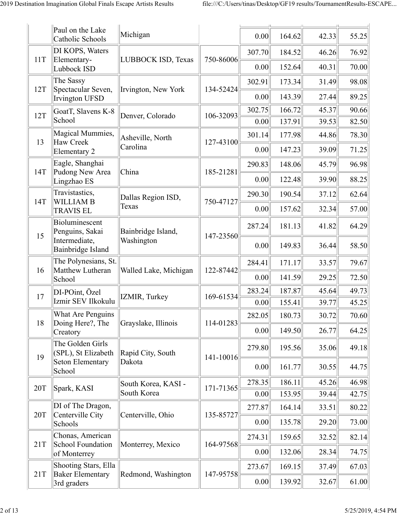|     | Paul on the Lake<br>Catholic Schools            | Michigan              |           | 0.00   | 164.62 | 42.33 | 55.25 |
|-----|-------------------------------------------------|-----------------------|-----------|--------|--------|-------|-------|
|     | DI KOPS, Waters                                 |                       |           | 307.70 | 184.52 | 46.26 | 76.92 |
| 11T | Elementary-<br>Lubbock ISD                      | LUBBOCK ISD, Texas    | 750-86006 | 0.00   | 152.64 | 40.31 | 70.00 |
|     | The Sassy                                       |                       |           | 302.91 | 173.34 | 31.49 | 98.08 |
| 12T | Spectacular Seven,<br><b>Irvington UFSD</b>     | Irvington, New York   | 134-52424 | 0.00   | 143.39 | 27.44 | 89.25 |
| 12T | GoatT, Slavens K-8                              | Denver, Colorado      | 106-32093 | 302.75 | 166.72 | 45.37 | 90.66 |
|     | School                                          |                       |           | 0.00   | 137.91 | 39.53 | 82.50 |
| 13  | Magical Mummies,<br><b>Haw Creek</b>            | Asheville, North      | 127-43100 | 301.14 | 177.98 | 44.86 | 78.30 |
|     | Elementary 2                                    | Carolina              |           | 0.00   | 147.23 | 39.09 | 71.25 |
|     | Eagle, Shanghai                                 |                       |           | 290.83 | 148.06 | 45.79 | 96.98 |
| 14T | Pudong New Area<br>Lingzhao ES                  | China                 | 185-21281 | 0.00   | 122.48 | 39.90 | 88.25 |
|     | Travistastics,                                  | Dallas Region ISD,    |           | 290.30 | 190.54 | 37.12 | 62.64 |
| 14T | <b>WILLIAM B</b><br><b>TRAVIS EL</b>            | Texas                 | 750-47127 | 0.00   | 157.62 | 32.34 | 57.00 |
| 15  | Bioluminescent<br>Penguins, Sakai               | Bainbridge Island,    | 147-23560 | 287.24 | 181.13 | 41.82 | 64.29 |
|     | Intermediate,<br>Bainbridge Island              | Washington            |           | 0.00   | 149.83 | 36.44 | 58.50 |
| 16  | The Polynesians, St.<br>Matthew Lutheran        | Walled Lake, Michigan | 122-87442 | 284.41 | 171.17 | 33.57 | 79.67 |
|     | School                                          |                       |           | 0.00   | 141.59 | 29.25 | 72.50 |
| 17  | DI-POint, Özel                                  | IZMIR, Turkey         | 169-61534 | 283.24 | 187.87 | 45.64 | 49.73 |
|     | Izmir SEV Ilkokulu                              |                       |           | 0.00   | 155.41 | 39.77 | 45.25 |
| 18  | What Are Penguins<br>Doing Here?, The           | Grayslake, Illinois   | 114-01283 | 282.05 | 180.73 | 30.72 | 70.60 |
|     | Creatory                                        |                       |           | 0.00   | 149.50 | 26.77 | 64.25 |
| 19  | The Golden Girls<br>(SPL), St Elizabeth         | Rapid City, South     | 141-10016 | 279.80 | 195.56 | 35.06 | 49.18 |
|     | <b>Seton Elementary</b><br>School               | Dakota                |           | 0.00   | 161.77 | 30.55 | 44.75 |
|     |                                                 | South Korea, KASI -   | 171-71365 | 278.35 | 186.11 | 45.26 | 46.98 |
| 20T | Spark, KASI                                     | South Korea           |           | 0.00   | 153.95 | 39.44 | 42.75 |
| 20T | DI of The Dragon,<br>Centerville City           | Centerville, Ohio     | 135-85727 | 277.87 | 164.14 | 33.51 | 80.22 |
|     | Schools                                         |                       |           | 0.00   | 135.78 | 29.20 | 73.00 |
| 21T | Chonas, American<br>School Foundation           | Monterrey, Mexico     | 164-97568 | 274.31 | 159.65 | 32.52 | 82.14 |
|     | of Monterrey                                    |                       |           | 0.00   | 132.06 | 28.34 | 74.75 |
| 21T | Shooting Stars, Ella<br><b>Baker Elementary</b> | Redmond, Washington   | 147-95758 | 273.67 | 169.15 | 37.49 | 67.03 |
|     | 3rd graders                                     |                       |           | 0.00   | 139.92 | 32.67 | 61.00 |
|     |                                                 |                       |           |        |        |       |       |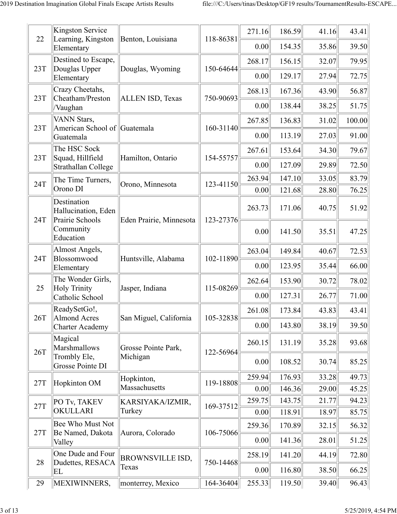| 22  | Kingston Service<br>Learning, Kingston                | Benton, Louisiana                | 118-86381 | 271.16         | 186.59           | 41.16          | 43.41          |
|-----|-------------------------------------------------------|----------------------------------|-----------|----------------|------------------|----------------|----------------|
|     | Elementary                                            |                                  |           | 0.00           | 154.35           | 35.86          | 39.50          |
| 23T | Destined to Escape,<br>Douglas Upper                  |                                  | 150-64644 | 268.17         | 156.15           | 32.07          | 79.95          |
|     | Elementary                                            | Douglas, Wyoming                 |           | 0.00           | 129.17           | 27.94          | 72.75          |
|     | Crazy Cheetahs,                                       |                                  |           | 268.13         | 167.36           | 43.90          | 56.87          |
| 23T | Cheatham/Preston<br>/Vaughan                          | <b>ALLEN ISD, Texas</b>          | 750-90693 | 0.00           | 138.44           | 38.25          | 51.75          |
| 23T | VANN Stars,<br>American School of Guatemala           |                                  | 160-31140 | 267.85         | 136.83           | 31.02          | 100.00         |
|     | Guatemala                                             |                                  |           | 0.00           | 113.19           | 27.03          | 91.00          |
| 23T | The HSC Sock<br>Squad, Hillfield                      | Hamilton, Ontario                | 154-55757 | 267.61         | 153.64           | 34.30          | 79.67          |
|     | Strathallan College                                   |                                  |           | 0.00           | 127.09           | 29.89          | 72.50          |
| 24T | The Time Turners,                                     | Orono, Minnesota                 | 123-41150 | 263.94         | 147.10           | 33.05          | 83.79          |
|     | Orono DI                                              |                                  |           | 0.00           | 121.68           | 28.80          | 76.25          |
| 24T | Destination<br>Hallucination, Eden<br>Prairie Schools | Eden Prairie, Minnesota          | 123-27376 | 263.73         | 171.06           | 40.75          | 51.92          |
|     | Community<br>Education                                |                                  |           | 0.00           | 141.50           | 35.51          | 47.25          |
|     | Almost Angels,                                        |                                  |           | 263.04         | 149.84           | 40.67          | 72.53          |
| 24T | Blossomwood<br>Elementary                             | Huntsville, Alabama              | 102-11890 | 0.00           | 123.95           | 35.44          | 66.00          |
| 25  | The Wonder Girls,<br><b>Holy Trinity</b>              | Jasper, Indiana                  | 115-08269 | 262.64         | 153.90           | 30.72          | 78.02          |
|     | Catholic School                                       |                                  |           | 0.00           | 127.31           | 26.77          | 71.00          |
| 26T | ReadySetGo!,<br>Almond Acres                          | San Miguel, California           | 105-32838 | 261.08         | 173.84           | 43.83          | 43.41          |
|     | <b>Charter Academy</b>                                |                                  |           | 0.00           | 143.80           | 38.19          | 39.50          |
| 26T | Magical<br>Marshmallows                               | Grosse Pointe Park,              | 122-56964 | 260.15         | 131.19           | 35.28          | 93.68          |
|     | Trombly Ele,<br>Grosse Pointe DI                      | Michigan                         |           | 0.00           | 108.52           | 30.74          | 85.25          |
| 27T | Hopkinton OM                                          | Hopkinton,                       | 119-18808 | 259.94         | 176.93           | 33.28          | 49.73          |
|     |                                                       | Massachusetts                    |           | 0.00           | 146.36           | 29.00          | 45.25          |
| 27T | PO Tv, TAKEV<br>OKULLARI                              | KARSIYAKA/IZMIR,<br>Turkey       | 169-37512 | 259.75         | 143.75           | 21.77          | 94.23          |
|     |                                                       |                                  |           | 0.00           | 118.91           | 18.97          | 85.75          |
| 27T | Bee Who Must Not<br>Be Named, Dakota                  | Aurora, Colorado                 | 106-75066 | 259.36<br>0.00 | 170.89<br>141.36 | 32.15<br>28.01 | 56.32<br>51.25 |
|     | Valley<br>One Dude and Four                           |                                  |           | 258.19         | 141.20           | 44.19          | 72.80          |
| 28  | Dudettes, RESACA                                      | <b>BROWNSVILLE ISD,</b><br>Texas | 750-14468 | 0.00           | 116.80           | 38.50          | 66.25          |
| 29  | EL<br>MEXIWINNERS,                                    | monterrey, Mexico                | 164-36404 | 255.33         | 119.50           | 39.40          | 96.43          |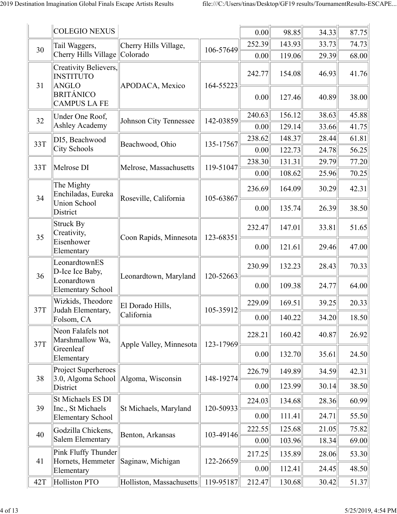|     | <b>COLEGIO NEXUS</b>                                |                          |           | 0.00   | 98.85  | 34.33 | 87.75 |
|-----|-----------------------------------------------------|--------------------------|-----------|--------|--------|-------|-------|
| 30  | Tail Waggers,                                       | Cherry Hills Village,    | 106-57649 | 252.39 | 143.93 | 33.73 | 74.73 |
|     | Cherry Hills Village                                | Colorado                 |           | 0.00   | 119.06 | 29.39 | 68.00 |
| 31  | Creativity Believers,<br><b>INSTITUTO</b><br>ANGLO  | APODACA, Mexico          | 164-55223 | 242.77 | 154.08 | 46.93 | 41.76 |
|     | <b>BRITÁNICO</b><br><b>CAMPUS LA FE</b>             |                          |           | 0.00   | 127.46 | 40.89 | 38.00 |
| 32  | Under One Roof,                                     | Johnson City Tennessee   | 142-03859 | 240.63 | 156.12 | 38.63 | 45.88 |
|     | Ashley Academy                                      |                          |           | 0.00   | 129.14 | 33.66 | 41.75 |
| 33T | DI5, Beachwood                                      | Beachwood, Ohio          | 135-17567 | 238.62 | 148.37 | 28.44 | 61.81 |
|     | City Schools                                        |                          |           | 0.00   | 122.73 | 24.78 | 56.25 |
| 33T | Melrose DI                                          | Melrose, Massachusetts   | 119-51047 | 238.30 | 131.31 | 29.79 | 77.20 |
|     |                                                     |                          |           | 0.00   | 108.62 | 25.96 | 70.25 |
| 34  | The Mighty<br>Enchiladas, Eureka                    | Roseville, California    | 105-63867 | 236.69 | 164.09 | 30.29 | 42.31 |
|     | <b>Union School</b><br>District                     |                          |           | 0.00   | 135.74 | 26.39 | 38.50 |
| 35  | <b>Struck By</b><br>Creativity,                     | Coon Rapids, Minnesota   | 123-68351 | 232.47 | 147.01 | 33.81 | 51.65 |
|     | Eisenhower<br>Elementary                            |                          |           | 0.00   | 121.61 | 29.46 | 47.00 |
| 36  | LeonardtownES<br>D-Ice Ice Baby,                    | Leonardtown, Maryland    |           | 230.99 | 132.23 | 28.43 | 70.33 |
|     | Leonardtown<br><b>Elementary School</b>             |                          | 120-52663 | 0.00   | 109.38 | 24.77 | 64.00 |
| 37T | Wizkids, Theodore<br>Judah Elementary,              | El Dorado Hills,         | 105-35912 | 229.09 | 169.51 | 39.25 | 20.33 |
|     | Folsom, CA                                          | California               |           | 0.00   | 140.22 | 34.20 | 18.50 |
| 37T | Neon Falafels not<br>Marshmallow Wa,                | Apple Valley, Minnesota  | 123-17969 | 228.21 | 160.42 | 40.87 | 26.92 |
|     | Greenleaf<br>Elementary                             |                          |           | 0.00   | 132.70 | 35.61 | 24.50 |
|     | Project Superheroes                                 |                          |           | 226.79 | 149.89 | 34.59 | 42.31 |
| 38  | $\vert 3.0, \text{Algoma School} \vert$<br>District | Algoma, Wisconsin        | 148-19274 | 0.00   | 123.99 | 30.14 | 38.50 |
| 39  | St Michaels ES DI                                   |                          |           | 224.03 | 134.68 | 28.36 | 60.99 |
|     | Inc., St Michaels<br><b>Elementary School</b>       | St Michaels, Maryland    | 120-50933 | 0.00   | 111.41 | 24.71 | 55.50 |
| 40  | Godzilla Chickens,                                  | Benton, Arkansas         | 103-49146 | 222.55 | 125.68 | 21.05 | 75.82 |
|     | Salem Elementary                                    |                          |           | 0.00   | 103.96 | 18.34 | 69.00 |
| 41  | Pink Fluffy Thunder<br>Hornets, Hemmeter            | Saginaw, Michigan        | 122-26659 | 217.25 | 135.89 | 28.06 | 53.30 |
|     | Elementary                                          |                          |           | 0.00   | 112.41 | 24.45 | 48.50 |
| 42T | Holliston PTO                                       | Holliston, Massachusetts | 119-95187 | 212.47 | 130.68 | 30.42 | 51.37 |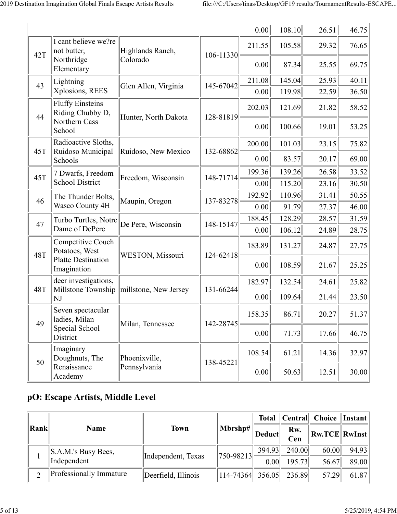|            |                                                              |                                            |           | 0.00   | 108.10 | 26.51 | 46.75 |
|------------|--------------------------------------------------------------|--------------------------------------------|-----------|--------|--------|-------|-------|
| 42T        | I cant believe we?re<br>not butter,                          | Highlands Ranch,                           | 106-11330 | 211.55 | 105.58 | 29.32 | 76.65 |
|            | Northridge<br>Elementary                                     | Colorado                                   |           | 0.00   | 87.34  | 25.55 | 69.75 |
| 43         | Lightning                                                    | Glen Allen, Virginia                       | 145-67042 | 211.08 | 145.04 | 25.93 | 40.11 |
|            | Xplosions, REES                                              |                                            |           | 0.00   | 119.98 | 22.59 | 36.50 |
| 44         | <b>Fluffy Einsteins</b><br>Riding Chubby D,<br>Northern Cass | Hunter, North Dakota                       | 128-81819 | 202.03 | 121.69 | 21.82 | 58.52 |
|            | School                                                       |                                            |           | 0.00   | 100.66 | 19.01 | 53.25 |
| 45T        | Radioactive Sloths,<br>Ruidoso Municipal                     | Ruidoso, New Mexico                        | 132-68862 | 200.00 | 101.03 | 23.15 | 75.82 |
|            | Schools                                                      |                                            |           | 0.00   | 83.57  | 20.17 | 69.00 |
| 45T        | 7 Dwarfs, Freedom                                            | Freedom, Wisconsin                         | 148-71714 | 199.36 | 139.26 | 26.58 | 33.52 |
|            | <b>School District</b>                                       |                                            |           | 0.00   | 115.20 | 23.16 | 30.50 |
| 46         | The Thunder Bolts,<br>Maupin, Oregon                         | 137-83278                                  | 192.92    | 110.96 | 31.41  | 50.55 |       |
|            | Wasco County 4H                                              |                                            |           | 0.00   | 91.79  | 27.37 | 46.00 |
| 47         | Turbo Turtles, Notre                                         | De Pere, Wisconsin                         | 148-15147 | 188.45 | 128.29 | 28.57 | 31.59 |
|            | Dame of DePere                                               |                                            |           | 0.00   | 106.12 | 24.89 | 28.75 |
| <b>48T</b> | Competitive Couch<br>Potatoes, West                          | <b>WESTON, Missouri</b>                    | 124-62418 | 183.89 | 131.27 | 24.87 | 27.75 |
|            | Platte Destination<br>Imagination                            |                                            |           | 0.00   | 108.59 | 21.67 | 25.25 |
| <b>48T</b> | deer investigations,                                         | Millstone Township   millstone, New Jersey | 131-66244 | 182.97 | 132.54 | 24.61 | 25.82 |
|            | NJ                                                           |                                            |           | 0.00   | 109.64 | 21.44 | 23.50 |
|            | Seven spectacular<br>ladies, Milan                           | Milan, Tennessee                           | 142-28745 | 158.35 | 86.71  | 20.27 | 51.37 |
| 49         | Special School<br>District                                   |                                            |           | 0.00   | 71.73  | 17.66 | 46.75 |
|            | Imaginary<br>Doughnuts, The                                  | Phoenixville,                              | 138-45221 | 108.54 | 61.21  | 14.36 | 32.97 |
| 50         | Renaissance<br>Academy                                       | Pennsylvania                               |           | 0.00   | 50.63  | 12.51 | 30.00 |

#### **pO: Escape Artists, Middle Level**

|                |                          |                     |                                   | Total                  |            | $\ $ Central $\ $ Choice $\ $ Instant $\ $ |       |
|----------------|--------------------------|---------------------|-----------------------------------|------------------------|------------|--------------------------------------------|-------|
| $\ $ Rank $\ $ | <b>Name</b>              | <b>Town</b>         | $\parallel$ Mbrshp# $\parallel$   | $\Vert$ Deduct $\Vert$ | Rw.<br>Cen | $\ {\rm Rw.TCE}\ {\rm RwInst}\ $           |       |
|                | $\ $ S.A.M.'s Busy Bees, | Independent, Texas  | $\left[750 - 98213\right]$        | 394.93                 | 240.00     | 60.00                                      | 94.93 |
|                | Independent              |                     |                                   | 0.00                   | 195.73     | 56.67                                      | 89.00 |
| ◠              | Professionally Immature  | Deerfield, Illinois | $\ 114 - 74364\ 356.05\ 236.89\ $ |                        |            | 57.29                                      | 61.87 |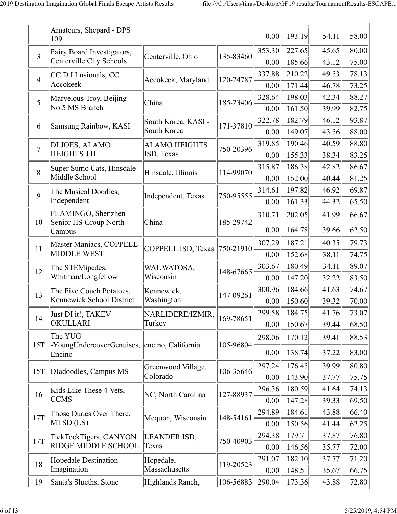|                | Amateurs, Shepard - DPS<br>109              |                              |               | 0.00   | 193.19 | 54.11 | 58.00 |
|----------------|---------------------------------------------|------------------------------|---------------|--------|--------|-------|-------|
| $\overline{3}$ | Fairy Board Investigators,                  | Centerville, Ohio            | 135-83460     | 353.30 | 227.65 | 45.65 | 80.00 |
|                | Centerville City Schools                    |                              |               | 0.00   | 185.66 | 43.12 | 75.00 |
| $\overline{4}$ | CC D.I.Lusionals, CC                        | Accokeek, Maryland           | 120-24787     | 337.88 | 210.22 | 49.53 | 78.13 |
|                | Accokeek                                    |                              |               | 0.00   | 171.44 | 46.78 | 73.25 |
| 5              | Marvelous Troy, Beijing                     | China                        | 185-23406     | 328.64 | 198.03 | 42.34 | 88.27 |
|                | No.5 MS Branch                              |                              |               | 0.00   | 161.50 | 39.99 | 82.75 |
| 6              | Samsung Rainbow, KASI                       | South Korea, KASI -          | 171-37810     | 322.78 | 182.79 | 46.12 | 93.87 |
|                |                                             | South Korea                  |               | 0.00   | 149.07 | 43.56 | 88.00 |
| $\overline{7}$ | DI JOES, ALAMO                              | <b>ALAMO HEIGHTS</b>         | 750-20396     | 319.85 | 190.46 | 40.59 | 88.80 |
|                | <b>HEIGHTS J H</b>                          | ISD, Texas                   |               | 0.00   | 155.33 | 38.34 | 83.25 |
| 8              | Super Sumo Cats, Hinsdale                   | Hinsdale, Illinois           | 114-99070     | 315.87 | 186.38 | 42.82 | 86.67 |
|                | Middle School                               |                              |               | 0.00   | 152.00 | 40.44 | 81.25 |
| 9              | The Musical Doodles,                        | Independent, Texas           | 750-95555     | 314.61 | 197.82 | 46.92 | 69.87 |
|                | Independent                                 |                              |               | 0.00   | 161.33 | 44.32 | 65.50 |
| 10             | FLAMINGO, Shenzhen<br>Senior HS Group North | China                        | 185-29742     | 310.71 | 202.05 | 41.99 | 66.67 |
|                | Campus                                      |                              |               | 0.00   | 164.78 | 39.66 | 62.50 |
| 11             | Master Maniacs, COPPELL                     | COPPELL ISD, Texas 750-21910 |               | 307.29 | 187.21 | 40.35 | 79.73 |
|                | <b>MIDDLE WEST</b>                          |                              |               | 0.00   | 152.68 | 38.11 | 74.75 |
| 12             | The STEMipedes,                             | WAUWATOSA,                   | 148-67665     | 303.67 | 180.49 | 34.11 | 89.07 |
|                | Whitman/Longfellow                          | Wisconsin                    |               | 0.00   | 147.20 | 32.22 | 83.50 |
| 13             | The Five Couch Potatoes,                    | Kennewick,                   | 147-09261     | 300.96 | 184.66 | 41.63 | 74.67 |
|                | Kennewick School District                   | Washington                   |               | 0.00   | 150.60 | 39.32 | 70.00 |
| 14             | Just DI it!, TAKEV                          | NARLIDERE/IZMIR,             | 169-78651     | 299.58 | 184.75 | 41.76 | 73.07 |
|                | OKULLARI                                    | Turkey                       |               | 0.00   | 150.67 | 39.44 | 68.50 |
|                | The YUG                                     |                              |               | 298.06 | 170.12 | 39.41 | 88.53 |
| 15T            | -YoungUndercoverGenuises,<br>Encino         | encino, California           | 105-96804     | 0.00   | 138.74 | 37.22 | 83.00 |
| 15T            | DIadoodles, Campus MS                       | Greenwood Village,           | 106-35646     | 297.24 | 176.45 | 39.99 | 80.80 |
|                |                                             | Colorado                     |               | 0.00   | 143.90 | 37.77 | 75.75 |
| 16             | Kids Like These 4 Vets,                     |                              | 127-88937     | 296.36 | 180.59 | 41.64 | 74.13 |
|                | <b>CCMS</b>                                 | NC, North Carolina           |               | 0.00   | 147.28 | 39.33 | 69.50 |
| 17T            | Those Dudes Over There,                     |                              | 148-54161     | 294.89 | 184.61 | 43.88 | 66.40 |
|                | MTSD (LS)                                   | Mequon, Wisconsin            |               | 0.00   | 150.56 | 41.44 | 62.25 |
| 17T            | TickTockTigers, CANYON                      | LEANDER ISD,                 | 750-40903     | 294.38 | 179.71 | 37.87 | 76.80 |
|                | <b>RIDGE MIDDLE SCHOOL</b>                  | Texas                        |               | 0.00   | 146.56 | 35.77 | 72.00 |
| 18             | Hopedale Destination                        | Hopedale,                    | 119-20523     | 291.07 | 182.10 | 37.77 | 71.20 |
|                | Imagination                                 | Massachusetts                |               | 0.00   | 148.51 | 35.67 | 66.75 |
| 19             | Santa's Slueths, Stone                      | Highlands Ranch,             | $106 - 56883$ | 290.04 | 173.36 | 43.88 | 72.80 |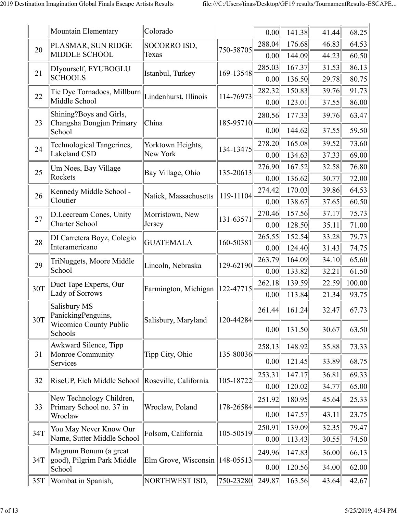|     | Mountain Elementary                                  | Colorado                                   |           | 0.00           | 141.38           | 41.44          | 68.25          |
|-----|------------------------------------------------------|--------------------------------------------|-----------|----------------|------------------|----------------|----------------|
|     | PLASMAR, SUN RIDGE                                   | SOCORRO ISD,                               |           | 288.04         | 176.68           | 46.83          | 64.53          |
| 20  | <b>MIDDLE SCHOOL</b>                                 | Texas                                      | 750-58705 | 0.00           | 144.09           | 44.23          | 60.50          |
|     | DIyourself, EYUBOGLU                                 |                                            |           | 285.03         | 167.37           | 31.53          | 86.13          |
| 21  | <b>SCHOOLS</b>                                       | Istanbul, Turkey                           | 169-13548 | 0.00           | 136.50           | 29.78          | 80.75          |
| 22  | Tie Dye Tornadoes, Millburn                          |                                            |           | 282.32         | 150.83           | 39.76          | 91.73          |
|     | Middle School                                        | Lindenhurst, Illinois                      | 114-76973 | 0.00           | 123.01           | 37.55          | 86.00          |
|     | Shining?Boys and Girls,                              |                                            |           | 280.56         | 177.33           | 39.76          | 63.47          |
| 23  | Changsha Dongjun Primary<br>School                   | China                                      | 185-95710 | 0.00           | 144.62           | 37.55          | 59.50          |
| 24  | Technological Tangerines,                            | Yorktown Heights,                          | 134-13475 | 278.20         | 165.08           | 39.52          | 73.60          |
|     | Lakeland CSD                                         | New York                                   |           | 0.00           | 134.63           | 37.33          | 69.00          |
| 25  | Um Noes, Bay Village                                 | Bay Village, Ohio                          | 135-20613 | 276.90         | 167.52           | 32.58          | 76.80          |
|     | Rockets                                              |                                            |           | 0.00           | 136.62           | 30.77          | 72.00          |
| 26  | Kennedy Middle School -                              | Natick, Massachusetts                      | 119-11104 | 274.42         | 170.03           | 39.86          | 64.53          |
|     | Cloutier                                             |                                            |           | 0.00           | 138.67           | 37.65          | 60.50          |
| 27  | D.I. cecream Cones, Unity                            | Morristown, New                            | 131-63571 | 270.46         | 157.56           | 37.17          | 75.73          |
|     | <b>Charter School</b>                                | Jersey                                     |           | 0.00           | 128.50           | 35.11          | 71.00          |
| 28  | DI Carretera Boyz, Colegio<br>Interamericano         | <b>GUATEMALA</b>                           | 160-50381 | 265.55         | 152.54           | 33.28          | 79.73          |
|     |                                                      |                                            |           | 0.00<br>263.79 | 124.40<br>164.09 | 31.43<br>34.10 | 74.75<br>65.60 |
| 29  | TriNuggets, Moore Middle<br>School                   | Lincoln, Nebraska                          | 129-62190 | 0.00           | 133.82           | 32.21          | 61.50          |
|     | Duct Tape Experts, Our                               |                                            |           | 262.18         | 139.59           | 22.59          | 100.00         |
| 30T | Lady of Sorrows                                      | Farmington, Michigan $\parallel$ 122-47715 |           | 0.00           | 113.84           | 21.34          | 93.75          |
| 30T | Salisbury MS<br>PanickingPenguins,                   |                                            |           | 261.44         | 161.24           | 32.47          | 67.73          |
|     | <b>Wicomico County Public</b><br>Schools             | Salisbury, Maryland                        | 120-44284 | 0.00           | 131.50           | 30.67          | 63.50          |
|     | Awkward Silence, Tipp                                |                                            |           | 258.13         | 148.92           | 35.88          | 73.33          |
| 31  | Monroe Community<br>Services                         | Tipp City, Ohio                            | 135-80036 | 0.00           | 121.45           | 33.89          | 68.75          |
|     |                                                      |                                            |           | 253.31         | 147.17           | 36.81          | 69.33          |
| 32  | RiseUP, Eich Middle School Roseville, California     |                                            | 105-18722 | 0.00           | 120.02           | 34.77          | 65.00          |
| 33  | New Technology Children,<br>Primary School no. 37 in | Wroclaw, Poland                            | 178-26584 | 251.92         | 180.95           | 45.64          | 25.33          |
|     | Wroclaw                                              |                                            |           | 0.00           | 147.57           | 43.11          | 23.75          |
| 34T | You May Never Know Our                               | Folsom, California                         | 105-50519 | 250.91         | 139.09           | 32.35          | 79.47          |
|     | Name, Sutter Middle School                           |                                            |           | 0.00           | 113.43           | 30.55          | 74.50          |
| 34T | Magnum Bonum (a great<br>good), Pilgrim Park Middle  | Elm Grove, Wisconsin                       | 148-05513 | 249.96         | 147.83           | 36.00          | 66.13          |
|     | School                                               |                                            |           | 0.00           | 120.56           | 34.00          | 62.00          |
|     | 35T   Wombat in Spanish,                             | NORTHWEST ISD,                             | 750-23280 | 249.87         | 163.56           | 43.64          | 42.67          |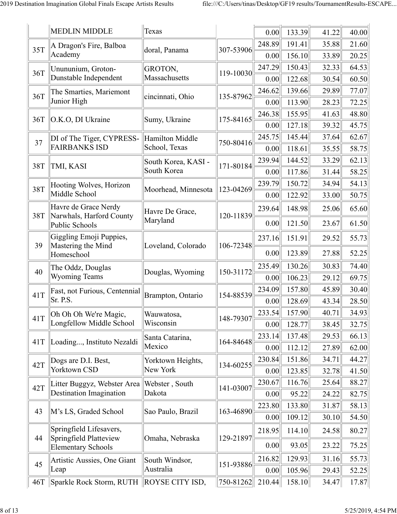|     | <b>MEDLIN MIDDLE</b>                                | <b>Texas</b>        |           | 0.00   | 133.39 | 41.22 | 40.00 |
|-----|-----------------------------------------------------|---------------------|-----------|--------|--------|-------|-------|
| 35T | A Dragon's Fire, Balboa                             | doral, Panama       | 307-53906 | 248.89 | 191.41 | 35.88 | 21.60 |
|     | Academy                                             |                     |           | 0.00   | 156.10 | 33.89 | 20.25 |
| 36T | Unununium, Groton-                                  | GROTON,             | 119-10030 | 247.29 | 150.43 | 32.33 | 64.53 |
|     | Dunstable Independent                               | Massachusetts       |           | 0.00   | 122.68 | 30.54 | 60.50 |
| 36T | The Smarties, Mariemont                             | cincinnati, Ohio    | 135-87962 | 246.62 | 139.66 | 29.89 | 77.07 |
|     | Junior High                                         |                     |           | 0.00   | 113.90 | 28.23 | 72.25 |
| 36T | O.K.O, DI Ukraine                                   | Sumy, Ukraine       | 175-84165 | 246.38 | 155.95 | 41.63 | 48.80 |
|     |                                                     |                     |           | 0.00   | 127.18 | 39.32 | 45.75 |
| 37  | DI of The Tiger, CYPRESS-                           | Hamilton Middle     | 750-80416 | 245.75 | 145.44 | 37.64 | 62.67 |
|     | <b>FAIRBANKS ISD</b>                                | School, Texas       |           | 0.00   | 118.61 | 35.55 | 58.75 |
| 38T | TMI, KASI                                           | South Korea, KASI - | 171-80184 | 239.94 | 144.52 | 33.29 | 62.13 |
|     |                                                     | South Korea         |           | 0.00   | 117.86 | 31.44 | 58.25 |
| 38T | Hooting Wolves, Horizon                             | Moorhead, Minnesota | 123-04269 | 239.79 | 150.72 | 34.94 | 54.13 |
|     | Middle School                                       |                     |           | 0.00   | 122.92 | 33.00 | 50.75 |
| 38T | Havre de Grace Nerdy                                | Havre De Grace,     | 120-11839 | 239.64 | 148.98 | 25.06 | 65.60 |
|     | Narwhals, Harford County<br>Public Schools          | Maryland            |           | 0.00   | 121.50 | 23.67 | 61.50 |
|     | Giggling Emoji Puppies,                             |                     |           | 237.16 | 151.91 | 29.52 | 55.73 |
| 39  | Mastering the Mind<br>Homeschool                    | Loveland, Colorado  | 106-72348 | 0.00   | 123.89 | 27.88 | 52.25 |
| 40  | The Oddz, Douglas                                   | Douglas, Wyoming    | 150-31172 | 235.49 | 130.26 | 30.83 | 74.40 |
|     | <b>Wyoming Teams</b>                                |                     |           | 0.00   | 106.23 | 29.12 | 69.75 |
| 41T | Fast, not Furious, Centennial                       | Brampton, Ontario   | 154-88539 | 234.09 | 157.80 | 45.89 | 30.40 |
|     | Sr. P.S.                                            |                     |           | 0.00   | 128.69 | 43.34 | 28.50 |
| 41T | Oh Oh Oh We're Magic,                               | Wauwatosa,          | 148-79307 | 233.54 | 157.90 | 40.71 | 34.93 |
|     | Longfellow Middle School                            | Wisconsin           |           | 0.00   | 128.77 | 38.45 | 32.75 |
| 41T | Loading, Instituto Nezaldi                          | Santa Catarina,     | 164-84648 | 233.14 | 137.48 | 29.53 | 66.13 |
|     |                                                     | Mexico              |           | 0.00   | 112.12 | 27.89 | 62.00 |
| 42T | Dogs are D.I. Best,                                 | Yorktown Heights,   | 134-60255 | 230.84 | 151.86 | 34.71 | 44.27 |
|     | Yorktown CSD                                        | New York            |           | 0.00   | 123.85 | 32.78 | 41.50 |
| 42T | Litter Buggyz, Webster Area                         | Webster, South      | 141-03007 | 230.67 | 116.76 | 25.64 | 88.27 |
|     | Destination Imagination                             | Dakota              |           | 0.00   | 95.22  | 24.22 | 82.75 |
| 43  | M's LS, Graded School                               | Sao Paulo, Brazil   | 163-46890 | 223.80 | 133.80 | 31.87 | 58.13 |
|     |                                                     |                     |           | 0.00   | 109.12 | 30.10 | 54.50 |
|     | Springfield Lifesavers,                             |                     |           | 218.95 | 114.10 | 24.58 | 80.27 |
| 44  | Springfield Platteview<br><b>Elementary Schools</b> | Omaha, Nebraska     | 129-21897 | 0.00   | 93.05  | 23.22 | 75.25 |
| 45  | Artistic Aussies, One Giant                         | South Windsor,      | 151-93886 | 216.82 | 129.93 | 31.16 | 55.73 |
|     | Leap                                                | Australia           |           | 0.00   | 105.96 | 29.43 | 52.25 |
| 46T | Sparkle Rock Storm, RUTH ROYSE CITY ISD,            |                     | 750-81262 | 210.44 | 158.10 | 34.47 | 17.87 |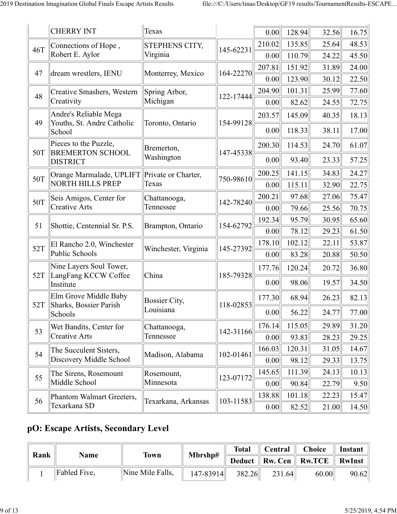|     | <b>CHERRY INT</b>                                   | Texas                 |           | 0.00   | 128.94 | 32.56 | 16.75 |
|-----|-----------------------------------------------------|-----------------------|-----------|--------|--------|-------|-------|
|     | Connections of Hope,                                | <b>STEPHENS CITY,</b> |           | 210.02 | 135.85 | 25.64 | 48.53 |
| 46T | Robert E. Aylor                                     | Virginia              | 145-62231 | 0.00   | 110.79 | 24.22 | 45.50 |
| 47  | dream wrestlers, IENU                               |                       | 164-22270 | 207.81 | 151.92 | 31.89 | 24.00 |
|     |                                                     | Monterrey, Mexico     |           | 0.00   | 123.90 | 30.12 | 22.50 |
| 48  | Creative Smashers, Western                          | Spring Arbor,         | 122-17444 | 204.90 | 101.31 | 25.99 | 77.60 |
|     | Creativity                                          | Michigan              |           | 0.00   | 82.62  | 24.55 | 72.75 |
| 49  | Andre's Reliable Mega<br>Youths, St. Andre Catholic | Toronto, Ontario      | 154-99128 | 203.57 | 145.09 | 40.35 | 18.13 |
|     | School                                              |                       |           | 0.00   | 118.33 | 38.11 | 17.00 |
| 50T | Pieces to the Puzzle,<br><b>BREMERTON SCHOOL</b>    | Bremerton,            | 147-45338 | 200.30 | 114.53 | 24.70 | 61.07 |
|     | <b>DISTRICT</b>                                     | Washington            |           | 0.00   | 93.40  | 23.33 | 57.25 |
| 50T | Orange Marmalade, UPLIFT                            | Private or Charter,   | 750-98610 | 200.25 | 141.15 | 34.83 | 24.27 |
|     | <b>NORTH HILLS PREP</b>                             | Texas                 |           | 0.00   | 115.11 | 32.90 | 22.75 |
| 50T | Seis Amigos, Center for                             | Chattanooga,          | 142-78240 | 200.21 | 97.68  | 27.06 | 75.47 |
|     | Creative Arts                                       | Tennessee             |           | 0.00   | 79.66  | 25.56 | 70.75 |
| 51  | Shottie, Centennial Sr. P.S.                        | Brampton, Ontario     | 154-62792 | 192.34 | 95.79  | 30.95 | 65.60 |
|     |                                                     |                       |           | 0.00   | 78.12  | 29.23 | 61.50 |
| 52T | El Rancho 2.0, Winchester                           | Winchester, Virginia  | 145-27392 | 178.10 | 102.12 | 22.11 | 53.87 |
|     | Public Schools                                      |                       |           | 0.00   | 83.28  | 20.88 | 50.50 |
| 52T | Nine Layers Soul Tower,<br>LangFang KCCW Coffee     | China                 | 185-79328 | 177.76 | 120.24 | 20.72 | 36.80 |
|     | Institute                                           |                       |           | 0.00   | 98.06  | 19.57 | 34.50 |
| 52T | Elm Grove Middle Baby                               | <b>Bossier City,</b>  | 118-02853 | 177.30 | 68.94  | 26.23 | 82.13 |
|     | Sharks, Bossier Parish<br>Schools                   | Louisiana             |           | 0.00   | 56.22  | 24.77 | 77.00 |
| 53  | Wet Bandits, Center for                             | Chattanooga,          |           | 176.14 | 115.05 | 29.89 | 31.20 |
|     | Creative Arts                                       | Tennessee             | 142-31166 | 0.00   | 93.83  | 28.23 | 29.25 |
| 54  | The Succulent Sisters,                              | Madison, Alabama      | 102-01461 | 166.03 | 120.31 | 31.05 | 14.67 |
|     | Discovery Middle School                             |                       |           | 0.00   | 98.12  | 29.33 | 13.75 |
| 55  | The Sirens, Rosemount                               | Rosemount,            | 123-07172 | 145.65 | 111.39 | 24.13 | 10.13 |
|     | Middle School                                       | Minnesota             |           | 0.00   | 90.84  | 22.79 | 9.50  |
| 56  | Phantom Walmart Greeters,                           | Texarkana, Arkansas   | 103-11583 | 138.88 | 101.18 | 22.23 | 15.47 |
|     | Texarkana SD                                        |                       |           | 0.00   | 82.52  | 21.00 | 14.50 |

#### **pO: Escape Artists, Secondary Level**

|  | Name             | <b>Town</b>  | Mbrshp#          | <b>Total</b>  | $\parallel$ Central $\parallel$ Choice |        | <b>Instant</b>                        |       |
|--|------------------|--------------|------------------|---------------|----------------------------------------|--------|---------------------------------------|-------|
|  | $\parallel$ Rank |              |                  |               |                                        |        | Deduct    Rw. Cen    Rw.TCE    RwInst |       |
|  |                  | Fabled Five, | Nine Mile Falls, | $147 - 83914$ | 382.26                                 | 231.64 | 60.00                                 | 90.62 |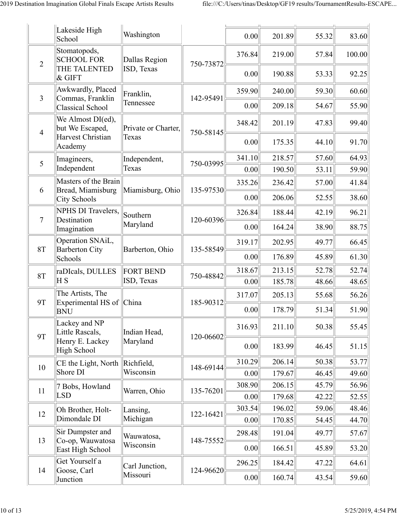|                | Lakeside High<br>School                                      | Washington                   |           | 0.00           | 201.89           | 55.32          | 83.60          |
|----------------|--------------------------------------------------------------|------------------------------|-----------|----------------|------------------|----------------|----------------|
| $\overline{2}$ | Stomatopods,<br><b>SCHOOL FOR</b>                            | Dallas Region                | 750-73872 | 376.84         | 219.00           | 57.84          | 100.00         |
|                | THE TALENTED<br>& GIFT                                       | ISD, Texas                   |           | 0.00           | 190.88           | 53.33          | 92.25          |
| $\mathfrak{Z}$ | Awkwardly, Placed<br>Commas, Franklin                        | Franklin,                    | 142-95491 | 359.90         | 240.00           | 59.30          | 60.60          |
|                | Classical School                                             | Tennessee                    |           | 0.00           | 209.18           | 54.67          | 55.90          |
| $\overline{4}$ | We Almost DI(ed),<br>but We Escaped,<br>Harvest Christian    | Private or Charter,<br>Texas | 750-58145 | 348.42         | 201.19           | 47.83          | 99.40          |
|                | Academy                                                      |                              |           | 0.00           | 175.35           | 44.10          | 91.70          |
| 5              | Imagineers,                                                  | Independent,                 | 750-03995 | 341.10         | 218.57           | 57.60          | 64.93          |
|                | Independent                                                  | Texas                        |           | 0.00           | 190.50           | 53.11          | 59.90          |
| 6              | Masters of the Brain<br>Bread, Miamisburg                    | Miamisburg, Ohio             | 135-97530 | 335.26         | 236.42           | 57.00          | 41.84          |
|                | City Schools                                                 |                              |           | 0.00           | 206.06           | 52.55          | 38.60          |
| $\overline{7}$ | NPHS DI Travelers,<br>Destination                            | Southern                     | 120-60396 | 326.84         | 188.44           | 42.19          | 96.21          |
|                | Imagination                                                  | Maryland                     |           | 0.00           | 164.24           | 38.90          | 88.75          |
| <b>8T</b>      | Operation SNAiL,<br><b>Barberton City</b><br>Barberton, Ohio | 135-58549                    | 319.17    | 202.95         | 49.77            | 66.45          |                |
|                | Schools                                                      |                              |           | 0.00           | 176.89           | 45.89          | 61.30          |
| <b>8T</b>      | raDIcals, DULLES                                             | <b>FORT BEND</b>             | 750-48842 | 318.67         | 213.15           | 52.78          | 52.74          |
|                | ΗS                                                           | ISD, Texas                   |           | 0.00           | 185.78           | 48.66          | 48.65          |
| <b>9T</b>      | The Artists, The<br>Experimental HS of China                 |                              | 185-90312 | 317.07         | 205.13           | 55.68          | 56.26          |
|                | <b>BNU</b>                                                   |                              |           | 0.00           | 178.79           | 51.34          | 51.90          |
| <b>9T</b>      | Lackey and NP<br>Little Rascals,                             | Indian Head,                 | 120-06602 | 316.93         | 211.10           | 50.38          | 55.45          |
|                | Henry E. Lackey<br>High School                               | Maryland                     |           | 0.00           | 183.99           | 46.45          | 51.15          |
| 10             | CE the Light, North                                          | Richfield,                   | 148-69144 | 310.29         | 206.14           | 50.38          | 53.77          |
|                | Shore DI                                                     | Wisconsin                    |           | 0.00           | 179.67           | 46.45          | 49.60          |
| 11             | 7 Bobs, Howland                                              | Warren, Ohio                 | 135-76201 | 308.90         | 206.15           | 45.79          | 56.96          |
|                | <b>LSD</b>                                                   |                              |           | 0.00           | 179.68           | 42.22          | 52.55          |
| 12             | Oh Brother, Holt-<br>Dimondale DI                            | Lansing,<br>Michigan         | 122-16421 | 303.54<br>0.00 | 196.02<br>170.85 | 59.06<br>54.45 | 48.46<br>44.70 |
|                | Sir Dumpster and                                             |                              |           | 298.48         |                  | 49.77          |                |
| 13             | Co-op, Wauwatosa<br>East High School                         | Wauwatosa,<br>Wisconsin      | 148-75552 | 0.00           | 191.04<br>166.51 | 45.89          | 57.67<br>53.20 |
|                | Get Yourself a                                               | Carl Junction,               |           | 296.25         | 184.42           | 47.22          | 64.61          |
| 14             | Goose, Carl<br>Junction                                      | Missouri                     | 124-96620 | 0.00           | 160.74           | 43.54          | 59.60          |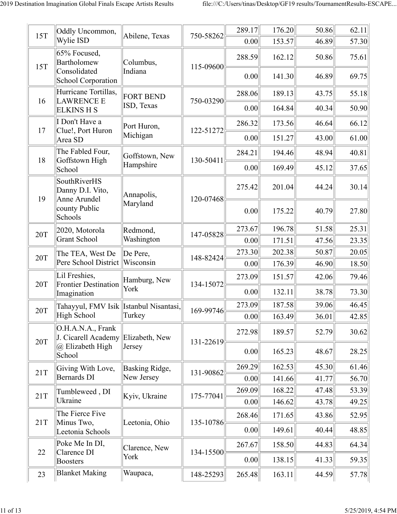| <b>15T</b> | Oddly Uncommon,                                  | Abilene, Texas   | 750-58262 | 289.17 | 176.20 | 50.86 | 62.11 |
|------------|--------------------------------------------------|------------------|-----------|--------|--------|-------|-------|
|            | Wylie ISD                                        |                  |           | 0.00   | 153.57 | 46.89 | 57.30 |
| 15T        | 65% Focused,<br>Bartholomew                      | Columbus,        | 115-09600 | 288.59 | 162.12 | 50.86 | 75.61 |
|            | Consolidated<br>School Corporation               | Indiana          |           | 0.00   | 141.30 | 46.89 | 69.75 |
|            | Hurricane Tortillas,                             | <b>FORT BEND</b> |           | 288.06 | 189.13 | 43.75 | 55.18 |
| 16         | <b>LAWRENCE E</b><br><b>ELKINS H S</b>           | ISD, Texas       | 750-03290 | 0.00   | 164.84 | 40.34 | 50.90 |
| 17         | I Don't Have a<br>Clue!, Port Huron              | Port Huron,      | 122-51272 | 286.32 | 173.56 | 46.64 | 66.12 |
|            | Area SD                                          | Michigan         |           | 0.00   | 151.27 | 43.00 | 61.00 |
|            | The Fabled Four,                                 | Goffstown, New   |           | 284.21 | 194.46 | 48.94 | 40.81 |
| 18         | Goffstown High<br>School                         | Hampshire        | 130-50411 | 0.00   | 169.49 | 45.12 | 37.65 |
| 19         | SouthRiverHS<br>Danny D.I. Vito,<br>Anne Arundel | Annapolis,       | 120-07468 | 275.42 | 201.04 | 44.24 | 30.14 |
|            | county Public<br>Schools                         | Maryland         |           | 0.00   | 175.22 | 40.79 | 27.80 |
| 20T        | 2020, Motorola                                   | Redmond,         | 147-05828 | 273.67 | 196.78 | 51.58 | 25.31 |
|            | <b>Grant School</b>                              | Washington       |           | 0.00   | 171.51 | 47.56 | 23.35 |
| 20T        | The TEA, West De                                 | De Pere,         | 148-82424 | 273.30 | 202.38 | 50.87 | 20.05 |
|            | Pere School District                             | Wisconsin        |           | 0.00   | 176.39 | 46.90 | 18.50 |
| 20T        | Lil Freshies,<br><b>Frontier Destination</b>     | Hamburg, New     | 134-15072 | 273.09 | 151.57 | 42.06 | 79.46 |
|            | Imagination                                      | York             |           | 0.00   | 132.11 | 38.78 | 73.30 |
| 20T        | Tahayyul, FMV Isik  Istanbul Nisantasi,          |                  | 169-99746 | 273.09 | 187.58 | 39.06 | 46.45 |
|            | High School                                      | Turkey           |           | 0.00   | 163.49 | 36.01 | 42.85 |
| 20T        | O.H.A.N.A., Frank<br>J. Cicarell Academy         | Elizabeth, New   | 131-22619 | 272.98 | 189.57 | 52.79 | 30.62 |
|            | @ Elizabeth High<br>School                       | Jersey           |           | 0.00   | 165.23 | 48.67 | 28.25 |
|            | Giving With Love,                                | Basking Ridge,   |           | 269.29 | 162.53 | 45.30 | 61.46 |
| 21T        | <b>Bernards DI</b>                               | New Jersey       | 131-90862 | 0.00   | 141.66 | 41.77 | 56.70 |
| 21T        | Tumbleweed, DI                                   | Kyiv, Ukraine    | 175-77041 | 269.09 | 168.22 | 47.48 | 53.39 |
|            | Ukraine                                          |                  |           | 0.00   | 146.62 | 43.78 | 49.25 |
| 21T        | The Fierce Five<br>Minus Two,                    | Leetonia, Ohio   | 135-10786 | 268.46 | 171.65 | 43.86 | 52.95 |
|            | Leetonia Schools                                 |                  |           | 0.00   | 149.61 | 40.44 | 48.85 |
| 22         | Poke Me In DI,<br>Clarence DI                    | Clarence, New    | 134-15500 | 267.67 | 158.50 | 44.83 | 64.34 |
|            | <b>Boosters</b>                                  | York             |           | 0.00   | 138.15 | 41.33 | 59.35 |
| 23         | <b>Blanket Making</b>                            | Waupaca,         | 148-25293 | 265.48 | 163.11 | 44.59 | 57.78 |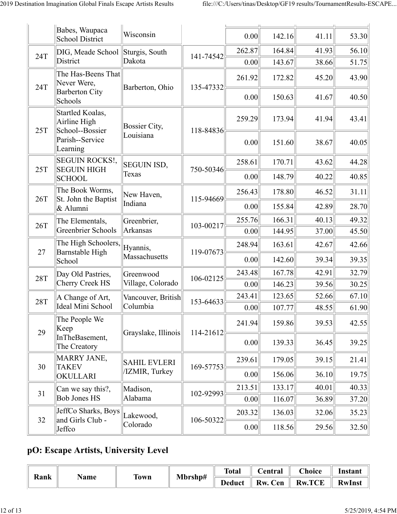|            | Babes, Waupaca<br><b>School District</b>                   | Wisconsin            |           | 0.00   | 142.16 | 41.11 | 53.30 |
|------------|------------------------------------------------------------|----------------------|-----------|--------|--------|-------|-------|
| 24T        | DIG, Meade School                                          | Sturgis, South       | 141-74542 | 262.87 | 164.84 | 41.93 | 56.10 |
|            | District                                                   | Dakota               |           | 0.00   | 143.67 | 38.66 | 51.75 |
| 24T        | The Has-Beens That<br>Never Were,<br><b>Barberton City</b> | Barberton, Ohio      | 135-47332 | 261.92 | 172.82 | 45.20 | 43.90 |
|            | Schools                                                    |                      |           | 0.00   | 150.63 | 41.67 | 40.50 |
| 25T        | Startled Koalas,<br>Airline High<br>School--Bossier        | <b>Bossier City,</b> | 118-84836 | 259.29 | 173.94 | 41.94 | 43.41 |
|            | Parish--Service<br>Learning                                | Louisiana            |           | 0.00   | 151.60 | 38.67 | 40.05 |
| 25T        | <b>SEGUIN ROCKS!,</b><br><b>SEGUIN HIGH</b>                | <b>SEGUIN ISD,</b>   | 750-50346 | 258.61 | 170.71 | 43.62 | 44.28 |
|            | <b>SCHOOL</b>                                              | Texas                |           | 0.00   | 148.79 | 40.22 | 40.85 |
| 26T        | The Book Worms,<br>St. John the Baptist                    | New Haven,           | 115-94669 | 256.43 | 178.80 | 46.52 | 31.11 |
|            | & Alumni                                                   | Indiana              |           | 0.00   | 155.84 | 42.89 | 28.70 |
| 26T        | The Elementals,                                            | Greenbrier,          | 103-00217 | 255.76 | 166.31 | 40.13 | 49.32 |
|            | <b>Greenbrier Schools</b>                                  | Arkansas             |           | 0.00   | 144.95 | 37.00 | 45.50 |
| 27         | The High Schoolers,<br>Barnstable High                     | Hyannis,             | 119-07673 | 248.94 | 163.61 | 42.67 | 42.66 |
|            | School                                                     | Massachusetts        |           | 0.00   | 142.60 | 39.34 | 39.35 |
| <b>28T</b> | Day Old Pastries,                                          | Greenwood            | 106-02125 | 243.48 | 167.78 | 42.91 | 32.79 |
|            | Cherry Creek HS                                            | Village, Colorado    |           | 0.00   | 146.23 | 39.56 | 30.25 |
| <b>28T</b> | A Change of Art,                                           | Vancouver, British   | 153-64633 | 243.41 | 123.65 | 52.66 | 67.10 |
|            | Ideal Mini School                                          | Columbia             |           | 0.00   | 107.77 | 48.55 | 61.90 |
| 29         | The People We<br>Keep                                      | Grayslake, Illinois  | 114-21612 | 241.94 | 159.86 | 39.53 | 42.55 |
|            | InTheBasement,<br>The Creatory                             |                      |           | 0.00   | 139.33 | 36.45 | 39.25 |
| 30         | <b>MARRY JANE,</b><br><b>TAKEV</b>                         | <b>SAHIL EVLERI</b>  | 169-57753 | 239.61 | 179.05 | 39.15 | 21.41 |
|            | OKULLARI                                                   | /IZMIR, Turkey       |           | 0.00   | 156.06 | 36.10 | 19.75 |
| 31         | Can we say this?,                                          | Madison,             | 102-92993 | 213.51 | 133.17 | 40.01 | 40.33 |
|            | <b>Bob Jones HS</b>                                        | Alabama              |           | 0.00   | 116.07 | 36.89 | 37.20 |
| 32         | JeffCo Sharks, Boys<br>and Girls Club -                    | Lakewood,            | 106-50322 | 203.32 | 136.03 | 32.06 | 35.23 |
|            | Jeffco                                                     | Colorado             |           | 0.00   | 118.56 | 29.56 | 32.50 |

## **pO: Escape Artists, University Level**

| Rank |      |       | Mbrshp# | <b>Total</b>  | Central | $C$ hoice          | Instant       |
|------|------|-------|---------|---------------|---------|--------------------|---------------|
|      | Name | I`own |         | <b>Deduct</b> | Rw. Cen | <b>Rw.TCE</b><br>Ш | <b>RwInst</b> |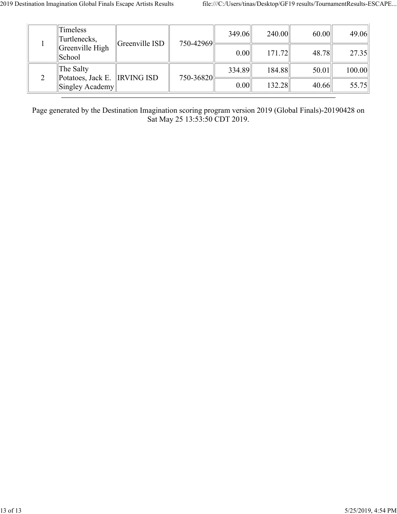|               | <b>Timeless</b><br>Turtlenecks,            | Greenville ISD | 750-42969                              | 349.06 | 240.00 | 60.00 | 49.06  |
|---------------|--------------------------------------------|----------------|----------------------------------------|--------|--------|-------|--------|
|               | Greenville High<br>  School                |                |                                        | 0.00   | 171.72 | 48.78 | 27.35  |
| $\mathcal{D}$ | The Salty<br>Potatoes, Jack E. IRVING ISD  |                | $750 - 36820$ <sup>[Lergen 2016]</sup> | 334.89 | 184.88 | 50.01 | 100.00 |
|               | $\left\Vert$ Singley Academy $\right\Vert$ |                |                                        | 0.00   | 132.28 | 40.66 | 55.75  |

Page generated by the Destination Imagination scoring program version 2019 (Global Finals)-20190428 on Sat May 25 13:53:50 CDT 2019.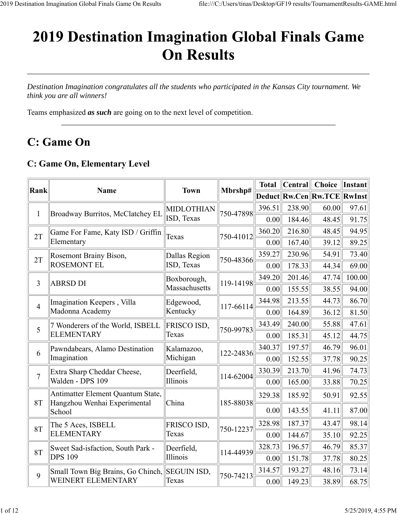# **2019 Destination Imagination Global Finals Game On Results**

*Destination Imagination congratulates all the students who participated in the Kansas City tournament. We think you are all winners!*

Teams emphasized *as such* are going on to the next level of competition.

# **C:** Game On

#### **C: Game On, Elementary Level**

| Rank           | <b>Name</b>                                                       | <b>Town</b>        |           | <b>Total</b> | Central | <b>Choice</b>               | <b>Instant</b> |
|----------------|-------------------------------------------------------------------|--------------------|-----------|--------------|---------|-----------------------------|----------------|
|                |                                                                   |                    | Mbrshp#   |              |         | Deduct Rw.Cen Rw.TCE RwInst |                |
| $\mathbf{1}$   | Broadway Burritos, McClatchey EL                                  | MIDLOTHIAN         | 750-47898 | 396.51       | 238.90  | 60.00                       | 97.61          |
|                |                                                                   | ISD, Texas         |           | 0.00         | 184.46  | 48.45                       | 91.75          |
| 2T             | Game For Fame, Katy ISD / Griffin                                 | Texas              | 750-41012 | 360.20       | 216.80  | 48.45                       | 94.95          |
|                | Elementary                                                        |                    |           | 0.00         | 167.40  | 39.12                       | 89.25          |
| 2T             | Rosemont Brainy Bison,                                            | Dallas Region      | 750-48366 | 359.27       | 230.96  | 54.91                       | 73.40          |
|                | <b>ROSEMONT EL</b>                                                | ISD, Texas         |           | 0.00         | 178.33  | 44.34                       | 69.00          |
| 3              | <b>ABRSD DI</b>                                                   | Boxborough,        | 119-14198 | 349.20       | 201.46  | 47.74                       | 100.00         |
|                |                                                                   | Massachusetts      |           | 0.00         | 155.55  | 38.55                       | 94.00          |
| $\overline{4}$ | Imagination Keepers, Villa                                        | Edgewood,          | 117-66114 | 344.98       | 213.55  | 44.73                       | 86.70          |
|                | Madonna Academy                                                   | Kentucky           |           | 0.00         | 164.89  | 36.12                       | 81.50          |
| 5              | 7 Wonderers of the World, ISBELL                                  | FRISCO ISD,        | 750-99783 | 343.49       | 240.00  | 55.88                       | 47.61          |
|                | <b>ELEMENTARY</b>                                                 | Texas              |           | 0.00         | 185.31  | 45.12                       | 44.75          |
| 6              | Pawndabears, Alamo Destination                                    | Kalamazoo,         | 122-24836 | 340.37       | 197.57  | 46.79                       | 96.01          |
|                | Imagination                                                       | Michigan           |           | 0.00         | 152.55  | 37.78                       | 90.25          |
| $\overline{7}$ | Extra Sharp Cheddar Cheese,                                       | Deerfield,         | 114-62004 | 330.39       | 213.70  | 41.96                       | 74.73          |
|                | Walden - DPS 109                                                  | Illinois           |           | 0.00         | 165.00  | 33.88                       | 70.25          |
| 8T             | Antimatter Element Quantum State,<br>Hangzhou Wenhai Experimental | China              | 185-88038 | 329.38       | 185.92  | 50.91                       | 92.55          |
|                | School                                                            |                    |           | 0.00         | 143.55  | 41.11                       | 87.00          |
| 8T             | The 5 Aces, ISBELL                                                | FRISCO ISD,        | 750-12237 | 328.98       | 187.37  | 43.47                       | 98.14          |
|                | <b>ELEMENTARY</b>                                                 | Texas              |           | 0.00         | 144.67  | 35.10                       | 92.25          |
| 8T             | Sweet Sad-isfaction, South Park -                                 | Deerfield,         | 114-44939 | 328.73       | 196.57  | 46.79                       | 85.37          |
|                | <b>DPS 109</b>                                                    | Illinois           |           | 0.00         | 151.78  | 37.78                       | 80.25          |
| 9              | Small Town Big Brains, Go Chinch,                                 | <b>SEGUIN ISD,</b> | 750-74213 | 314.57       | 193.27  | 48.16                       | 73.14          |
|                | WEINERT ELEMENTARY                                                | Texas              |           | 0.00         | 149.23  | 38.89                       | 68.75          |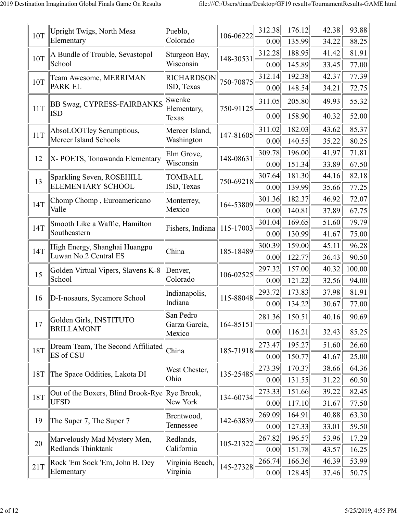| 10T | Upright Twigs, North Mesa<br>Elementary         | Pueblo,<br>Colorado          | 106-06222 | 312.38<br>0.00 | 176.12<br>135.99 | 42.38<br>34.22 | 93.88<br>88.25 |
|-----|-------------------------------------------------|------------------------------|-----------|----------------|------------------|----------------|----------------|
|     | A Bundle of Trouble, Sevastopol                 | Sturgeon Bay,                |           | 312.28         | 188.95           | 41.42          | 81.91          |
| 10T | School                                          | Wisconsin                    | 148-30531 | 0.00           | 145.89           | 33.45          | 77.00          |
|     | Team Awesome, MERRIMAN                          | <b>RICHARDSON</b>            |           | 312.14         | 192.38           | 42.37          | 77.39          |
| 10T | <b>PARK EL</b>                                  | ISD, Texas                   | 750-70875 | 0.00           | 148.54           | 34.21          | 72.75          |
| 11T | <b>BB Swag, CYPRESS-FAIRBANKS</b><br><b>ISD</b> | Swenke<br>Elementary,        | 750-91125 | 311.05         | 205.80           | 49.93          | 55.32          |
|     |                                                 | Texas                        |           | 0.00           | 158.90           | 40.32          | 52.00          |
| 11T | AbsoLOOTley Scrumptious,                        | Mercer Island,               | 147-81605 | 311.02         | 182.03           | 43.62          | 85.37          |
|     | Mercer Island Schools                           | Washington                   |           | 0.00           | 140.55           | 35.22          | 80.25          |
| 12  | X-POETS, Tonawanda Elementary                   | Elm Grove,                   | 148-08631 | 309.78         | 196.00           | 41.97          | 71.81          |
|     |                                                 | Wisconsin                    |           | 0.00           | 151.34           | 33.89          | 67.50          |
| 13  | Sparkling Seven, ROSEHILL                       | <b>TOMBALL</b>               | 750-69218 | 307.64         | 181.30           | 44.16          | 82.18          |
|     | <b>ELEMENTARY SCHOOL</b>                        | ISD, Texas                   |           | 0.00           | 139.99           | 35.66          | 77.25          |
| 14T | Chomp Chomp, Euroamericano                      | Monterrey,                   | 164-53809 | 301.36         | 182.37           | 46.92          | 72.07          |
|     | Valle                                           | Mexico                       |           | 0.00           | 140.81           | 37.89          | 67.75          |
| 14T | Smooth Like a Waffle, Hamilton                  | Fishers, Indiana   115-17003 |           | 301.04         | 169.65           | 51.60          | 79.79          |
|     | Southeastern                                    |                              |           | 0.00           | 130.99           | 41.67          | 75.00          |
| 14T | High Energy, Shanghai Huangpu                   | China                        | 185-18489 | 300.39         | 159.00           | 45.11          | 96.28          |
|     | Luwan No.2 Central ES                           |                              |           | 0.00           | 122.77           | 36.43          | 90.50          |
| 15  | Golden Virtual Vipers, Slavens K-8              | Denver,                      | 106-02525 | 297.32         | 157.00           | 40.32          | 100.00         |
|     | School                                          | Colorado                     |           | 0.00           | 121.22           | 32.56          | 94.00          |
| 16  | D-I-nosaurs, Sycamore School                    | Indianapolis,                | 115-88048 | 293.72         | 173.83           | 37.98          | 81.91          |
|     |                                                 | Indiana                      |           | 0.00           | 134.22           | 30.67          | 77.00          |
| 17  | Golden Girls, INSTITUTO                         | San Pedro<br>Garza García,   | 164-85151 | 281.36         | 150.51           | 40.16          | 90.69          |
|     | <b>BRILLAMONT</b>                               | Mexico                       |           | 0.00           | 116.21           | 32.43          | 85.25          |
| 18T | Dream Team, The Second Affiliated               | China                        | 185-71918 | 273.47         | 195.27           | 51.60          | 26.60          |
|     | ES of CSU                                       |                              |           | 0.00           | 150.77           | 41.67          | 25.00          |
| 18T | The Space Oddities, Lakota DI                   | West Chester,                | 135-25485 | 273.39         | 170.37           | 38.66          | 64.36          |
|     |                                                 | Ohio                         |           | 0.00           | 131.55           | 31.22          | 60.50          |
| 18T | Out of the Boxers, Blind Brook-Rye              | Rye Brook,                   | 134-60734 | 273.33         | 151.66           | 39.22          | 82.45          |
|     | <b>UFSD</b>                                     | New York                     |           | 0.00           | 117.10           | 31.67          | 77.50          |
|     |                                                 | Brentwood,                   |           | 269.09         | 164.91           | 40.88          | 63.30          |
| 19  | The Super 7, The Super 7                        | Tennessee                    | 142-63839 | 0.00           | 127.33           | 33.01          | 59.50          |
|     | Marvelously Mad Mystery Men,                    | Redlands,                    |           | 267.82         | 196.57           | 53.96          | 17.29          |
| 20  | Redlands Thinktank                              | California                   | 105-21322 | 0.00           | 151.78           | 43.57          | 16.25          |
| 21T | Rock 'Em Sock 'Em, John B. Dey                  | Virginia Beach,              | 145-27328 | 266.74         | 166.36           | 46.39          | 53.99          |
|     | Elementary                                      | Virginia                     |           | 0.00           | 128.45           | 37.46          | 50.75          |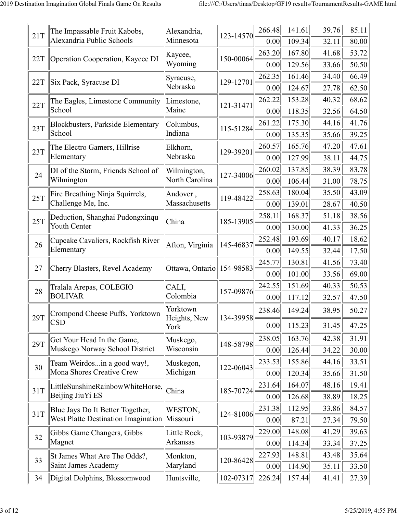| 39.76<br>85.11<br>266.48<br>141.61<br>The Impassable Fruit Kabobs,<br>Alexandria,<br>21T<br>123-14570<br>Alexandria Public Schools<br>Minnesota<br>109.34<br>32.11<br>0.00<br>80.00<br>167.80<br>53.72<br>263.20<br>41.68<br>Kaycee,<br>150-00064<br>22T<br>Operation Cooperation, Kaycee DI<br>Wyoming<br>129.56<br>33.66<br>50.50<br>0.00<br>262.35<br>66.49<br>161.46<br>34.40<br>Syracuse,<br>129-12701<br>22T<br>Six Pack, Syracuse DI<br>Nebraska<br>124.67<br>62.50<br>27.78<br>0.00<br>153.28<br>68.62<br>262.22<br>40.32<br>The Eagles, Limestone Community<br>Limestone,<br>22T<br>121-31471<br>School<br>Maine<br>118.35<br>32.56<br>64.50<br>0.00<br>175.30<br>261.22<br>44.16<br>41.76<br>Blockbusters, Parkside Elementary<br>Columbus,<br>23T<br>115-51284<br>School<br>Indiana<br>135.35<br>39.25<br>35.66<br>0.00<br>165.76<br>47.61<br>260.57<br>47.20<br>The Electro Gamers, Hillrise<br>Elkhorn,<br>23T<br>129-39201<br>Nebraska<br>Elementary<br>127.99<br>38.11<br>44.75<br>0.00<br>137.85<br>83.78<br>260.02<br>38.39<br>DI of the Storm, Friends School of<br>Wilmington,<br>24<br>127-34006<br>North Carolina<br>Wilmington<br>106.44<br>78.75<br>31.00<br>0.00<br>258.63<br>180.04<br>35.50<br>43.09<br>Fire Breathing Ninja Squirrels,<br>Andover,<br>25T<br>119-48422<br>Challenge Me, Inc.<br>Massachusetts<br>139.01<br>28.67<br>40.50<br>0.00<br>168.37<br>38.56<br>258.11<br>51.18<br>Deduction, Shanghai Pudongxinqu<br>25T<br>185-13905<br>China<br><b>Youth Center</b><br>36.25<br>130.00<br>41.33<br>0.00<br>193.69<br>40.17<br>18.62<br>252.48<br>Cupcake Cavaliers, Rockfish River<br>26<br>145-46837<br>Afton, Virginia<br>Elementary<br>149.55<br>17.50<br>32.44<br>0.00<br>130.81<br>73.40<br>245.77<br>41.56<br>27<br>154-98583<br>Cherry Blasters, Revel Academy<br>Ottawa, Ontario<br>101.00<br>33.56<br>69.00<br>0.00<br>151.69<br>40.33<br>50.53<br>242.55<br>CALI,<br>Tralala Arepas, COLEGIO<br>28<br>157-09876<br><b>BOLIVAR</b><br>Colombia<br>117.12<br>32.57<br>47.50<br>0.00<br>Yorktown<br>149.24<br>38.95<br>50.27<br>238.46<br>Crompond Cheese Puffs, Yorktown<br>29T<br>Heights, New<br>134-39958<br><b>CSD</b><br>115.23<br>31.45<br>0.00<br>47.25<br>York<br>238.05<br>163.76<br>42.38<br>31.91<br>Get Your Head In the Game,<br>Muskego,<br>29T<br>148-58798<br>Muskego Norway School District<br>Wisconsin<br>30.00<br>126.44<br>34.22<br>0.00<br>155.86<br>33.51<br>233.53<br>44.16<br>Team Weirdosin a good way!,<br>Muskegon,<br>30<br>122-06043<br>Mona Shores Creative Crew<br>Michigan<br>120.34<br>31.50<br>0.00<br>35.66<br>164.07<br>48.16<br>19.41<br>231.64<br>LittleSunshineRainbowWhiteHorse,<br>31T<br>China<br>185-70724<br>Beijing JiuYi ES<br>18.25<br>126.68<br>38.89<br>0.00<br>112.95<br>231.38<br>33.86<br>84.57<br>Blue Jays Do It Better Together,<br>WESTON,<br>31T<br>124-81006<br>West Platte Destination Imagination Missouri<br>87.21<br>79.50<br>27.34<br>0.00<br>229.00<br>148.08<br>41.29<br>39.63<br>Gibbs Game Changers, Gibbs<br>Little Rock,<br>32<br>103-93879<br>Arkansas<br>Magnet<br>114.34<br>33.34<br>37.25<br>0.00<br>227.93<br>148.81<br>43.48<br>35.64<br>St James What Are The Odds?,<br>Monkton,<br>33<br>120-86428<br>Saint James Academy<br>Maryland<br>114.90<br>33.50<br>35.11<br>0.00<br>226.24<br>157.44<br>34<br>Digital Dolphins, Blossomwood<br>102-07317<br>27.39<br>Huntsville,<br>41.41 |  |  |  |  |
|----------------------------------------------------------------------------------------------------------------------------------------------------------------------------------------------------------------------------------------------------------------------------------------------------------------------------------------------------------------------------------------------------------------------------------------------------------------------------------------------------------------------------------------------------------------------------------------------------------------------------------------------------------------------------------------------------------------------------------------------------------------------------------------------------------------------------------------------------------------------------------------------------------------------------------------------------------------------------------------------------------------------------------------------------------------------------------------------------------------------------------------------------------------------------------------------------------------------------------------------------------------------------------------------------------------------------------------------------------------------------------------------------------------------------------------------------------------------------------------------------------------------------------------------------------------------------------------------------------------------------------------------------------------------------------------------------------------------------------------------------------------------------------------------------------------------------------------------------------------------------------------------------------------------------------------------------------------------------------------------------------------------------------------------------------------------------------------------------------------------------------------------------------------------------------------------------------------------------------------------------------------------------------------------------------------------------------------------------------------------------------------------------------------------------------------------------------------------------------------------------------------------------------------------------------------------------------------------------------------------------------------------------------------------------------------------------------------------------------------------------------------------------------------------------------------------------------------------------------------------------------------------------------------------------------------------------------------------------------------------------------------------------------------------------------------------------------------------------------------------------------------------------------------------------------------------------------------------------------------------------------------------------------------------------------------------------------------------------------------------------------------------------------------|--|--|--|--|
|                                                                                                                                                                                                                                                                                                                                                                                                                                                                                                                                                                                                                                                                                                                                                                                                                                                                                                                                                                                                                                                                                                                                                                                                                                                                                                                                                                                                                                                                                                                                                                                                                                                                                                                                                                                                                                                                                                                                                                                                                                                                                                                                                                                                                                                                                                                                                                                                                                                                                                                                                                                                                                                                                                                                                                                                                                                                                                                                                                                                                                                                                                                                                                                                                                                                                                                                                                                                                |  |  |  |  |
|                                                                                                                                                                                                                                                                                                                                                                                                                                                                                                                                                                                                                                                                                                                                                                                                                                                                                                                                                                                                                                                                                                                                                                                                                                                                                                                                                                                                                                                                                                                                                                                                                                                                                                                                                                                                                                                                                                                                                                                                                                                                                                                                                                                                                                                                                                                                                                                                                                                                                                                                                                                                                                                                                                                                                                                                                                                                                                                                                                                                                                                                                                                                                                                                                                                                                                                                                                                                                |  |  |  |  |
|                                                                                                                                                                                                                                                                                                                                                                                                                                                                                                                                                                                                                                                                                                                                                                                                                                                                                                                                                                                                                                                                                                                                                                                                                                                                                                                                                                                                                                                                                                                                                                                                                                                                                                                                                                                                                                                                                                                                                                                                                                                                                                                                                                                                                                                                                                                                                                                                                                                                                                                                                                                                                                                                                                                                                                                                                                                                                                                                                                                                                                                                                                                                                                                                                                                                                                                                                                                                                |  |  |  |  |
|                                                                                                                                                                                                                                                                                                                                                                                                                                                                                                                                                                                                                                                                                                                                                                                                                                                                                                                                                                                                                                                                                                                                                                                                                                                                                                                                                                                                                                                                                                                                                                                                                                                                                                                                                                                                                                                                                                                                                                                                                                                                                                                                                                                                                                                                                                                                                                                                                                                                                                                                                                                                                                                                                                                                                                                                                                                                                                                                                                                                                                                                                                                                                                                                                                                                                                                                                                                                                |  |  |  |  |
|                                                                                                                                                                                                                                                                                                                                                                                                                                                                                                                                                                                                                                                                                                                                                                                                                                                                                                                                                                                                                                                                                                                                                                                                                                                                                                                                                                                                                                                                                                                                                                                                                                                                                                                                                                                                                                                                                                                                                                                                                                                                                                                                                                                                                                                                                                                                                                                                                                                                                                                                                                                                                                                                                                                                                                                                                                                                                                                                                                                                                                                                                                                                                                                                                                                                                                                                                                                                                |  |  |  |  |
|                                                                                                                                                                                                                                                                                                                                                                                                                                                                                                                                                                                                                                                                                                                                                                                                                                                                                                                                                                                                                                                                                                                                                                                                                                                                                                                                                                                                                                                                                                                                                                                                                                                                                                                                                                                                                                                                                                                                                                                                                                                                                                                                                                                                                                                                                                                                                                                                                                                                                                                                                                                                                                                                                                                                                                                                                                                                                                                                                                                                                                                                                                                                                                                                                                                                                                                                                                                                                |  |  |  |  |
|                                                                                                                                                                                                                                                                                                                                                                                                                                                                                                                                                                                                                                                                                                                                                                                                                                                                                                                                                                                                                                                                                                                                                                                                                                                                                                                                                                                                                                                                                                                                                                                                                                                                                                                                                                                                                                                                                                                                                                                                                                                                                                                                                                                                                                                                                                                                                                                                                                                                                                                                                                                                                                                                                                                                                                                                                                                                                                                                                                                                                                                                                                                                                                                                                                                                                                                                                                                                                |  |  |  |  |
|                                                                                                                                                                                                                                                                                                                                                                                                                                                                                                                                                                                                                                                                                                                                                                                                                                                                                                                                                                                                                                                                                                                                                                                                                                                                                                                                                                                                                                                                                                                                                                                                                                                                                                                                                                                                                                                                                                                                                                                                                                                                                                                                                                                                                                                                                                                                                                                                                                                                                                                                                                                                                                                                                                                                                                                                                                                                                                                                                                                                                                                                                                                                                                                                                                                                                                                                                                                                                |  |  |  |  |
|                                                                                                                                                                                                                                                                                                                                                                                                                                                                                                                                                                                                                                                                                                                                                                                                                                                                                                                                                                                                                                                                                                                                                                                                                                                                                                                                                                                                                                                                                                                                                                                                                                                                                                                                                                                                                                                                                                                                                                                                                                                                                                                                                                                                                                                                                                                                                                                                                                                                                                                                                                                                                                                                                                                                                                                                                                                                                                                                                                                                                                                                                                                                                                                                                                                                                                                                                                                                                |  |  |  |  |
|                                                                                                                                                                                                                                                                                                                                                                                                                                                                                                                                                                                                                                                                                                                                                                                                                                                                                                                                                                                                                                                                                                                                                                                                                                                                                                                                                                                                                                                                                                                                                                                                                                                                                                                                                                                                                                                                                                                                                                                                                                                                                                                                                                                                                                                                                                                                                                                                                                                                                                                                                                                                                                                                                                                                                                                                                                                                                                                                                                                                                                                                                                                                                                                                                                                                                                                                                                                                                |  |  |  |  |
|                                                                                                                                                                                                                                                                                                                                                                                                                                                                                                                                                                                                                                                                                                                                                                                                                                                                                                                                                                                                                                                                                                                                                                                                                                                                                                                                                                                                                                                                                                                                                                                                                                                                                                                                                                                                                                                                                                                                                                                                                                                                                                                                                                                                                                                                                                                                                                                                                                                                                                                                                                                                                                                                                                                                                                                                                                                                                                                                                                                                                                                                                                                                                                                                                                                                                                                                                                                                                |  |  |  |  |
|                                                                                                                                                                                                                                                                                                                                                                                                                                                                                                                                                                                                                                                                                                                                                                                                                                                                                                                                                                                                                                                                                                                                                                                                                                                                                                                                                                                                                                                                                                                                                                                                                                                                                                                                                                                                                                                                                                                                                                                                                                                                                                                                                                                                                                                                                                                                                                                                                                                                                                                                                                                                                                                                                                                                                                                                                                                                                                                                                                                                                                                                                                                                                                                                                                                                                                                                                                                                                |  |  |  |  |
|                                                                                                                                                                                                                                                                                                                                                                                                                                                                                                                                                                                                                                                                                                                                                                                                                                                                                                                                                                                                                                                                                                                                                                                                                                                                                                                                                                                                                                                                                                                                                                                                                                                                                                                                                                                                                                                                                                                                                                                                                                                                                                                                                                                                                                                                                                                                                                                                                                                                                                                                                                                                                                                                                                                                                                                                                                                                                                                                                                                                                                                                                                                                                                                                                                                                                                                                                                                                                |  |  |  |  |
|                                                                                                                                                                                                                                                                                                                                                                                                                                                                                                                                                                                                                                                                                                                                                                                                                                                                                                                                                                                                                                                                                                                                                                                                                                                                                                                                                                                                                                                                                                                                                                                                                                                                                                                                                                                                                                                                                                                                                                                                                                                                                                                                                                                                                                                                                                                                                                                                                                                                                                                                                                                                                                                                                                                                                                                                                                                                                                                                                                                                                                                                                                                                                                                                                                                                                                                                                                                                                |  |  |  |  |
|                                                                                                                                                                                                                                                                                                                                                                                                                                                                                                                                                                                                                                                                                                                                                                                                                                                                                                                                                                                                                                                                                                                                                                                                                                                                                                                                                                                                                                                                                                                                                                                                                                                                                                                                                                                                                                                                                                                                                                                                                                                                                                                                                                                                                                                                                                                                                                                                                                                                                                                                                                                                                                                                                                                                                                                                                                                                                                                                                                                                                                                                                                                                                                                                                                                                                                                                                                                                                |  |  |  |  |
|                                                                                                                                                                                                                                                                                                                                                                                                                                                                                                                                                                                                                                                                                                                                                                                                                                                                                                                                                                                                                                                                                                                                                                                                                                                                                                                                                                                                                                                                                                                                                                                                                                                                                                                                                                                                                                                                                                                                                                                                                                                                                                                                                                                                                                                                                                                                                                                                                                                                                                                                                                                                                                                                                                                                                                                                                                                                                                                                                                                                                                                                                                                                                                                                                                                                                                                                                                                                                |  |  |  |  |
|                                                                                                                                                                                                                                                                                                                                                                                                                                                                                                                                                                                                                                                                                                                                                                                                                                                                                                                                                                                                                                                                                                                                                                                                                                                                                                                                                                                                                                                                                                                                                                                                                                                                                                                                                                                                                                                                                                                                                                                                                                                                                                                                                                                                                                                                                                                                                                                                                                                                                                                                                                                                                                                                                                                                                                                                                                                                                                                                                                                                                                                                                                                                                                                                                                                                                                                                                                                                                |  |  |  |  |
|                                                                                                                                                                                                                                                                                                                                                                                                                                                                                                                                                                                                                                                                                                                                                                                                                                                                                                                                                                                                                                                                                                                                                                                                                                                                                                                                                                                                                                                                                                                                                                                                                                                                                                                                                                                                                                                                                                                                                                                                                                                                                                                                                                                                                                                                                                                                                                                                                                                                                                                                                                                                                                                                                                                                                                                                                                                                                                                                                                                                                                                                                                                                                                                                                                                                                                                                                                                                                |  |  |  |  |
|                                                                                                                                                                                                                                                                                                                                                                                                                                                                                                                                                                                                                                                                                                                                                                                                                                                                                                                                                                                                                                                                                                                                                                                                                                                                                                                                                                                                                                                                                                                                                                                                                                                                                                                                                                                                                                                                                                                                                                                                                                                                                                                                                                                                                                                                                                                                                                                                                                                                                                                                                                                                                                                                                                                                                                                                                                                                                                                                                                                                                                                                                                                                                                                                                                                                                                                                                                                                                |  |  |  |  |
|                                                                                                                                                                                                                                                                                                                                                                                                                                                                                                                                                                                                                                                                                                                                                                                                                                                                                                                                                                                                                                                                                                                                                                                                                                                                                                                                                                                                                                                                                                                                                                                                                                                                                                                                                                                                                                                                                                                                                                                                                                                                                                                                                                                                                                                                                                                                                                                                                                                                                                                                                                                                                                                                                                                                                                                                                                                                                                                                                                                                                                                                                                                                                                                                                                                                                                                                                                                                                |  |  |  |  |
|                                                                                                                                                                                                                                                                                                                                                                                                                                                                                                                                                                                                                                                                                                                                                                                                                                                                                                                                                                                                                                                                                                                                                                                                                                                                                                                                                                                                                                                                                                                                                                                                                                                                                                                                                                                                                                                                                                                                                                                                                                                                                                                                                                                                                                                                                                                                                                                                                                                                                                                                                                                                                                                                                                                                                                                                                                                                                                                                                                                                                                                                                                                                                                                                                                                                                                                                                                                                                |  |  |  |  |
|                                                                                                                                                                                                                                                                                                                                                                                                                                                                                                                                                                                                                                                                                                                                                                                                                                                                                                                                                                                                                                                                                                                                                                                                                                                                                                                                                                                                                                                                                                                                                                                                                                                                                                                                                                                                                                                                                                                                                                                                                                                                                                                                                                                                                                                                                                                                                                                                                                                                                                                                                                                                                                                                                                                                                                                                                                                                                                                                                                                                                                                                                                                                                                                                                                                                                                                                                                                                                |  |  |  |  |
|                                                                                                                                                                                                                                                                                                                                                                                                                                                                                                                                                                                                                                                                                                                                                                                                                                                                                                                                                                                                                                                                                                                                                                                                                                                                                                                                                                                                                                                                                                                                                                                                                                                                                                                                                                                                                                                                                                                                                                                                                                                                                                                                                                                                                                                                                                                                                                                                                                                                                                                                                                                                                                                                                                                                                                                                                                                                                                                                                                                                                                                                                                                                                                                                                                                                                                                                                                                                                |  |  |  |  |
|                                                                                                                                                                                                                                                                                                                                                                                                                                                                                                                                                                                                                                                                                                                                                                                                                                                                                                                                                                                                                                                                                                                                                                                                                                                                                                                                                                                                                                                                                                                                                                                                                                                                                                                                                                                                                                                                                                                                                                                                                                                                                                                                                                                                                                                                                                                                                                                                                                                                                                                                                                                                                                                                                                                                                                                                                                                                                                                                                                                                                                                                                                                                                                                                                                                                                                                                                                                                                |  |  |  |  |
|                                                                                                                                                                                                                                                                                                                                                                                                                                                                                                                                                                                                                                                                                                                                                                                                                                                                                                                                                                                                                                                                                                                                                                                                                                                                                                                                                                                                                                                                                                                                                                                                                                                                                                                                                                                                                                                                                                                                                                                                                                                                                                                                                                                                                                                                                                                                                                                                                                                                                                                                                                                                                                                                                                                                                                                                                                                                                                                                                                                                                                                                                                                                                                                                                                                                                                                                                                                                                |  |  |  |  |
|                                                                                                                                                                                                                                                                                                                                                                                                                                                                                                                                                                                                                                                                                                                                                                                                                                                                                                                                                                                                                                                                                                                                                                                                                                                                                                                                                                                                                                                                                                                                                                                                                                                                                                                                                                                                                                                                                                                                                                                                                                                                                                                                                                                                                                                                                                                                                                                                                                                                                                                                                                                                                                                                                                                                                                                                                                                                                                                                                                                                                                                                                                                                                                                                                                                                                                                                                                                                                |  |  |  |  |
|                                                                                                                                                                                                                                                                                                                                                                                                                                                                                                                                                                                                                                                                                                                                                                                                                                                                                                                                                                                                                                                                                                                                                                                                                                                                                                                                                                                                                                                                                                                                                                                                                                                                                                                                                                                                                                                                                                                                                                                                                                                                                                                                                                                                                                                                                                                                                                                                                                                                                                                                                                                                                                                                                                                                                                                                                                                                                                                                                                                                                                                                                                                                                                                                                                                                                                                                                                                                                |  |  |  |  |
|                                                                                                                                                                                                                                                                                                                                                                                                                                                                                                                                                                                                                                                                                                                                                                                                                                                                                                                                                                                                                                                                                                                                                                                                                                                                                                                                                                                                                                                                                                                                                                                                                                                                                                                                                                                                                                                                                                                                                                                                                                                                                                                                                                                                                                                                                                                                                                                                                                                                                                                                                                                                                                                                                                                                                                                                                                                                                                                                                                                                                                                                                                                                                                                                                                                                                                                                                                                                                |  |  |  |  |
|                                                                                                                                                                                                                                                                                                                                                                                                                                                                                                                                                                                                                                                                                                                                                                                                                                                                                                                                                                                                                                                                                                                                                                                                                                                                                                                                                                                                                                                                                                                                                                                                                                                                                                                                                                                                                                                                                                                                                                                                                                                                                                                                                                                                                                                                                                                                                                                                                                                                                                                                                                                                                                                                                                                                                                                                                                                                                                                                                                                                                                                                                                                                                                                                                                                                                                                                                                                                                |  |  |  |  |
|                                                                                                                                                                                                                                                                                                                                                                                                                                                                                                                                                                                                                                                                                                                                                                                                                                                                                                                                                                                                                                                                                                                                                                                                                                                                                                                                                                                                                                                                                                                                                                                                                                                                                                                                                                                                                                                                                                                                                                                                                                                                                                                                                                                                                                                                                                                                                                                                                                                                                                                                                                                                                                                                                                                                                                                                                                                                                                                                                                                                                                                                                                                                                                                                                                                                                                                                                                                                                |  |  |  |  |
|                                                                                                                                                                                                                                                                                                                                                                                                                                                                                                                                                                                                                                                                                                                                                                                                                                                                                                                                                                                                                                                                                                                                                                                                                                                                                                                                                                                                                                                                                                                                                                                                                                                                                                                                                                                                                                                                                                                                                                                                                                                                                                                                                                                                                                                                                                                                                                                                                                                                                                                                                                                                                                                                                                                                                                                                                                                                                                                                                                                                                                                                                                                                                                                                                                                                                                                                                                                                                |  |  |  |  |
|                                                                                                                                                                                                                                                                                                                                                                                                                                                                                                                                                                                                                                                                                                                                                                                                                                                                                                                                                                                                                                                                                                                                                                                                                                                                                                                                                                                                                                                                                                                                                                                                                                                                                                                                                                                                                                                                                                                                                                                                                                                                                                                                                                                                                                                                                                                                                                                                                                                                                                                                                                                                                                                                                                                                                                                                                                                                                                                                                                                                                                                                                                                                                                                                                                                                                                                                                                                                                |  |  |  |  |
|                                                                                                                                                                                                                                                                                                                                                                                                                                                                                                                                                                                                                                                                                                                                                                                                                                                                                                                                                                                                                                                                                                                                                                                                                                                                                                                                                                                                                                                                                                                                                                                                                                                                                                                                                                                                                                                                                                                                                                                                                                                                                                                                                                                                                                                                                                                                                                                                                                                                                                                                                                                                                                                                                                                                                                                                                                                                                                                                                                                                                                                                                                                                                                                                                                                                                                                                                                                                                |  |  |  |  |
|                                                                                                                                                                                                                                                                                                                                                                                                                                                                                                                                                                                                                                                                                                                                                                                                                                                                                                                                                                                                                                                                                                                                                                                                                                                                                                                                                                                                                                                                                                                                                                                                                                                                                                                                                                                                                                                                                                                                                                                                                                                                                                                                                                                                                                                                                                                                                                                                                                                                                                                                                                                                                                                                                                                                                                                                                                                                                                                                                                                                                                                                                                                                                                                                                                                                                                                                                                                                                |  |  |  |  |
|                                                                                                                                                                                                                                                                                                                                                                                                                                                                                                                                                                                                                                                                                                                                                                                                                                                                                                                                                                                                                                                                                                                                                                                                                                                                                                                                                                                                                                                                                                                                                                                                                                                                                                                                                                                                                                                                                                                                                                                                                                                                                                                                                                                                                                                                                                                                                                                                                                                                                                                                                                                                                                                                                                                                                                                                                                                                                                                                                                                                                                                                                                                                                                                                                                                                                                                                                                                                                |  |  |  |  |
|                                                                                                                                                                                                                                                                                                                                                                                                                                                                                                                                                                                                                                                                                                                                                                                                                                                                                                                                                                                                                                                                                                                                                                                                                                                                                                                                                                                                                                                                                                                                                                                                                                                                                                                                                                                                                                                                                                                                                                                                                                                                                                                                                                                                                                                                                                                                                                                                                                                                                                                                                                                                                                                                                                                                                                                                                                                                                                                                                                                                                                                                                                                                                                                                                                                                                                                                                                                                                |  |  |  |  |
|                                                                                                                                                                                                                                                                                                                                                                                                                                                                                                                                                                                                                                                                                                                                                                                                                                                                                                                                                                                                                                                                                                                                                                                                                                                                                                                                                                                                                                                                                                                                                                                                                                                                                                                                                                                                                                                                                                                                                                                                                                                                                                                                                                                                                                                                                                                                                                                                                                                                                                                                                                                                                                                                                                                                                                                                                                                                                                                                                                                                                                                                                                                                                                                                                                                                                                                                                                                                                |  |  |  |  |
|                                                                                                                                                                                                                                                                                                                                                                                                                                                                                                                                                                                                                                                                                                                                                                                                                                                                                                                                                                                                                                                                                                                                                                                                                                                                                                                                                                                                                                                                                                                                                                                                                                                                                                                                                                                                                                                                                                                                                                                                                                                                                                                                                                                                                                                                                                                                                                                                                                                                                                                                                                                                                                                                                                                                                                                                                                                                                                                                                                                                                                                                                                                                                                                                                                                                                                                                                                                                                |  |  |  |  |
|                                                                                                                                                                                                                                                                                                                                                                                                                                                                                                                                                                                                                                                                                                                                                                                                                                                                                                                                                                                                                                                                                                                                                                                                                                                                                                                                                                                                                                                                                                                                                                                                                                                                                                                                                                                                                                                                                                                                                                                                                                                                                                                                                                                                                                                                                                                                                                                                                                                                                                                                                                                                                                                                                                                                                                                                                                                                                                                                                                                                                                                                                                                                                                                                                                                                                                                                                                                                                |  |  |  |  |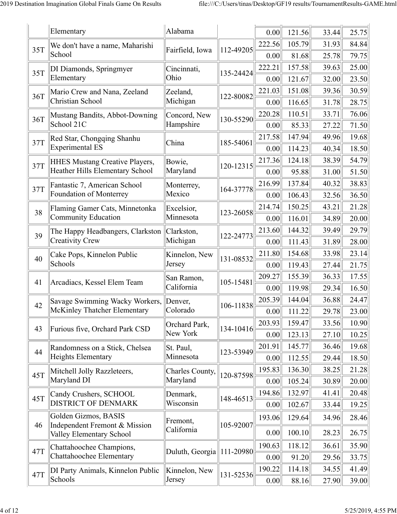|     | Elementary                                                     | Alabama                   |           | 0.00           | 121.56           | 33.44          | 25.75          |
|-----|----------------------------------------------------------------|---------------------------|-----------|----------------|------------------|----------------|----------------|
| 35T | We don't have a name, Maharishi                                | Fairfield, Iowa           | 112-49205 | 222.56         | 105.79           | 31.93          | 84.84          |
|     | School                                                         |                           |           | 0.00           | 81.68            | 25.78          | 79.75          |
| 35T | DI Diamonds, Springmyer                                        | Cincinnati,               | 135-24424 | 222.21         | 157.58           | 39.63          | 25.00          |
|     | Elementary                                                     | Ohio                      |           | 0.00           | 121.67           | 32.00          | 23.50          |
| 36T | Mario Crew and Nana, Zeeland                                   | Zeeland,                  | 122-80082 | 221.03         | 151.08           | 39.36          | 30.59          |
|     | Christian School                                               | Michigan                  |           | 0.00           | 116.65           | 31.78          | 28.75          |
| 36T | Mustang Bandits, Abbot-Downing                                 | Concord, New              | 130-55290 | 220.28         | 110.51           | 33.71          | 76.06          |
|     | School 21C                                                     | Hampshire                 |           | 0.00           | 85.33            | 27.22          | 71.50          |
| 37T | Red Star, Chongqing Shanhu                                     | China                     | 185-54061 | 217.58         | 147.94           | 49.96          | 19.68          |
|     | <b>Experimental ES</b>                                         |                           |           | 0.00           | 114.23           | 40.34          | 18.50          |
| 37T | <b>HHES Mustang Creative Players,</b>                          | Bowie,                    | 120-12315 | 217.36         | 124.18           | 38.39          | 54.79          |
|     | Heather Hills Elementary School                                | Maryland                  |           | 0.00           | 95.88            | 31.00          | 51.50          |
| 37T | Fantastic 7, American School                                   | Monterrey,                | 164-37778 | 216.99         | 137.84           | 40.32          | 38.83          |
|     | Foundation of Monterrey                                        | Mexico                    |           | 0.00           | 106.43           | 32.56          | 36.50          |
| 38  | Flaming Gamer Cats, Minnetonka                                 | Excelsior,<br>Minnesota   | 123-26058 | 214.74         | 150.25           | 43.21          | 21.28          |
|     | <b>Community Education</b>                                     |                           |           | 0.00           | 116.01           | 34.89          | 20.00          |
| 39  | The Happy Headbangers, Clarkston<br>Creativity Crew            | Clarkston,<br>Michigan    | 122-24773 | 213.60         | 144.32           | 39.49          | 29.79          |
|     |                                                                |                           |           | 0.00           | 111.43           | 31.89          | 28.00          |
| 40  | Cake Pops, Kinnelon Public<br>Schools                          | Kinnelon, New<br>Jersey   | 131-08532 | 211.80         | 154.68           | 33.98          | 23.14          |
|     |                                                                |                           |           | 0.00<br>209.27 | 119.43<br>155.39 | 27.44<br>36.33 | 21.75<br>17.55 |
| 41  | Arcadiacs, Kessel Elem Team                                    | San Ramon,<br>California  | 105-15481 | 0.00           | 119.98           | 29.34          | 16.50          |
|     |                                                                |                           |           | 205.39         | 144.04           | 36.88          | 24.47          |
| 42  | Savage Swimming Wacky Workers,<br>McKinley Thatcher Elementary | Denver,<br>Colorado       | 106-11838 | 0.00           | 111.22           |                | 23.00          |
|     |                                                                |                           |           | 203.93         | 159.47           | 29.78<br>33.56 | 10.90          |
| 43  | Furious five, Orchard Park CSD                                 | Orchard Park,<br>New York | 134-10416 | 0.00           | 123.13           | 27.10          | 10.25          |
|     | Randomness on a Stick, Chelsea                                 | St. Paul,                 |           | 201.91         | 145.77           | 36.46          | 19.68          |
| 44  | <b>Heights Elementary</b>                                      | Minnesota                 | 123-53949 | 0.00           | 112.55           | 29.44          | 18.50          |
|     | Mitchell Jolly Razzleteers,                                    | Charles County,           |           | 195.83         | 136.30           | 38.25          | 21.28          |
| 45T | Maryland DI                                                    | Maryland                  | 120-87598 | 0.00           | 105.24           | 30.89          | 20.00          |
|     | Candy Crushers, SCHOOL                                         | Denmark,                  |           | 194.86         | 132.97           | 41.41          | 20.48          |
| 45T | <b>DISTRICT OF DENMARK</b>                                     | Wisconsin                 | 148-46513 | 0.00           | 102.67           | 33.44          | 19.25          |
|     | Golden Gizmos, BASIS                                           |                           |           | 193.06         | 129.64           | 34.96          | 28.46          |
| 46  | Independent Fremont & Mission<br>Valley Elementary School      | Fremont,<br>California    | 105-92007 | 0.00           | 100.10           | 28.23          | 26.75          |
|     | Chattahoochee Champions,                                       |                           |           | 190.63         | 118.12           | 36.61          | 35.90          |
| 47T | Chattahoochee Elementary                                       | Duluth, Georgia           | 111-20980 | 0.00           | 91.20            | 29.56          | 33.75          |
|     | DI Party Animals, Kinnelon Public                              | Kinnelon, New             |           | 190.22         | 114.18           | 34.55          | 41.49          |
| 47T | Schools                                                        | Jersey                    | 131-52536 | 0.00           | 88.16            | 27.90          | 39.00          |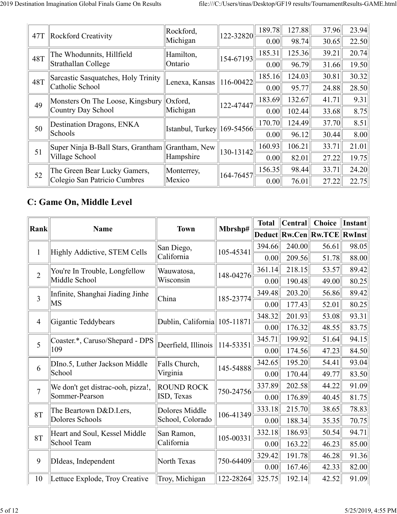| 47T | Rockford Creativity                              | Rockford,                    | $122 - 32820$   | 189.78 | 127.88 | 37.96 | 23.94 |
|-----|--------------------------------------------------|------------------------------|-----------------|--------|--------|-------|-------|
|     |                                                  | Michigan                     |                 | 0.00   | 98.74  | 30.65 | 22.50 |
| 48T | The Whodunnits, Hillfield                        | Hamilton,                    | $ 154 - 67193 $ | 185.31 | 125.36 | 39.21 | 20.74 |
|     | Strathallan College                              | Ontario                      |                 | 0.00   | 96.79  | 31.66 | 19.50 |
| 48T | Sarcastic Sasquatches, Holy Trinity              | Lenexa, Kansas    116-00422  |                 | 185.16 | 124.03 | 30.81 | 30.32 |
|     | Catholic School                                  |                              |                 | 0.00   | 95.77  | 24.88 | 28.50 |
| 49  | Monsters On The Loose, Kingsbury   Oxford,       |                              | 122-47447       | 183.69 | 132.67 | 41.71 | 9.31  |
|     | Country Day School                               | Michigan                     |                 | 0.00   | 102.44 | 33.68 | 8.75  |
| 50  | Destination Dragons, ENKA                        | [Istanbul, Turkey  169-54566 |                 | 170.70 | 124.49 | 37.70 | 8.51  |
|     | Schools                                          |                              |                 | 0.00   | 96.12  | 30.44 | 8.00  |
| 51  | Super Ninja B-Ball Stars, Grantham Grantham, New |                              | $ 130 - 13142 $ | 160.93 | 106.21 | 33.71 | 21.01 |
|     | Village School                                   | Hampshire                    |                 | 0.00   | 82.01  | 27.22 | 19.75 |
| 52  | The Green Bear Lucky Gamers,                     | Monterrey,                   | 164-76457       | 156.35 | 98.44  | 33.71 | 24.20 |
|     | Colegio San Patricio Cumbres                     | Mexico                       |                 | 0.00   | 76.01  | 27.22 | 22.75 |
|     |                                                  |                              |                 |        |        |       |       |

## **C: Game On, Middle Level**

|                |                                   |                                           |           | <b>Total</b> | <b>Central</b> | <b>Choice</b>                  | Instant |
|----------------|-----------------------------------|-------------------------------------------|-----------|--------------|----------------|--------------------------------|---------|
| <b>Rank</b>    | <b>Name</b>                       | <b>Town</b>                               | Mbrshp#   |              |                | Deduct  Rw.Cen  Rw.TCE  RwInst |         |
| $\mathbf{1}$   | Highly Addictive, STEM Cells      | San Diego,                                | 105-45341 | 394.66       | 240.00         | 56.61                          | 98.05   |
|                |                                   | California                                |           | 0.00         | 209.56         | 51.78                          | 88.00   |
| $\overline{2}$ | You're In Trouble, Longfellow     | Wauwatosa,                                | 148-04276 | 361.14       | 218.15         | 53.57                          | 89.42   |
|                | Middle School                     | Wisconsin                                 |           | 0.00         | 190.48         | 49.00                          | 80.25   |
| $\overline{3}$ | Infinite, Shanghai Jiading Jinhe  | China                                     | 185-23774 | 349.48       | 203.20         | 56.86                          | 89.42   |
|                | MS                                |                                           |           | 0.00         | 177.43         | 52.01                          | 80.25   |
| $\overline{4}$ | Gigantic Teddybears               | Dublin, California 105-11871              |           | 348.32       | 201.93         | 53.08                          | 93.31   |
|                |                                   |                                           |           | 0.00         | 176.32         | 48.55                          | 83.75   |
| 5              | Coaster.*, Caruso/Shepard - DPS   | Deerfield, Illinois $\parallel$ 114-53351 |           | 345.71       | 199.92         | 51.64                          | 94.15   |
|                | 109                               |                                           |           | 0.00         | 174.56         | 47.23                          | 84.50   |
| 6              | DIno.5, Luther Jackson Middle     | Falls Church,                             | 145-54888 | 342.65       | 195.20         | 54.41                          | 93.04   |
|                | School                            | Virginia                                  |           | 0.00         | 170.44         | 49.77                          | 83.50   |
| $\overline{7}$ | We don't get distrac-ooh, pizza!, | <b>ROUND ROCK</b>                         | 750-24756 | 337.89       | 202.58         | 44.22                          | 91.09   |
|                | Sommer-Pearson                    | ISD, Texas                                |           | 0.00         | 176.89         | 40.45                          | 81.75   |
| 8T             | The Beartown D&D.I.ers,           | Dolores Middle                            | 106-41349 | 333.18       | 215.70         | 38.65                          | 78.83   |
|                | Dolores Schools                   | School, Colorado                          |           | 0.00         | 188.34         | 35.35                          | 70.75   |
| 8T             | Heart and Soul, Kessel Middle     | San Ramon,                                | 105-00331 | 332.18       | 186.93         | 50.54                          | 94.71   |
|                | School Team                       | California                                |           | 0.00         | 163.22         | 46.23                          | 85.00   |
| 9              | DIdeas, Independent               | North Texas                               | 750-64409 | 329.42       | 191.78         | 46.28                          | 91.36   |
|                |                                   |                                           |           | 0.00         | 167.46         | 42.33                          | 82.00   |
| 10             | Lettuce Explode, Troy Creative    | Troy, Michigan                            | 122-28264 | 325.75       | 192.14         | 42.52                          | 91.09   |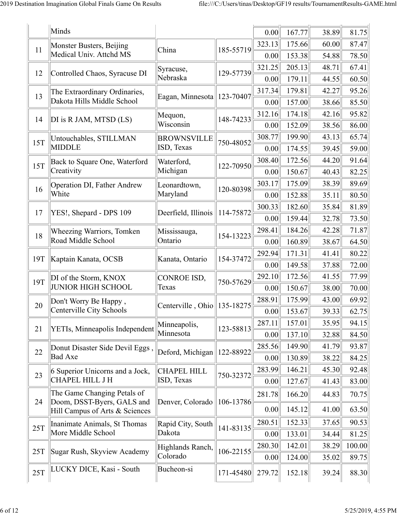|     | Minds                                                     |                                         |           | 0.00   | 167.77 | 38.89 | 81.75  |
|-----|-----------------------------------------------------------|-----------------------------------------|-----------|--------|--------|-------|--------|
|     | Monster Busters, Beijing                                  |                                         |           | 323.13 | 175.66 | 60.00 | 87.47  |
| 11  | Medical Univ. Attchd MS                                   | China                                   | 185-55719 | 0.00   | 153.38 | 54.88 | 78.50  |
|     |                                                           | Syracuse,                               |           | 321.25 | 205.13 | 48.71 | 67.41  |
| 12  | Controlled Chaos, Syracuse DI                             | Nebraska                                | 129-57739 | 0.00   | 179.11 | 44.55 | 60.50  |
| 13  | The Extraordinary Ordinaries,                             |                                         |           | 317.34 | 179.81 | 42.27 | 95.26  |
|     | Dakota Hills Middle School                                | Eagan, Minnesota                        | 123-70407 | 0.00   | 157.00 | 38.66 | 85.50  |
| 14  | DI is R JAM, MTSD (LS)                                    | Mequon,                                 | 148-74233 | 312.16 | 174.18 | 42.16 | 95.82  |
|     |                                                           | Wisconsin                               |           | 0.00   | 152.09 | 38.56 | 86.00  |
| 15T | Untouchables, STILLMAN                                    | <b>BROWNSVILLE</b>                      | 750-48052 | 308.77 | 199.90 | 43.13 | 65.74  |
|     | <b>MIDDLE</b>                                             | ISD, Texas                              |           | 0.00   | 174.55 | 39.45 | 59.00  |
| 15T | Back to Square One, Waterford                             | Waterford,                              | 122-70950 | 308.40 | 172.56 | 44.20 | 91.64  |
|     | Creativity                                                | Michigan                                |           | 0.00   | 150.67 | 40.43 | 82.25  |
| 16  | Operation DI, Father Andrew                               | Leonardtown,                            | 120-80398 | 303.17 | 175.09 | 38.39 | 89.69  |
|     | White                                                     | Maryland                                |           | 0.00   | 152.88 | 35.11 | 80.50  |
| 17  | YES!, Shepard - DPS 109                                   | Deerfield, Illinois                     | 114-75872 | 300.33 | 182.60 | 35.84 | 81.89  |
|     |                                                           |                                         |           | 0.00   | 159.44 | 32.78 | 73.50  |
| 18  | Wheezing Warriors, Tomken                                 | Mississauga,                            | 154-13223 | 298.41 | 184.26 | 42.28 | 71.87  |
|     | Road Middle School                                        | Ontario                                 |           | 0.00   | 160.89 | 38.67 | 64.50  |
| 19T | Kaptain Kanata, OCSB                                      | Kanata, Ontario                         | 154-37472 | 292.94 | 171.31 | 41.41 | 80.22  |
|     |                                                           |                                         |           | 0.00   | 149.58 | 37.88 | 72.00  |
| 19T | DI of the Storm, KNOX                                     | CONROE ISD,                             | 750-57629 | 292.10 | 172.56 | 41.55 | 77.99  |
|     | <b>JUNIOR HIGH SCHOOL</b>                                 | Texas                                   |           | 0.00   | 150.67 | 38.00 | 70.00  |
| 20  | Don't Worry Be Happy,                                     | Centerville, Ohio $\parallel$ 135-18275 |           | 288.91 | 175.99 | 43.00 | 69.92  |
|     | Centerville City Schools                                  |                                         |           | 0.00   | 153.67 | 39.33 | 62.75  |
| 21  | YETIs, Minneapolis Independent                            | Minneapolis,                            | 123-58813 | 287.11 | 157.01 | 35.95 | 94.15  |
|     |                                                           | Minnesota                               |           | 0.00   | 137.10 | 32.88 | 84.50  |
| 22  | Donut Disaster Side Devil Eggs,                           | Deford, Michigan                        | 122-88922 | 285.56 | 149.90 | 41.79 | 93.87  |
|     | <b>Bad Axe</b>                                            |                                         |           | 0.00   | 130.89 | 38.22 | 84.25  |
| 23  | 6 Superior Unicorns and a Jock,                           | <b>CHAPEL HILL</b>                      | 750-32372 | 283.99 | 146.21 | 45.30 | 92.48  |
|     | CHAPEL HILL J H                                           | ISD, Texas                              |           | 0.00   | 127.67 | 41.43 | 83.00  |
| 24  | The Game Changing Petals of<br>Doom, DSST-Byers, GALS and | Denver, Colorado                        | 106-13786 | 281.78 | 166.20 | 44.83 | 70.75  |
|     | Hill Campus of Arts & Sciences                            |                                         |           | 0.00   | 145.12 | 41.00 | 63.50  |
|     | Inanimate Animals, St Thomas                              | Rapid City, South                       |           | 280.51 | 152.33 | 37.65 | 90.53  |
| 25T | More Middle School                                        | Dakota                                  | 141-83135 | 0.00   | 133.01 | 34.44 | 81.25  |
|     |                                                           | Highlands Ranch,                        |           | 280.30 | 142.01 | 38.29 | 100.00 |
| 25T | Sugar Rush, Skyview Academy                               | Colorado                                | 106-22155 | 0.00   | 124.00 | 35.02 | 89.75  |
| 25T | LUCKY DICE, Kasi - South                                  | Bucheon-si                              | 171-45480 | 279.72 | 152.18 | 39.24 | 88.30  |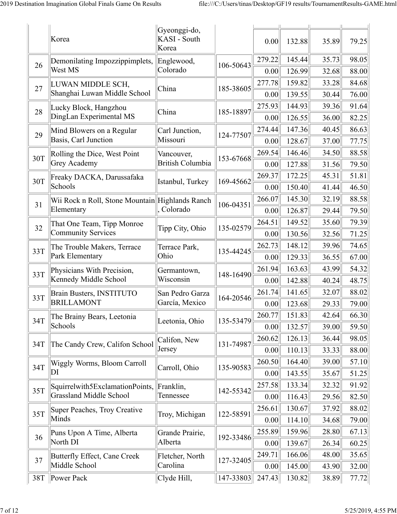|     | Korea                                             | Gyeonggi-do,<br>KASI - South<br>Korea |           | 0.00           | 132.88           | 35.89          | 79.25          |
|-----|---------------------------------------------------|---------------------------------------|-----------|----------------|------------------|----------------|----------------|
| 26  | Demonilating Impozzippimplets,<br>West MS         | Englewood,<br>Colorado                | 106-50643 | 279.22         | 145.44<br>126.99 | 35.73          | 98.05<br>88.00 |
|     |                                                   |                                       |           | 0.00           | 159.82           | 32.68          | 84.68          |
| 27  | LUWAN MIDDLE SCH,<br>Shanghai Luwan Middle School | China                                 | 185-38605 | 277.78<br>0.00 | 139.55           | 33.28<br>30.44 | 76.00          |
| 28  | Lucky Block, Hangzhou                             | China                                 | 185-18897 | 275.93         | 144.93           | 39.36          | 91.64          |
|     | DingLan Experimental MS                           |                                       |           | 0.00           | 126.55           | 36.00          | 82.25          |
| 29  | Mind Blowers on a Regular                         | Carl Junction,                        | 124-77507 | 274.44         | 147.36           | 40.45          | 86.63          |
|     | Basis, Carl Junction                              | Missouri                              |           | 0.00           | 128.67           | 37.00          | 77.75          |
| 30T | Rolling the Dice, West Point                      | Vancouver,                            | 153-67668 | 269.54         | 146.46           | 34.50          | 88.58          |
|     | Grey Academy                                      | <b>British Columbia</b>               |           | 0.00           | 127.88           | 31.56          | 79.50          |
| 30T | Freaky DACKA, Darussafaka                         | Istanbul, Turkey                      | 169-45662 | 269.37         | 172.25           | 45.31          | 51.81          |
|     | Schools                                           |                                       |           | 0.00           | 150.40           | 41.44          | 46.50          |
|     | Wii Rock n Roll, Stone Mountain Highlands Ranch   |                                       | 106-04351 | 266.07         | 145.30           | 32.19          | 88.58          |
| 31  | Elementary                                        | Colorado                              |           | 0.00           | 126.87           | 29.44          | 79.50          |
|     | That One Team, Tipp Monroe                        |                                       |           | 264.51         | 149.52           | 35.60          | 79.39          |
| 32  | <b>Community Services</b>                         | Tipp City, Ohio                       | 135-02579 | 0.00           | 130.56           | 32.56          | 71.25          |
|     | The Trouble Makers, Terrace                       | Terrace Park,                         |           | 262.73         | 148.12           | 39.96          | 74.65          |
| 33T | Park Elementary                                   | Ohio                                  | 135-44245 | 0.00           | 129.33           | 36.55          | 67.00          |
|     | Physicians With Precision,                        | Germantown,                           |           | 261.94         | 163.63           | 43.99          | 54.32          |
| 33T | Kennedy Middle School                             | Wisconsin                             | 148-16490 | 0.00           | 142.88           | 40.24          | 48.75          |
| 33T | Brain Busters, INSTITUTO                          | San Pedro Garza                       | 164-20546 | 261.74         | 141.65           | 32.07          | 88.02          |
|     | <b>BRILLAMONT</b>                                 | García, Mexico                        |           | 0.00           | 123.68           | 29.33          | 79.00          |
| 34T | The Brainy Bears, Leetonia                        | Leetonia, Ohio                        | 135-53479 | 260.77         | 151.83           | 42.64          | 66.30          |
|     | Schools                                           |                                       |           | 0.00           | 132.57           | 39.00          | 59.50          |
| 34T | The Candy Crew, Califon School                    | Califon, New                          | 131-74987 | 260.62         | 126.13           | 36.44          | 98.05          |
|     |                                                   | Jersey                                |           | 0.00           | 110.13           | 33.33          | 88.00          |
| 34T | Wiggly Worms, Bloom Carroll                       | Carroll, Ohio                         | 135-90583 | 260.50         | 164.40           | 39.00          | 57.10          |
|     | DI                                                |                                       |           | 0.00           | 143.55           | 35.67          | 51.25          |
| 35T | Squirrelwith5ExclamationPoints,                   | Franklin,                             | 142-55342 | 257.58         | 133.34           | 32.32          | 91.92          |
|     | <b>Grassland Middle School</b>                    | Tennessee                             |           | 0.00           | 116.43           | 29.56          | 82.50          |
| 35T | Super Peaches, Troy Creative                      | Troy, Michigan                        | 122-58591 | 256.61         | 130.67           | 37.92          | 88.02          |
|     | Minds                                             |                                       |           | 0.00           | 114.10           | 34.68          | 79.00          |
| 36  | Puns Upon A Time, Alberta                         | Grande Prairie,                       | 192-33486 | 255.89         | 159.96           | 28.80          | 67.13          |
|     | North DI                                          | Alberta                               |           | 0.00           | 139.67           | 26.34          | 60.25          |
| 37  | Butterfly Effect, Cane Creek                      | Fletcher, North                       | 127-32405 | 249.71         | 166.06           | 48.00          | 35.65          |
|     | Middle School                                     | Carolina                              |           | 0.00           | 145.00           | 43.90          | 32.00          |
| 38T | $\ $ Power Pack                                   | Clyde Hill,                           | 147-33803 | 247.43         | 130.82           | 38.89          | 77.72          |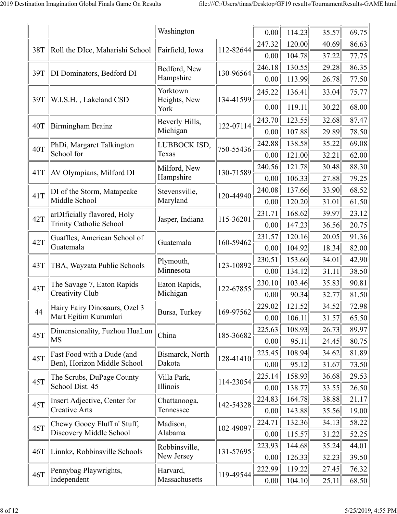|     |                                         | Washington                 |           | 0.00           | 114.23           | 35.57          | 69.75          |
|-----|-----------------------------------------|----------------------------|-----------|----------------|------------------|----------------|----------------|
|     |                                         |                            |           | 247.32         | 120.00           | 40.69          | 86.63          |
| 38T | Roll the DIce, Maharishi School         | Fairfield, Iowa            | 112-82644 | 0.00           | 104.78           | 37.22          | 77.75          |
|     |                                         | Bedford, New               |           | 246.18         | 130.55           | 29.28          | 86.35          |
| 39T | DI Dominators, Bedford DI               | Hampshire                  | 130-96564 | 0.00           | 113.99           | 26.78          | 77.50          |
|     |                                         | Yorktown                   |           | 245.22         | 136.41           | 33.04          | 75.77          |
| 39T | W.I.S.H., Lakeland CSD                  | Heights, New<br>York       | 134-41599 | 0.00           | 119.11           | 30.22          | 68.00          |
| 40T | Birmingham Brainz                       | Beverly Hills,<br>Michigan | 122-07114 | 243.70<br>0.00 | 123.55<br>107.88 | 32.68<br>29.89 | 87.47<br>78.50 |
|     |                                         | LUBBOCK ISD,               |           | 242.88         | 138.58           | 35.22          | 69.08          |
| 40T | PhDi, Margaret Talkington<br>School for | Texas                      | 750-55436 | 0.00           | 121.00           | 32.21          | 62.00          |
|     |                                         | Milford, New               |           | 240.56         | 121.78           | 30.48          | 88.30          |
| 41T | AV Olympians, Milford DI                | Hampshire                  | 130-71589 | 0.00           | 106.33           | 27.88          | 79.25          |
|     | DI of the Storm, Matapeake              | Stevensville,              |           | 240.08         | 137.66           | 33.90          | 68.52          |
| 41T | Middle School                           | Maryland                   | 120-44940 | 0.00           | 120.20           | 31.01          | 61.50          |
|     | arDIficially flavored, Holy             |                            |           | 231.71         | 168.62           | 39.97          | 23.12          |
| 42T | <b>Trinity Catholic School</b>          | Jasper, Indiana            | 115-36201 | 0.00           | 147.23           | 36.56          | 20.75          |
| 42T | Guaffles, American School of            |                            | 160-59462 | 231.57         | 120.16           | 20.05          | 91.36          |
|     | Guatemala                               | Guatemala                  |           | 0.00           | 104.92           | 18.34          | 82.00          |
| 43T | TBA, Wayzata Public Schools             | Plymouth,                  | 123-10892 | 230.51         | 153.60           | 34.01          | 42.90          |
|     |                                         | Minnesota                  |           | 0.00           | 134.12           | 31.11          | 38.50          |
| 43T | The Savage 7, Eaton Rapids              | Eaton Rapids,              | 122-67855 | 230.10         | 103.46           | 35.83          | 90.81          |
|     | Creativity Club                         | Michigan                   |           | 0.00           | 90.34            | 32.77          | 81.50          |
| 44  | Hairy Fairy Dinosaurs, Ozel 3           | Bursa, Turkey              | 169-97562 | 229.02         | 121.52           | 34.52          | 72.98          |
|     | Mart Egitim Kurumlari                   |                            |           | 0.00           | 106.11           | 31.57          | 65.50          |
| 45T | Dimensionality, Fuzhou HuaLun           | China                      | 185-36682 | 225.63         | 108.93           | 26.73          | 89.97          |
|     | $\overline{\rm MS}$                     |                            |           | 0.00           | 95.11            | 24.45          | 80.75          |
| 45T | Fast Food with a Dude (and              | Bismarck, North            | 128-41410 | 225.45         | 108.94           | 34.62          | 81.89          |
|     | Ben), Horizon Middle School             | Dakota                     |           | 0.00           | 95.12            | 31.67          | 73.50          |
| 45T | The Scrubs, DuPage County               | Villa Park,                | 114-23054 | 225.14         | 158.93           | 36.68          | 29.53          |
|     | School Dist. 45                         | Illinois                   |           | 0.00           | 138.77           | 33.55          | 26.50          |
| 45T | Insert Adjective, Center for            | Chattanooga,               | 142-54328 | 224.83         | 164.78           | 38.88          | 21.17          |
|     | Creative Arts                           | Tennessee                  |           | 0.00           | 143.88           | 35.56          | 19.00          |
| 45T | Chewy Gooey Fluff n' Stuff,             | Madison,                   | 102-49097 | 224.71         | 132.36           | 34.13          | 58.22          |
|     | Discovery Middle School                 | Alabama                    |           | 0.00           | 115.57           | 31.22          | 52.25          |
| 46T | Linnkz, Robbinsville Schools            | Robbinsville,              | 131-57695 | 223.93         | 144.68           | 35.24          | 44.01          |
|     |                                         | New Jersey                 |           | 0.00           | 126.33           | 32.23          | 39.50          |
| 46T | Pennybag Playwrights,                   | Harvard,                   | 119-49544 | 222.99         | 119.22           | 27.45          | 76.32          |
|     | Independent                             | Massachusetts              |           | 0.00           | 104.10           | 25.11          | 68.50          |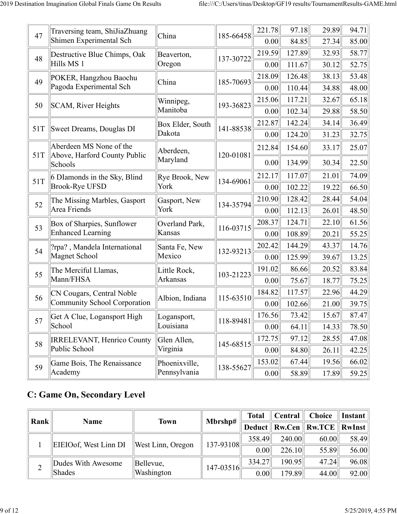|     | Traversing team, ShiJiaZhuang           |                  |           | 221.78 | 97.18  | 29.89 | 94.71 |
|-----|-----------------------------------------|------------------|-----------|--------|--------|-------|-------|
| 47  | Shimen Experimental Sch                 | China            | 185-66458 | 0.00   | 84.85  | 27.34 | 85.00 |
|     | Destructive Blue Chimps, Oak            | Beaverton,       |           | 219.59 | 127.89 | 32.93 | 58.77 |
| 48  | Hills MS 1                              | Oregon           | 137-30722 | 0.00   | 111.67 | 30.12 | 52.75 |
| 49  | POKER, Hangzhou Baochu                  | China            | 185-70693 | 218.09 | 126.48 | 38.13 | 53.48 |
|     | Pagoda Experimental Sch                 |                  |           | 0.00   | 110.44 | 34.88 | 48.00 |
| 50  | SCAM, River Heights                     | Winnipeg,        | 193-36823 | 215.06 | 117.21 | 32.67 | 65.18 |
|     |                                         | Manitoba         |           | 0.00   | 102.34 | 29.88 | 58.50 |
| 51T | Sweet Dreams, Douglas DI                | Box Elder, South | 141-88538 | 212.87 | 142.24 | 34.14 | 36.49 |
|     |                                         | Dakota           |           | 0.00   | 124.20 | 31.23 | 32.75 |
|     | Aberdeen MS None of the                 | Aberdeen,        |           | 212.84 | 154.60 | 33.17 | 25.07 |
| 51T | Above, Harford County Public<br>Schools | Maryland         | 120-01081 | 0.00   | 134.99 | 30.34 | 22.50 |
| 51T | 6 DIamonds in the Sky, Blind            | Rye Brook, New   | 134-69061 | 212.17 | 117.07 | 21.01 | 74.09 |
|     | <b>Brook-Rye UFSD</b>                   | York             |           | 0.00   | 102.22 | 19.22 | 66.50 |
| 52  | The Missing Marbles, Gasport            | Gasport, New     | 134-35794 | 210.90 | 128.42 | 28.44 | 54.04 |
|     | Area Friends                            | York             |           | 0.00   | 112.13 | 26.01 | 48.50 |
| 53  | Box of Sharpies, Sunflower              | Overland Park,   | 116-03715 | 208.37 | 124.71 | 22.10 | 61.56 |
|     | <b>Enhanced Learning</b>                | Kansas           |           | 0.00   | 108.89 | 20.21 | 55.25 |
| 54  | ?rpa?, Mandela International            | Santa Fe, New    | 132-93213 | 202.42 | 144.29 | 43.37 | 14.76 |
|     | Magnet School                           | Mexico           |           | 0.00   | 125.99 | 39.67 | 13.25 |
| 55  | The Merciful Llamas,                    | Little Rock,     | 103-21223 | 191.02 | 86.66  | 20.52 | 83.84 |
|     | Mann/FHSA                               | Arkansas         |           | 0.00   | 75.67  | 18.77 | 75.25 |
| 56  | CN Cougars, Central Noble               | Albion, Indiana  | 115-63510 | 184.82 | 117.57 | 22.96 | 44.29 |
|     | <b>Community School Corporation</b>     |                  |           | 0.00   | 102.66 | 21.00 | 39.75 |
| 57  | Get A Clue, Logansport High             | Logansport,      | 118-89481 | 176.56 | 73.42  | 15.67 | 87.47 |
|     | School                                  | Louisiana        |           | 0.00   | 64.11  | 14.33 | 78.50 |
| 58  | <b>IRRELEVANT, Henrico County</b>       | Glen Allen,      | 145-68515 | 172.75 | 97.12  | 28.55 | 47.08 |
|     | Public School                           | Virginia         |           | 0.00   | 84.80  | 26.11 | 42.25 |
| 59  | Game Bois, The Renaissance              | Phoenixville,    | 138-55627 | 153.02 | 67.44  | 19.56 | 66.02 |
|     | Academy                                 | Pennsylvania     |           | 0.00   | 58.89  | 17.89 | 59.25 |

## **C: Game On, Secondary Level**

| Rank                  | <b>Name</b>                                             | <b>Town</b> | Mbrshp#       | <b>Total</b> | Central | <b>Choice</b>                                                               | Instant |
|-----------------------|---------------------------------------------------------|-------------|---------------|--------------|---------|-----------------------------------------------------------------------------|---------|
|                       |                                                         |             |               |              |         | Deduct $\parallel$ Rw.Cen $\parallel$ Rw.TCE $\parallel$ RwInst $\parallel$ |         |
| EIEIOof, West Linn DI | West Linn, Oregon                                       | 137-93108   | 358.49        | 240.00       | 60.00   | 58.49                                                                       |         |
|                       |                                                         |             |               | 0.00         | 226.10  | 55.89                                                                       | 56.00   |
|                       | Dudes With Awesome<br>Bellevue,<br>Washington<br>Shades |             | $147 - 03516$ | 334.27       | 190.95  | 47.24                                                                       | 96.08   |
|                       |                                                         |             |               | 0.00         | 179.89  | 44.00                                                                       | 92.00   |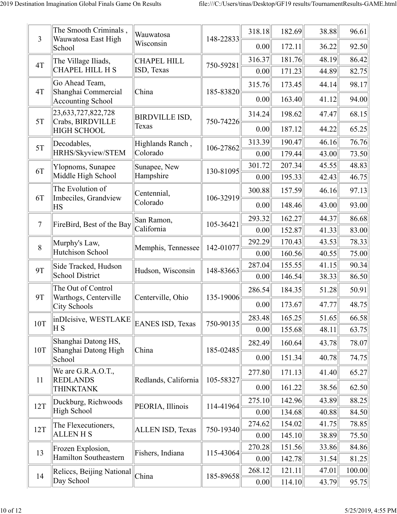| $\overline{3}$ | The Smooth Criminals,<br>Wauwatosa East High   | Wauwatosa               | 148-22833 | 318.18         | 182.69           | 38.88          | 96.61          |
|----------------|------------------------------------------------|-------------------------|-----------|----------------|------------------|----------------|----------------|
|                | School                                         | Wisconsin               |           | 0.00           | 172.11           | 36.22          | 92.50          |
| 4T             | The Village Iliads,                            | <b>CHAPEL HILL</b>      | 750-59281 | 316.37         | 181.76           | 48.19          | 86.42          |
|                | <b>CHAPEL HILL H S</b>                         | ISD, Texas              |           | 0.00           | 171.23           | 44.89          | 82.75          |
| 4T             | Go Ahead Team,<br>Shanghai Commercial          | China                   | 185-83820 | 315.76         | 173.45           | 44.14          | 98.17          |
|                | <b>Accounting School</b>                       |                         |           | 0.00           | 163.40           | 41.12          | 94.00          |
|                | 23, 633, 727, 822, 728                         | <b>BIRDVILLE ISD,</b>   |           | 314.24         | 198.62           | 47.47          | 68.15          |
| 5T             | Crabs, BIRDVILLE<br><b>HIGH SCHOOL</b>         | Texas                   | 750-74226 | 0.00           | 187.12           | 44.22          | 65.25          |
| 5T             | Decodables,                                    | Highlands Ranch,        | 106-27862 | 313.39         | 190.47           | 46.16          | 76.76          |
|                | HRHS/Skyview/STEM                              | Colorado                |           | 0.00           | 179.44           | 43.00          | 73.50          |
| 6T             | Ylopnoms, Sunapee                              | Sunapee, New            | 130-81095 | 301.72         | 207.34           | 45.55          | 48.83          |
|                | Middle High School                             | Hampshire               |           | 0.00           | 195.33           | 42.43          | 46.75          |
| 6T             | The Evolution of<br>Imbeciles, Grandview       | Centennial,             | 106-32919 | 300.88         | 157.59           | 46.16          | 97.13          |
|                | HS                                             | Colorado                |           | 0.00           | 148.46           | 43.00          | 93.00          |
| $\tau$         | FireBird, Best of the Bay                      | San Ramon,              | 105-36421 | 293.32         | 162.27           | 44.37          | 86.68          |
|                |                                                | California              |           | 0.00           | 152.87           | 41.33          | 83.00          |
| 8              | Murphy's Law,                                  | Memphis, Tennessee      | 142-01077 | 292.29         | 170.43           | 43.53          | 78.33          |
|                | Hutchison School                               |                         |           | 0.00           | 160.56           | 40.55          | 75.00          |
| <b>9T</b>      | Side Tracked, Hudson<br><b>School District</b> | Hudson, Wisconsin       | 148-83663 | 287.04<br>0.00 | 155.55<br>146.54 | 41.15<br>38.33 | 90.34<br>86.50 |
|                | The Out of Control                             |                         |           | 286.54         | 184.35           | 51.28          | 50.91          |
| <b>9T</b>      | Warthogs, Centerville<br><b>City Schools</b>   | Centerville, Ohio       | 135-19006 | 0.00           | 173.67           | 47.77          | 48.75          |
|                | inDIcisive, WESTLAKE                           |                         |           | 283.48         | 165.25           | 51.65          | 66.58          |
| 10T            | ΗS                                             | <b>EANES ISD, Texas</b> | 750-90135 | 0.00           | 155.68           | 48.11          | 63.75          |
|                | Shanghai Datong HS,                            |                         |           | 282.49         | 160.64           | 43.78          | 78.07          |
| 10T            | Shanghai Datong High<br>School                 | China                   | 185-02485 | 0.00           | 151.34           | 40.78          | 74.75          |
|                | We are G.R.A.O.T.,                             |                         |           | 277.80         | 171.13           | 41.40          | 65.27          |
| 11             | <b>REDLANDS</b><br><b>THINKTANK</b>            | Redlands, California    | 105-58327 | 0.00           | 161.22           | 38.56          | 62.50          |
| 12T            | Duckburg, Richwoods                            | PEORIA, Illinois        | 114-41964 | 275.10         | 142.96           | 43.89          | 88.25          |
|                | <b>High School</b>                             |                         |           | 0.00           | 134.68           | 40.88          | 84.50          |
| 12T            | The Flexecutioners,<br><b>ALLEN H S</b>        | <b>ALLEN ISD, Texas</b> | 750-19340 | 274.62         | 154.02           | 41.75          | 78.85          |
|                |                                                |                         |           | 0.00           | 145.10           | 38.89          | 75.50          |
| 13             | Frozen Explosion,<br>Hamilton Southeastern     | Fishers, Indiana        | 115-43064 | 270.28         | 151.56           | 33.86          | 84.86          |
|                |                                                |                         |           | 0.00           | 142.78           | 31.54          | 81.25          |
| 14             | Reliccs, Beijing National China<br>Day School  |                         | 185-89658 | 268.12         | 121.11           | 47.01          | 100.00         |
|                |                                                |                         |           | 0.00           | 114.10           | 43.79          | 95.75          |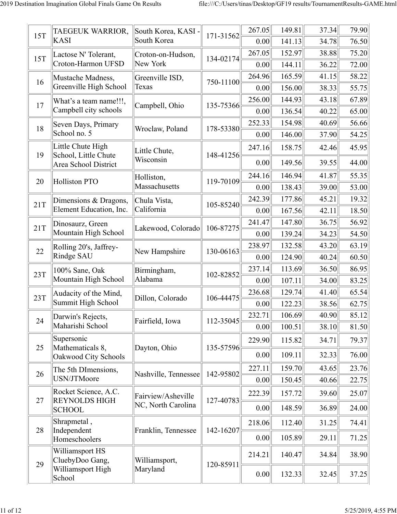| 15T | TAEGEUK WARRIOR,                         | South Korea, KASI -  | 171-31562 | 267.05         | 149.81           | 37.34          | 79.90          |
|-----|------------------------------------------|----------------------|-----------|----------------|------------------|----------------|----------------|
|     | <b>KASI</b>                              | South Korea          |           | 0.00           | 141.13           | 34.78          | 76.50          |
| 15T | Lactose N' Tolerant,                     | Croton-on-Hudson,    | 134-02174 | 267.05         | 152.97           | 38.88          | 75.20          |
|     | Croton-Harmon UFSD                       | New York             |           | 0.00           | 144.11           | 36.22          | 72.00          |
| 16  | Mustache Madness,                        | Greenville ISD,      | 750-11100 | 264.96         | 165.59           | 41.15          | 58.22          |
|     | Greenville High School                   | Texas                |           | 0.00           | 156.00           | 38.33          | 55.75          |
| 17  | What's a team name!!!,                   | Campbell, Ohio       | 135-75366 | 256.00         | 144.93           | 43.18          | 67.89          |
|     | Campbell city schools                    |                      |           | 0.00           | 136.54           | 40.22          | 65.00          |
| 18  | Seven Days, Primary<br>School no. 5      | Wroclaw, Poland      | 178-53380 | 252.33<br>0.00 | 154.98<br>146.00 | 40.69<br>37.90 | 56.66<br>54.25 |
|     | Little Chute High                        |                      |           |                |                  |                |                |
| 19  | School, Little Chute                     | Little Chute,        | 148-41256 | 247.16         | 158.75           | 42.46          | 45.95          |
|     | Area School District                     | Wisconsin            |           | 0.00           | 149.56           | 39.55          | 44.00          |
| 20  | <b>Holliston PTO</b>                     | Holliston,           | 119-70109 | 244.16         | 146.94           | 41.87          | 55.35          |
|     |                                          | Massachusetts        |           | 0.00           | 138.43           | 39.00          | 53.00          |
| 21T | Dimensions & Dragons,                    | Chula Vista,         | 105-85240 | 242.39         | 177.86           | 45.21          | 19.32          |
|     | Element Education, Inc.                  | California           |           | 0.00           | 167.56           | 42.11          | 18.50          |
| 21T | Dinosaurz, Green                         | Lakewood, Colorado   | 106-87275 | 241.47         | 147.80           | 36.75          | 56.92          |
|     | Mountain High School                     |                      |           | 0.00           | 139.24           | 34.23          | 54.50          |
| 22  | Rolling 20's, Jaffrey-                   | New Hampshire        | 130-06163 | 238.97         | 132.58           | 43.20          | 63.19          |
|     | Rindge SAU                               |                      |           | 0.00           | 124.90           | 40.24          | 60.50          |
| 23T | 100% Sane, Oak                           | Birmingham,          | 102-82852 | 237.14         | 113.69           | 36.50          | 86.95          |
|     | Mountain High School                     | Alabama              |           | 0.00           | 107.11           | 34.00          | 83.25          |
| 23T | Audacity of the Mind,                    | Dillon, Colorado     | 106-44475 | 236.68         | 129.74           | 41.40          | 65.54          |
|     | Summit High School                       |                      |           | 0.00           | 122.23           | 38.56          | 62.75          |
| 24  | Darwin's Rejects,                        | Fairfield, Iowa      | 112-35045 | 232.71         | 106.69           | 40.90          | 85.12          |
|     | Maharishi School                         |                      |           | 0.00           | 100.51           | 38.10          | 81.50          |
|     | Supersonic                               |                      |           | 229.90         | 115.82           | 34.71          | 79.37          |
| 25  | Mathematicals 8,<br>Oakwood City Schools | Dayton, Ohio         | 135-57596 | 0.00           | 109.11           | 32.33          | 76.00          |
|     | The 5th DImensions,                      |                      |           | 227.11         | 159.70           | 43.65          | 23.76          |
| 26  | USN/JTMoore                              | Nashville, Tennessee | 142-95802 | 0.00           | 150.45           | 40.66          | 22.75          |
|     | Rocket Science, A.C.                     | Fairview/Asheville   |           | 222.39         | 157.72           | 39.60          | 25.07          |
| 27  | <b>REYNOLDS HIGH</b><br><b>SCHOOL</b>    | NC, North Carolina   | 127-40783 | 0.00           | 148.59           | 36.89          | 24.00          |
|     | Shrapmetal,                              |                      |           | 218.06         | 112.40           | 31.25          | 74.41          |
| 28  | Independent<br>Homeschoolers             | Franklin, Tennessee  | 142-16207 | 0.00           | 105.89           | 29.11          | 71.25          |
|     | Williamsport HS<br>CluebyDoo Gang,       | Williamsport,        |           | 214.21         | 140.47           | 34.84          | 38.90          |
| 29  | Williamsport High<br>School              | Maryland             | 120-85911 | 0.00           | 132.33           | 32.45          | 37.25          |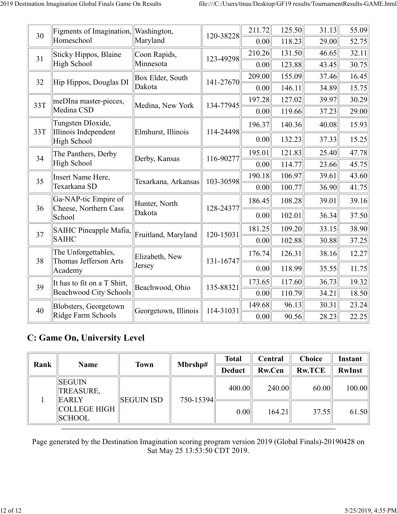| 30  | Figments of Imagination, Washington,<br>Homeschool | Maryland             | 120-38228 | 211.72<br>0.00 | 125.50<br>118.23 | 31.13<br>29.00 | 55.09<br>52.75 |
|-----|----------------------------------------------------|----------------------|-----------|----------------|------------------|----------------|----------------|
|     |                                                    |                      |           |                |                  |                |                |
| 31  | Sticky Hippos, Blaine                              | Coon Rapids,         | 123-49298 | 210.26         | 131.50           | 46.65          | 32.11          |
|     | High School                                        | Minnesota            |           | 0.00           | 123.88           | 43.45          | 30.75          |
| 32  | Hip Hippos, Douglas DI                             | Box Elder, South     | 141-27670 | 209.00         | 155.09           | 37.46          | 16.45          |
|     |                                                    | Dakota               |           | 0.00           | 146.11           | 34.89          | 15.75          |
| 33T | meDIna master-pieces,                              | Medina, New York     | 134-77945 | 197.28         | 127.02           | 39.97          | 30.29          |
|     | Medina CSD                                         |                      |           | 0.00           | 119.66           | 37.23          | 29.00          |
| 33T | Tungsten DIoxide,<br>Illinois Independent          | Elmhurst, Illinois   | 114-24498 | 196.37         | 140.36           | 40.08          | 15.93          |
|     | High School                                        |                      |           | 0.00           | 132.23           | 37.33          | 15.25          |
| 34  | The Panthers, Derby                                |                      |           | 195.01         | 121.83           | 25.40          | 47.78          |
|     | High School                                        | Derby, Kansas        | 116-90277 | 0.00           | 114.77           | 23.66          | 45.75          |
| 35  | Insert Name Here,                                  | Texarkana, Arkansas  | 103-30598 | 190.18         | 106.97           | 39.61          | 43.60          |
|     | Texarkana SD                                       |                      |           | 0.00           | 100.77           | 36.90          | 41.75          |
| 36  | Ga-NAP-tic Empire of<br>Cheese, Northern Cass      | Hunter, North        | 128-24377 | 186.45         | 108.28           | 39.01          | 39.16          |
|     | School                                             | Dakota               |           | 0.00           | 102.01           | 36.34          | 37.50          |
| 37  | SAIHC Pineapple Mafia,                             | Fruitland, Maryland  | 120-15031 | 181.25         | 109.20           | 33.15          | 38.90          |
|     | <b>SAIHC</b>                                       |                      |           | 0.00           | 102.88           | 30.88          | 37.25          |
| 38  | The Unforgettables,<br>Thomas Jefferson Arts       | Elizabeth, New       | 131-16747 | 176.74         | 126.31           | 38.16          | 12.27          |
|     | Academy                                            | Jersey               |           | 0.00           | 118.99           | 35.55          | 11.75          |
| 39  | It has to fit on a T Shirt,                        |                      |           | 173.65         | 117.60           | 36.73          | 19.32          |
|     | Beachwood City Schools                             | Beachwood, Ohio      | 135-88321 | 0.00           | 110.79           | 34.21          | 18.50          |
| 40  | Blobsters, Georgetown                              | Georgetown, Illinois | 114-31031 | 149.68         | 96.13            | 30.31          | 23.24          |
|     | Ridge Farm Schools                                 |                      |           | 0.00           | 90.56            | 28.23          | 22.25          |

#### **C: Game On, University Level**

| Rank | <b>Name</b>                  | <b>Town</b>       | Mbrshp#       | <b>Total</b>  | Central       | <b>Choice</b> | <b>Instant</b> |
|------|------------------------------|-------------------|---------------|---------------|---------------|---------------|----------------|
|      |                              |                   |               | <b>Deduct</b> | <b>Rw.Cen</b> | <b>Rw.TCE</b> | <b>RwInst</b>  |
|      | SEGUIN<br>TREASURE,<br>EARLY | <b>SEGUIN ISD</b> | $750 - 15394$ | 400.00        | 240.00        | 60.00         | 100.00         |
|      | COLLEGE HIGH<br>  SCHOOL     |                   |               | 0.00          | 164.21        | 37.55         | 61.50          |

Page generated by the Destination Imagination scoring program version 2019 (Global Finals)-20190428 on Sat May 25 13:53:50 CDT 2019.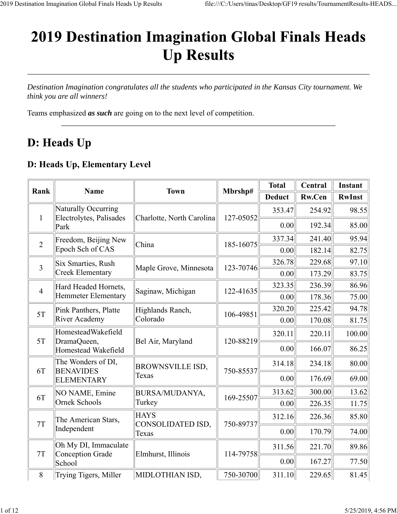# **2019 Destination Imagination Global Finals Heads Up Results**

*Destination Imagination congratulates all the students who participated in the Kansas City tournament. We think you are all winners!*

Teams emphasized *as such* are going on to the next level of competition.

# D: Heads Up

#### **D: Heads Up, Elementary Level**

|                |                                                          |                                  |           | <b>Total</b>  | <b>Central</b> | <b>Instant</b> |
|----------------|----------------------------------------------------------|----------------------------------|-----------|---------------|----------------|----------------|
| Rank           | <b>Name</b>                                              | <b>Town</b>                      | Mbrshp#   | <b>Deduct</b> | <b>Rw.Cen</b>  | <b>RwInst</b>  |
| $\mathbf{1}$   | Naturally Occurring<br>Electrolytes, Palisades           | Charlotte, North Carolina        | 127-05052 | 353.47        | 254.92         | 98.55          |
|                | Park                                                     |                                  |           | 0.00          | 192.34         | 85.00          |
| $\overline{2}$ | Freedom, Beijing New                                     | China                            | 185-16075 | 337.34        | 241.40         | 95.94          |
|                | Epoch Sch of CAS                                         |                                  |           | 0.00          | 182.14         | 82.75          |
| $\overline{3}$ | Six Smarties, Rush                                       | Maple Grove, Minnesota           | 123-70746 | 326.78        | 229.68         | 97.10          |
|                | Creek Elementary                                         |                                  |           | 0.00          | 173.29         | 83.75          |
| $\overline{4}$ | Hard Headed Hornets,<br>Hemmeter Elementary              | Saginaw, Michigan                | 122-41635 | 323.35        | 236.39         | 86.96          |
|                |                                                          |                                  |           | 0.00          | 178.36         | 75.00          |
| 5T             | Pink Panthers, Platte<br><b>River Academy</b>            | Highlands Ranch,<br>Colorado     | 106-49851 | 320.20        | 225.42         | 94.78          |
|                |                                                          |                                  |           | 0.00          | 170.08         | 81.75          |
| 5T             | HomesteadWakefield<br>DramaQueen,<br>Homestead Wakefield | Bel Air, Maryland                | 120-88219 | 320.11        | 220.11         | 100.00         |
|                |                                                          |                                  |           | 0.00          | 166.07         | 86.25          |
| 6T             | The Wonders of DI,<br><b>BENAVIDES</b>                   | <b>BROWNSVILLE ISD,</b>          | 750-85537 | 314.18        | 234.18         | 80.00          |
|                | ELEMENTARY                                               | Texas                            |           | 0.00          | 176.69         | 69.00          |
| 6T             | NO NAME, Emine                                           | BURSA/MUDANYA,                   | 169-25507 | 313.62        | 300.00         | 13.62          |
|                | Ornek Schools                                            | Turkey                           |           | 0.00          | 226.35         | 11.75          |
| 7T             | The American Stars,                                      | <b>HAYS</b><br>CONSOLIDATED ISD, | 750-89737 | 312.16        | 226.36         | 85.80          |
|                | Independent                                              | Texas                            |           | 0.00          | 170.79         | 74.00          |
| 7T             | Oh My DI, Immaculate<br>Conception Grade                 | Elmhurst, Illinois               | 114-79758 | 311.56        | 221.70         | 89.86          |
|                | School                                                   |                                  |           | 0.00          | 167.27         | 77.50          |
| 8              | Trying Tigers, Miller                                    | MIDLOTHIAN ISD,                  | 750-30700 | 311.10        | 229.65         | 81.45          |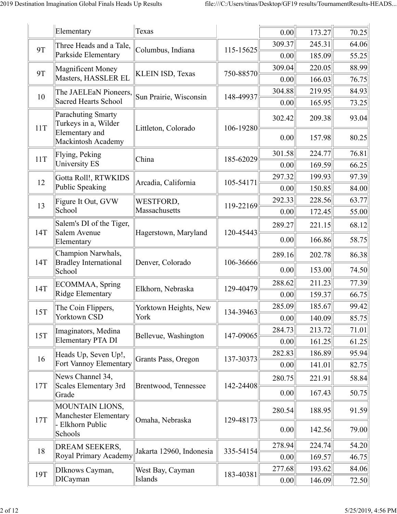|           | Elementary                                                          | Texas                    |           | 0.00   | 173.27 | 70.25 |
|-----------|---------------------------------------------------------------------|--------------------------|-----------|--------|--------|-------|
| <b>9T</b> | Three Heads and a Tale,                                             |                          |           | 309.37 | 245.31 | 64.06 |
|           | Parkside Elementary                                                 | Columbus, Indiana        | 115-15625 | 0.00   | 185.09 | 55.25 |
| <b>9T</b> | <b>Magnificent Money</b>                                            | <b>KLEIN ISD, Texas</b>  | 750-88570 | 309.04 | 220.05 | 88.99 |
|           | Masters, HASSLER EL                                                 |                          |           | 0.00   | 166.03 | 76.75 |
| 10        | The JAELEaN Pioneers,                                               | Sun Prairie, Wisconsin   | 148-49937 | 304.88 | 219.95 | 84.93 |
|           | <b>Sacred Hearts School</b>                                         |                          |           | 0.00   | 165.95 | 73.25 |
| 11T       | Parachuting Smarty<br>Turkeys in a, Wilder<br><b>Elementary</b> and | Littleton, Colorado      | 106-19280 | 302.42 | 209.38 | 93.04 |
|           | Mackintosh Academy                                                  |                          |           | 0.00   | 157.98 | 80.25 |
| 11T       | Flying, Peking                                                      | China                    | 185-62029 | 301.58 | 224.77 | 76.81 |
|           | University ES                                                       |                          |           | 0.00   | 169.59 | 66.25 |
| 12        | Gotta Roll!, RTWKIDS                                                | Arcadia, California      | 105-54171 | 297.32 | 199.93 | 97.39 |
|           | Public Speaking                                                     |                          |           | 0.00   | 150.85 | 84.00 |
| 13        | Figure It Out, GVW                                                  | WESTFORD,                | 119-22169 | 292.33 | 228.56 | 63.77 |
|           | School                                                              | Massachusetts            |           | 0.00   | 172.45 | 55.00 |
| 14T       | Salem's DI of the Tiger,<br>Salem Avenue                            | Hagerstown, Maryland     | 120-45443 | 289.27 | 221.15 | 68.12 |
|           | Elementary                                                          |                          |           | 0.00   | 166.86 | 58.75 |
|           | Champion Narwhals,                                                  | Denver, Colorado         |           | 289.16 | 202.78 | 86.38 |
| 14T       | <b>Bradley International</b><br>School                              |                          | 106-36666 | 0.00   | 153.00 | 74.50 |
| 14T       | ECOMMAA, Spring                                                     | Elkhorn, Nebraska        | 129-40479 | 288.62 | 211.23 | 77.39 |
|           | <b>Ridge Elementary</b>                                             |                          |           | 0.00   | 159.37 | 66.75 |
| 15T       | The Coin Flippers,                                                  | Yorktown Heights, New    | 134-39463 | 285.09 | 185.67 | 99.42 |
|           | Yorktown CSD                                                        | York                     |           | 0.00   | 140.09 | 85.75 |
| 15T       | Imaginators, Medina                                                 | Bellevue, Washington     | 147-09065 | 284.73 | 213.72 | 71.01 |
|           | <b>Elementary PTA DI</b>                                            |                          |           | 0.00   | 161.25 | 61.25 |
| 16        | Heads Up, Seven Up!,                                                | Grants Pass, Oregon      | 137-30373 | 282.83 | 186.89 | 95.94 |
|           | Fort Vannoy Elementary                                              |                          |           | 0.00   | 141.01 | 82.75 |
| 17T       | News Channel 34,<br><b>Scales Elementary 3rd</b>                    | Brentwood, Tennessee     | 142-24408 | 280.75 | 221.91 | 58.84 |
|           | Grade                                                               |                          |           | 0.00   | 167.43 | 50.75 |
| 17T       | MOUNTAIN LIONS,<br><b>Manchester Elementary</b><br>Elkhorn Public   | Omaha, Nebraska          | 129-48173 | 280.54 | 188.95 | 91.59 |
|           | Schools                                                             |                          |           | 0.00   | 142.56 | 79.00 |
| 18        | DREAM SEEKERS,                                                      | Jakarta 12960, Indonesia |           | 278.94 | 224.74 | 54.20 |
|           | Royal Primary Academy                                               |                          | 335-54154 | 0.00   | 169.57 | 46.75 |
| 19T       | DIknows Cayman,                                                     | West Bay, Cayman         | 183-40381 | 277.68 | 193.62 | 84.06 |
|           | <b>DICayman</b>                                                     | Islands                  |           | 0.00   | 146.09 | 72.50 |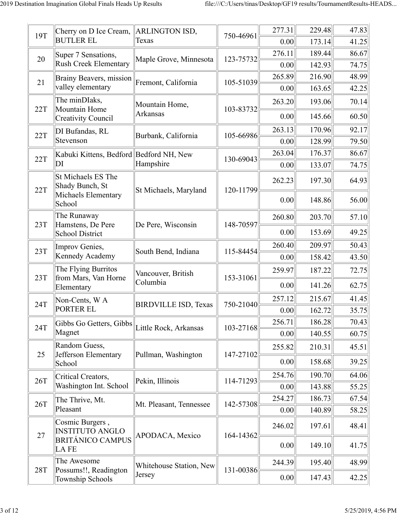| 19T        | Cherry on D Ice Cream,<br><b>BUTLER EL</b>          | ARLINGTON ISD,<br>Texas     | 750-46961 | 277.31         | 229.48           | 47.83          |
|------------|-----------------------------------------------------|-----------------------------|-----------|----------------|------------------|----------------|
|            |                                                     |                             |           | 0.00           | 173.14           | 41.25          |
| 20         | Super 7 Sensations,<br><b>Rush Creek Elementary</b> | Maple Grove, Minnesota      | 123-75732 | 276.11<br>0.00 | 189.44<br>142.93 | 86.67<br>74.75 |
|            |                                                     |                             |           | 265.89         | 216.90           | 48.99          |
| 21         | Brainy Beavers, mission<br>valley elementary        | Fremont, California         | 105-51039 | 0.00           | 163.65           | 42.25          |
| 22T        | The minDIaks,<br>Mountain Home                      | Mountain Home,              | 103-83732 | 263.20         | 193.06           | 70.14          |
|            | <b>Creativity Council</b>                           | <b>Arkansas</b>             |           | 0.00           | 145.66           | 60.50          |
| 22T        | DI Bufandas, RL                                     | Burbank, California         | 105-66986 | 263.13         | 170.96           | 92.17          |
|            | Stevenson                                           |                             |           | 0.00           | 128.99           | 79.50          |
| 22T        | Kabuki Kittens, Bedford Bedford NH, New             |                             | 130-69043 | 263.04         | 176.37           | 86.67          |
|            | DI                                                  | Hampshire                   |           | 0.00           | 133.07           | 74.75          |
| 22T        | St Michaels ES The<br>Shady Bunch, St               | St Michaels, Maryland       | 120-11799 | 262.23         | 197.30           | 64.93          |
|            | Michaels Elementary<br>School                       |                             |           | 0.00           | 148.86           | 56.00          |
|            | The Runaway                                         |                             |           | 260.80         | 203.70           | 57.10          |
| 23T        | Hamstens, De Pere<br><b>School District</b>         | De Pere, Wisconsin          | 148-70597 | 0.00           | 153.69           | 49.25          |
| 23T        | Improv Genies,                                      | South Bend, Indiana         | 115-84454 | 260.40         | 209.97           | 50.43          |
|            | Kennedy Academy                                     |                             |           | 0.00           | 158.42           | 43.50          |
| 23T        | The Flying Burritos<br>from Mars, Van Horne         | Vancouver, British          | 153-31061 | 259.97         | 187.22           | 72.75          |
|            | Elementary                                          | Columbia                    |           | 0.00           | 141.26           | 62.75          |
| 24T        | Non-Cents, W A                                      | <b>BIRDVILLE ISD, Texas</b> | 750-21040 | 257.12         | 215.67           | 41.45          |
|            | PORTER EL                                           |                             |           | 0.00           | 162.72           | 35.75          |
| 24T        | Gibbs Go Getters, Gibbs                             | Little Rock, Arkansas       | 103-27168 | 256.71         | 186.28           | 70.43          |
|            | Magnet                                              |                             |           | 0.00           | 140.55           | 60.75          |
| 25         | Random Guess,<br>Jefferson Elementary               | Pullman, Washington         | 147-27102 | 255.82         | 210.31           | 45.51          |
|            | School                                              |                             |           | 0.00           | 158.68           | 39.25          |
| 26T        | Critical Creators,                                  |                             |           | 254.76         | 190.70           | 64.06          |
|            | Washington Int. School                              | Pekin, Illinois             | 114-71293 | 0.00           | 143.88           | 55.25          |
| 26T        | The Thrive, Mt.                                     | Mt. Pleasant, Tennessee     | 142-57308 | 254.27         | 186.73           | 67.54          |
|            | Pleasant                                            |                             |           | 0.00           | 140.89           | 58.25          |
| 27         | Cosmic Burgers,<br><b>INSTITUTO ANGLO</b>           | APODACA, Mexico             | 164-14362 | 246.02         | 197.61           | 48.41          |
|            | <b>BRITÁNICO CAMPUS</b><br>LA FE                    |                             |           | 0.00           | 149.10           | 41.75          |
| <b>28T</b> | The Awesome<br>Possums!!, Readington                | Whitehouse Station, New     | 131-00386 | 244.39         | 195.40           | 48.99          |
|            | Township Schools                                    | Jersey                      |           | 0.00           | 147.43           | 42.25          |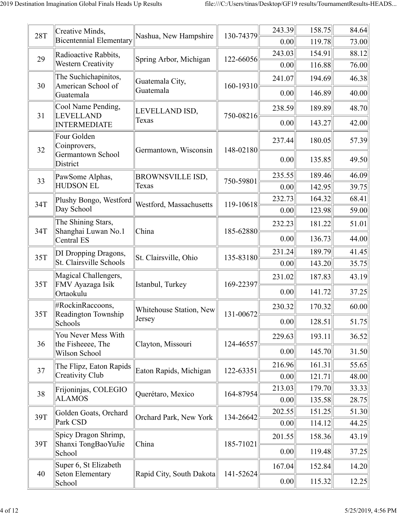| <b>28T</b> | Creative Minds,<br><b>Bicentennial Elementary</b> | Nashua, New Hampshire    | 130-74379 | 243.39         | 158.75           | 84.64          |
|------------|---------------------------------------------------|--------------------------|-----------|----------------|------------------|----------------|
|            |                                                   |                          |           | 0.00<br>243.03 | 119.78<br>154.91 | 73.00<br>88.12 |
| 29         | Radioactive Rabbits,<br><b>Western Creativity</b> | Spring Arbor, Michigan   | 122-66056 | 0.00           | 116.88           | 76.00          |
|            | The Suchichapinitos,                              | Guatemala City,          |           | 241.07         | 194.69           | 46.38          |
| 30         | American School of<br>Guatemala                   | Guatemala                | 160-19310 | 0.00           | 146.89           | 40.00          |
|            | Cool Name Pending,                                | LEVELLAND ISD,           | 750-08216 | 238.59         | 189.89           | 48.70          |
| 31         | LEVELLAND<br><b>INTERMEDIATE</b>                  | Texas                    |           | 0.00           | 143.27           | 42.00          |
| 32         | Four Golden<br>Coinprovers,                       | Germantown, Wisconsin    | 148-02180 | 237.44         | 180.05           | 57.39          |
|            | Germantown School<br>District                     |                          |           | 0.00           | 135.85           | 49.50          |
| 33         | PawSome Alphas,                                   | BROWNSVILLE ISD,         | 750-59801 | 235.55         | 189.46           | 46.09          |
|            | <b>HUDSON EL</b>                                  | Texas                    |           | 0.00           | 142.95           | 39.75          |
| 34T        | Plushy Bongo, Westford                            | Westford, Massachusetts  | 119-10618 | 232.73         | 164.32           | 68.41          |
|            | Day School                                        |                          |           | 0.00           | 123.98           | 59.00          |
| 34T        | The Shining Stars,<br>Shanghai Luwan No.1         | China                    | 185-62880 | 232.23         | 181.22           | 51.01          |
|            | Central ES                                        |                          |           | 0.00           | 136.73           | 44.00          |
| 35T        | DI Dropping Dragons,                              | St. Clairsville, Ohio    | 135-83180 | 231.24         | 189.79           | 41.45          |
|            | St. Clairsville Schools                           |                          |           | 0.00           | 143.20           | 35.75          |
| 35T        | Magical Challengers,<br>FMV Ayazaga Isik          | Istanbul, Turkey         | 169-22397 | 231.02         | 187.83           | 43.19          |
|            | Ortaokulu                                         |                          |           | 0.00           | 141.72           | 37.25          |
| 35T        | #RockinRaccoons,<br>Readington Township           | Whitehouse Station, New  | 131-00672 | 230.32         | 170.32           | 60.00          |
|            | Schools                                           | Jersey                   |           | 0.00           | 128.51           | 51.75          |
| 36         | You Never Mess With<br>the Fisheeee, The          | Clayton, Missouri        | 124-46557 | 229.63         | 193.11           | 36.52          |
|            | Wilson School                                     |                          |           | 0.00           | 145.70           | 31.50          |
| 37         | The Flipz, Eaton Rapids                           | Eaton Rapids, Michigan   | 122-63351 | 216.96         | 161.31           | 55.65          |
|            | Creativity Club                                   |                          |           | 0.00           | 121.71           | 48.00          |
| 38         | Frijoninjas, COLEGIO                              | Querétaro, Mexico        | 164-87954 | 213.03         | 179.70           | 33.33          |
|            | <b>ALAMOS</b>                                     |                          |           | 0.00           | 135.58           | 28.75          |
| 39T        | Golden Goats, Orchard                             | Orchard Park, New York   | 134-26642 | 202.55         | 151.25           | 51.30          |
|            | Park CSD                                          |                          |           | 0.00           | 114.12           | 44.25          |
| 39T        | Spicy Dragon Shrimp,<br>Shanxi TongBaoYuJie       | China                    | 185-71021 | 201.55         | 158.36           | 43.19          |
|            | School                                            |                          |           | 0.00           | 119.48           | 37.25          |
| 40         | Super 6, St Elizabeth<br>Seton Elementary         | Rapid City, South Dakota | 141-52624 | 167.04         | 152.84           | 14.20          |
|            | School                                            |                          |           | 0.00           | 115.32           | 12.25          |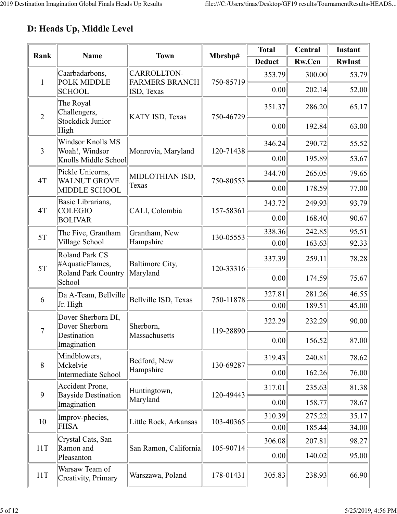## **D: Heads Up, Middle Level**

| Rank           | <b>Name</b>                                   | <b>Town</b>                          | Mbrshp#   | <b>Total</b>  | Central | Instant       |
|----------------|-----------------------------------------------|--------------------------------------|-----------|---------------|---------|---------------|
|                |                                               |                                      |           | <b>Deduct</b> | Rw.Cen  | <b>RwInst</b> |
| $\mathbf{1}$   | Caarbadarbons,<br><b>POLK MIDDLE</b>          | CARROLLTON-<br><b>FARMERS BRANCH</b> | 750-85719 | 353.79        | 300.00  | 53.79         |
|                | <b>SCHOOL</b>                                 | ISD, Texas                           |           | 0.00          | 202.14  | 52.00         |
| $\overline{2}$ | The Royal<br>Challengers,                     | KATY ISD, Texas                      | 750-46729 | 351.37        | 286.20  | 65.17         |
|                | <b>Stockdick Junior</b><br>High               |                                      |           | 0.00          | 192.84  | 63.00         |
| 3              | <b>Windsor Knolls MS</b>                      |                                      |           | 346.24        | 290.72  | 55.52         |
|                | Woah!, Windsor<br>Knolls Middle School        | Monrovia, Maryland                   | 120-71438 | 0.00          | 195.89  | 53.67         |
| 4T             | Pickle Unicorns,<br><b>WALNUT GROVE</b>       | MIDLOTHIAN ISD,                      | 750-80553 | 344.70        | 265.05  | 79.65         |
|                | <b>MIDDLE SCHOOL</b>                          | Texas                                |           | 0.00          | 178.59  | 77.00         |
| 4T             | Basic Librarians,<br><b>COLEGIO</b>           | CALI, Colombia                       | 157-58361 | 343.72        | 249.93  | 93.79         |
|                | <b>BOLIVAR</b>                                |                                      |           | 0.00          | 168.40  | 90.67         |
| 5T             | The Five, Grantham                            | Grantham, New                        | 130-05553 | 338.36        | 242.85  | 95.51         |
|                | Village School                                | Hampshire                            |           | 0.00          | 163.63  | 92.33         |
| 5T             | <b>Roland Park CS</b><br>#AquaticFlames,      | Baltimore City,                      | 120-33316 | 337.39        | 259.11  | 78.28         |
|                | <b>Roland Park Country</b><br>School          | Maryland                             |           | 0.00          | 174.59  | 75.67         |
| 6              | Da A-Team, Bellville                          | Bellville ISD, Texas                 | 750-11878 | 327.81        | 281.26  | 46.55         |
|                | Jr. High                                      |                                      |           | 0.00          | 189.51  | 45.00         |
| $\tau$         | Dover Sherborn DI,<br>Dover Sherborn          | Sherborn,                            | 119-28890 | 322.29        | 232.29  | 90.00         |
|                | Destination<br>Imagination                    | Massachusetts                        |           | 0.00          | 156.52  | 87.00         |
| 8              | Mindblowers,<br>Mckelvie                      | Bedford, New                         | 130-69287 | 319.43        | 240.81  | 78.62         |
|                | Intermediate School                           | Hampshire                            |           | 0.00          | 162.26  | 76.00         |
| 9              | Accident Prone,<br><b>Bayside Destination</b> | Huntingtown,                         | 120-49443 | 317.01        | 235.63  | 81.38         |
|                | Imagination                                   | Maryland                             |           | 0.00          | 158.77  | 78.67         |
| 10             | Improv-phecies,                               | Little Rock, Arkansas                | 103-40365 | 310.39        | 275.22  | 35.17         |
|                | <b>FHSA</b>                                   |                                      |           | 0.00          | 185.44  | 34.00         |
| 11T            | Crystal Cats, San<br>Ramon and                | San Ramon, California                | 105-90714 | 306.08        | 207.81  | 98.27         |
|                | Pleasanton                                    |                                      |           | 0.00          | 140.02  | 95.00         |
| 11T            | Warsaw Team of<br>Creativity, Primary         | Warszawa, Poland                     | 178-01431 | 305.83        | 238.93  | 66.90         |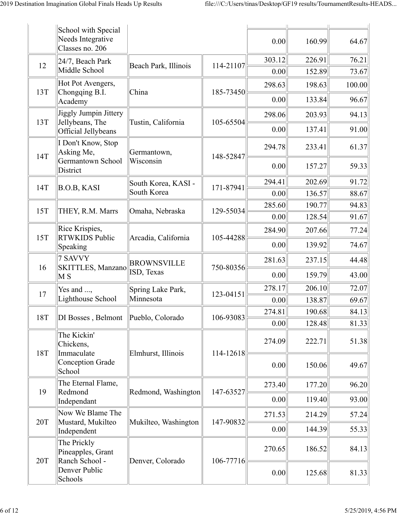|     | School with Special<br>Needs Integrative<br>Classes no. 206 |                                  |           | 0.00           | 160.99           | 64.67          |
|-----|-------------------------------------------------------------|----------------------------------|-----------|----------------|------------------|----------------|
| 12  | 24/7, Beach Park<br>Middle School                           | Beach Park, Illinois             | 114-21107 | 303.12<br>0.00 | 226.91<br>152.89 | 76.21<br>73.67 |
| 13T | Hot Pot Avengers,<br>Chongqing B.I.                         | China                            | 185-73450 | 298.63         | 198.63           | 100.00         |
|     | Academy                                                     |                                  |           | 0.00           | 133.84           | 96.67          |
| 13T | <b>Jiggly Jumpin Jittery</b><br>Jellybeans, The             | Tustin, California               | 105-65504 | 298.06         | 203.93           | 94.13          |
|     | Official Jellybeans                                         |                                  |           | 0.00           | 137.41           | 91.00          |
| 14T | I Don't Know, Stop<br>Asking Me,                            | Germantown,                      | 148-52847 | 294.78         | 233.41           | 61.37          |
|     | Germantown School<br>District                               | Wisconsin                        |           | 0.00           | 157.27           | 59.33          |
| 14T | <b>B.O.B, KASI</b>                                          | South Korea, KASI -              | 171-87941 | 294.41         | 202.69           | 91.72          |
|     |                                                             | South Korea                      |           | 0.00           | 136.57           | 88.67          |
| 15T | THEY, R.M. Marrs                                            | Omaha, Nebraska                  | 129-55034 | 285.60         | 190.77           | 94.83          |
|     |                                                             |                                  |           | 0.00           | 128.54           | 91.67          |
|     | Rice Krispies,<br><b>RTWKIDS Public</b><br>Speaking         | Arcadia, California              | 105-44288 | 284.90         | 207.66           | 77.24          |
| 15T |                                                             |                                  |           | 0.00           | 139.92           | 74.67          |
| 16  | 7 SAVVY<br><b>SKITTLES, Manzano</b><br>$\overline{\rm M}$ S | <b>BROWNSVILLE</b><br>ISD, Texas | 750-80356 | 281.63         | 237.15           | 44.48          |
|     |                                                             |                                  |           | 0.00           | 159.79           | 43.00          |
| 17  | Yes and ,<br>Lighthouse School                              | Spring Lake Park,<br>Minnesota   | 123-04151 | 278.17         | 206.10           | 72.07          |
|     |                                                             |                                  |           | 0.00           | 138.87           | 69.67          |
| 18T | DI Bosses, Belmont                                          | Pueblo, Colorado                 | 106-93083 | 274.81         | 190.68           | 84.13          |
|     |                                                             |                                  |           | 0.00           | 128.48           | 81.33          |
| 18T | The Kickin'<br>Chickens,<br>Immaculate                      | Elmhurst, Illinois               | 114-12618 | 274.09         | 222.71           | 51.38          |
|     | <b>Conception Grade</b><br>School                           |                                  |           | 0.00           | 150.06           | 49.67          |
|     | The Eternal Flame,                                          |                                  |           | 273.40         | 177.20           | 96.20          |
| 19  | Redmond<br>Independant                                      | Redmond, Washington              | 147-63527 | 0.00           | 119.40           | 93.00          |
| 20T | Now We Blame The<br>Mustard, Mukilteo                       | Mukilteo, Washington             |           | 271.53         | 214.29           | 57.24          |
|     | Independent                                                 |                                  | 147-90832 | 0.00           | 144.39           | 55.33          |
| 20T | The Prickly<br>Pineapples, Grant<br>Ranch School -          | Denver, Colorado                 | 106-77716 | 270.65         | 186.52           | 84.13          |
|     | Denver Public<br>Schools                                    |                                  | 0.00      | 125.68         | 81.33            |                |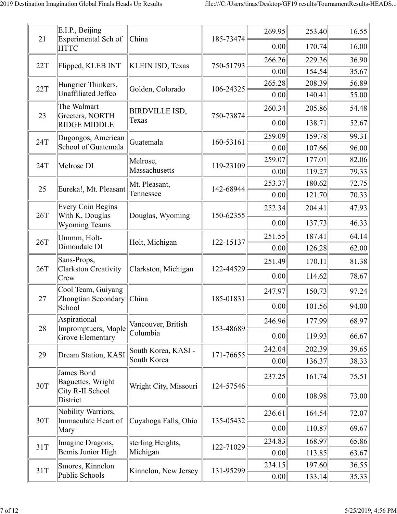| 21  | E.I.P., Beijing<br>Experimental Sch of<br><b>HTTC</b>               | China                          | 185-73474 | 269.95 | 253.40 | 16.55 |
|-----|---------------------------------------------------------------------|--------------------------------|-----------|--------|--------|-------|
|     |                                                                     |                                |           | 0.00   | 170.74 | 16.00 |
| 22T | Flipped, KLEB INT                                                   | <b>KLEIN ISD, Texas</b>        | 750-51793 | 266.26 | 229.36 | 36.90 |
|     |                                                                     |                                |           | 0.00   | 154.54 | 35.67 |
| 22T | Hungrier Thinkers,                                                  | Golden, Colorado               | 106-24325 | 265.28 | 208.39 | 56.89 |
|     | Unaffiliated Jeffco                                                 |                                |           | 0.00   | 140.41 | 55.00 |
| 23  | The Walmart<br>Greeters, NORTH                                      | <b>BIRDVILLE ISD,</b>          | 750-73874 | 260.34 | 205.86 | 54.48 |
|     | <b>RIDGE MIDDLE</b>                                                 | Texas                          |           | 0.00   | 138.71 | 52.67 |
| 24T | Dugongos, American                                                  | Guatemala                      | 160-53161 | 259.09 | 159.78 | 99.31 |
|     | School of Guatemala                                                 |                                |           | 0.00   | 107.66 | 96.00 |
| 24T | Melrose DI                                                          | Melrose,                       | 119-23109 | 259.07 | 177.01 | 82.06 |
|     |                                                                     | Massachusetts                  |           | 0.00   | 119.27 | 79.33 |
| 25  | Eureka!, Mt. Pleasant                                               | Mt. Pleasant,                  | 142-68944 | 253.37 | 180.62 | 72.75 |
|     |                                                                     | Tennessee                      |           | 0.00   | 121.70 | 70.33 |
| 26T | <b>Every Coin Begins</b><br>With K, Douglas<br><b>Wyoming Teams</b> | Douglas, Wyoming               | 150-62355 | 252.34 | 204.41 | 47.93 |
|     |                                                                     |                                |           | 0.00   | 137.73 | 46.33 |
| 26T | Ummm, Holt-                                                         | Holt, Michigan                 | 122-15137 | 251.55 | 187.41 | 64.14 |
|     | Dimondale DI                                                        |                                |           | 0.00   | 126.28 | 62.00 |
| 26T | Sans-Props,<br><b>Clarkston Creativity</b><br>Crew                  | Clarkston, Michigan            | 122-44529 | 251.49 | 170.11 | 81.38 |
|     |                                                                     |                                |           | 0.00   | 114.62 | 78.67 |
|     | Cool Team, Guiyang<br>Zhongtian Secondary<br>School                 | China                          | 185-01831 | 247.97 | 150.73 | 97.24 |
| 27  |                                                                     |                                |           | 0.00   | 101.56 | 94.00 |
|     | Aspirational                                                        | Vancouver, British<br>Columbia | 153-48689 | 246.96 | 177.99 | 68.97 |
| 28  | Impromptuers, Maple<br><b>Grove Elementary</b>                      |                                |           | 0.00   | 119.93 | 66.67 |
| 29  |                                                                     | South Korea, KASI -            | 171-76655 | 242.04 | 202.39 | 39.65 |
|     | Dream Station, KASI                                                 | South Korea                    |           | 0.00   | 136.37 | 38.33 |
|     | James Bond<br>Baguettes, Wright                                     |                                |           | 237.25 | 161.74 | 75.51 |
| 30T | City R-II School<br>District                                        | Wright City, Missouri          | 124-57546 | 0.00   | 108.98 | 73.00 |
| 30T | Nobility Warriors,<br>Immaculate Heart of                           |                                |           | 236.61 | 164.54 | 72.07 |
|     | Mary                                                                | Cuyahoga Falls, Ohio           | 135-05432 | 0.00   | 110.87 | 69.67 |
| 31T | Imagine Dragons,                                                    | sterling Heights,<br>Michigan  | 122-71029 | 234.83 | 168.97 | 65.86 |
|     | Bemis Junior High                                                   |                                |           | 0.00   | 113.85 | 63.67 |
| 31T | Smores, Kinnelon                                                    | Kinnelon, New Jersey           | 131-95299 | 234.15 | 197.60 | 36.55 |
|     | Public Schools                                                      |                                |           | 0.00   | 133.14 | 35.33 |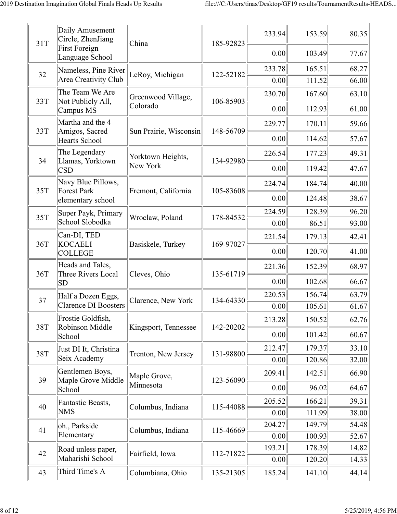| 31T | Daily Amusement<br>Circle, ZhenJiang            | China                  | 185-92823 | 233.94 | 153.59 | 80.35 |
|-----|-------------------------------------------------|------------------------|-----------|--------|--------|-------|
|     | <b>First Foreign</b><br>Language School         |                        |           | 0.00   | 103.49 | 77.67 |
| 32  | Nameless, Pine River                            | LeRoy, Michigan        | 122-52182 | 233.78 | 165.51 | 68.27 |
|     | Area Creativity Club                            |                        |           | 0.00   | 111.52 | 66.00 |
| 33T | The Team We Are<br>Not Publicly All,            | Greenwood Village,     | 106-85903 | 230.70 | 167.60 | 63.10 |
|     | Campus MS                                       | Colorado               |           | 0.00   | 112.93 | 61.00 |
| 33T | Martha and the 4                                |                        |           | 229.77 | 170.11 | 59.66 |
|     | Amigos, Sacred<br><b>Hearts School</b>          | Sun Prairie, Wisconsin | 148-56709 | 0.00   | 114.62 | 57.67 |
|     | The Legendary                                   | Yorktown Heights,      |           | 226.54 | 177.23 | 49.31 |
| 34  | Llamas, Yorktown<br><b>CSD</b>                  | New York               | 134-92980 | 0.00   | 119.42 | 47.67 |
|     | Navy Blue Pillows,                              |                        |           | 224.74 | 184.74 | 40.00 |
| 35T | <b>Forest Park</b><br>elementary school         | Fremont, California    | 105-83608 | 0.00   | 124.48 | 38.67 |
| 35T | Super Payk, Primary                             |                        |           | 224.59 | 128.39 | 96.20 |
|     | School Slobodka                                 | Wroclaw, Poland        | 178-84532 | 0.00   | 86.51  | 93.00 |
| 36T | Can-DI, TED<br><b>KOCAELI</b><br><b>COLLEGE</b> | Basiskele, Turkey      | 169-97027 | 221.54 | 179.13 | 42.41 |
|     |                                                 |                        |           | 0.00   | 120.70 | 41.00 |
| 36T | Heads and Tales,<br>Three Rivers Local<br> SD   | Cleves, Ohio           | 135-61719 | 221.36 | 152.39 | 68.97 |
|     |                                                 |                        |           | 0.00   | 102.68 | 66.67 |
| 37  | Half a Dozen Eggs,                              | Clarence, New York     | 134-64330 | 220.53 | 156.74 | 63.79 |
|     | <b>Clarence DI Boosters</b>                     |                        |           | 0.00   | 105.61 | 61.67 |
| 38T | Frostie Goldfish,                               |                        |           | 213.28 | 150.52 | 62.76 |
|     | Robinson Middle<br>School                       | Kingsport, Tennessee   | 142-20202 | 0.00   | 101.42 | 60.67 |
| 38T | Just DI It, Christina                           | Trenton, New Jersey    | 131-98800 | 212.47 | 179.37 | 33.10 |
|     | Seix Academy                                    |                        |           | 0.00   | 120.86 | 32.00 |
| 39  | Gentlemen Boys,<br>Maple Grove Middle           | Maple Grove,           | 123-56090 | 209.41 | 142.51 | 66.90 |
|     | School                                          | Minnesota              |           | 0.00   | 96.02  | 64.67 |
| 40  | Fantastic Beasts,                               | Columbus, Indiana      | 115-44088 | 205.52 | 166.21 | 39.31 |
|     | <b>NMS</b>                                      |                        |           | 0.00   | 111.99 | 38.00 |
| 41  | oh., Parkside                                   | Columbus, Indiana      | 115-46669 | 204.27 | 149.79 | 54.48 |
|     | Elementary                                      |                        |           | 0.00   | 100.93 | 52.67 |
| 42  | Road unless paper,<br>Maharishi School          | Fairfield, Iowa        | 112-71822 | 193.21 | 178.39 | 14.82 |
|     | Third Time's A                                  |                        |           | 0.00   | 120.20 | 14.33 |
| 43  |                                                 | Columbiana, Ohio       | 135-21305 | 185.24 | 141.10 | 44.14 |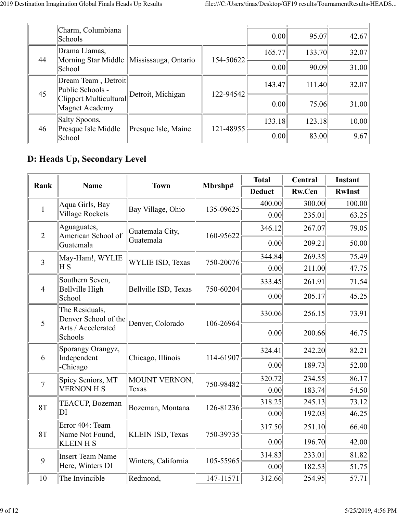|    | Charm, Columbiana<br>Schools             |                                            |           | 0.00   | 95.07  | 42.67 |
|----|------------------------------------------|--------------------------------------------|-----------|--------|--------|-------|
| 44 | Drama Llamas,                            | Morning Star Middle   Mississauga, Ontario | 154-50622 | 165.77 | 133.70 | 32.07 |
|    | School                                   |                                            |           | 0.00   | 90.09  | 31.00 |
| 45 | Dream Team, Detroit<br>Public Schools -  | Detroit, Michigan                          | 122-94542 | 143.47 | 111.40 | 32.07 |
|    | Clippert Multicultural<br>Magnet Academy |                                            |           | 0.00   | 75.06  | 31.00 |
| 46 | Salty Spoons,                            | Presque Isle, Maine                        | 121-48955 | 133.18 | 123.18 | 10.00 |
|    | Presque Isle Middle<br>School            |                                            |           | 0.00   | 83.00  | 9.67  |

## **D: Heads Up, Secondary Level**

| Rank           |                                        | <b>Town</b>             | Mbrshp#                                                                    | <b>Total</b>  | Central                                                  | Instant       |
|----------------|----------------------------------------|-------------------------|----------------------------------------------------------------------------|---------------|----------------------------------------------------------|---------------|
|                | <b>Name</b>                            |                         |                                                                            | <b>Deduct</b> | <b>Rw.Cen</b>                                            | <b>RwInst</b> |
| $\mathbf{1}$   | Aqua Girls, Bay                        | Bay Village, Ohio       | 135-09625                                                                  | 400.00        | 300.00                                                   | 100.00        |
|                | <b>Village Rockets</b>                 |                         |                                                                            | 0.00          | 235.01                                                   | 63.25         |
| $\overline{2}$ | Aguaguates,<br>American School of      | Guatemala City,         | 160-95622                                                                  | 346.12        | 267.07                                                   | 79.05         |
|                | Guatemala                              | Guatemala               |                                                                            | 0.00          | 209.21                                                   | 50.00         |
| $\overline{3}$ | May-Ham!, WYLIE                        | <b>WYLIE ISD, Texas</b> |                                                                            | 344.84        | 269.35                                                   | 75.49         |
|                | ΗS                                     |                         |                                                                            | 0.00          | 211.00                                                   | 47.75         |
| $\overline{4}$ | Southern Seven,<br>Bellville High      | Bellville ISD, Texas    |                                                                            | 333.45        | 261.91<br>205.17<br>256.15<br>200.66<br>242.20<br>189.73 | 71.54         |
|                | School                                 |                         |                                                                            | 0.00          |                                                          | 45.25         |
| 5              | The Residuals,<br>Denver School of the | Denver, Colorado        | 106-26964                                                                  | 330.06        |                                                          | 73.91         |
|                | Arts / Accelerated<br>Schools          |                         |                                                                            | 0.00          |                                                          | 46.75         |
|                | Sporangy Orangyz,                      | Chicago, Illinois       | 114-61907                                                                  | 324.41        |                                                          | 82.21         |
| 6              | Independent<br>-Chicago                |                         |                                                                            | 0.00          |                                                          | 52.00         |
| $\overline{7}$ | Spicy Seniors, MT                      | MOUNT VERNON,           | 750-20076<br>750-60204<br>750-98482<br>126-81236<br>750-39735<br>105-55965 | 320.72        | 234.55                                                   | 86.17         |
|                | <b>VERNON H S</b>                      | Texas                   |                                                                            | 0.00          | 183.74                                                   | 54.50         |
| 8T             | <b>TEACUP, Bozeman</b>                 | Bozeman, Montana        |                                                                            | 318.25        | 245.13                                                   | 73.12         |
|                | DI                                     |                         |                                                                            | 0.00          | 192.03                                                   | 46.25         |
|                | Error 404: Team                        |                         |                                                                            | 317.50        | 251.10                                                   | 66.40         |
| 8T             | Name Not Found,<br><b>KLEIN H S</b>    | <b>KLEIN ISD, Texas</b> |                                                                            | 0.00          | 196.70                                                   | 42.00         |
| 9              | <b>Insert Team Name</b>                | Winters, California     |                                                                            | 314.83        | 233.01                                                   | 81.82         |
|                | Here, Winters DI                       |                         |                                                                            | 0.00          | 182.53                                                   | 51.75         |
| 10             | The Invincible                         | Redmond,                | $147 - 11571$                                                              | 312.66        | 254.95                                                   | 57.71         |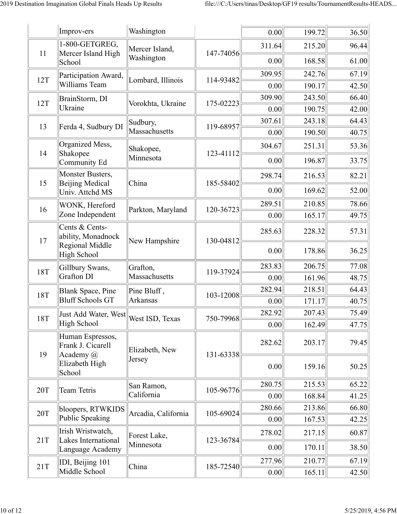|     | Improv-ers                                           | Washington                       |           | 0.00   | 199.72 | 36.50 |
|-----|------------------------------------------------------|----------------------------------|-----------|--------|--------|-------|
| 11  | 1-800-GETGREG,<br>Mercer Island High                 | Mercer Island,                   | 147-74056 | 311.64 | 215.20 | 96.44 |
|     | School                                               | Washington                       |           | 0.00   | 168.58 | 61.00 |
| 12T | Participation Award,                                 | Lombard, Illinois                | 114-93482 | 309.95 | 242.76 | 67.19 |
|     | Williams Team                                        |                                  |           | 0.00   | 190.17 | 42.50 |
| 12T | BrainStorm, DI                                       | Vorokhta, Ukraine                | 175-02223 | 309.90 | 243.50 | 66.40 |
|     | Ukraine                                              |                                  |           | 0.00   | 190.75 | 42.00 |
| 13  | Ferda 4, Sudbury DI                                  | Sudbury,                         | 119-68957 | 307.61 | 243.18 | 64.43 |
|     |                                                      | Massachusetts                    |           | 0.00   | 190.50 | 40.75 |
| 14  | Organized Mess,<br>Shakopee                          | Shakopee,                        | 123-41112 | 304.67 | 251.31 | 53.36 |
|     | Community Ed                                         | Minnesota                        |           | 0.00   | 196.87 | 33.75 |
| 15  | Monster Busters,<br>Beijing Medical                  |                                  |           | 298.74 | 216.53 | 82.21 |
|     | Univ. Attchd MS                                      | China                            | 185-58402 | 0.00   | 169.62 | 52.00 |
| 16  | WONK, Hereford                                       |                                  | 120-36723 | 289.51 | 210.85 | 78.66 |
|     | Zone Independent                                     | Parkton, Maryland                |           | 0.00   | 165.17 | 49.75 |
| 17  | Cents & Cents-<br>ability, Monadnock                 | New Hampshire<br>Regional Middle | 130-04812 | 285.63 | 228.32 | 57.31 |
|     | High School                                          |                                  |           | 0.00   | 178.86 | 36.25 |
| 18T | Gillbury Swans,                                      | Grafton,                         | 119-37924 | 283.83 | 206.75 | 77.08 |
|     | Grafton DI                                           | Massachusetts                    |           | 0.00   | 161.96 | 48.75 |
| 18T | <b>Blank Space</b> , Pine                            | Pine Bluff,                      | 103-12008 | 282.94 | 218.51 | 64.43 |
|     | <b>Bluff Schools GT</b>                              | Arkansas                         |           | 0.00   | 171.17 | 40.75 |
| 18T | Just Add Water, West<br>High School                  | West ISD, Texas                  | 750-79968 | 282.92 | 207.43 | 75.49 |
|     |                                                      |                                  |           | 0.00   | 162.49 | 47.75 |
| 19  | Human Espressos,<br>Frank J. Cicarell<br>Academy $@$ | Elizabeth, New                   | 131-63338 | 282.62 | 203.17 | 79.45 |
|     | Elizabeth High<br>School                             | Jersey                           |           | 0.00   | 159.16 | 50.25 |
|     |                                                      | San Ramon,                       |           | 280.75 | 215.53 | 65.22 |
| 20T | Team Tetris                                          | California                       | 105-96776 | 0.00   | 168.84 | 41.25 |
| 20T | bloopers, RTWKIDS                                    | Arcadia, California              | 105-69024 | 280.66 | 213.86 | 66.80 |
|     | Public Speaking                                      |                                  |           | 0.00   | 167.53 | 42.25 |
| 21T | Irish Wristwatch,<br>Lakes International             | Forest Lake,                     | 123-36784 | 278.02 | 217.15 | 60.87 |
|     | Language Academy                                     | Minnesota                        |           | 0.00   | 170.11 | 38.50 |
| 21T | IDI, Beijing 101                                     | China                            | 185-72540 | 277.96 | 210.77 | 67.19 |
|     | Middle School                                        |                                  |           | 0.00   | 165.11 | 42.50 |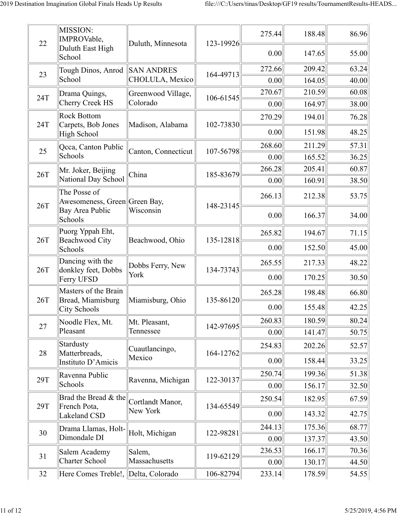| 22  | MISSION:<br>IMPROVable,                       | Duluth, Minnesota   | 123-19926 | 275.44 | 188.48 | 86.96 |
|-----|-----------------------------------------------|---------------------|-----------|--------|--------|-------|
|     | Duluth East High<br>School                    |                     |           | 0.00   | 147.65 | 55.00 |
| 23  | Tough Dinos, Anrod SAN ANDRES                 |                     | 164-49713 | 272.66 | 209.42 | 63.24 |
|     | School                                        | CHOLULA, Mexico     |           | 0.00   | 164.05 | 40.00 |
| 24T | Drama Quings,                                 | Greenwood Village,  | 106-61545 | 270.67 | 210.59 | 60.08 |
|     | Cherry Creek HS                               | Colorado            |           | 0.00   | 164.97 | 38.00 |
| 24T | <b>Rock Bottom</b><br>Carpets, Bob Jones      | Madison, Alabama    | 102-73830 | 270.29 | 194.01 | 76.28 |
|     | High School                                   |                     |           | 0.00   | 151.98 | 48.25 |
| 25  | Qcca, Canton Public                           | Canton, Connecticut | 107-56798 | 268.60 | 211.29 | 57.31 |
|     | Schools                                       |                     |           | 0.00   | 165.52 | 36.25 |
| 26T | Mr. Joker, Beijing                            | China               | 185-83679 | 266.28 | 205.41 | 60.87 |
|     | National Day School                           |                     |           | 0.00   | 160.91 | 38.50 |
| 26T | The Posse of<br>Awesomeness, Green Green Bay, |                     | 148-23145 | 266.13 | 212.38 | 53.75 |
|     | Bay Area Public<br>Schools                    | Wisconsin           |           | 0.00   | 166.37 | 34.00 |
|     | Puorg Yppah Eht,                              |                     |           | 265.82 | 194.67 | 71.15 |
| 26T | Beachwood City<br>Schools                     | Beachwood, Ohio     | 135-12818 | 0.00   | 152.50 | 45.00 |
|     | Dancing with the                              | Dobbs Ferry, New    |           | 265.55 | 217.33 | 48.22 |
| 26T | donkley feet, Dobbs<br>Ferry UFSD             | York                | 134-73743 | 0.00   | 170.25 | 30.50 |
| 26T | Masters of the Brain<br>Bread, Miamisburg     | Miamisburg, Ohio    | 135-86120 | 265.28 | 198.48 | 66.80 |
|     | City Schools                                  |                     |           | 0.00   | 155.48 | 42.25 |
| 27  | Noodle Flex, Mt.                              | Mt. Pleasant,       | 142-97695 | 260.83 | 180.59 | 80.24 |
|     | Pleasant                                      | Tennessee           |           | 0.00   | 141.47 | 50.75 |
| 28  | Stardusty<br>Matterbreads,                    | Cuautlancingo,      | 164-12762 | 254.83 | 202.26 | 52.57 |
|     | Instituto D'Amicis                            | Mexico              |           | 0.00   | 158.44 | 33.25 |
| 29T | Ravenna Public                                | Ravenna, Michigan   | 122-30137 | 250.74 | 199.36 | 51.38 |
|     | Schools                                       |                     |           | 0.00   | 156.17 | 32.50 |
|     | Brad the Bread & the                          | Cortlandt Manor,    |           | 250.54 | 182.95 | 67.59 |
| 29T | French Pota,<br>Lakeland CSD                  | New York            | 134-65549 | 0.00   | 143.32 | 42.75 |
| 30  | Drama Llamas, Holt-                           | Holt, Michigan      | 122-98281 | 244.13 | 175.36 | 68.77 |
|     | Dimondale DI                                  |                     |           | 0.00   | 137.37 | 43.50 |
| 31  | Salem Academy                                 | Salem,              | 119-62129 | 236.53 | 166.17 | 70.36 |
|     | <b>Charter School</b>                         | Massachusetts       |           | 0.00   | 130.17 | 44.50 |
| 32  | Here Comes Treble!, Delta, Colorado           |                     | 106-82794 | 233.14 | 178.59 | 54.55 |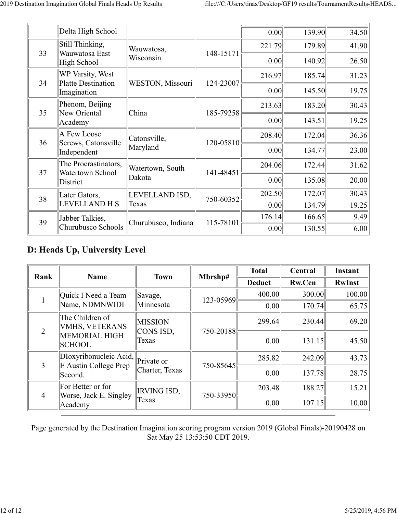|    | Delta High School                             |                         |               | 0.00   | 139.90 | 34.50 |
|----|-----------------------------------------------|-------------------------|---------------|--------|--------|-------|
| 33 | Still Thinking,<br>Wauwatosa East             | Wauwatosa,              | 148-15171     | 221.79 | 179.89 | 41.90 |
|    | High School                                   | Wisconsin               |               | 0.00   | 140.92 | 26.50 |
| 34 | WP Varsity, West<br><b>Platte Destination</b> | <b>WESTON, Missouri</b> | 124-23007     | 216.97 | 185.74 | 31.23 |
|    | Imagination                                   |                         |               | 0.00   | 145.50 | 19.75 |
| 35 | Phenom, Beijing<br>New Oriental               | China                   | 185-79258     | 213.63 | 183.20 | 30.43 |
|    | Academy                                       |                         |               | 0.00   | 143.51 | 19.25 |
| 36 | A Few Loose                                   | Catonsville,            | $120 - 05810$ | 208.40 | 172.04 | 36.36 |
|    | Screws, Catonsville<br>Independent            | Maryland                |               | 0.00   | 134.77 | 23.00 |
| 37 | The Procrastinators,<br>Watertown School      | Watertown, South        | 141-48451     | 204.06 | 172.44 | 31.62 |
|    | District                                      | Dakota                  |               | 0.00   | 135.08 | 20.00 |
| 38 | Later Gators,                                 | LEVELLAND ISD,          | 750-60352     | 202.50 | 172.07 | 30.43 |
|    | <b>LEVELLAND H S</b>                          | Texas                   |               | 0.00   | 134.79 | 19.25 |
| 39 | Jabber Talkies,                               | Churubusco, Indiana     | 115-78101     | 176.14 | 166.65 | 9.49  |
|    | Churubusco Schools                            |                         |               | 0.00   | 130.55 | 6.00  |

## **D: Heads Up, University Level**

| Rank           | <b>Name</b>                                     | <b>Town</b>                 | Mbrshp#   | <b>Total</b>  | Central       | <b>Instant</b> |
|----------------|-------------------------------------------------|-----------------------------|-----------|---------------|---------------|----------------|
|                |                                                 |                             |           | <b>Deduct</b> | <b>Rw.Cen</b> | <b>RwInst</b>  |
|                | ∥Quick I Need a Team                            | Savage,                     | 123-05969 | 400.00        | 300.00        | 100.00         |
|                | Name, NDMNWIDI                                  | Minnesota                   |           | 0.00          | 170.74        | 65.75          |
|                | The Children of<br><b>VMHS, VETERANS</b>        | <b>MISSION</b><br>CONS ISD, | 750-20188 | 299.64        | 230.44        | 69.20          |
| $\overline{2}$ | MEMORIAL HIGH<br><b>SCHOOL</b>                  | Texas                       |           | 0.00          | 131.15        | 45.50          |
| $\overline{3}$ | DIoxyribonucleic Acid,<br>E Austin College Prep | Private or                  | 750-85645 | 285.82        | 242.09        | 43.73          |
|                | Second.                                         | Charter, Texas              |           | 0.00          | 137.78        | 28.75          |
|                | For Better or for                               | <b>IRVING ISD,</b>          |           | 203.48        | 188.27        | 15.21          |
| $\overline{4}$ | Worse, Jack E. Singley<br>Academy               | Texas                       | 750-33950 | 0.00          | 107.15        | 10.00          |

Page generated by the Destination Imagination scoring program version 2019 (Global Finals)-20190428 on Sat May 25 13:53:50 CDT 2019.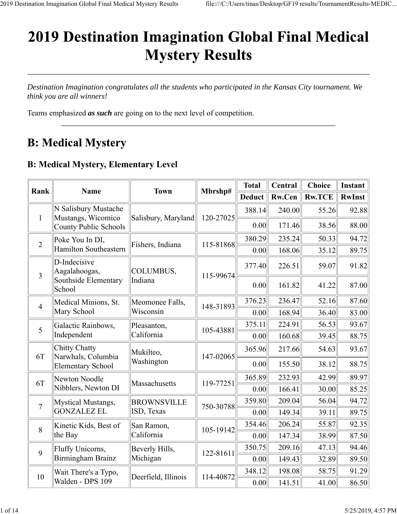# **2019 Destination Imagination Global Final Medical Mystery Results**

*Destination Imagination congratulates all the students who participated in the Kansas City tournament. We think you are all winners!*

Teams emphasized *as such* are going on to the next level of competition.

## **B: Medical Mystery**

## **B: Medical Mystery, Elementary Level**

|                |                                            |                     |           | <b>Total</b>  | Central | <b>Choice</b> | Instant       |
|----------------|--------------------------------------------|---------------------|-----------|---------------|---------|---------------|---------------|
| Rank           | <b>Name</b>                                | <b>Town</b>         | Mbrshp#   | <b>Deduct</b> | Rw.Cen  | <b>Rw.TCE</b> | <b>RwInst</b> |
| 1              | N Salisbury Mustache<br>Mustangs, Wicomico | Salisbury, Maryland | 120-27025 | 388.14        | 240.00  | 55.26         | 92.88         |
|                | County Public Schools                      |                     |           | 0.00          | 171.46  | 38.56         | 88.00         |
| $\overline{2}$ | Poke You In DI,                            | Fishers, Indiana    | 115-81868 | 380.29        | 235.24  | 50.33         | 94.72         |
|                | Hamilton Southeastern                      |                     |           | 0.00          | 168.06  | 35.12         | 89.75         |
| $\overline{3}$ | D-Indecisive<br>Aagalahoogas,              | COLUMBUS,           | 115-99674 | 377.40        | 226.51  | 59.07         | 91.82         |
|                | Southside Elementary<br>School             | Indiana             |           | 0.00          | 161.82  | 41.22         | 87.00         |
| $\overline{4}$ | Medical Minions, St.                       | Meomonee Falls,     | 148-31893 | 376.23        | 236.47  | 52.16         | 87.60         |
|                | Mary School                                | Wisconsin           |           | 0.00          | 168.94  | 36.40         | 83.00         |
| 5              | Galactic Rainbows,                         | Pleasanton,         | 105-43881 | 375.11        | 224.91  | 56.53         | 93.67         |
|                | Independent                                | California          |           | 0.00          | 160.68  | 39.45         | 88.75         |
| 6T             | Chitty Chatty<br>Narwhals, Columbia        | Mukilteo,           | 147-02065 | 365.96        | 217.66  | 54.63         | 93.67         |
|                | <b>Elementary School</b>                   | Washington          |           | 0.00          | 155.50  | 38.12         | 88.75         |
| 6T             | Newton Noodle                              | Massachusetts       | 119-77251 | 365.89        | 232.93  | 42.99         | 89.97         |
|                | Nibblers, Newton DI                        |                     |           | 0.00          | 166.41  | 30.00         | 85.25         |
| $\overline{7}$ | Mystical Mustangs,                         | <b>BROWNSVILLE</b>  | 750-30788 | 359.80        | 209.04  | 56.04         | 94.72         |
|                | <b>GONZALEZ EL</b>                         | ISD, Texas          |           | 0.00          | 149.34  | 39.11         | 89.75         |
| 8              | Kinetic Kids, Best of                      | San Ramon,          | 105-19142 | 354.46        | 206.24  | 55.87         | 92.35         |
|                | the Bay                                    | California          |           | 0.00          | 147.34  | 38.99         | 87.50         |
| 9              | Fluffy Unicorns,                           | Beverly Hills,      | 122-81611 | 350.75        | 209.16  | 47.13         | 94.46         |
|                | Birmingham Brainz                          | Michigan            |           | 0.00          | 149.43  | 32.89         | 89.50         |
| 10             | Wait There's a Typo,                       | Deerfield, Illinois | 114-40872 | 348.12        | 198.08  | 58.75         | 91.29         |
|                | Walden - DPS 109                           |                     |           | 0.00          | 141.51  | 41.00         | 86.50         |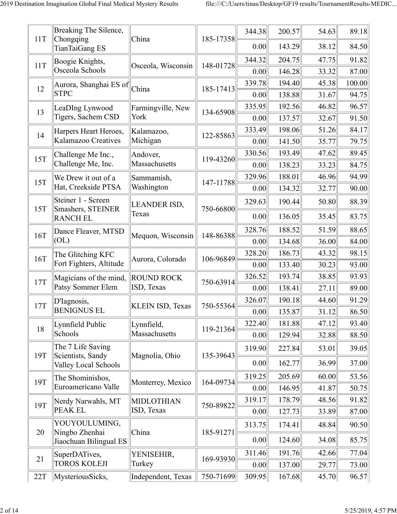| 11T | Breaking The Silence,<br>Chongqing        | China                   | 185-17358 | 344.38 | 200.57 | 54.63 | 89.18  |
|-----|-------------------------------------------|-------------------------|-----------|--------|--------|-------|--------|
|     | TianTaiGang ES                            |                         |           | 0.00   | 143.29 | 38.12 | 84.50  |
| 11T | Boogie Knights,                           | Osceola, Wisconsin      | 148-01728 | 344.32 | 204.75 | 47.75 | 91.82  |
|     | Osceola Schools                           |                         |           | 0.00   | 146.28 | 33.32 | 87.00  |
| 12  | Aurora, Shanghai ES of                    | China                   | 185-17413 | 339.78 | 194.40 | 45.38 | 100.00 |
|     | <b>STPC</b>                               |                         |           | 0.00   | 138.88 | 31.67 | 94.75  |
| 13  | LeaDIng Lynwood                           | Farmingville, New       | 134-65908 | 335.95 | 192.56 | 46.82 | 96.57  |
|     | Tigers, Sachem CSD                        | York                    |           | 0.00   | 137.57 | 32.67 | 91.50  |
| 14  | Harpers Heart Heroes,                     | Kalamazoo,              | 122-85863 | 333.49 | 198.06 | 51.26 | 84.17  |
|     | Kalamazoo Creatives                       | Michigan                |           | 0.00   | 141.50 | 35.77 | 79.75  |
| 15T | Challenge Me Inc.,                        | Andover,                | 119-43260 | 330.56 | 193.49 | 47.62 | 89.45  |
|     | Challenge Me, Inc.                        | Massachusetts           |           | 0.00   | 138.23 | 33.23 | 84.75  |
| 15T | We Drew it out of a                       | Sammamish,              | 147-11788 | 329.96 | 188.01 | 46.96 | 94.99  |
|     | Hat, Creekside PTSA                       | Washington              |           | 0.00   | 134.32 | 32.77 | 90.00  |
| 15T | Steiner 1 - Screen<br>Smashers, STEINER   | LEANDER ISD,            | 750-66800 | 329.63 | 190.44 | 50.80 | 88.39  |
|     | <b>RANCH EL</b>                           | Texas                   |           | 0.00   | 136.05 | 35.45 | 83.75  |
| 16T | Dance Fleaver, MTSD                       | Mequon, Wisconsin       | 148-86388 | 328.76 | 188.52 | 51.59 | 88.65  |
|     | [OL]                                      |                         |           | 0.00   | 134.68 | 36.00 | 84.00  |
| 16T | The Glitching KFC                         | Aurora, Colorado        | 106-96849 | 328.20 | 186.73 | 43.32 | 98.15  |
|     | Fort Fighters, Altitude                   |                         |           | 0.00   | 133.40 | 30.23 | 93.00  |
| 17T | Magicians of the mind,                    | <b>ROUND ROCK</b>       | 750-63914 | 326.52 | 193.74 | 38.85 | 93.93  |
|     | Patsy Sommer Elem                         | ISD, Texas              |           | 0.00   | 138.41 | 27.11 | 89.00  |
| 17T | D'Iagnosis,                               | <b>KLEIN ISD, Texas</b> | 750-55364 | 326.07 | 190.18 | 44.60 | 91.29  |
|     | <b>BENIGNUS EL</b>                        |                         |           | 0.00   | 135.87 | 31.12 | 86.50  |
| 18  | Lynnfield Public                          | Lynnfield,              | 119-21364 | 322.40 | 181.88 | 47.12 | 93.40  |
|     | Schools                                   | Massachusetts           |           | 0.00   | 129.94 | 32.88 | 88.50  |
|     | The 7 Life Saving                         |                         |           | 319.90 | 227.84 | 53.01 | 39.05  |
| 19T | Scientists, Sandy<br>Valley Local Schools | Magnolia, Ohio          | 135-39643 | 0.00   | 162.77 | 36.99 | 37.00  |
|     | The Shominishos,                          |                         |           | 319.25 | 205.69 | 60.00 | 53.56  |
| 19T | Euroamericano Valle                       | Monterrey, Mexico       | 164-09734 | 0.00   | 146.95 | 41.87 | 50.75  |
|     | Nerdy Narwahls, MT                        | <b>MIDLOTHIAN</b>       |           | 319.17 | 178.79 | 48.56 | 91.82  |
| 19T | <b>PEAK EL</b>                            | ISD, Texas              | 750-89822 | 0.00   | 127.73 | 33.89 | 87.00  |
|     | YOUYOULUMING,                             |                         |           | 313.75 | 174.41 | 48.84 | 90.50  |
| 20  | Ningbo Zhenhai<br>Jiaochuan Bilingual ES  | China                   | 185-91271 | 0.00   | 124.60 | 34.08 | 85.75  |
|     | SuperDATives,                             | YENISEHIR,              |           | 311.46 | 191.76 | 42.66 | 77.04  |
| 21  | <b>TOROS KOLEJI</b>                       | Turkey                  | 169-93930 | 0.00   | 137.00 | 29.77 | 73.00  |
| 22T | MysteriousSicks,                          | Independent, Texas      | 750-71699 | 309.95 | 167.68 | 45.70 | 96.57  |
|     |                                           |                         |           |        |        |       |        |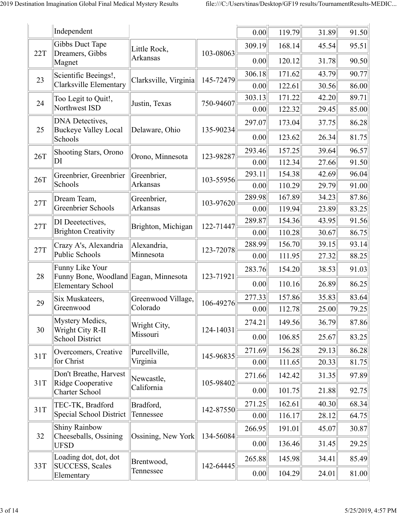|     | Independent                                              |                       |           | 0.00   | 119.79 | 31.89 | 91.50 |
|-----|----------------------------------------------------------|-----------------------|-----------|--------|--------|-------|-------|
|     | Gibbs Duct Tape                                          | Little Rock,          |           | 309.19 | 168.14 | 45.54 | 95.51 |
| 22T | Dreamers, Gibbs<br>Magnet                                | Arkansas              | 103-08063 | 0.00   | 120.12 | 31.78 | 90.50 |
| 23  | Scientific Beeings!,                                     | Clarksville, Virginia | 145-72479 | 306.18 | 171.62 | 43.79 | 90.77 |
|     | Clarksville Elementary                                   |                       |           | 0.00   | 122.61 | 30.56 | 86.00 |
| 24  | Too Legit to Quit!,                                      | Justin, Texas         | 750-94607 | 303.13 | 171.22 | 42.20 | 89.71 |
|     | Northwest ISD                                            |                       |           | 0.00   | 122.32 | 29.45 | 85.00 |
| 25  | <b>DNA</b> Detectives,<br><b>Buckeye Valley Local</b>    | Delaware, Ohio        | 135-90234 | 297.07 | 173.04 | 37.75 | 86.28 |
|     | Schools                                                  |                       |           | 0.00   | 123.62 | 26.34 | 81.75 |
| 26T | Shooting Stars, Orono                                    | Orono, Minnesota      | 123-98287 | 293.46 | 157.25 | 39.64 | 96.57 |
|     | DI                                                       |                       |           | 0.00   | 112.34 | 27.66 | 91.50 |
| 26T | Greenbrier, Greenbrier                                   | Greenbrier,           | 103-55956 | 293.11 | 154.38 | 42.69 | 96.04 |
|     | Schools                                                  | Arkansas              |           | 0.00   | 110.29 | 29.79 | 91.00 |
| 27T | Dream Team,                                              | Greenbrier,           | 103-97620 | 289.98 | 167.89 | 34.23 | 87.86 |
|     | Greenbrier Schools                                       | Arkansas              |           | 0.00   | 119.94 | 23.89 | 83.25 |
| 27T | DI Deeetectives,                                         | Brighton, Michigan    | 122-71447 | 289.87 | 154.36 | 43.95 | 91.56 |
|     | <b>Brighton Creativity</b>                               |                       |           | 0.00   | 110.28 | 30.67 | 86.75 |
| 27T | Crazy A's, Alexandria                                    | Alexandria,           | 123-72078 | 288.99 | 156.70 | 39.15 | 93.14 |
|     | Public Schools                                           | Minnesota             |           | 0.00   | 111.95 | 27.32 | 88.25 |
| 28  | Funny Like Your<br>Funny Bone, Woodland Eagan, Minnesota |                       | 123-71921 | 283.76 | 154.20 | 38.53 | 91.03 |
|     | Elementary School                                        |                       |           | 0.00   | 110.16 | 26.89 | 86.25 |
| 29  | Six Muskateers,                                          | Greenwood Village,    | 106-49276 | 277.33 | 157.86 | 35.83 | 83.64 |
|     | Greenwood                                                | Colorado              |           | 0.00   | 112.78 | 25.00 | 79.25 |
| 30  | Mystery Medics,<br>Wright City R-II                      | Wright City,          | 124-14031 | 274.21 | 149.56 | 36.79 | 87.86 |
|     | School District                                          | Missouri              |           | 0.00   | 106.85 | 25.67 | 83.25 |
| 31T | Overcomers, Creative                                     | Purcellville,         | 145-96835 | 271.69 | 156.28 | 29.13 | 86.28 |
|     | for Christ                                               | Virginia              |           | 0.00   | 111.65 | 20.33 | 81.75 |
| 31T | Don't Breathe, Harvest<br>Ridge Cooperative              | Newcastle,            | 105-98402 | 271.66 | 142.42 | 31.35 | 97.89 |
|     | Charter School                                           | California            |           | 0.00   | 101.75 | 21.88 | 92.75 |
| 31T | TEC-TK, Bradford                                         | Bradford,             | 142-87550 | 271.25 | 162.61 | 40.30 | 68.34 |
|     | Special School District                                  | Tennessee             |           | 0.00   | 116.17 | 28.12 | 64.75 |
| 32  | <b>Shiny Rainbow</b><br>Cheeseballs, Ossining            | Ossining, New York    | 134-56084 | 266.95 | 191.01 | 45.07 | 30.87 |
|     | <b>UFSD</b>                                              |                       |           | 0.00   | 136.46 | 31.45 | 29.25 |
|     | Loading dot, dot, dot                                    | Brentwood,            |           | 265.88 | 145.98 | 34.41 | 85.49 |
| 33T | SUCCESS, Scales<br>Elementary                            | Tennessee             | 142-64445 | 0.00   | 104.29 | 24.01 | 81.00 |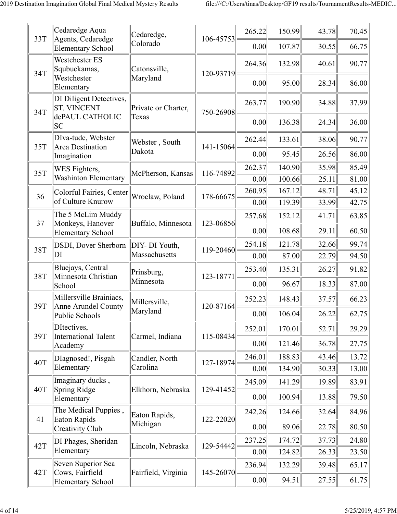| 33T | Cedaredge Aqua<br>Agents, Cedaredge                              | Cedaredge,                   | 106-45753 | 265.22         | 150.99           | 43.78          | 70.45          |
|-----|------------------------------------------------------------------|------------------------------|-----------|----------------|------------------|----------------|----------------|
|     | <b>Elementary School</b>                                         | Colorado                     |           | 0.00           | 107.87           | 30.55          | 66.75          |
| 34T | Westchester ES<br>Squbuckamas,                                   | Catonsville,                 | 120-93719 | 264.36         | 132.98           | 40.61          | 90.77          |
|     | Westchester<br>Elementary                                        | Maryland                     |           | 0.00           | 95.00            | 28.34          | 86.00          |
| 34T | DI Diligent Detectives,<br><b>ST. VINCENT</b><br>dePAUL CATHOLIC | Private or Charter,<br>Texas | 750-26908 | 263.77         | 190.90           | 34.88          | 37.99          |
|     | <b>SC</b>                                                        |                              |           | 0.00           | 136.38           | 24.34          | 36.00          |
| 35T | DIva-tude, Webster<br><b>Area Destination</b>                    | Webster, South<br>Dakota     | 141-15064 | 262.44         | 133.61           | 38.06          | 90.77          |
|     | Imagination                                                      |                              |           | 0.00           | 95.45            | 26.56          | 86.00          |
| 35T | WES Fighters,<br><b>Washinton Elementary</b>                     | McPherson, Kansas            | 116-74892 | 262.37         | 140.90           | 35.98          | 85.49          |
|     |                                                                  |                              |           | 0.00<br>260.95 | 100.66<br>167.12 | 25.11<br>48.71 | 81.00<br>45.12 |
| 36  | Colorful Fairies, Center<br>of Culture Knurow                    | Wroclaw, Poland              | 178-66675 | 0.00           | 119.39           | 33.99          | 42.75          |
|     | The 5 McLim Muddy                                                |                              |           | 257.68         | 152.12           | 41.71          | 63.85          |
| 37  | Monkeys, Hanover<br><b>Elementary School</b>                     | Buffalo, Minnesota           | 123-06856 | 0.00           | 108.68           | 29.11          | 60.50          |
| 38T | DSDI, Dover Sherborn                                             | DIY- DI Youth,               | 119-20460 | 254.18         | 121.78           | 32.66          | 99.74          |
|     | DI                                                               | Massachusetts                |           | 0.00           | 87.00            | 22.79          | 94.50          |
| 38T | Bluejays, Central<br>Minnesota Christian                         | Prinsburg,                   | 123-18771 | 253.40         | 135.31           | 26.27          | 91.82          |
|     | School                                                           | Minnesota                    |           | 0.00           | 96.67            | 18.33          | 87.00          |
| 39T | Millersville Brainiacs,<br>Anne Arundel County                   | Millersville,                | 120-87164 | 252.23         | 148.43           | 37.57          | 66.23          |
|     | Public Schools                                                   | Maryland                     |           | 0.00           | 106.04           | 26.22          | 62.75          |
| 39T | DItectives,<br><b>International Talent</b>                       | Carmel, Indiana              | 115-08434 | 252.01         | 170.01           | 52.71          | 29.29          |
|     | Academy                                                          |                              |           | 0.00           | 121.46           | 36.78          | 27.75          |
| 40T | DIagnosed!, Pisgah                                               | Candler, North               | 127-18974 | 246.01         | 188.83           | 43.46          | 13.72          |
|     | Elementary                                                       | Carolina                     |           | 0.00           | 134.90           | 30.33          | 13.00          |
| 40T | Imaginary ducks,<br>Spring Ridge                                 | Elkhorn, Nebraska            | 129-41452 | 245.09         | 141.29           | 19.89          | 83.91          |
|     | Elementary                                                       |                              |           | 0.00           | 100.94           | 13.88          | 79.50          |
| 41  | The Medical Puppies,<br><b>Eaton Rapids</b>                      | Eaton Rapids,                | 122-22020 | 242.26         | 124.66           | 32.64          | 84.96          |
|     | Creativity Club                                                  | Michigan                     |           | 0.00           | 89.06            | 22.78          | 80.50          |
| 42T | DI Phages, Sheridan                                              | Lincoln, Nebraska            | 129-54442 | 237.25         | 174.72           | 37.73          | 24.80          |
|     | Elementary                                                       |                              |           | 0.00           | 124.82           | 26.33          | 23.50          |
| 42T | Seven Superior Sea<br>Cows, Fairfield                            | Fairfield, Virginia          | 145-26070 | 236.94         | 132.29           | 39.48          | 65.17          |
|     | <b>Elementary School</b>                                         |                              |           | 0.00           | 94.51            | 27.55          | 61.75          |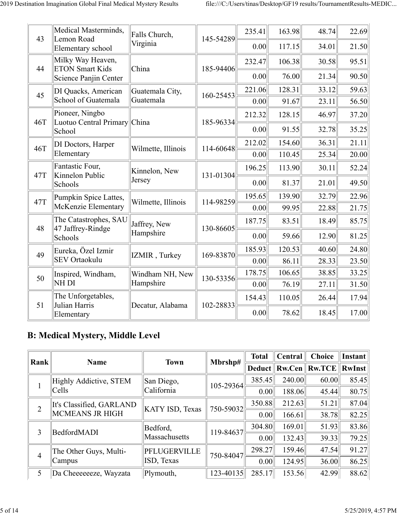| 43  | Medical Masterminds,<br>Lemon Road              | Falls Church,           | 145-54289 | 235.41 | 163.98 | 48.74 | 22.69 |
|-----|-------------------------------------------------|-------------------------|-----------|--------|--------|-------|-------|
|     | Elementary school                               | Virginia                |           | 0.00   | 117.15 | 34.01 | 21.50 |
| 44  | Milky Way Heaven,<br><b>ETON Smart Kids</b>     | China                   | 185-94406 | 232.47 | 106.38 | 30.58 | 95.51 |
|     | Science Panjin Center                           |                         |           | 0.00   | 76.00  | 21.34 | 90.50 |
| 45  | DI Quacks, American                             | Guatemala City,         | 160-25453 | 221.06 | 128.31 | 33.12 | 59.63 |
|     | School of Guatemala                             | Guatemala               |           | 0.00   | 91.67  | 23.11 | 56.50 |
| 46T | Pioneer, Ningbo<br>Luotuo Central Primary China |                         | 185-96334 | 212.32 | 128.15 | 46.97 | 37.20 |
|     | School                                          |                         |           | 0.00   | 91.55  | 32.78 | 35.25 |
| 46T | DI Doctors, Harper                              | Wilmette, Illinois      | 114-60648 | 212.02 | 154.60 | 36.31 | 21.11 |
|     | Elementary                                      |                         |           | 0.00   | 110.45 | 25.34 | 20.00 |
| 47T | Fantastic Four,<br>Kinnelon Public              | Kinnelon, New<br>Jersey | 131-01304 | 196.25 | 113.90 | 30.11 | 52.24 |
|     | Schools                                         |                         |           | 0.00   | 81.37  | 21.01 | 49.50 |
| 47T | Pumpkin Spice Lattes,                           | Wilmette, Illinois      | 114-98259 | 195.65 | 139.90 | 32.79 | 22.96 |
|     | McKenzie Elementary                             |                         |           | 0.00   | 99.95  | 22.88 | 21.75 |
| 48  | The Catastrophes, SAU<br>47 Jaffrey-Rindge      | Jaffrey, New            | 130-86605 | 187.75 | 83.51  | 18.49 | 85.75 |
|     | Schools                                         | Hampshire               |           | 0.00   | 59.66  | 12.90 | 81.25 |
| 49  | Eureka, Özel Izmir                              | IZMIR, Turkey           | 169-83870 | 185.93 | 120.53 | 40.60 | 24.80 |
|     | <b>SEV Ortaokulu</b>                            |                         |           | 0.00   | 86.11  | 28.33 | 23.50 |
| 50  | Inspired, Windham,                              | Windham NH, New         | 130-53356 | 178.75 | 106.65 | 38.85 | 33.25 |
|     | NH DI                                           | Hampshire               |           | 0.00   | 76.19  | 27.11 | 31.50 |
| 51  | The Unforgetables,<br>Julian Harris             | Decatur, Alabama        | 102-28833 | 154.43 | 110.05 | 26.44 | 17.94 |
|     | Elementary                                      |                         |           | 0.00   | 78.62  | 18.45 | 17.00 |

### **B: Medical Mystery, Middle Level**

| <b>Rank</b>    | <b>Name</b>              | <b>Town</b>     | Mbrshp#       | <b>Total</b>        | Central | <b>Choice</b>       | <b>Instant</b> |
|----------------|--------------------------|-----------------|---------------|---------------------|---------|---------------------|----------------|
|                |                          |                 |               | Deduct <sup> </sup> |         | $Rw.Cen$   $Rw.TCE$ | <b>RwInst</b>  |
|                | Highly Addictive, STEM   | San Diego,      | $105 - 29364$ | 385.45              | 240.00  | 60.00               | 85.45          |
|                | Cells                    | California      |               | 0.00                | 188.06  | 45.44               | 80.75          |
| $\overline{2}$ | It's Classified, GARLAND | KATY ISD, Texas | $750 - 59032$ | 350.88              | 212.63  | 51.21               | 87.04          |
|                | <b>MCMEANS JR HIGH</b>   |                 |               | 0.00                | 166.61  | 38.78               | 82.25          |
| 3              | BedfordMADI              | Bedford,        | 119-84637     | 304.80              | 169.01  | 51.93               | 83.86          |
|                |                          | Massachusetts   |               | 0.00                | 132.43  | 39.33               | 79.25          |
|                | The Other Guys, Multi-   | PFLUGERVILLE    | 750-84047     | 298.27              | 159.46  | 47.54               | 91.27          |
| $\overline{4}$ | Campus                   | ISD, Texas      |               | 0.00                | 124.95  | 36.00               | 86.25          |
| 5              | Da Cheeeeeeze, Wayzata   | Plymouth,       | 123-40135     | 285.17              | 153.56  | 42.99               | 88.62          |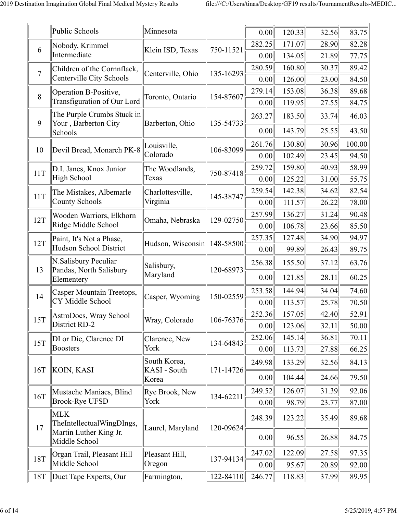|                | Public Schools                                     | Minnesota                    |           | 0.00   | 120.33 | 32.56 | 83.75  |
|----------------|----------------------------------------------------|------------------------------|-----------|--------|--------|-------|--------|
| 6              | Nobody, Krimmel                                    |                              |           | 282.25 | 171.07 | 28.90 | 82.28  |
|                | Intermediate                                       | Klein ISD, Texas             | 750-11521 | 0.00   | 134.05 | 21.89 | 77.75  |
| $\overline{7}$ | Children of the Cornnflaek,                        | Centerville, Ohio            | 135-16293 | 280.59 | 160.80 | 30.37 | 89.42  |
|                | Centerville City Schools                           |                              |           | 0.00   | 126.00 | 23.00 | 84.50  |
| 8              | Operation B-Positive,                              | Toronto, Ontario             | 154-87607 | 279.14 | 153.08 | 36.38 | 89.68  |
|                | Transfiguration of Our Lord                        |                              |           | 0.00   | 119.95 | 27.55 | 84.75  |
| 9              | The Purple Crumbs Stuck in<br>Your, Barberton City | Barberton, Ohio              | 135-54733 | 263.27 | 183.50 | 33.74 | 46.03  |
|                | Schools                                            |                              |           | 0.00   | 143.79 | 25.55 | 43.50  |
| 10             | Devil Bread, Monarch PK-8                          | Louisville,                  | 106-83099 | 261.76 | 130.80 | 30.96 | 100.00 |
|                |                                                    | Colorado                     |           | 0.00   | 102.49 | 23.45 | 94.50  |
| 11T            | D.I. Janes, Knox Junior                            | The Woodlands,               | 750-87418 | 259.72 | 159.80 | 40.93 | 58.99  |
|                | High School                                        | Texas                        |           | 0.00   | 125.22 | 31.00 | 55.75  |
| 11T            | The Mistakes, Albemarle                            | Charlottesville,             | 145-38747 | 259.54 | 142.38 | 34.62 | 82.54  |
|                | <b>County Schools</b>                              | Virginia                     |           | 0.00   | 111.57 | 26.22 | 78.00  |
| 12T            | Wooden Warriors, Elkhorn                           | Omaha, Nebraska              | 129-02750 | 257.99 | 136.27 | 31.24 | 90.48  |
|                | Ridge Middle School                                |                              |           | 0.00   | 106.78 | 23.66 | 85.50  |
| 12T            | Paint, It's Not a Phase,                           | Hudson, Wisconsin            | 148-58500 | 257.35 | 127.48 | 34.90 | 94.97  |
|                | Hudson School District                             |                              |           | 0.00   | 99.89  | 26.43 | 89.75  |
| 13             | N.Salisbury Peculiar<br>Pandas, North Salisbury    | Salisbury,                   | 120-68973 | 256.38 | 155.50 | 37.12 | 63.76  |
|                | Elementery                                         | Maryland                     |           | 0.00   | 121.85 | 28.11 | 60.25  |
| 14             | Casper Mountain Treetops,                          | Casper, Wyoming              | 150-02559 | 253.58 | 144.94 | 34.04 | 74.60  |
|                | CY Middle School                                   |                              |           | 0.00   | 113.57 | 25.78 | 70.50  |
| <b>15T</b>     | AstroDocs, Wray School                             | Wray, Colorado               | 106-76376 | 252.36 | 157.05 | 42.40 | 52.91  |
|                | District RD-2                                      |                              |           | 0.00   | 123.06 | 32.11 | 50.00  |
| 15T            | DI or Die, Clarence DI                             | Clarence, New                | 134-64843 | 252.06 | 145.14 | 36.81 | 70.11  |
|                | <b>Boosters</b>                                    | York                         |           | 0.00   | 113.73 | 27.88 | 66.25  |
|                | KOIN, KASI                                         | South Korea,<br>KASI - South |           | 249.98 | 133.29 | 32.56 | 84.13  |
| 16T            |                                                    | Korea                        | 171-14726 | 0.00   | 104.44 | 24.66 | 79.50  |
| <b>16T</b>     | Mustache Maniacs, Blind                            | Rye Brook, New               | 134-62211 | 249.52 | 126.07 | 31.39 | 92.06  |
|                | <b>Brook-Rye UFSD</b>                              | York                         |           | 0.00   | 98.79  | 23.77 | 87.00  |
| 17             | <b>MLK</b><br>TheIntellectualWingDIngs,            | Laurel, Maryland             | 120-09624 | 248.39 | 123.22 | 35.49 | 89.68  |
|                | Martin Luther King Jr.<br>Middle School            |                              |           | 0.00   | 96.55  | 26.88 | 84.75  |
| <b>18T</b>     | Organ Trail, Pleasant Hill                         | Pleasant Hill,               | 137-94134 | 247.02 | 122.09 | 27.58 | 97.35  |
|                | Middle School                                      | Oregon                       |           | 0.00   | 95.67  | 20.89 | 92.00  |
| 18T            | Duct Tape Experts, Our                             | Farmington,                  | 122-84110 | 246.77 | 118.83 | 37.99 | 89.95  |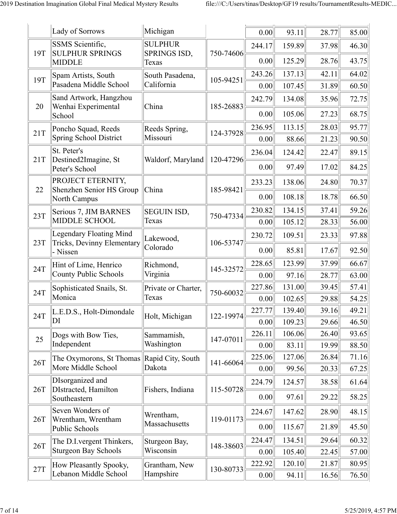|     | Lady of Sorrows                                       | Michigan              |           | 0.00   | 93.11  | 28.77 | 85.00 |
|-----|-------------------------------------------------------|-----------------------|-----------|--------|--------|-------|-------|
|     | SSMS Scientific,                                      | <b>SULPHUR</b>        |           | 244.17 | 159.89 | 37.98 | 46.30 |
| 19T | <b>SULPHUR SPRINGS</b><br><b>MIDDLE</b>               | SPRINGS ISD,<br>Texas | 750-74606 | 0.00   | 125.29 | 28.76 | 43.75 |
| 19T | Spam Artists, South                                   | South Pasadena,       | 105-94251 | 243.26 | 137.13 | 42.11 | 64.02 |
|     | Pasadena Middle School                                | California            |           | 0.00   | 107.45 | 31.89 | 60.50 |
| 20  | Sand Artwork, Hangzhou<br>Wenhai Experimental         | China                 | 185-26883 | 242.79 | 134.08 | 35.96 | 72.75 |
|     | School                                                |                       |           | 0.00   | 105.06 | 27.23 | 68.75 |
| 21T | Poncho Squad, Reeds                                   | Reeds Spring,         | 124-37928 | 236.95 | 113.15 | 28.03 | 95.77 |
|     | Spring School District                                | Missouri              |           | 0.00   | 88.66  | 21.23 | 90.50 |
|     | St. Peter's                                           |                       |           | 236.04 | 124.42 | 22.47 | 89.15 |
| 21T | Destined2Imagine, St<br>Peter's School                | Waldorf, Maryland     | 120-47296 | 0.00   | 97.49  | 17.02 | 84.25 |
| 22  | PROJECT ETERNITY,<br>Shenzhen Senior HS Group         | China                 | 185-98421 | 233.23 | 138.06 | 24.80 | 70.37 |
|     | North Campus                                          |                       |           | 0.00   | 108.18 | 18.78 | 66.50 |
| 23T | Serious 7, JIM BARNES                                 | <b>SEGUIN ISD,</b>    | 750-47334 | 230.82 | 134.15 | 37.41 | 59.26 |
|     | MIDDLE SCHOOL                                         | Texas                 |           | 0.00   | 105.12 | 28.33 | 56.00 |
| 23T | Legendary Floating Mind<br>Tricks, Devinny Elementary | Lakewood,             | 106-53747 | 230.72 | 109.51 | 23.33 | 97.88 |
|     | - Nissen                                              | Colorado              |           | 0.00   | 85.81  | 17.67 | 92.50 |
| 24T | Hint of Lime, Henrico                                 | Richmond,             | 145-32572 | 228.65 | 123.99 | 37.99 | 66.67 |
|     | County Public Schools                                 | Virginia              |           | 0.00   | 97.16  | 28.77 | 63.00 |
| 24T | Sophisticated Snails, St.                             | Private or Charter,   | 750-60032 | 227.86 | 131.00 | 39.45 | 57.41 |
|     | Monica                                                | Texas                 |           | 0.00   | 102.65 | 29.88 | 54.25 |
| 24T | L.E.D.S., Holt-Dimondale                              | Holt, Michigan        | 122-19974 | 227.77 | 139.40 | 39.16 | 49.21 |
|     | DI                                                    |                       |           | 0.00   | 109.23 | 29.66 | 46.50 |
| 25  | Dogs with Bow Ties,                                   | Sammamish,            | 147-07011 | 226.11 | 106.06 | 26.40 | 93.65 |
|     | Independent                                           | Washington            |           | 0.00   | 83.11  | 19.99 | 88.50 |
| 26T | The Oxymorons, St Thomas                              | Rapid City, South     | 141-66064 | 225.06 | 127.06 | 26.84 | 71.16 |
|     | More Middle School                                    | Dakota                |           | 0.00   | 99.56  | 20.33 | 67.25 |
| 26T | DIsorganized and<br>DIstracted, Hamilton              | Fishers, Indiana      | 115-50728 | 224.79 | 124.57 | 38.58 | 61.64 |
|     | Southeastern                                          |                       |           | 0.00   | 97.61  | 29.22 | 58.25 |
| 26T | Seven Wonders of<br>Wrentham, Wrentham                | Wrentham,             | 119-01173 | 224.67 | 147.62 | 28.90 | 48.15 |
|     | Public Schools                                        | Massachusetts         |           | 0.00   | 115.67 | 21.89 | 45.50 |
| 26T | The D.I. vergent Thinkers,                            | Sturgeon Bay,         | 148-38603 | 224.47 | 134.51 | 29.64 | 60.32 |
|     | <b>Sturgeon Bay Schools</b>                           | Wisconsin             |           | 0.00   | 105.40 | 22.45 | 57.00 |
| 27T | How Pleasantly Spooky,                                | Grantham, New         | 130-80733 | 222.92 | 120.10 | 21.87 | 80.95 |
|     | Lebanon Middle School                                 | Hampshire             |           | 0.00   | 94.11  | 16.56 | 76.50 |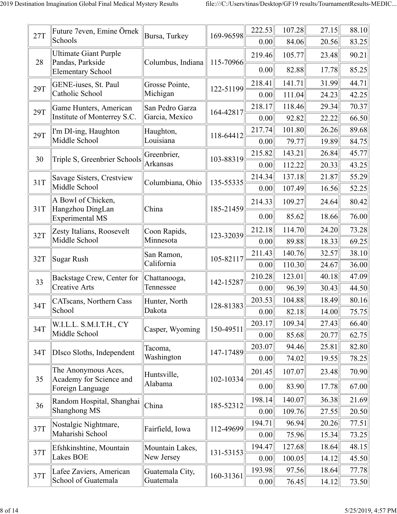|     | Future 7even, Emine Örnek                      |                               |           | 222.53         | 107.28           | 27.15          | 88.10          |
|-----|------------------------------------------------|-------------------------------|-----------|----------------|------------------|----------------|----------------|
| 27T | Schools                                        | Bursa, Turkey                 | 169-96598 | 0.00           | 84.06            | 20.56          | 83.25          |
|     | <b>Ultimate Giant Purple</b>                   |                               |           | 219.46         | 105.77           | 23.48          | 90.21          |
| 28  | Pandas, Parkside<br><b>Elementary School</b>   | Columbus, Indiana             | 115-70966 | 0.00           | 82.88            | 17.78          | 85.25          |
| 29T | GENE-iuses, St. Paul                           | Grosse Pointe,                | 122-51199 | 218.41         | 141.71           | 31.99          | 44.71          |
|     | Catholic School                                | Michigan                      |           | 0.00           | 111.04           | 24.23          | 42.25          |
| 29T | Game Hunters, American                         | San Pedro Garza               | 164-42817 | 218.17         | 118.46           | 29.34          | 70.37          |
|     | Institute of Monterrey S.C.                    | Garcia, Mexico                |           | 0.00           | 92.82            | 22.22          | 66.50          |
| 29T | I'm DI-ing, Haughton                           | Haughton,                     | 118-64412 | 217.74         | 101.80           | 26.26          | 89.68          |
|     | Middle School                                  | Louisiana                     |           | 0.00           | 79.77            | 19.89          | 84.75          |
| 30  | Triple S, Greenbrier Schools                   | Greenbrier,                   | 103-88319 | 215.82         | 143.21           | 26.84          | 45.77          |
|     |                                                | Arkansas                      |           | 0.00           | 112.22           | 20.33          | 43.25          |
| 31T | Savage Sisters, Crestview                      | Columbiana, Ohio              | 135-55335 | 214.34         | 137.18           | 21.87          | 55.29          |
|     | Middle School                                  |                               |           | 0.00           | 107.49           | 16.56          | 52.25          |
| 31T | A Bowl of Chicken,<br>Hangzhou DingLan         | China                         | 185-21459 | 214.33         | 109.27           | 24.64          | 80.42          |
|     | <b>Experimental MS</b>                         |                               |           | 0.00           | 85.62            | 18.66          | 76.00          |
| 32T | Zesty Italians, Roosevelt                      | Coon Rapids,                  | 123-32039 | 212.18         | 114.70           | 24.20          | 73.28          |
|     | Middle School                                  | Minnesota                     |           | 0.00           | 89.88            | 18.33          | 69.25          |
| 32T | <b>Sugar Rush</b>                              | San Ramon,                    | 105-82117 | 211.43         | 140.76           | 32.57          | 38.10          |
|     |                                                | California                    |           | 0.00           | 110.30           | 24.67          | 36.00          |
| 33  | Backstage Crew, Center for                     | Chattanooga,                  | 142-15287 | 210.28         | 123.01           | 40.18          | 47.09          |
|     | <b>Creative Arts</b>                           | Tennessee                     |           | 0.00           | 96.39            | 30.43          | 44.50          |
| 34T | CATscans, Northern Cass                        | Hunter, North                 | 128-81383 | 203.53         | 104.88           | 18.49          | 80.16          |
|     | School                                         | Dakota                        |           | 0.00           | 82.18            | 14.00          | 75.75          |
| 34T | W.I.L.L. S.M.I.T.H., CY<br>Middle School       | Casper, Wyoming               | 150-49511 | 203.17         | 109.34           | 27.43          | 66.40          |
|     |                                                |                               |           | 0.00<br>203.07 | 85.68<br>94.46   | 20.77<br>25.81 | 62.75<br>82.80 |
| 34T | DIsco Sloths, Independent                      | Tacoma,<br>Washington         | 147-17489 | 0.00           | 74.02            | 19.55          | 78.25          |
|     | The Anonymous Aces,                            |                               |           | 201.45         | 107.07           | 23.48          | 70.90          |
| 35  | Academy for Science and                        | Huntsville,<br>Alabama        | 102-10334 |                |                  |                |                |
|     | Foreign Language                               |                               |           | 0.00           | 83.90            | 17.78          | 67.00          |
| 36  | Random Hospital, Shanghai                      | China                         | 185-52312 | 198.14         | 140.07           | 36.38          | 21.69          |
|     | Shanghong MS                                   |                               |           | 0.00           | 109.76           | 27.55          | 20.50          |
| 37T | Nostalgic Nightmare,<br>Maharishi School       | Fairfield, Iowa               | 112-49699 | 194.71         | 96.94            | 20.26          | 77.51          |
|     |                                                |                               |           | 0.00           | 75.96            | 15.34          | 73.25          |
| 37T | Efshkinshtine, Mountain<br>Lakes BOE           | Mountain Lakes,<br>New Jersey | 131-53153 | 194.47<br>0.00 | 127.68<br>100.05 | 18.64<br>14.12 | 48.15<br>45.50 |
|     |                                                |                               |           | 193.98         | 97.56            | 18.64          | 77.78          |
| 37T | Lafee Zaviers, American<br>School of Guatemala | Guatemala City,<br>Guatemala  | 160-31361 | 0.00           | 76.45            | 14.12          | 73.50          |
|     |                                                |                               |           |                |                  |                |                |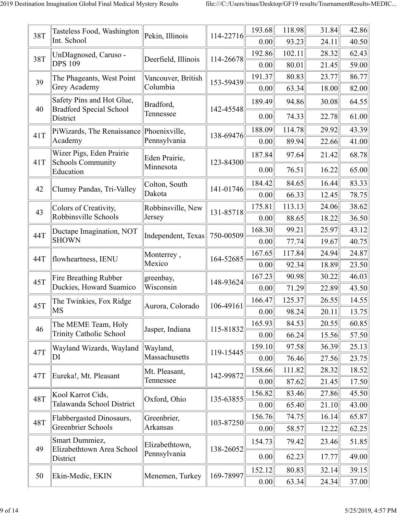| 38T        | Tasteless Food, Washington                                  | Pekin, Illinois         | 114-22716 | 193.68 | 118.98 | 31.84 | 42.86 |
|------------|-------------------------------------------------------------|-------------------------|-----------|--------|--------|-------|-------|
|            | Int. School                                                 |                         |           | 0.00   | 93.23  | 24.11 | 40.50 |
| 38T        | UnDIagnosed, Caruso -                                       | Deerfield, Illinois     | 114-26678 | 192.86 | 102.11 | 28.32 | 62.43 |
|            | <b>DPS 109</b>                                              |                         |           | 0.00   | 80.01  | 21.45 | 59.00 |
| 39         | The Phageants, West Point                                   | Vancouver, British      | 153-59439 | 191.37 | 80.83  | 23.77 | 86.77 |
|            | Grey Academy                                                | Columbia                |           | 0.00   | 63.34  | 18.00 | 82.00 |
| 40         | Safety Pins and Hot Glue,<br><b>Bradford Special School</b> | Bradford,<br>Tennessee  | 142-45548 | 189.49 | 94.86  | 30.08 | 64.55 |
|            | District                                                    |                         |           | 0.00   | 74.33  | 22.78 | 61.00 |
| 41T        | PiWizards, The Renaissance                                  | Phoenixville,           | 138-69476 | 188.09 | 114.78 | 29.92 | 43.39 |
|            | Academy                                                     | Pennsylvania            |           | 0.00   | 89.94  | 22.66 | 41.00 |
| 41T        | Wizer Pigs, Eden Prairie<br><b>Schools Community</b>        | Eden Prairie,           | 123-84300 | 187.84 | 97.64  | 21.42 | 68.78 |
|            | Education                                                   | Minnesota               |           | 0.00   | 76.51  | 16.22 | 65.00 |
| 42         | Clumsy Pandas, Tri-Valley                                   | Colton, South           | 141-01746 | 184.42 | 84.65  | 16.44 | 83.33 |
|            |                                                             | Dakota                  |           | 0.00   | 66.33  | 12.45 | 78.75 |
| 43         | Colors of Creativity,                                       | Robbinsville, New       | 131-85718 | 175.81 | 113.13 | 24.06 | 38.62 |
|            | Robbinsville Schools                                        | Jersey                  |           | 0.00   | 88.65  | 18.22 | 36.50 |
| 44T        | Ductape Imagination, NOT                                    | Independent, Texas      | 750-00509 | 168.30 | 99.21  | 25.97 | 43.12 |
|            | <b>SHOWN</b>                                                |                         |           | 0.00   | 77.74  | 19.67 | 40.75 |
| 44T        | flowheartness, IENU                                         | Monterrey,              | 164-52685 | 167.65 | 117.84 | 24.94 | 24.87 |
|            |                                                             | Mexico                  |           | 0.00   | 92.34  | 18.89 | 23.50 |
| 45T        | <b>Fire Breathing Rubber</b>                                | greenbay,               | 148-93624 | 167.23 | 90.98  | 30.22 | 46.03 |
|            | Duckies, Howard Suamico                                     | Wisconsin               |           | 0.00   | 71.29  | 22.89 | 43.50 |
| 45T        | The Twinkies, Fox Ridge                                     | Aurora, Colorado        | 106-49161 | 166.47 | 125.37 | 26.55 | 14.55 |
|            | MS                                                          |                         |           | 0.00   | 98.24  | 20.11 | 13.75 |
| 46         | The MEME Team, Holy                                         | Jasper, Indiana         | 115-81832 | 165.93 | 84.53  | 20.55 | 60.85 |
|            | <b>Trinity Catholic School</b>                              |                         |           | 0.00   | 66.24  | 15.56 | 57.50 |
| 47T        | Wayland Wizards, Wayland                                    | Wayland,                | 119-15445 | 159.10 | 97.58  | 36.39 | 25.13 |
|            | DI                                                          | Massachusetts           |           | 0.00   | 76.46  | 27.56 | 23.75 |
| 47T        | Eureka!, Mt. Pleasant                                       | Mt. Pleasant,           | 142-99872 | 158.66 | 111.82 | 28.32 | 18.52 |
|            |                                                             | Tennessee               |           | 0.00   | 87.62  | 21.45 | 17.50 |
| 48T        | Kool Karrot Cids,                                           | Oxford, Ohio            | 135-63855 | 156.82 | 83.46  | 27.86 | 45.50 |
|            | Talawanda School District                                   |                         |           | 0.00   | 65.40  | 21.10 | 43.00 |
| <b>48T</b> | Flabbergasted Dinosaurs,<br>Greenbrier Schools              | Greenbrier,<br>Arkansas | 103-87250 | 156.76 | 74.75  | 16.14 | 65.87 |
|            |                                                             |                         |           | 0.00   | 58.57  | 12.22 | 62.25 |
| 49         | Smart Dummiez,<br>Elizabethtown Area School                 | Elizabethtown,          | 138-26052 | 154.73 | 79.42  | 23.46 | 51.85 |
|            | District                                                    | Pennsylvania            |           | 0.00   | 62.23  | 17.77 | 49.00 |
| 50         | Ekin-Medic, EKIN                                            | Menemen, Turkey         | 169-78997 | 152.12 | 80.83  | 32.14 | 39.15 |
|            |                                                             |                         |           | 0.00   | 63.34  | 24.34 | 37.00 |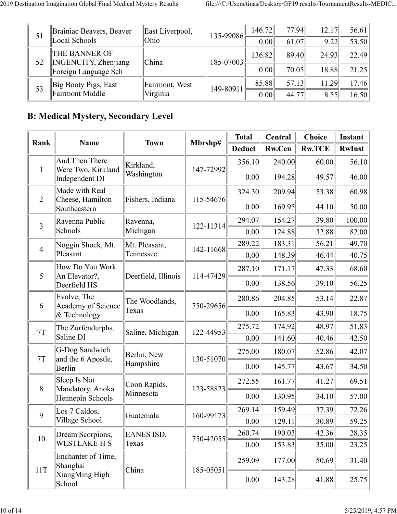| 51 | Brainiac Beavers, Beaver<br>Local Schools                      | East Liverpool,<br>Ohio | $135 - 99086$ | 146.72<br>0.00 | 77.94<br>61.07 | 12.17<br>9.22 | 56.61<br>53.50 |
|----|----------------------------------------------------------------|-------------------------|---------------|----------------|----------------|---------------|----------------|
|    | <b>THE BANNER OF</b><br><b>INGENUITY, Zhenjiang</b><br>  China |                         | 136.82        | 89.40          | 24.93          | 22.49         |                |
| 52 | Foreign Language Sch                                           |                         | 185-07003     | 0.00           | 70.05          | 18.88         | 21.25          |
|    | Big Booty Pigs, East                                           | Fairmont, West          | 149-80911     | 85.88          | 57.13          | 11.29         | 17.46          |
| 53 | Fairmont Middle                                                | Virginia                |               | 0.00           | 44.77          | 8.55          | 16.50          |

## **B: Medical Mystery, Secondary Level**

| Rank           | <b>Name</b>                          | <b>Town</b>             | Mbrshp#   | <b>Total</b>  | Central       | <b>Choice</b> | Instant       |
|----------------|--------------------------------------|-------------------------|-----------|---------------|---------------|---------------|---------------|
|                |                                      |                         |           | <b>Deduct</b> | <b>Rw.Cen</b> | <b>Rw.TCE</b> | <b>RwInst</b> |
| $\mathbf{1}$   | And Then There<br>Were Two, Kirkland | Kirkland,<br>Washington | 147-72992 | 356.10        | 240.00        | 60.00         | 56.10         |
|                | Independent DI                       |                         |           | 0.00          | 194.28        | 49.57         | 46.00         |
| $\overline{2}$ | Made with Real<br>Cheese, Hamilton   | Fishers, Indiana        | 115-54676 | 324.30        | 209.94        | 53.38         | 60.98         |
|                | Southeastern                         |                         |           | 0.00          | 169.95        | 44.10         | 50.00         |
| 3              | Ravenna Public                       | Ravenna,                | 122-11314 | 294.07        | 154.27        | 39.80         | 100.00        |
|                | Schools                              | Michigan                |           | 0.00          | 124.88        | 32.88         | 82.00         |
| $\overline{4}$ | Noggin Shock, Mt.                    | Mt. Pleasant,           | 142-11668 | 289.22        | 183.31        | 56.21         | 49.70         |
|                | Pleasant                             | Tennessee               |           | 0.00          | 148.39        | 46.44         | 40.75         |
| 5              | How Do You Work<br>An Elevator?,     | Deerfield, Illinois     | 114-47429 | 287.10        | 171.17        | 47.33         | 68.60         |
|                | Deerfield HS                         |                         |           | 0.00          | 138.56        | 39.10         | 56.25         |
| 6              | Evolve, The<br>Academy of Science    | The Woodlands,          | 750-29656 | 280.86        | 204.85        | 53.14         | 22.87         |
|                | & Technology                         | Texas                   |           | 0.00          | 165.83        | 43.90         | 18.75         |
| $7\mathrm{T}$  | The Zurfendurphs,                    | Saline, Michigan        | 122-44953 | 275.72        | 174.92        | 48.97         | 51.83         |
|                | Saline DI                            |                         |           | 0.00          | 141.60        | 40.46         | 42.50         |
| 7T             | G-Dog Sandwich<br>and the 6 Apostle, | Berlin, New             | 130-51070 | 275.00        | 180.07        | 52.86         | 42.07         |
|                | Berlin                               | Hampshire               |           | 0.00          | 145.77        | 43.67         | 34.50         |
| 8              | Sleep Is Not<br>Mandatory, Anoka     | Coon Rapids,            | 123-58823 | 272.55        | 161.77        | 41.27         | 69.51         |
|                | Hennepin Schools                     | Minnesota               |           | 0.00          | 130.95        | 34.10         | 57.00         |
| 9              | Los 7 Caldos,                        | Guatemala               | 160-99173 | 269.14        | 159.49        | 37.39         | 72.26         |
|                | Village School                       |                         |           | 0.00          | 129.11        | 30.89         | 59.25         |
| 10             | Dream Scorpions,                     | EANES ISD,              | 750-42055 | 260.74        | 190.03        | 42.36         | 28.35         |
|                | <b>WESTLAKE H S</b>                  | Texas                   |           | 0.00          | 153.83        | 35.00         | 23.25         |
| 11T            | Enchanter of Time,<br>Shanghai       | China                   | 185-05051 | 259.09        | 177.00        | 50.69         | 31.40         |
|                | XiangMing High<br>School             |                         |           | 0.00          | 143.28        | 41.88         | 25.75         |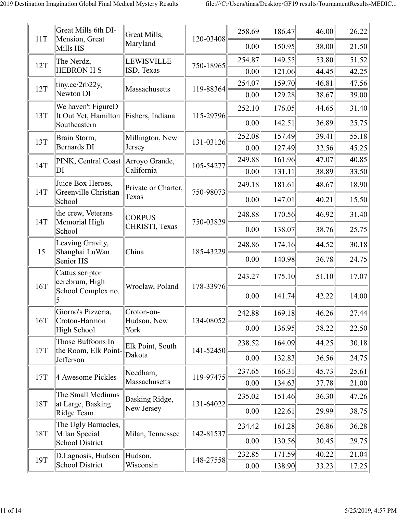| 11T | Great Mills 6th DI-<br>Mension, Great     | Great Mills,        | 120-03408 | 258.69         | 186.47           | 46.00          | 26.22          |
|-----|-------------------------------------------|---------------------|-----------|----------------|------------------|----------------|----------------|
|     | Mills HS                                  | Maryland            |           | 0.00           | 150.95           | 38.00          | 21.50          |
| 12T | The Nerdz,                                | <b>LEWISVILLE</b>   | 750-18965 | 254.87         | 149.55           | 53.80          | 51.52          |
|     | <b>HEBRON H S</b>                         | ISD, Texas          |           | 0.00           | 121.06           | 44.45          | 42.25          |
| 12T | $\text{tiny.cc/2rb22y},$<br>Newton DI     | Massachusetts       | 119-88364 | 254.07<br>0.00 | 159.70<br>129.28 | 46.81<br>38.67 | 47.56<br>39.00 |
|     | We haven't FigureD                        |                     |           | 252.10         | 176.05           | 44.65          | 31.40          |
| 13T | It Out Yet, Hamilton<br>Southeastern      | Fishers, Indiana    | 115-29796 | 0.00           | 142.51           | 36.89          | 25.75          |
|     | Brain Storm,                              | Millington, New     |           | 252.08         | 157.49           | 39.41          | 55.18          |
| 13T | <b>Bernards DI</b>                        | Jersey              | 131-03126 | 0.00           | 127.49           | 32.56          | 45.25          |
| 14T | PINK, Central Coast Arroyo Grande,        |                     | 105-54277 | 249.88         | 161.96           | 47.07          | 40.85          |
|     | DI                                        | California          |           | 0.00           | 131.11           | 38.89          | 33.50          |
| 14T | Juice Box Heroes,<br>Greenville Christian | Private or Charter, | 750-98073 | 249.18         | 181.61           | 48.67          | 18.90          |
|     | School                                    | Texas               |           | 0.00           | 147.01           | 40.21          | 15.50          |
| 14T | the crew, Veterans<br>Memorial High       | <b>CORPUS</b>       | 750-03829 | 248.88         | 170.56           | 46.92          | 31.40          |
|     | School                                    | CHRISTI, Texas      |           | 0.00           | 138.07           | 38.76          | 25.75          |
| 15  | Leaving Gravity,                          | China               | 185-43229 | 248.86         | 174.16           | 44.52          | 30.18          |
|     | Shanghai LuWan<br>Senior HS               |                     |           | 0.00           | 140.98           | 36.78          | 24.75          |
|     | Cattus scriptor<br>cerebrum, High         |                     |           | 243.27         | 175.10           | 51.10          | 17.07          |
| 16T | School Complex no.                        | Wroclaw, Poland     | 178-33976 | 0.00           | 141.74           | 42.22          | 14.00          |
|     | Giorno's Pizzeria,                        | Croton-on-          |           | 242.88         | 169.18           | 46.26          | 27.44          |
| 16T | Croton-Harmon<br>High School              | Hudson, New<br>York | 134-08052 | 0.00           | 136.95           | 38.22          | 22.50          |
| 17T | Those Buffoons In<br>the Room, Elk Point- | Elk Point, South    | 141-52450 | 238.52         | 164.09           | 44.25          | 30.18          |
|     | Jefferson                                 | Dakota              |           | 0.00           | 132.83           | 36.56          | 24.75          |
| 17T | 4 Awesome Pickles                         | Needham,            | 119-97475 | 237.65         | 166.31           | 45.73          | 25.61          |
|     |                                           | Massachusetts       |           | 0.00           | 134.63           | 37.78          | 21.00          |
|     | The Small Mediums                         | Basking Ridge,      |           | 235.02         | 151.46           | 36.30          | 47.26          |
| 18T | at Large, Basking<br>Ridge Team           | New Jersey          | 131-64022 | 0.00           | 122.61           | 29.99          | 38.75          |
|     | The Ugly Barnacles,                       |                     |           | 234.42         | 161.28           | 36.86          | 36.28          |
| 18T | Milan Special<br><b>School District</b>   | Milan, Tennessee    | 142-81537 | 0.00           | 130.56           | 30.45          | 29.75          |
| 19T | D.I.agnosis, Hudson                       | Hudson,             | 148-27558 | 232.85         | 171.59           | 40.22          | 21.04          |
|     | School District                           | Wisconsin           |           | 0.00           | 138.90           | 33.23          | 17.25          |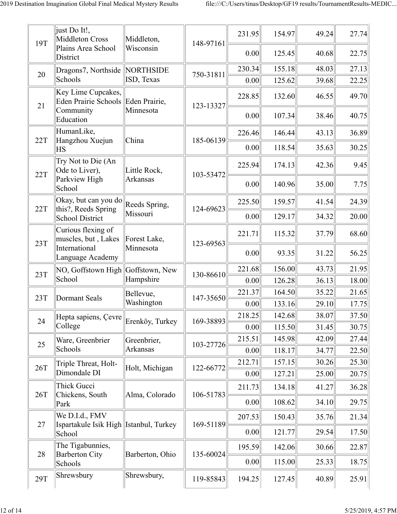| 19T        | just Do It!,<br>Middleton Cross                            | Middleton,                 | 148-97161 | 231.95 | 154.97 | 49.24 | 27.74 |
|------------|------------------------------------------------------------|----------------------------|-----------|--------|--------|-------|-------|
|            | Plains Area School<br>District                             | Wisconsin                  |           | 0.00   | 125.45 | 40.68 | 22.75 |
| 20         | Dragons7, Northside                                        | NORTHSIDE                  | 750-31811 | 230.34 | 155.18 | 48.03 | 27.13 |
|            | Schools                                                    | ISD, Texas                 |           | 0.00   | 125.62 | 39.68 | 22.25 |
| 21         | Key Lime Cupcakes,<br>Eden Prairie Schools<br>Community    | Eden Prairie,<br>Minnesota | 123-13327 | 228.85 | 132.60 | 46.55 | 49.70 |
|            | Education                                                  |                            |           | 0.00   | 107.34 | 38.46 | 40.75 |
|            | HumanLike,                                                 |                            |           | 226.46 | 146.44 | 43.13 | 36.89 |
| 22T        | Hangzhou Xuejun<br>ΗS                                      | China                      | 185-06139 | 0.00   | 118.54 | 35.63 | 30.25 |
| 22T        | Try Not to Die (An<br>Ode to Liver),                       | Little Rock,               | 103-53472 | 225.94 | 174.13 | 42.36 | 9.45  |
|            | Parkview High<br>School                                    | <b>Arkansas</b>            |           | 0.00   | 140.96 | 35.00 | 7.75  |
| 22T        | Okay, but can you do<br>this?, Reeds Spring                | Reeds Spring,              | 124-69623 | 225.50 | 159.57 | 41.54 | 24.39 |
|            | School District                                            | Missouri                   |           | 0.00   | 129.17 | 34.32 | 20.00 |
| 23T        | Curious flexing of<br>muscles, but, Lakes                  | Forest Lake,               | 123-69563 | 221.71 | 115.32 | 37.79 | 68.60 |
|            | International<br>Language Academy                          | Minnesota                  |           | 0.00   | 93.35  | 31.22 | 56.25 |
| 23T        | NO, Goffstown High Goffstown, New                          |                            | 130-86610 | 221.68 | 156.00 | 43.73 | 21.95 |
|            | School                                                     | Hampshire                  |           | 0.00   | 126.28 | 36.13 | 18.00 |
| 23T        | <b>Dormant Seals</b>                                       | Bellevue,                  | 147-35650 | 221.37 | 164.50 | 35.22 | 21.65 |
|            |                                                            | Washington                 |           | 0.00   | 133.16 | 29.10 | 17.75 |
| 24         | Hepta sapiens, Çevre                                       | Erenköy, Turkey            | 169-38893 | 218.25 | 142.68 | 38.07 | 37.50 |
|            | College                                                    |                            |           | 0.00   | 115.50 | 31.45 | 30.75 |
| 25         | Ware, Greenbrier                                           | Greenbrier,                | 103-27726 | 215.51 | 145.98 | 42.09 | 27.44 |
|            | Schools                                                    | <b>Arkansas</b>            |           | 0.00   | 118.17 | 34.77 | 22.50 |
| 26T        | Triple Threat, Holt-                                       | Holt, Michigan             | 122-66772 | 212.71 | 157.15 | 30.26 | 25.30 |
|            | Dimondale DI                                               |                            |           | 0.00   | 127.21 | 25.00 | 20.75 |
| 26T        | Thick Gucci<br>Chickens, South                             | Alma, Colorado             | 106-51783 | 211.73 | 134.18 | 41.27 | 36.28 |
|            | Park                                                       |                            |           | 0.00   | 108.62 | 34.10 | 29.75 |
| 27         | We D.I.d., FMV<br>Ispartakule Isik High   Istanbul, Turkey |                            | 169-51189 | 207.53 | 150.43 | 35.76 | 21.34 |
|            | School                                                     |                            |           | 0.00   | 121.77 | 29.54 | 17.50 |
| 28         | The Tigabunnies,<br><b>Barberton City</b>                  | Barberton, Ohio            | 135-60024 | 195.59 | 142.06 | 30.66 | 22.87 |
|            | Schools                                                    |                            |           | 0.00   | 115.00 | 25.33 | 18.75 |
| <b>29T</b> | Shrewsbury                                                 | Shrewsbury,                | 119-85843 | 194.25 | 127.45 | 40.89 | 25.91 |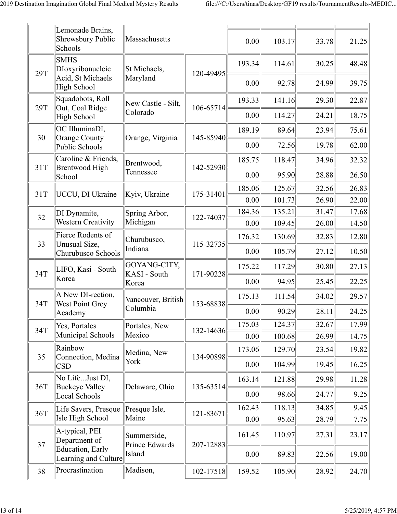|            | Lemonade Brains,<br><b>Shrewsbury Public</b><br>Schools                    | Massachusetts                         |               | 0.00           | 103.17           | 33.78          | 21.25          |
|------------|----------------------------------------------------------------------------|---------------------------------------|---------------|----------------|------------------|----------------|----------------|
| 29T        | <b>SMHS</b><br>DIoxyribonucleic<br>Acid, St Michaels<br><b>High School</b> | St Michaels,<br>Maryland              | 120-49495     | 193.34<br>0.00 | 114.61<br>92.78  | 30.25<br>24.99 | 48.48<br>39.75 |
| <b>29T</b> | Squadobots, Roll<br>Out, Coal Ridge<br><b>High School</b>                  | New Castle - Silt,<br>Colorado        | 106-65714     | 193.33<br>0.00 | 141.16<br>114.27 | 29.30<br>24.21 | 22.87<br>18.75 |
| 30         | OC IlluminaDI,<br>Orange County<br>Public Schools                          | Orange, Virginia                      | 145-85940     | 189.19<br>0.00 | 89.64<br>72.56   | 23.94<br>19.78 | 75.61<br>62.00 |
| 31T        | Caroline & Friends,<br><b>Brentwood High</b><br>School                     | Brentwood,<br>Tennessee               | 142-52930     | 185.75<br>0.00 | 118.47<br>95.90  | 34.96<br>28.88 | 32.32<br>26.50 |
| 31T        | <b>UCCU</b> , DI Ukraine                                                   | Kyiv, Ukraine                         | 175-31401     | 185.06<br>0.00 | 125.67<br>101.73 | 32.56<br>26.90 | 26.83<br>22.00 |
| 32         | DI Dynamite,<br><b>Western Creativity</b>                                  | Spring Arbor,<br>Michigan             | 122-74037     | 184.36<br>0.00 | 135.21<br>109.45 | 31.47<br>26.00 | 17.68<br>14.50 |
| 33         | Fierce Rodents of<br>Unusual Size,<br>Churubusco Schools                   | Churubusco,<br>Indiana                | 115-32735     | 176.32<br>0.00 | 130.69<br>105.79 | 32.83<br>27.12 | 12.80<br>10.50 |
| 34T        | LIFO, Kasi - South<br>Korea                                                | GOYANG-CITY,<br>KASI - South<br>Korea | 171-90228     | 175.22<br>0.00 | 117.29<br>94.95  | 30.80<br>25.45 | 27.13<br>22.25 |
| 34T        | A New DI-rection,<br><b>West Point Grey</b>                                | Vancouver, British<br>Columbia        | 153-68838     | 175.13<br>0.00 | 111.54<br>90.29  | 34.02<br>28.11 | 29.57<br>24.25 |
| 34T        | Academy<br>Yes, Portales<br>Municipal Schools                              | Portales, New<br>Mexico               | 132-14636     | 175.03<br>0.00 | 124.37<br>100.68 | 32.67<br>26.99 | 17.99<br>14.75 |
| 35         | Rainbow<br>Connection, Medina<br><b>CSD</b>                                | Medina, New<br>York                   | 134-90898     | 173.06<br>0.00 | 129.70<br>104.99 | 23.54<br>19.45 | 19.82<br>16.25 |
| 36T        | No LifeJust DI,<br><b>Buckeye Valley</b><br>Local Schools                  | Delaware, Ohio                        | 135-63514     | 163.14<br>0.00 | 121.88<br>98.66  | 29.98<br>24.77 | 11.28<br>9.25  |
| 36T        | Life Savers, Presque<br>Isle High School                                   | Presque Isle,<br>Maine                | 121-83671     | 162.43<br>0.00 | 118.13<br>95.63  | 34.85<br>28.79 | 9.45<br>7.75   |
| 37         | A-typical, PEI<br>Department of<br><b>Education</b> , Early                | Summerside,<br>Prince Edwards         | 207-12883     | 161.45         | 110.97           | 27.31          | 23.17          |
| 38         | Learning and Culture<br>Procrastination                                    | Island<br>Madison,                    | $102 - 17518$ | 0.00<br>159.52 | 89.83<br>105.90  | 22.56<br>28.92 | 19.00<br>24.70 |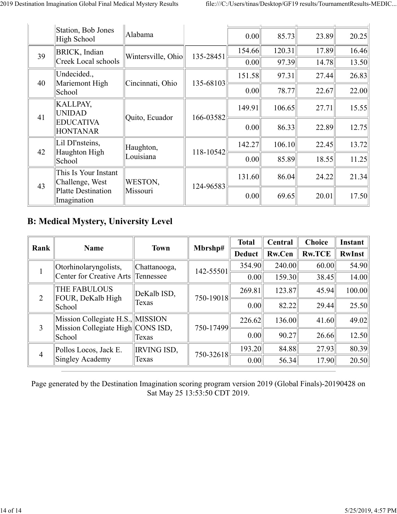|    | Station, Bob Jones<br>High School                               | Alabama            |           | 0.00                                                                                                                                         | 85.73  | 23.89 | 20.25 |
|----|-----------------------------------------------------------------|--------------------|-----------|----------------------------------------------------------------------------------------------------------------------------------------------|--------|-------|-------|
| 39 | <b>BRICK</b> , Indian                                           | Wintersville, Ohio | 135-28451 | 154.66                                                                                                                                       | 120.31 | 17.89 | 16.46 |
|    | Creek Local schools                                             |                    |           |                                                                                                                                              |        | 14.78 | 13.50 |
| 40 | Undecided.,<br>Mariemont High                                   | Cincinnati, Ohio   | 135-68103 |                                                                                                                                              | 97.31  | 27.44 | 26.83 |
|    | School                                                          |                    |           |                                                                                                                                              |        | 22.67 | 22.00 |
| 41 | <b>KALLPAY,</b><br><b>UNIDAD</b><br>Quito, Ecuador<br>166-03582 |                    | 149.91    |                                                                                                                                              | 27.71  | 15.55 |       |
|    | <b>EDUCATIVA</b><br><b>HONTANAR</b>                             |                    |           |                                                                                                                                              |        | 22.89 | 12.75 |
| 42 | Lil DI'nsteins,<br>Haughton High                                | Haughton,          | 118-10542 |                                                                                                                                              |        | 22.45 | 13.72 |
|    | School                                                          | Louisiana          |           |                                                                                                                                              |        | 18.55 | 11.25 |
|    | This Is Your Instant<br>Challenge, West                         | WESTON,            | 124-96583 |                                                                                                                                              |        | 24.22 | 21.34 |
| 43 | Platte Destination<br>Imagination                               | Missouri           |           | 97.39<br>0.00<br>151.58<br>0.00<br>78.77<br>106.65<br>86.33<br>0.00<br>106.10<br>142.27<br>85.89<br>0.00<br>86.04<br>131.60<br>0.00<br>69.65 |        | 20.01 | 17.50 |

## **B: Medical Mystery, University Level**

| Rank           | <b>Name</b>                                                           | <b>Town</b>        | Mbrshp#   | <b>Total</b>              | Central       | <b>Choice</b> | <b>Instant</b> |
|----------------|-----------------------------------------------------------------------|--------------------|-----------|---------------------------|---------------|---------------|----------------|
|                |                                                                       |                    |           | <b>Deduct</b>             | <b>Rw.Cen</b> | <b>Rw.TCE</b> | <b>RwInst</b>  |
|                | Otorhinolaryngolists,                                                 | Chattanooga,       | 142-55501 | 354.90                    | 240.00        | 60.00         | 54.90          |
|                | Center for Creative Arts Tennessee                                    |                    |           | 0.00                      | 159.30        | 38.45         | 14.00          |
|                | <b>THE FABULOUS</b><br>FOUR, DeKalb High                              | DeKalb ISD,        | 750-19018 | 269.81<br>123.87<br>45.94 | 100.00        |               |                |
| 2              | School                                                                | Texas              |           | 0.00                      | 82.22         | 29.44         | 25.50          |
|                | Mission Collegiate H.S., MISSION<br>Mission Collegiate High CONS ISD, |                    | 750-17499 | 226.62                    | 136.00        | 41.60         | 49.02          |
| 3              | School                                                                | Texas              |           | 0.00                      | 90.27         | 26.66         | 12.50          |
| $\overline{4}$ | Pollos Locos, Jack E.                                                 | <b>IRVING ISD,</b> | 750-32618 | 193.20                    | 84.88         | 27.93         | 80.39          |
|                | Singley Academy                                                       | Texas              |           | 0.00                      | 56.34         | 17.90         | 20.50          |

Page generated by the Destination Imagination scoring program version 2019 (Global Finals)-20190428 on Sat May 25 13:53:50 CDT 2019.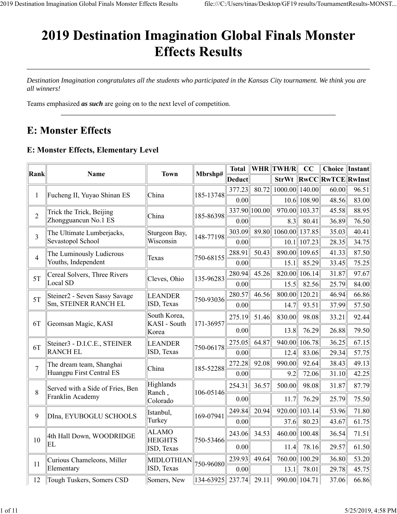# 2019 Destination Imagination Global Finals Monster **Effects Results**

*Destination Imagination congratulates all the students who participated in the Kansas City tournament. We think you are all winners!*

Teams emphasized *as such* are going on to the next level of competition.

## **E: Monster Effects**

#### **E: Monster Effects, Elementary Level**

| Rank           | <b>Name</b>                      | <b>Town</b>                  | Mbrshp#                  | <b>Total</b>  |       | WHR TWH/R         | CC               | <b>Choice</b>         | Instant |
|----------------|----------------------------------|------------------------------|--------------------------|---------------|-------|-------------------|------------------|-----------------------|---------|
|                |                                  |                              |                          | Deduct        |       |                   |                  | StrWt RwCCRwTCERwInst |         |
| $\mathbf{1}$   | Fucheng II, Yuyao Shinan ES      | China                        | 185-13748                | 377.23        | 80.72 | 1000.00           | 140.00           | 60.00                 | 96.51   |
|                |                                  |                              |                          | 0.00          |       |                   | $10.6$    108.90 | 48.56                 | 83.00   |
| $\sqrt{2}$     | Trick the Trick, Beijing         | China                        | 185-86398                | 337.90 100.00 |       | 970.00            | 103.37           | 45.58                 | 88.95   |
|                | Zhongguancun No.1 ES             |                              |                          | 0.00          |       | 8.3               | 80.41            | 36.89                 | 76.50   |
| 3              | The Ultimate Lumberjacks,        | Sturgeon Bay,                | 148-77198                | 303.09        |       | 89.80 1060.00     | 137.85           | 35.03                 | 40.41   |
|                | Sevastopol School                | Wisconsin                    |                          | 0.00          |       | 10.1              | 107.23           | 28.35                 | 34.75   |
| $\overline{4}$ | The Luminously Ludicrous         | Texas                        | 750-68155                | 288.91        | 50.43 | 890.00            | 109.65           | 41.33                 | 87.50   |
|                | Youths, Independent              |                              |                          | 0.00          |       | 15.1              | 85.29            | 33.45                 | 75.25   |
| 5T             | Cereal Solvers, Three Rivers     | Cleves, Ohio                 | 135-96283                | 280.94        | 45.26 | 820.00            | 106.14           | 31.87                 | 97.67   |
|                | Local SD                         |                              |                          | 0.00          |       | 15.5              | 82.56            | 25.79                 | 84.00   |
| 5T             | Steiner2 - Seven Sassy Savage    | <b>LEANDER</b>               | 750-93036                | 280.57        | 46.56 | 800.00            | 120.21           | 46.94                 | 66.86   |
|                | Sm, STEINER RANCH EL             | ISD, Texas                   |                          | 0.00          |       | 14.7              | 93.51            | 37.99                 | 57.50   |
|                |                                  | South Korea,                 |                          | 275.19        | 51.46 | 830.00            | 98.08            | 33.21                 | 92.44   |
| 6T             | Geomsan Magic, KASI              | KASI - South<br>Korea        | 171-36957                | 0.00          |       | 13.8              | 76.29            | 26.88                 | 79.50   |
| 6T             | Steiner3 - D.I.C.E., STEINER     | <b>LEANDER</b>               | 750-06178                | 275.05        | 64.87 | 940.00            | 106.78           | 36.25                 | 67.15   |
|                | <b>RANCH EL</b>                  | ISD, Texas                   |                          | 0.00          |       | 12.4              | 83.06            | 29.34                 | 57.75   |
| $\overline{7}$ | The dream team, Shanghai         | China                        | 185-52288                | 272.28        | 92.08 | 990.00            | 92.64            | 38.43                 | 49.13   |
|                | Huangpu First Central ES         |                              |                          | 0.00          |       | 9.2               | 72.06            | 31.10                 | 42.25   |
| 8              | Served with a Side of Fries, Ben | Highlands<br>Ranch,          | 106-05146                | 254.31        | 36.57 | 500.00            | 98.08            | 31.87                 | 87.79   |
|                | Franklin Academy                 | Colorado                     |                          | 0.00          |       | 11.7              | 76.29            | 25.79                 | 75.50   |
|                |                                  | Istanbul,                    |                          | 249.84        | 20.94 | 920.00            | 103.14           | 53.96                 | 71.80   |
| 9              | DIna, EYUBOGLU SCHOOLS           | Turkey                       | 169-07941                | 0.00          |       | 37.6              | 80.23            | 43.67                 | 61.75   |
|                | 4th Hall Down, WOODRIDGE         | <b>ALAMO</b>                 |                          | 243.06        | 34.53 | 460.00            | 100.48           | 36.54                 | 71.51   |
| 10             | EL                               | <b>HEIGHTS</b><br>ISD, Texas | 750-53466                | 0.00          |       | 11.4              | 78.16            | 29.57                 | 61.50   |
| 11             | Curious Chameleons, Miller       | MIDLOTHIAN                   | 750-96080                | 239.93        | 49.64 | 760.00            | 100.29           | 36.80                 | 53.20   |
|                | Elementary                       | ISD, Texas                   |                          | 0.00          |       | 13.1              | 78.01            | 29.78                 | 45.75   |
| 12             | Tough Tuskers, Somers CSD        | Somers, New                  | $134-63925$ 237.74 29.11 |               |       | $990.00$   104.71 |                  | 37.06                 | 66.86   |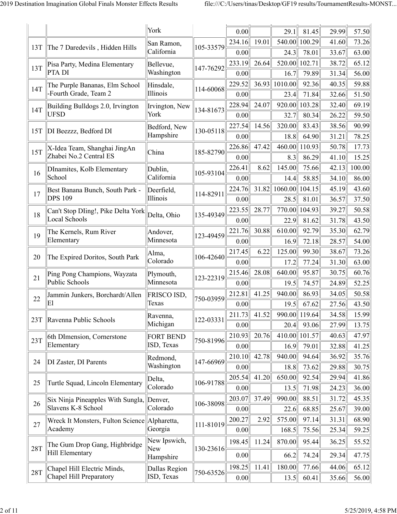|            |                                                         | York                           |                                                                                                                                                                                                                                                                  | 0.00           |       | 29.1              | 81.45          | 29.99          | 57.50          |
|------------|---------------------------------------------------------|--------------------------------|------------------------------------------------------------------------------------------------------------------------------------------------------------------------------------------------------------------------------------------------------------------|----------------|-------|-------------------|----------------|----------------|----------------|
| 13T        | The 7 Daredevils, Hidden Hills                          | San Ramon,                     |                                                                                                                                                                                                                                                                  | 234.16         | 19.01 | 540.00            | 100.29         | 41.60          | 73.26          |
|            |                                                         | California                     |                                                                                                                                                                                                                                                                  | 0.00           |       | 24.3              | 78.01          | 33.67          | 63.00          |
| 13T        | Pisa Party, Medina Elementary                           | Bellevue,                      | 147-76292                                                                                                                                                                                                                                                        | 233.19         | 26.64 | 520.00            | 102.71         | 38.72          | 65.12          |
|            | PTA DI                                                  | Washington                     | 105-33579<br>114-60068<br>134-81673<br>130-05118<br>185-82790<br>105-93104<br>114-82911<br>135-49349<br>123-49459<br>106-42640<br>123-22319<br>750-03959<br>122-03331<br>750-81996<br>147-66969<br>106-91788<br>106-38098<br>111-81019<br>130-23616<br>750-63526 | 0.00           |       | 16.7              | 79.89          | 31.34          | 56.00          |
| 14T        | The Purple Bananas, Elm School                          | Hinsdale,                      |                                                                                                                                                                                                                                                                  | 229.52         | 36.93 | 1010.00           | 92.36          | 40.35          | 59.88          |
|            | -Fourth Grade, Team 2                                   | Illinois                       |                                                                                                                                                                                                                                                                  | 0.00           |       | 23.4              | 71.84          | 32.66          | 51.50          |
| 14T        | Building Bulldogs 2.0, Irvington                        | Irvington, New                 |                                                                                                                                                                                                                                                                  | 228.94         | 24.07 | 920.00            | 103.28         | 32.40          | 69.19          |
|            | <b>UFSD</b>                                             | York                           |                                                                                                                                                                                                                                                                  | 0.00           |       | 32.7              | 80.34          | 26.22          | 59.50          |
| 15T        | DI Beezzz, Bedford DI                                   | Bedford, New                   |                                                                                                                                                                                                                                                                  | 227.54         | 14.56 | 320.00            | 83.43          | 38.56          | 90.99          |
|            |                                                         | Hampshire                      |                                                                                                                                                                                                                                                                  | 0.00           |       | 18.8              | 64.90          | 31.21          | 78.25          |
| 15T        | X-Idea Team, Shanghai JingAn                            | China                          |                                                                                                                                                                                                                                                                  | 226.86         | 47.42 | 460.00            | 110.93         | 50.78          | 17.73          |
|            | Zhabei No.2 Central ES                                  |                                |                                                                                                                                                                                                                                                                  | 0.00           |       | 8.3               | 86.29          | 41.10          | 15.25          |
| 16         | DInamites, Kolb Elementary                              | Dublin,                        |                                                                                                                                                                                                                                                                  | 226.41         | 8.62  | 145.00            | 75.66          | 42.13          | 100.00         |
|            | School                                                  | California                     |                                                                                                                                                                                                                                                                  | 0.00           |       | 14.4              | 58.85          | 34.10          | 86.00          |
| 17         | Best Banana Bunch, South Park -<br><b>DPS 109</b>       | Deerfield,                     |                                                                                                                                                                                                                                                                  | 224.76         | 31.82 | 1060.00 104.15    |                | 45.19          | 43.60          |
|            |                                                         | Illinois                       |                                                                                                                                                                                                                                                                  | 0.00           |       | 28.5              | 81.01          | 36.57          | 37.50          |
| 18         | Can't Stop DIing!, Pike Delta York<br>Local Schools     | Delta, Ohio                    |                                                                                                                                                                                                                                                                  | 223.55         | 28.77 | 770.00            | 104.93         | 39.27          | 50.58          |
|            |                                                         |                                |                                                                                                                                                                                                                                                                  | 0.00           |       | 22.9              | 81.62          | 31.78          | 43.50          |
| 19         | The Kernels, Rum River                                  | Andover,                       |                                                                                                                                                                                                                                                                  | 221.76         | 30.88 | 610.00            | 92.79          | 35.30          | 62.79          |
|            | Elementary                                              | Minnesota                      |                                                                                                                                                                                                                                                                  | 0.00           |       | 16.9              | 72.18          | 28.57          | 54.00          |
| 20         | The Expired Doritos, South Park                         | Alma,<br>Colorado              |                                                                                                                                                                                                                                                                  | 217.45         | 6.22  | 125.00            | 99.30          | 38.67          | 73.26          |
|            |                                                         |                                |                                                                                                                                                                                                                                                                  | 0.00           |       | 17.2              | 77.24          | 31.30          | 63.00          |
| 21         | Ping Pong Champions, Wayzata<br>Public Schools          | Plymouth,<br>Minnesota         |                                                                                                                                                                                                                                                                  | 215.46         | 28.08 | 640.00            | 95.87          | 30.75          | 60.76          |
|            |                                                         |                                |                                                                                                                                                                                                                                                                  | 0.00           |       | 19.5              | 74.57          | 24.89          | 52.25          |
| 22         | Jammin Junkers, Borchardt/Allen<br>E1                   | <b>FRISCO ISD,</b>             |                                                                                                                                                                                                                                                                  | 212.81         | 41.25 | 940.00            | 86.93          | 34.05          | 50.58          |
|            |                                                         | Texas                          |                                                                                                                                                                                                                                                                  | 0.00           |       | 19.5              | 67.62          | 27.56          | 43.50          |
| 23T        | Ravenna Public Schools                                  | Ravenna,<br>Michigan           |                                                                                                                                                                                                                                                                  | 211.73         | 41.52 | $990.00$   119.64 |                | 34.58          | 15.99          |
|            |                                                         |                                |                                                                                                                                                                                                                                                                  | 0.00           |       | 20.4              | 93.06          | 27.99          | 13.75          |
| 23T        | 6th DImension, Cornerstone<br>Elementary                | <b>FORT BEND</b><br>ISD, Texas |                                                                                                                                                                                                                                                                  | 210.93         | 20.76 | 410.00            | 101.57         | 40.63          | 47.97          |
|            |                                                         |                                |                                                                                                                                                                                                                                                                  | 0.00           | 42.78 | 16.9<br>940.00    | 79.01          | 32.88          | 41.25          |
| 24         | DI Zaster, DI Parents                                   | Redmond,<br>Washington         |                                                                                                                                                                                                                                                                  | 210.10         |       |                   | 94.64<br>73.62 | 36.92          | 35.76          |
|            |                                                         |                                |                                                                                                                                                                                                                                                                  | 0.00           |       | 18.8              |                | 29.88          | 30.75          |
| 25         | Turtle Squad, Lincoln Elementary                        | Delta,<br>Colorado             |                                                                                                                                                                                                                                                                  | 205.54<br>0.00 | 41.20 | 650.00<br>13.5    | 92.54<br>71.98 | 29.94<br>24.23 | 41.86<br>36.00 |
|            |                                                         |                                |                                                                                                                                                                                                                                                                  |                | 37.49 |                   |                |                |                |
| 26         | Six Ninja Pineapples With Sungla,<br>Slavens K-8 School | Denver,<br>Colorado            |                                                                                                                                                                                                                                                                  | 203.07<br>0.00 |       | 990.00<br>22.6    | 88.51<br>68.85 | 31.72<br>25.67 | 45.35<br>39.00 |
|            |                                                         |                                |                                                                                                                                                                                                                                                                  | 200.27         | 2.92  | 575.00            | 97.14          | 31.31          | 68.90          |
| 27         | Wreck It Monsters, Fulton Science<br>Academy            | Alpharetta,<br>Georgia         |                                                                                                                                                                                                                                                                  | 0.00           |       | 168.5             | 75.56          | 25.34          | 59.25          |
|            |                                                         |                                |                                                                                                                                                                                                                                                                  |                |       |                   |                |                |                |
| <b>28T</b> | The Gum Drop Gang, Highbridge                           | New Ipswich,<br>New            |                                                                                                                                                                                                                                                                  | 198.45         | 11.24 | 870.00            | 95.44          | 36.25          | 55.52          |
|            | Hill Elementary                                         | Hampshire                      |                                                                                                                                                                                                                                                                  | 0.00           |       | 66.2              | 74.24          | 29.34          | 47.75          |
| 28T        | Chapel Hill Electric Minds,                             | Dallas Region                  |                                                                                                                                                                                                                                                                  | 198.25         | 11.41 | 180.00            | 77.66          | 44.06          | 65.12          |
|            | Chapel Hill Preparatory                                 | ISD, Texas                     |                                                                                                                                                                                                                                                                  | 0.00           |       | 13.5              | 60.41          | 35.66          | 56.00          |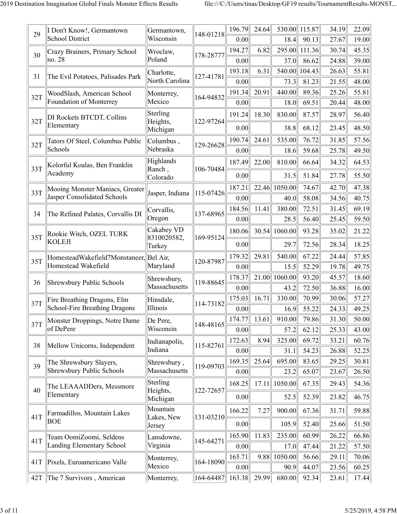| 29  | I Don't Know!, Germantown               | Germantown,               | 148-01218 | 196.79       | 24.64 |         | 530.00 115.87 | 34.19 | 22.09 |
|-----|-----------------------------------------|---------------------------|-----------|--------------|-------|---------|---------------|-------|-------|
|     | <b>School District</b>                  | Wisconsin                 |           | 0.00         |       | 18.4    | 90.13         | 27.67 | 19.00 |
| 30  | Crazy Brainers, Primary School          | Wroclaw,                  | 178-28777 | 194.27       | 6.82  | 295.00  | 111.36        | 30.74 | 45.35 |
|     | no. 28                                  | Poland                    |           | 0.00         |       | 37.0    | 86.62         | 24.88 | 39.00 |
| 31  | The Evil Potatoes, Palisades Park       | Charlotte,                | 127-41781 | 193.18       | 6.31  | 540.00  | 104.43        | 26.63 | 55.81 |
|     |                                         | North Carolina            |           | 0.00         |       | 73.3    | 81.23         | 21.55 | 48.00 |
| 32T | WoodSlash, American School              | Monterrey,                | 164-94832 | 191.34       | 20.91 | 440.00  | 89.36         | 25.26 | 55.81 |
|     | Foundation of Monterrey                 | Mexico                    |           | 0.00         |       | 18.0    | 69.51         | 20.44 | 48.00 |
| 32T | DI Rockets BTCDT, Collins               | Sterling<br>Heights,      | 122-97264 | 191.24       | 18.30 | 830.00  | 87.57         | 28.97 | 56.40 |
|     | Elementary                              | Michigan                  |           | 0.00         |       | 38.8    | 68.12         | 23.45 | 48.50 |
| 32T | Tators Of Steel, Columbus Public        | Columbus,                 | 129-26628 | 190.74       | 24.61 | 535.00  | 76.72         | 31.85 | 57.56 |
|     | Schools                                 | Nebraska                  |           | 0.00         |       | 18.6    | 59.68         | 25.78 | 49.50 |
| 33T | Kolorful Koalas, Ben Franklin           | Highlands<br>Ranch,       | 106-70484 | 187.49       | 22.00 | 810.00  | 66.64         | 34.32 | 64.53 |
|     | Academy                                 | Colorado                  |           | 0.00         |       | 31.5    | 51.84         | 27.78 | 55.50 |
| 33T | Mooing Monster Maniacs, Greater         | Jasper, Indiana           | 115-07426 | 187.21       | 22.46 | 1050.00 | 74.67         | 42.70 | 47.38 |
|     | Jasper Consolidated Schools             |                           |           | 0.00         |       | 40.0    | 58.08         | 34.56 | 40.75 |
|     |                                         | Corvallis,                |           | 184.56       | 11.41 | 380.00  | 72.51         | 31.45 | 69.19 |
| 34  | The Refined Palates, Corvallis DI       | Oregon                    | 137-68965 | 0.00         |       | 28.5    | 56.40         | 25.45 | 59.50 |
| 35T | Rookie Witch, OZEL TURK                 | Cakabey VD<br>8310020582, | 169-95124 | 180.06       | 30.54 | 1060.00 | 93.28         | 35.02 | 21.22 |
|     | <b>KOLEJI</b>                           | Turkey                    |           | 0.00         |       | 29.7    | 72.56         | 28.34 | 18.25 |
|     | HomesteadWakefield7Monstaneer, Bel Air, |                           |           | 179.32       | 29.81 | 540.00  | 67.22         | 24.44 | 57.85 |
| 35T | Homestead Wakefield                     | Maryland                  | 120-87987 | 0.00         |       | 15.5    | 52.29         | 19.78 | 49.75 |
|     |                                         | Shrewsbury,               |           | 178.37       | 21.00 | 1060.00 | 93.20         | 45.57 | 18.60 |
| 36  | Shrewsbury Public Schools               | Massachusetts             | 119-88645 | 0.00         |       | 43.2    | 72.50         | 36.88 | 16.00 |
| 37T | Fire Breathing Dragons, Elm             | Hinsdale,                 |           | 175.03       | 16.71 | 330.00  | 70.99         | 30.06 | 57.27 |
|     | School-Fire Breathing Dragons           | Illinois                  | 114-73182 | 0.00         |       | 16.9    | 55.22         | 24.33 | 49.25 |
|     | Monster Droppings, Notre Dame           | De Pere,                  |           | 174.77       | 13.61 | 910.00  | 79.86         | 31.30 | 50.00 |
| 37T | of DePere                               | Wisconsin                 | 148-48165 | 0.00         |       | 57.2    | 62.12         | 25.33 | 43.00 |
|     |                                         | Indianapolis,             |           | 172.63       | 8.94  | 325.00  | 69.72         | 33.21 | 60.76 |
| 38  | Mellow Unicorns, Independent            | Indiana                   | 115-82761 | 0.00         |       | 31.1    | 54.23         | 26.88 | 52.25 |
|     | The Shrewsbury Slayers,                 | Shrewsbury,               |           | 169.35       | 25.64 | 695.00  | 83.65         | 29.25 | 30.81 |
| 39  | <b>Shrewsbury Public Schools</b>        | Massachusetts             | 119-09703 | 0.00         |       | 23.2    | 65.07         | 23.67 | 26.50 |
| 40  | The LEAAADDers, Messmore                | Sterling<br>Heights,      | 122-72657 | 168.25       | 17.11 | 1050.00 | 67.35         | 29.43 | 54.36 |
|     | Elementary                              | Michigan                  |           | 0.00         |       | 52.5    | 52.39         | 23.82 | 46.75 |
| 41T | Farmadillos, Mountain Lakes             | Mountain<br>Lakes, New    | 131-03210 | 166.22       | 7.27  | 900.00  | 67.36         | 31.71 | 59.88 |
|     | <b>BOE</b>                              | Jersey                    |           | 0.00         |       | 105.9   | 52.40         | 25.66 | 51.50 |
| 41T | Team OomiZoomi, Seldens                 | Lansdowne,                | 145-64271 | 165.90       | 11.83 | 235.00  | 60.99         | 26.22 | 66.86 |
|     | Landing Elementary School               | Virginia                  |           | 0.00         |       | 17.0    | 47.44         | 21.22 | 57.50 |
| 41T | Pixels, Euroamericano Valle             | Monterrey,                | 164-18090 | 165.71       | 9.88  | 1050.00 | 56.66         | 29.11 | 70.06 |
|     |                                         | Mexico                    |           | 0.00         |       | 90.9    | 44.07         | 23.56 | 60.25 |
|     | 42T The 7 Survivors, American           | Monterrey,                | 164-64487 | 163.38 29.99 |       | 680.00  | 92.34         | 23.61 | 17.44 |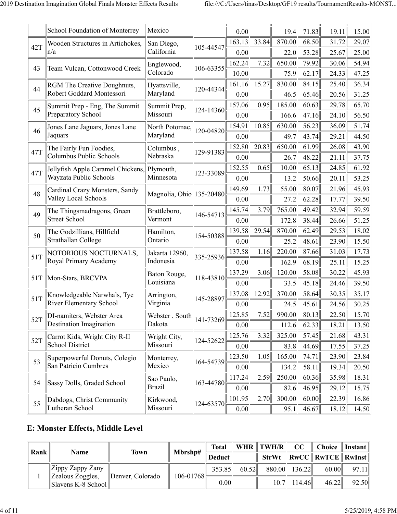|     | School Foundation of Monterrey                        | Mexico                      |           | 0.00   |       | 19.4   | 71.83 | 19.11 | 15.00 |
|-----|-------------------------------------------------------|-----------------------------|-----------|--------|-------|--------|-------|-------|-------|
| 42T | Wooden Structures in Artichokes,                      | San Diego,                  | 105-44547 | 163.13 | 33.84 | 870.00 | 68.50 | 31.72 | 29.07 |
|     | $\ln/a$                                               | California                  |           | 0.00   |       | 22.0   | 53.28 | 25.67 | 25.00 |
| 43  | Team Vulcan, Cottonwood Creek                         | Englewood,                  | 106-63355 | 162.24 | 7.32  | 650.00 | 79.92 | 30.06 | 54.94 |
|     |                                                       | Colorado                    |           | 10.00  |       | 75.9   | 62.17 | 24.33 | 47.25 |
| 44  | RGM The Creative Doughnuts,                           | Hyattsville,                | 120-44344 | 161.16 | 15.27 | 830.00 | 84.15 | 25.40 | 36.34 |
|     | Robert Goddard Montessori                             | Maryland                    |           | 0.00   |       | 46.5   | 65.46 | 20.56 | 31.25 |
| 45  | Summit Prep - Eng, The Summit                         | Summit Prep,                | 124-14360 | 157.06 | 0.95  | 185.00 | 60.63 | 29.78 | 65.70 |
|     | Preparatory School                                    | Missouri                    |           | 0.00   |       | 166.6  | 47.16 | 24.10 | 56.50 |
| 46  | Jones Lane Jaguars, Jones Lane                        | North Potomac,              | 120-04820 | 154.91 | 10.85 | 630.00 | 56.23 | 36.09 | 51.74 |
|     | Jaquars                                               | Maryland                    |           | 0.00   |       | 49.7   | 43.74 | 29.21 | 44.50 |
| 47T | The Fairly Fun Foodies,                               | Columbus,                   | 129-91383 | 152.80 | 20.83 | 650.00 | 61.99 | 26.08 | 43.90 |
|     | Columbus Public Schools                               | Nebraska                    |           | 0.00   |       | 26.7   | 48.22 | 21.11 | 37.75 |
| 47T | Jellyfish Apple Caramel Chickens, Plymouth,           |                             | 123-33089 | 152.55 | 0.65  | 10.00  | 65.13 | 24.85 | 61.92 |
|     | Wayzata Public Schools                                | Minnesota                   |           | 0.00   |       | 13.2   | 50.66 | 20.11 | 53.25 |
| 48  | Cardinal Crazy Monsters, Sandy                        | Magnolia, Ohio 135-20480    |           | 149.69 | 1.73  | 55.00  | 80.07 | 21.96 | 45.93 |
|     | Valley Local Schools                                  |                             |           | 0.00   |       | 27.2   | 62.28 | 17.77 | 39.50 |
| 49  | The Thingsmadragons, Green                            | Brattleboro,                | 146-54713 | 145.74 | 3.79  | 765.00 | 49.42 | 32.94 | 59.59 |
|     | <b>Street School</b>                                  | Vermont                     |           | 0.00   |       | 172.8  | 38.44 | 26.66 | 51.25 |
| 50  | The Godzillians, Hillfield                            | Hamilton,                   | 154-50388 | 139.58 | 29.54 | 870.00 | 62.49 | 29.53 | 18.02 |
|     | Strathallan College                                   | Ontario                     |           | 0.00   |       | 25.2   | 48.61 | 23.90 | 15.50 |
| 51T | NOTORIOUS NOCTURNALS,                                 | Jakarta 12960,              | 335-25936 | 137.58 | 1.16  | 220.00 | 87.66 | 31.03 | 17.73 |
|     | Royal Primary Academy                                 | Indonesia                   |           | 0.00   |       | 162.9  | 68.19 | 25.11 | 15.25 |
| 51T | Mon-Stars, BRCVPA                                     | Baton Rouge,                | 118-43810 | 137.29 | 3.06  | 120.00 | 58.08 | 30.22 | 45.93 |
|     |                                                       | Louisiana                   |           | 0.00   |       | 33.5   | 45.18 | 24.46 | 39.50 |
| 51T | Knowledgeable Narwhals, Tye                           | Arrington,                  | 145-28897 | 137.08 | 12.92 | 370.00 | 58.64 | 30.35 | 35.17 |
|     | <b>River Elementary School</b>                        | Virginia                    |           | 0.00   |       | 24.5   | 45.61 | 24.56 | 30.25 |
| 52T | DI-namiters, Webster Area                             | Webster, South              | 141-73269 | 125.85 | 7.52  | 990.00 | 80.13 | 22.50 | 15.70 |
|     | Destination Imagination                               | Dakota                      |           | 0.00   |       | 112.6  | 62.33 | 18.21 | 13.50 |
| 52T | Carrot Kids, Wright City R-II<br>School District      | Wright City,<br>Missouri    | 124-52622 | 125.76 | 3.32  | 325.00 | 57.45 | 21.68 | 43.31 |
|     |                                                       |                             |           | 0.00   |       | 83.8   | 44.69 | 17.55 | 37.25 |
| 53  | Superpowerful Donuts, Colegio<br>San Patricio Cumbres | Monterrey,<br>Mexico        | 164-54739 | 123.50 | 1.05  | 165.00 | 74.71 | 23.90 | 23.84 |
|     |                                                       |                             |           | 0.00   |       | 134.2  | 58.11 | 19.34 | 20.50 |
| 54  | Sassy Dolls, Graded School                            | Sao Paulo,<br><b>Brazil</b> | 163-44780 | 117.24 | 2.59  | 250.00 | 60.36 | 35.98 | 18.31 |
|     |                                                       |                             |           | 0.00   |       | 82.6   | 46.95 | 29.12 | 15.75 |
| 55  | Dabdogs, Christ Community                             | Kirkwood,<br>Missouri       | 124-63570 | 101.95 | 2.70  | 300.00 | 60.00 | 22.39 | 16.86 |
|     | Lutheran School                                       |                             |           | 0.00   |       | 95.1   | 46.67 | 18.12 | 14.50 |

#### **E: Monster Effects, Middle Level**

| Rank | <b>Name</b>                                         | Town             | Mbrshp#       | Total  |       | WHR $\ TWH/R\ $ | CC            | Choice    Instant                                                 |       |
|------|-----------------------------------------------------|------------------|---------------|--------|-------|-----------------|---------------|-------------------------------------------------------------------|-------|
|      |                                                     |                  |               | Deduct |       |                 |               | $StrWt \parallel RwCC \parallel RwTCE \parallel RwInst \parallel$ |       |
|      | $\left\ $ Zippy Zappy Zany                          |                  |               | 353.85 | 60.52 |                 | 880.00 136.22 | 60.00                                                             | 97.11 |
|      | Zealous Zoggles,<br>$\ \text{Slavens K-8 School}\ $ | Denver, Colorado | $106 - 01768$ | 0.00   |       |                 | $10.7$ 114.46 | 46.22                                                             | 92.50 |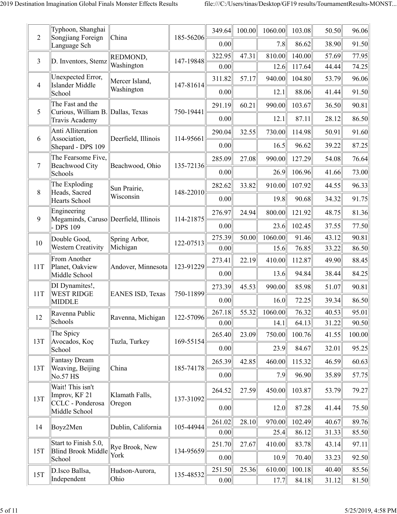| $\overline{c}$ | Typhoon, Shanghai<br>Songjiang Foreign                | China                        | 185-56206 | 349.64<br>0.00 | 100.00 | 1060.00<br>7.8 | 103.08<br>86.62 | 50.50<br>38.90 | 96.06<br>91.50 |
|----------------|-------------------------------------------------------|------------------------------|-----------|----------------|--------|----------------|-----------------|----------------|----------------|
|                | Language Sch                                          |                              |           | 322.95         | 47.31  | 810.00         | 140.00          | 57.69          | 77.95          |
| 3              | D. Inventors, Stemz                                   | REDMOND,<br>Washington       | 147-19848 | 0.00           |        | 12.6           | 117.64          | 44.44          | 74.25          |
|                | Unexpected Error,                                     |                              |           |                |        | 940.00         | 104.80          |                |                |
| 4              | <b>Islander Middle</b>                                | Mercer Island,<br>Washington | 147-81614 | 311.82         | 57.17  |                |                 | 53.79          | 96.06          |
|                | School                                                |                              |           | 0.00           |        | 12.1           | 88.06           | 41.44          | 91.50          |
| 5              | The Fast and the<br>Curious, William B. Dallas, Texas |                              | 750-19441 | 291.19         | 60.21  | 990.00         | 103.67          | 36.50          | 90.81          |
|                | Travis Academy                                        |                              |           | 0.00           |        | 12.1           | 87.11           | 28.12          | 86.50          |
|                | Anti Alliteration                                     |                              |           | 290.04         | 32.55  | 730.00         | 114.98          | 50.91          | 91.60          |
| 6              | Association,<br>Shepard - DPS 109                     | Deerfield, Illinois          | 114-95661 | 0.00           |        | 16.5           | 96.62           | 39.22          | 87.25          |
|                | The Fearsome Five,                                    |                              |           | 285.09         | 27.08  | 990.00         | 127.29          | 54.08          | 76.64          |
| 7              | <b>Beachwood City</b><br>Schools                      | Beachwood, Ohio              | 135-72136 | 0.00           |        | 26.9           | 106.96          | 41.66          | 73.00          |
|                | The Exploding                                         | Sun Prairie,                 |           | 282.62         | 33.82  | 910.00         | 107.92          | 44.55          | 96.33          |
| 8              | Heads, Sacred<br>Hearts School                        | Wisconsin                    | 148-22010 | 0.00           |        | 19.8           | 90.68           | 34.32          | 91.75          |
| 9              | Engineering<br>Megaminds, Caruso Deerfield, Illinois  |                              | 114-21875 | 276.97         | 24.94  | 800.00         | 121.92          | 48.75          | 81.36          |
|                | - DPS 109                                             |                              |           | 0.00           |        | 23.6           | 102.45          | 37.55          | 77.50          |
| 10             | Double Good,                                          | Spring Arbor,                | 122-07513 | 275.39         | 50.00  | 1060.00        | 91.46           | 43.12          | 90.81          |
|                | <b>Western Creativity</b>                             | Michigan                     |           | 0.00           |        | 15.6           | 76.85           | 33.22          | 86.50          |
| 11T            | From Another<br>Planet, Oakview                       | Andover, Minnesota           | 123-91229 | 273.41         | 22.19  | 410.00         | 112.87          | 49.90          | 88.45          |
|                | Middle School                                         |                              |           | 0.00           |        | 13.6           | 94.84           | 38.44          | 84.25          |
| 11T            | DI Dynamites!,<br><b>WEST RIDGE</b>                   | EANES ISD, Texas             | 750-11899 | 273.39         | 45.53  | 990.00         | 85.98           | 51.07          | 90.81          |
|                | <b>MIDDLE</b>                                         |                              |           | 0.00           |        | 16.0           | 72.25           | 39.34          | 86.50          |
| 12             | Ravenna Public                                        | Ravenna, Michigan            | 122-57096 | 267.18         | 55.32  | 1060.00        | 76.32           | 40.53          | 95.01          |
|                | Schools                                               |                              |           | 0.00           |        | 14.1           | 64.13           | 31.22          | 90.50          |
| 13T            | The Spicy<br>Avocados, Koç                            | Tuzla, Turkey                | 169-55154 | 265.40         | 23.09  | 750.00         | 100.76          | 41.55          | 100.00         |
|                | School                                                |                              |           | 0.00           |        | 23.9           | 84.67           | 32.01          | 95.25          |
| 13T            | Fantasy Dream<br>Weaving, Beijing                     | China                        | 185-74178 | 265.39         | 42.85  | 460.00         | 115.32          | 46.59          | 60.63          |
|                | No.57 HS                                              |                              |           | 0.00           |        | 7.9            | 96.90           | 35.89          | 57.75          |
|                | Wait! This isn't<br>Improv, KF 21                     | Klamath Falls,               |           | 264.52         | 27.59  | 450.00         | 103.87          | 53.79          | 79.27          |
| 13T            | CCLC - Ponderosa<br>Middle School                     | Oregon                       | 137-31092 | 0.00           |        | 12.0           | 87.28           | 41.44          | 75.50          |
| 14             | Boyz2Men                                              | Dublin, California           | 105-44944 | 261.02         | 28.10  | 970.00         | 102.49          | 40.67          | 89.76          |
|                |                                                       |                              |           | 0.00           |        | 25.4           | 86.12           | 31.33          | 85.50          |
| 15T            | Start to Finish 5.0,<br>Blind Brook Middle            | Rye Brook, New               | 134-95659 | 251.70         | 27.67  | 410.00         | 83.78           | 43.14          | 97.11          |
|                | School                                                | York                         |           | 0.00           |        | 10.9           | 70.40           | 33.23          | 92.50          |
| <b>15T</b>     | D.Isco Ballsa,                                        | Hudson-Aurora,               | 135-48532 | 251.50         | 25.36  | 610.00         | 100.18          | 40.40          | 85.56          |
|                | Independent                                           | Ohio                         |           | 0.00           |        | 17.7           | 84.18           | 31.12          | 81.50          |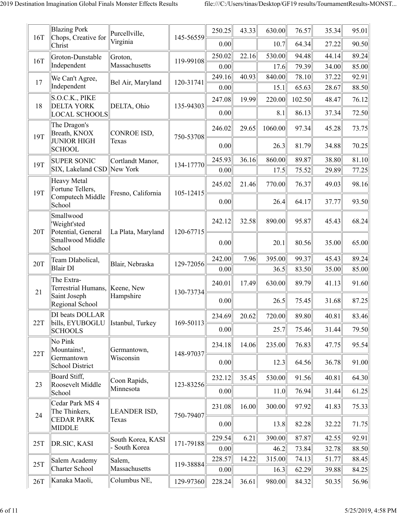| 16T | <b>Blazing Pork</b><br>Chops, Creative for                           | Purcellville,<br>Virginia | 145-56559 | 250.25<br>0.00 | 43.33 | 630.00<br>10.7 | 76.57<br>64.34 | 35.34<br>27.22 | 95.01<br>90.50 |
|-----|----------------------------------------------------------------------|---------------------------|-----------|----------------|-------|----------------|----------------|----------------|----------------|
|     | Christ                                                               |                           |           | 250.02         | 22.16 | 530.00         | 94.48          | 44.14          | 89.24          |
| 16T | Groton-Dunstable<br>Independent                                      | Groton,<br>Massachusetts  | 119-99108 | 0.00           |       | 17.6           | 79.39          | 34.00          | 85.00          |
|     | We Can't Agree,                                                      |                           |           | 249.16         | 40.93 | 840.00         | 78.10          | 37.22          | 92.91          |
| 17  | Independent                                                          | Bel Air, Maryland         | 120-31741 | 0.00           |       | 15.1           | 65.63          | 28.67          | 88.50          |
|     | S.O.C.K., PIKE                                                       |                           |           | 247.08         | 19.99 | 220.00         | 102.50         | 48.47          | 76.12          |
| 18  | <b>DELTA YORK</b><br><b>LOCAL SCHOOLS</b>                            | DELTA, Ohio               | 135-94303 | 0.00           |       | 8.1            | 86.13          | 37.34          | 72.50          |
| 19T | The Dragon's<br>Breath, KNOX<br><b>JUNIOR HIGH</b>                   | CONROE ISD,<br>Texas      | 750-53708 | 246.02         | 29.65 | 1060.00        | 97.34          | 45.28          | 73.75          |
|     | <b>SCHOOL</b>                                                        |                           |           | 0.00           |       | 26.3           | 81.79          | 34.88          | 70.25          |
| 19T | <b>SUPER SONIC</b>                                                   | Cortlandt Manor,          | 134-17770 | 245.93         | 36.16 | 860.00         | 89.87          | 38.80          | 81.10          |
|     | SIX, Lakeland CSD New York                                           |                           |           | 0.00           |       | 17.5           | 75.52          | 29.89          | 77.25          |
| 19T | <b>Heavy Metal</b><br>Fortune Tellers,<br>Computech Middle           | Fresno, California        | 105-12415 | 245.02         | 21.46 | 770.00         | 76.37          | 49.03          | 98.16          |
|     | School                                                               |                           |           | 0.00           |       | 26.4           | 64.17          | 37.77          | 93.50          |
| 20T | Smallwood<br>'Weight'sted<br>Potential, General                      | La Plata, Maryland        | 120-67715 | 242.12         | 32.58 | 890.00         | 95.87          | 45.43          | 68.24          |
|     | Smallwood Middle<br>School                                           |                           |           | 0.00           |       | 20.1           | 80.56          | 35.00          | 65.00          |
| 20T | Team DIabolical,                                                     | Blair, Nebraska           | 129-72056 | 242.00         | 7.96  | 395.00         | 99.37          | 45.43          | 89.24          |
|     | <b>Blair DI</b>                                                      |                           |           | 0.00           |       | 36.5           | 83.50          | 35.00          | 85.00          |
| 21  | The Extra-<br>Terrestrial Humans, <i>Keene</i> , New<br>Saint Joseph | Hampshire                 | 130-73734 | 240.01         | 17.49 | 630.00         | 89.79          | 41.13          | 91.60          |
|     | Regional School                                                      |                           |           | 0.00           |       | 26.5           | 75.45          | 31.68          | 87.25          |
| 22T | DI beats DOLLAR<br>bills, EYUBOGLU                                   | Istanbul, Turkey          | 169-50113 | 234.69         | 20.62 | 720.00         | 89.80          | 40.81          | 83.46          |
|     | <b>SCHOOLS</b>                                                       |                           |           | 0.00           |       | 25.7           | 75.46          | 31.44          | 79.50          |
| 22T | No Pink<br>Mountains!,                                               | Germantown,               | 148-97037 | 234.18         | 14.06 | 235.00         | 76.83          | 47.75          | 95.54          |
|     | Germantown<br><b>School District</b>                                 | Wisconsin                 |           | 0.00           |       | 12.3           | 64.56          | 36.78          | 91.00          |
| 23  | Board Stiff,<br>Roosevelt Middle                                     | Coon Rapids,              | 123-83256 | 232.12         | 35.45 | 530.00         | 91.56          | 40.81          | 64.30          |
|     | School                                                               | Minnesota                 |           | 0.00           |       | 11.0           | 76.94          | 31.44          | 61.25          |
| 24  | Cedar Park MS 4<br>The Thinkers,                                     | LEANDER ISD,              | 750-79407 | 231.08         | 16.00 | 300.00         | 97.92          | 41.83          | 75.33          |
|     | <b>CEDAR PARK</b><br><b>MIDDLE</b>                                   | Texas                     |           | 0.00           |       | 13.8           | 82.28          | 32.22          | 71.75          |
| 25T | DR.SIC, KASI                                                         | South Korea, KASI         | 171-79188 | 229.54         | 6.21  | 390.00         | 87.87          | 42.55          | 92.91          |
|     |                                                                      | South Korea               |           | 0.00           |       | 46.2           | 73.84          | 32.78          | 88.50          |
| 25T | Salem Academy                                                        | Salem,                    | 119-38884 | 228.57         | 14.22 | 315.00         | 74.13          | 51.77          | 88.45          |
|     | Charter School                                                       | Massachusetts             |           | 0.00           |       | 16.3           | 62.29          | 39.88          | 84.25          |
| 26T | Kanaka Maoli,                                                        | Columbus NE,              | 129-97360 | 228.24         | 36.61 | 980.00         | 84.32          | 50.35          | 56.96          |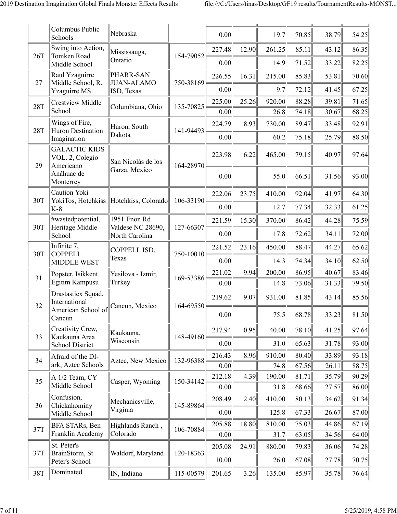|            | Columbus Public<br>Schools                                | Nebraska                            |           | 0.00           |       | 19.7           | 70.85          | 38.79          | 54.25          |
|------------|-----------------------------------------------------------|-------------------------------------|-----------|----------------|-------|----------------|----------------|----------------|----------------|
| 26T        | Swing into Action,<br>Tomken Road                         | Mississauga,                        | 154-79052 | 227.48         | 12.90 | 261.25         | 85.11          | 43.12          | 86.35          |
|            | Middle School                                             | Ontario                             |           | 0.00           |       | 14.9           | 71.52          | 33.22          | 82.25          |
| 27         | Raul Yzaguirre<br>Middle School, R.                       | PHARR-SAN<br><b>JUAN-ALAMO</b>      | 750-38169 | 226.55         | 16.31 | 215.00         | 85.83          | 53.81          | 70.60          |
|            | Yzaguirre MS                                              | ISD, Texas                          |           | 0.00           |       | 9.7            | 72.12          | 41.45          | 67.25          |
| <b>28T</b> | <b>Crestview Middle</b><br>School                         | Columbiana, Ohio                    | 135-70825 | 225.00         | 25.26 | 920.00         | 88.28          | 39.81          | 71.65          |
|            | Wings of Fire,                                            |                                     |           | 0.00<br>224.79 | 8.93  | 26.8<br>730.00 | 74.18<br>89.47 | 30.67<br>33.48 | 68.25<br>92.91 |
| 28T        | <b>Huron Destination</b>                                  | Huron, South<br>Dakota              | 141-94493 |                |       |                |                |                |                |
|            | Imagination<br><b>GALACTIC KIDS</b>                       |                                     |           | 0.00           |       | 60.2           | 75.18          | 25.79          | 88.50          |
| 29         | VOL. 2, Colegio<br>Americano                              | San Nicolás de los<br>Garza, Mexico | 164-28970 | 223.98         | 6.22  | 465.00         | 79.15          | 40.97          | 97.64          |
|            | Anáhuac de<br>Monterrey                                   |                                     |           | 0.00           |       | 55.0           | 66.51          | 31.56          | 93.00          |
| 30T        | Caution Yoki<br>YokiTos, Hotchkiss                        | Hotchkiss, Colorado                 | 106-33190 | 222.06         | 23.75 | 410.00         | 92.04          | 41.97          | 64.30          |
|            | $K-8$                                                     |                                     |           | 0.00           |       | 12.7           | 77.34          | 32.33          | 61.25          |
| 30T        | #wastedpotential,<br>Heritage Middle                      | 1951 Enon Rd<br>Valdese NC 28690,   | 127-66307 | 221.59         | 15.30 | 370.00         | 86.42          | 44.28          | 75.59          |
|            | School                                                    | North Carolina                      |           | 0.00           |       | 17.8           | 72.62          | 34.11          | 72.00          |
| 30T        | Infinite 7,<br><b>COPPELL</b>                             | COPPELL ISD,                        |           | 221.52         | 23.16 | 450.00         | 88.47          | 44.27          | 65.62          |
|            | <b>MIDDLE WEST</b>                                        | Texas                               | 750-10010 | 0.00           |       | 14.3           | 74.34          | 34.10          | 62.50          |
| 31         | Popster, Isikkent                                         | Yesilova - Izmir,                   | 169-53386 | 221.02         | 9.94  | 200.00         | 86.95          | 40.67          | 83.46          |
|            | Egitim Kampusu                                            | Turkey                              |           | 0.00           |       | 14.8           | 73.06          | 31.33          | 79.50          |
| 32         | Drastasticx Squad,<br>International<br>American School of | Cancun, Mexico                      | 164-69550 | 219.62         | 9.07  | 931.00         | 81.85          | 43.14          | 85.56          |
|            | Cancun                                                    |                                     |           | 0.00           |       | 75.5           | 68.78          | 33.23          | 81.50          |
| 33         | Creativity Crew,<br>Kaukauna Area                         | Kaukauna,                           | 148-49160 | 217.94         | 0.95  | 40.00          | 78.10          | 41.25          | 97.64          |
|            | School District                                           | Wisconsin                           |           | 0.00           |       | 31.0           | 65.63          | 31.78          | 93.00          |
| 34         | Afraid of the DI-                                         | Aztec, New Mexico                   | 132-96388 | 216.43         | 8.96  | 910.00         | 80.40          | 33.89          | 93.18          |
|            | ark, Aztec Schools                                        |                                     |           | 0.00           |       | 74.8           | 67.56          | 26.11          | 88.75          |
| 35         | A 1/2 Team, CY<br>Middle School                           | Casper, Wyoming                     | 150-34142 | 212.18<br>0.00 | 4.39  | 190.00<br>31.8 | 81.71<br>68.66 | 35.79<br>27.57 | 90.29<br>86.00 |
|            | Confusion,                                                |                                     |           | 208.49         | 2.40  | 410.00         | 80.13          | 34.62          | 91.34          |
| 36         | Chickahominy<br>Middle School                             | Mechanicsville,<br>Virginia         | 145-89864 | 0.00           |       | 125.8          | 67.33          | 26.67          | 87.00          |
|            | BFA STARs, Ben                                            | Highlands Ranch,                    |           | 205.88         | 18.80 | 810.00         | 75.03          | 44.86          | 67.19          |
| 37T        | Franklin Academy                                          | Colorado                            | 106-70884 | 0.00           |       | 31.7           | 63.05          | 34.56          | 64.00          |
| 37T        | St. Peter's<br>BrainStorm, St                             | Waldorf, Maryland                   | 120-18363 | 205.08         | 24.91 | 880.00         | 79.83          | 36.06          | 74.28          |
|            | Peter's School                                            |                                     |           | 10.00          |       | 26.0           | 67.08          | 27.78          | 70.75          |
| 38T        | Dominated                                                 | IN, Indiana                         | 115-00579 | 201.65         | 3.26  | 135.00         | 85.97          | 35.78          | 76.64          |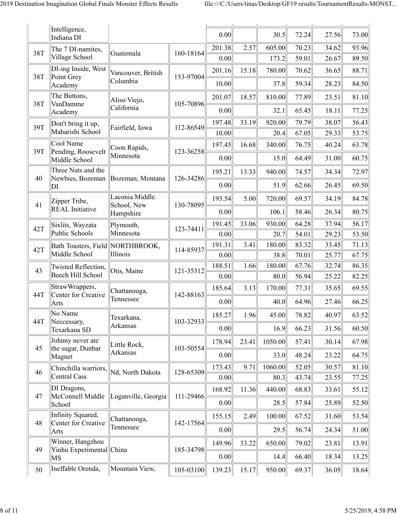|     | Intelligence,<br>Indiana DI              |                               |           | 0.00           |       | 30.5           | 72.24          | 27.56          | 73.00          |
|-----|------------------------------------------|-------------------------------|-----------|----------------|-------|----------------|----------------|----------------|----------------|
| 38T | The 7 DI-namites,                        | Guatemala                     | 160-18164 | 201.38         | 2.57  | 605.00         | 70.23          | 34.62          | 93.96          |
|     | Village School                           |                               |           | 0.00           |       | 173.2          | 59.01          | 26.67          | 89.50          |
| 38T | DI-ing Inside, West                      | Vancouver, British            | 153-97004 | 201.16         | 15.18 | 780.00         | 70.62          | 36.65          | 88.71          |
|     | Point Grey<br>Academy                    | Columbia                      |           | 10.00          |       | 37.8           | 59.34          | 28.23          | 84.50          |
| 38T | The Buttons,<br>VanDamme                 | Aliso Viejo,                  | 105-70896 | 201.07         | 18.57 | 810.00         | 77.89          | 23.51          | 81.10          |
|     | Academy                                  | California                    |           | 0.00           |       | 32.1           | 65.45          | 18.11          | 77.25          |
| 39T | Don't bring it up,                       | Fairfield, Iowa               | 112-86549 | 197.48         | 33.19 | 920.00         | 79.79          | 38.07          | 56.43          |
|     | Maharishi School                         |                               |           | 10.00          |       | 20.4           | 67.05          | 29.33          | 53.75          |
| 39T | Cool Name<br>Pending, Roosevelt          | Coon Rapids,                  | 123-36258 | 197.45         | 16.68 | 340.00         | 76.75          | 40.24          | 63.78          |
|     | Middle School                            | Minnesota                     |           | 0.00           |       | 15.0           | 64.49          | 31.00          | 60.75          |
| 40  | Three Nuts and the<br>Newbies, Bozeman   | Bozeman, Montana              | 126-34286 | 195.21         | 13.33 | 940.00         | 74.57          | 34.34          | 72.97          |
|     | DI                                       |                               |           | 0.00           |       | 51.9           | 62.66          | 26.45          | 69.50          |
| 41  | Zipper Tribe,                            | Laconia Middle<br>School, New | 130-78095 | 193.54         | 5.00  | 720.00         | 69.57          | 34.19          | 84.78          |
|     | <b>REAL</b> Initiative                   | Hampshire                     |           | 0.00           |       | 106.1          | 58.46          | 26.34          | 80.75          |
| 42T | Sixlits, Wayzata                         | Plymouth,                     | 123-74411 | 191.45         | 33.06 | 930.00         | 64.28          | 37.94          | 56.17          |
|     | Public Schools                           | Minnesota                     |           | 0.00           |       | 20.7           | 54.01          | 29.23          | 53.50          |
| 42T | Bath Toasters, Field NORTHBROOK,         |                               | 114-85937 | 191.31         | 3.41  | 180.00         | 83.32          | 33.45          | 71.13          |
|     | Middle School                            | Illinois                      |           | 0.00           |       | 38.8           | 70.01          | 25.77          | 67.75          |
| 43  | Twisted Reflection,<br>Beech Hill School | Otis, Maine                   | 121-35312 | 188.51<br>0.00 | 1.66  | 180.00<br>80.0 | 67.76<br>56.94 | 32.74<br>25.22 | 86.35<br>82.25 |
|     | StrawWrappers,                           |                               |           | 185.64         | 3.13  | 170.00         | 77.31          | 35.65          | 69.55          |
| 44T | Center for Creative<br>Arts              | Chattanooga,<br>Tennessee     | 142-88163 | 0.00           |       | 40.0           | 64.96          | 27.46          | 66.25          |
|     | No Name                                  | Texarkana,                    |           | 185.27         | 1.96  | 45.00          | 78.82          | 40.97          | 63.52          |
| 44T | Neccessary,<br>Texarkana SD              | Arkansas                      | 103-32933 | 0.00           |       | 16.9           | 66.23          | 31.56          | 60.50          |
|     | Johnny never ate                         | Little Rock,                  |           | 178.94         | 23.41 | 1050.00        | 57.41          | 30.14          | 67.98          |
| 45  | the sugar, Dunbar<br>Magnet              | Arkansas                      | 103-50554 | 0.00           |       | 33.0           | 48.24          | 23.22          | 64.75          |
| 46  | Chinchilla warriors,                     | Nd, North Dakota              | 128-65309 | 173.43         | 9.71  | 1060.00        | 52.05          | 30.57          | 81.10          |
|     | <b>Central Cass</b>                      |                               |           | 0.00           |       | 80.3           | 43.74          | 23.55          | 77.25          |
| 47  | DI Dragons,<br>McConnell Middle          | Loganville, Georgia           | 111-29466 | 168.92         | 11.36 | 440.00         | 68.83          | 33.61          | 55.12          |
|     | School                                   |                               |           | 0.00           |       | 28.5           | 57.84          | 25.89          | 52.50          |
| 48  | Infinity Squared,<br>Center for Creative | Chattanooga,                  | 142-17564 | 155.15         | 2.49  | 100.00         | 67.52          | 31.60          | 53.54          |
|     | Arts                                     | Tennessee                     |           | 0.00           |       | 29.5           | 56.74          | 24.34          | 51.00          |
|     | Winner, Hangzhou                         |                               |           | 149.96         | 33.22 | 650.00         | 79.02          | 23.81          | 13.91          |
| 49  | Yinhu Experimental China<br>MS           |                               | 185-34798 | 0.00           |       | 14.4           | 66.40          | 18.34          | 13.25          |
| 50  | Ineffable Orenda,                        | Mountain View,                | 105-03100 | 139.23         | 15.17 | 950.00         | 69.37          | 36.05          | 18.64          |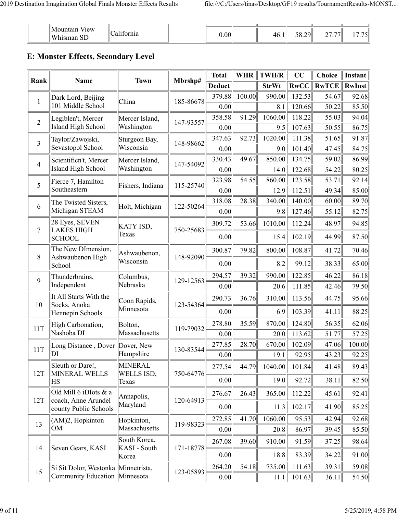| - -                                    |        |       |               |         |               |
|----------------------------------------|--------|-------|---------------|---------|---------------|
| ' M '<br>V <sub>1</sub> ew<br>lountair | $\sim$ |       | $\sim$ $\sim$ | 27.77   | $  ^{\prime}$ |
| $\ H\ $<br>sman                        |        | 100.0 | 40.1<br>30.2  | 20<br>∼ |               |

### **E: Monster Effects, Secondary Level**

| Rank           | Name                                         | <b>Town</b>                  | Mbrshp#   | <b>Total</b>  | <b>WHR</b> | <b>TWH/R</b> | CC          | <b>Choice</b> | Instant       |
|----------------|----------------------------------------------|------------------------------|-----------|---------------|------------|--------------|-------------|---------------|---------------|
|                |                                              |                              |           | <b>Deduct</b> |            | <b>StrWt</b> | <b>RwCC</b> | <b>RwTCE</b>  | <b>RwInst</b> |
| $\mathbf{1}$   | Dark Lord, Beijing                           | China                        | 185-86678 | 379.88        | 100.00     | 990.00       | 132.53      | 54.67         | 92.68         |
|                | 101 Middle School                            |                              |           | 0.00          |            | 8.1          | 120.66      | 50.22         | 85.50         |
| $\overline{2}$ | Legiblen't, Mercer                           | Mercer Island,               | 147-93557 | 358.58        | 91.29      | 1060.00      | 118.22      | 55.03         | 94.04         |
|                | <b>Island High School</b>                    | Washington                   |           | 0.00          |            | 9.5          | 107.63      | 50.55         | 86.75         |
| $\overline{3}$ | Taylor/Zawojski,                             | Sturgeon Bay,                | 148-98662 | 347.63        | 92.73      | 1020.00      | 111.38      | 51.65         | 91.87         |
|                | Sevastopol School                            | Wisconsin                    |           | 0.00          |            | 9.0          | 101.40      | 47.45         | 84.75         |
| $\overline{4}$ | Scientificn't, Mercer                        | Mercer Island,               | 147-54092 | 330.43        | 49.67      | 850.00       | 134.75      | 59.02         | 86.99         |
|                | <b>Island High School</b>                    | Washington                   |           | 0.00          |            | 14.0         | 122.68      | 54.22         | 80.25         |
| 5              | Fierce 7, Hamilton<br>Southeastern           | Fishers, Indiana             | 115-25740 | 323.98        | 54.55      | 860.00       | 123.58      | 53.71         | 92.14         |
|                |                                              |                              |           | 0.00          |            | 12.9         | 112.51      | 49.34         | 85.00         |
| 6              | The Twisted Sisters,<br>Michigan STEAM       | Holt, Michigan               | 122-50264 | 318.08        | 28.38      | 340.00       | 140.00      | 60.00         | 89.70         |
|                |                                              |                              |           | 0.00          |            | 9.8          | 127.46      | 55.12         | 82.75         |
| 7              | 28 Eyes, SEVEN<br><b>LAKES HIGH</b>          | KATY ISD,                    | 750-25683 | 309.72        | 53.66      | 1010.00      | 112.24      | 48.97         | 94.85         |
|                | <b>SCHOOL</b>                                | Texas                        |           | 0.00          |            | 15.4         | 102.19      | 44.99         | 87.50         |
|                | The New DImension,                           | Ashwaubenon,                 |           | 300.87        | 79.82      | 800.00       | 108.87      | 41.72         | 70.46         |
| 8              | Ashwaubenon High<br>School                   | Wisconsin                    | 148-92090 | 0.00          |            | 8.2          | 99.12       | 38.33         | 65.00         |
| 9              | Thunderbrains,                               | Columbus,                    | 129-12563 | 294.57        | 39.32      | 990.00       | 122.85      | 46.22         | 86.18         |
|                | Independent                                  | Nebraska                     |           | 0.00          |            | 20.6         | 111.85      | 42.46         | 79.50         |
|                | It All Starts With the                       | Coon Rapids,                 |           | 290.73        | 36.76      | 310.00       | 113.56      | 44.75         | 95.66         |
| 10             | Socks, Anoka<br>Hennepin Schools             | Minnesota                    | 123-54364 | 0.00          |            | 6.9          | 103.39      | 41.11         | 88.25         |
| 11T            | High Carbonation,                            | Bolton,                      | 119-79032 | 278.80        | 35.59      | 870.00       | 124.80      | 56.35         | 62.06         |
|                | Nashoba DI                                   | Massachusetts                |           | 0.00          |            | 20.0         | 113.62      | 51.77         | 57.25         |
| 11T            | Long Distance, Dover                         | Dover, New                   | 130-83544 | 277.85        | 28.70      | 670.00       | 102.09      | 47.06         | 100.00        |
|                | DI                                           | Hampshire                    |           | 0.00          |            | 19.1         | 92.95       | 43.23         | 92.25         |
| 12T            | Sleuth or Dare!,<br>MINERAL WELLS            | <b>MINERAL</b>               | 750-64776 | 277.54        | 44.79      | 1040.00      | 101.84      | 41.48         | 89.43         |
|                | ΗS                                           | WELLS ISD,<br>Texas          |           | 0.00          |            | 19.0         | 92.72       | 38.11         | 82.50         |
|                | Old Mill 6 iDIots & a                        | Annapolis,                   |           | 276.67        | 26.43      | 365.00       | 112.22      | 45.61         | 92.41         |
| 12T            | coach, Anne Arundel<br>county Public Schools | Maryland                     | 120-64913 | 0.00          |            | 11.3         | 102.17      | 41.90         | 85.25         |
| 13             | $(AM)2$ , Hopkinton                          | Hopkinton,                   | 119-98323 | 272.85        | 41.70      | 1060.00      | 95.53       | 42.94         | 92.68         |
|                | OM                                           | Massachusetts                |           | 0.00          |            | 20.8         | 86.97       | 39.45         | 85.50         |
| 14             | Seven Gears, KASI                            | South Korea,<br>KASI - South | 171-18778 | 267.08        | 39.60      | 910.00       | 91.59       | 37.25         | 98.64         |
|                |                                              | Korea                        |           | 0.00          |            | 18.8         | 83.39       | 34.22         | 91.00         |
| 15             | Si Sit Dolor, Westonka Minnetrista,          |                              | 123-05893 | 264.20        | 54.18      | 735.00       | 111.63      | 39.31         | 59.08         |
|                | Community Education Minnesota                |                              |           | 0.00          |            | 11.1         | 101.63      | 36.11         | 54.50         |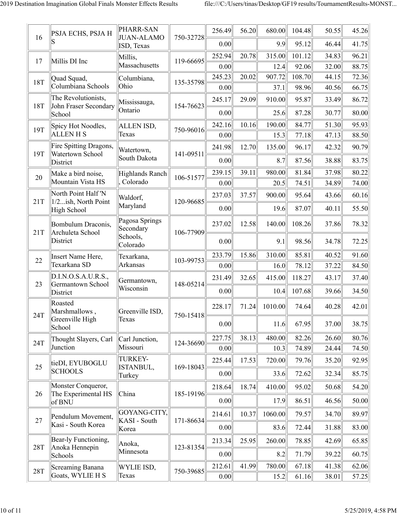|            | <b>PSJA ECHS, PSJA H</b>                     | PHARR-SAN                       |           | 256.49 | 56.20 | 680.00  | 104.48 | 50.55 | 45.26 |
|------------|----------------------------------------------|---------------------------------|-----------|--------|-------|---------|--------|-------|-------|
| 16         |                                              | <b>JUAN-ALAMO</b><br>ISD, Texas | 750-32728 | 0.00   |       | 9.9     | 95.12  | 46.44 | 41.75 |
| 17         | Millis DI Inc                                | Millis,                         | 119-66695 | 252.94 | 20.78 | 315.00  | 101.12 | 34.83 | 96.21 |
|            |                                              | Massachusetts                   |           | 0.00   |       | 12.4    | 92.06  | 32.00 | 88.75 |
| 18T        | Quad Squad,                                  | Columbiana,                     | 135-35798 | 245.23 | 20.02 | 907.72  | 108.70 | 44.15 | 72.36 |
|            | Columbiana Schools                           | Ohio                            |           | 0.00   |       | 37.1    | 98.96  | 40.56 | 66.75 |
| <b>18T</b> | The Revolutionists,<br>John Fraser Secondary | Mississauga,                    | 154-76623 | 245.17 | 29.09 | 910.00  | 95.87  | 33.49 | 86.72 |
|            | School                                       | Ontario                         |           | 0.00   |       | 25.6    | 87.28  | 30.77 | 80.00 |
| 19T        | Spicy Hot Noodles,                           | ALLEN ISD,                      | 750-96016 | 242.16 | 10.16 | 190.00  | 84.77  | 51.30 | 95.93 |
|            | <b>ALLENHS</b>                               | Texas                           |           | 0.00   |       | 15.3    | 77.18  | 47.13 | 88.50 |
| 19T        | Fire Spitting Dragons,<br>Watertown School   | Watertown,                      | 141-09511 | 241.98 | 12.70 | 135.00  | 96.17  | 42.32 | 90.79 |
|            | District                                     | South Dakota                    |           | 0.00   |       | 8.7     | 87.56  | 38.88 | 83.75 |
| 20         | Make a bird noise,                           | <b>Highlands Ranch</b>          | 106-51577 | 239.15 | 39.11 | 980.00  | 81.84  | 37.98 | 80.22 |
|            | Mountain Vista HS                            | , Colorado                      |           | 0.00   |       | 20.5    | 74.51  | 34.89 | 74.00 |
| 21T        | North Point Half 'N<br>1/2ish, North Point   | Waldorf,                        | 120-96685 | 237.03 | 37.57 | 900.00  | 95.64  | 43.66 | 60.16 |
|            | High School                                  | Maryland                        |           | 0.00   |       | 19.6    | 87.07  | 40.11 | 55.50 |
| 21T        | Bombulum Draconis,<br>Archuleta School       | Pagosa Springs<br>Secondary     | 106-77909 | 237.02 | 12.58 | 140.00  | 108.26 | 37.86 | 78.32 |
|            | District                                     | Schools,<br>Colorado            |           | 0.00   |       | 9.1     | 98.56  | 34.78 | 72.25 |
| 22         | Insert Name Here,                            | Texarkana,                      | 103-99753 | 233.79 | 15.86 | 310.00  | 85.81  | 40.52 | 91.60 |
|            | Texarkana SD                                 | Arkansas                        |           | 0.00   |       | 16.0    | 78.12  | 37.22 | 84.50 |
| 23         | D.I.N.O.S.A.U.R.S.,<br>Germantown School     | Germantown,                     | 148-05214 | 231.49 | 32.65 | 415.00  | 118.27 | 43.17 | 37.40 |
|            | District                                     | Wisconsin                       |           | 0.00   |       | 10.4    | 107.68 | 39.66 | 34.50 |
| 24T        | Roasted<br>Marshmallows                      | Greenville ISD.                 | 750-15418 | 228.17 | 71.24 | 1010.00 | 74.64  | 40.28 | 42.01 |
|            | Greenville High<br>School                    | Texas                           |           | 0.00   |       | 11.6    | 67.95  | 37.00 | 38.75 |
| 24T        | Thought Slayers, Carl                        | Carl Junction,                  |           | 227.75 | 38.13 | 480.00  | 82.26  | 26.60 | 80.76 |
|            | Junction                                     | Missouri                        | 124-36690 | 0.00   |       | 10.3    | 74.89  | 24.44 | 74.50 |
|            | ∥tieDI, EYUBOGLU                             | TURKEY-                         |           | 225.44 | 17.53 | 720.00  | 79.76  | 35.20 | 92.95 |
| 25         | <b>SCHOOLS</b>                               | ISTANBUL,<br>Turkey             | 169-18043 | 0.00   |       | 33.6    | 72.62  | 32.34 | 85.75 |
|            | Monster Conqueror,                           |                                 |           | 218.64 | 18.74 | 410.00  | 95.02  | 50.68 | 54.20 |
| 26         | The Experimental HS<br>of BNU                | China                           | 185-19196 | 0.00   |       | 17.9    | 86.51  | 46.56 | 50.00 |
| 27         | Pendulum Movement,                           | GOYANG-CITY,                    |           | 214.61 | 10.37 | 1060.00 | 79.57  | 34.70 | 89.97 |
|            | Kasi - South Korea                           | KASI - South<br>Korea           | 171-86634 | 0.00   |       | 83.6    | 72.44  | 31.88 | 83.00 |
|            | Bear-ly Functioning,                         | Anoka,                          |           | 213.34 | 25.95 | 260.00  | 78.85  | 42.69 | 65.85 |
| <b>28T</b> | Anoka Hennepin<br>Schools                    | Minnesota                       | 123-81354 | 0.00   |       | 8.2     | 71.79  | 39.22 | 60.75 |
|            | Screaming Banana                             | WYLIE ISD,                      |           | 212.61 | 41.99 | 780.00  | 67.18  | 41.38 | 62.06 |
| 28T        | Goats, WYLIE H S                             | Texas                           | 750-39685 | 0.00   |       | 15.2    | 61.16  | 38.01 | 57.25 |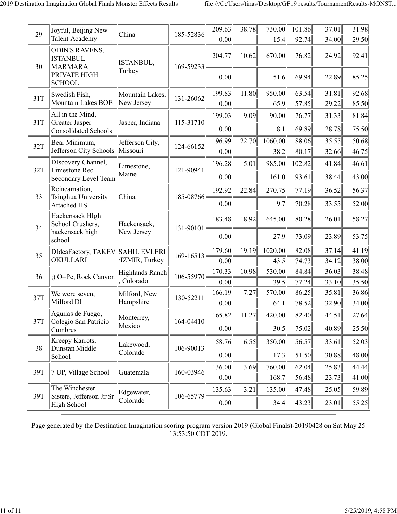| 29  | Joyful, Beijing New                                        | China                         | 185-52836     | 209.63         | 38.78 | 730.00         | 101.86         | 37.01          | 31.98          |
|-----|------------------------------------------------------------|-------------------------------|---------------|----------------|-------|----------------|----------------|----------------|----------------|
|     | <b>Talent Academy</b>                                      |                               |               | 0.00           |       | 15.4           | 92.74          | 34.00          | 29.50          |
| 30  | <b>ODIN'S RAVENS,</b><br><b>ISTANBUL</b><br><b>MARMARA</b> | ISTANBUL,                     | 169-59233     | 204.77         | 10.62 | 670.00         | 76.82          | 24.92          | 92.41          |
|     | PRIVATE HIGH<br><b>SCHOOL</b>                              | Turkey                        |               | 0.00           |       | 51.6           | 69.94          | 22.89          | 85.25          |
| 31T | Swedish Fish,<br>Mountain Lakes BOE                        | Mountain Lakes,<br>New Jersey | 131-26062     | 199.83<br>0.00 | 11.80 | 950.00<br>65.9 | 63.54<br>57.85 | 31.81<br>29.22 | 92.68<br>85.50 |
|     | All in the Mind,                                           |                               |               | 199.03         | 9.09  | 90.00          | 76.77          | 31.33          | 81.84          |
| 31T | <b>Greater Jasper</b><br><b>Consolidated Schools</b>       | Jasper, Indiana               | 115-31710     | 0.00           |       | 8.1            | 69.89          | 28.78          | 75.50          |
| 32T | Bear Minimum,                                              | Jefferson City,               |               | 196.99         | 22.70 | 1060.00        | 88.06          | 35.55          | 50.68          |
|     | Jefferson City Schools                                     | Missouri                      | 124-66152     | 0.00           |       | 38.2           | 80.17          | 32.66          | 46.75          |
| 32T | DIscovery Channel,<br>Limestone Rec                        | Limestone,                    | 121-90941     | 196.28         | 5.01  | 985.00         | 102.82         | 41.84          | 46.61          |
|     | Secondary Level Team                                       | Maine                         |               | 0.00           |       | 161.0          | 93.61          | 38.44          | 43.00          |
| 33  | Reincarnation,<br>Tsinghua University                      | China                         | 185-08766     | 192.92         | 22.84 | 270.75         | 77.19          | 36.52          | 56.37          |
|     | <b>Attached HS</b>                                         |                               |               | 0.00           |       | 9.7            | 70.28          | 33.55          | 52.00          |
| 34  | Hackensack HIgh<br>School Crushers,                        | Hackensack,                   | 131-90101     | 183.48         | 18.92 | 645.00         | 80.28          | 26.01          | 58.27          |
|     | hackensack high<br>school                                  | New Jersey                    |               | 0.00           |       | 27.9           | 73.09          | 23.89          | 53.75          |
| 35  | DIdeaFactory, TAKEV                                        | SAHIL EVLERI                  | 169-16513     | 179.60         | 19.19 | 1020.00        | 82.08          | 37.14          | 41.19          |
|     | OKULLARI                                                   | /IZMIR, Turkey                |               | 0.00           |       | 43.5           | 74.73          | 34.12          | 38.00          |
| 36  | :) O=Pe, Rock Canyon                                       | Highlands Ranch               | 106-55970     | 170.33         | 10.98 | 530.00         | 84.84          | 36.03          | 38.48          |
|     |                                                            | Colorado                      |               | 0.00           |       | 39.5           | 77.24          | 33.10          | 35.50          |
| 37T | We were seven,<br>Milford DI                               | Milford, New<br>Hampshire     | 130-52211     | 166.19         | 7.27  | 570.00         | 86.25          | 35.81          | 36.86          |
|     |                                                            |                               |               | 0.00           |       | 64.1           | 78.52          | 32.90          | 34.00          |
| 37T | Aguilas de Fuego,<br>Colegio San Patricio                  | Monterrey,                    | $164 - 04410$ | 165.82         | 11.27 | 420.00         | 82.40          | 44.51          | 27.64          |
|     | Cumbres                                                    | Mexico                        |               | 0.00           |       | 30.5           | 75.02          | 40.89          | 25.50          |
| 38  | Kreepy Karrots,<br>Dunstan Middle                          | Lakewood,                     | 106-90013     | 158.76         | 16.55 | 350.00         | 56.57          | 33.61          | 52.03          |
|     | School                                                     | Colorado                      |               | 0.00           |       | 17.3           | 51.50          | 30.88          | 48.00          |
| 39T | 7 UP, Village School                                       | Guatemala                     | 160-03946     | 136.00         | 3.69  | 760.00         | 62.04          | 25.83          | 44.44          |
|     |                                                            |                               |               | 0.00           |       | 168.7          | 56.48          | 23.73          | 41.00          |
| 39T | The Winchester<br>Sisters, Jefferson Jr/Sr                 | Edgewater,                    | 106-65779     | 135.63         | 3.21  | 135.00         | 47.48          | 25.05          | 59.89          |
|     | <b>High School</b>                                         | Colorado                      |               | 0.00           |       | 34.4           | 43.23          | 23.01          | 55.25          |

Page generated by the Destination Imagination scoring program version 2019 (Global Finals)-20190428 on Sat May 25 13:53:50 CDT 2019.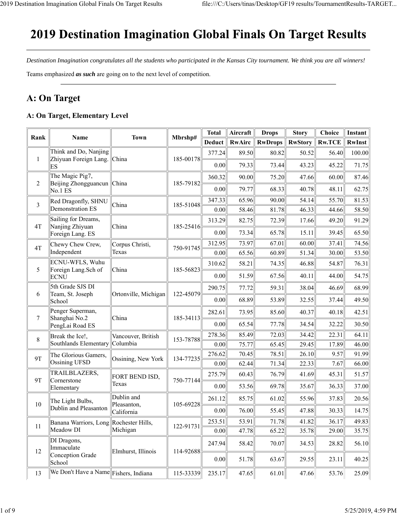## 2019 Destination Imagination Global Finals On Target Results

*Destination Imagination congratulates all the students who participated in the Kansas City tournament. We think you are all winners!* Teams emphasized *as such* are going on to the next level of competition.

## **A: On Target**

#### **A: On Target, Elementary Level**

| Rank           | Name                                           | <b>Town</b>               | Mbrshp#   | <b>Total</b>  | Aircraft      | <b>Drops</b>   | <b>Story</b>   | Choice        | Instant |
|----------------|------------------------------------------------|---------------------------|-----------|---------------|---------------|----------------|----------------|---------------|---------|
|                |                                                |                           |           | <b>Deduct</b> | <b>RwAirc</b> | <b>RwDrops</b> | <b>RwStory</b> | <b>Rw.TCE</b> | RwInst  |
| 1              | Think and Do, Nanjing<br>Zhiyuan Foreign Lang. | China                     | 185-00178 | 377.24        | 89.50         | 80.82          | 50.52          | 56.40         | 100.00  |
|                | ΙES                                            |                           |           | 0.00          | 79.33         | 73.44          | 43.23          | 45.22         | 71.75   |
|                | The Magic Pig7,                                |                           |           | 360.32        | 90.00         | 75.20          | 47.66          | 60.00         | 87.46   |
| $\overline{c}$ | Beijing Zhongguancun   China<br>No.1 ES        |                           | 185-79182 | 0.00          | 79.77         | 68.33          | 40.78          | 48.11         | 62.75   |
| 3              | Red Dragonfly, SHNU                            | China                     | 185-51048 | 347.33        | 65.96         | 90.00          | 54.14          | 55.70         | 81.53   |
|                | Demonstration ES                               |                           |           | 0.00          | 58.46         | 81.78          | 46.33          | 44.66         | 58.50   |
| 4T             | Sailing for Dreams,<br>Nanjing Zhiyuan         | China                     | 185-25416 | 313.29        | 82.75         | 72.39          | 17.66          | 49.20         | 91.29   |
|                | Foreign Lang. ES                               |                           |           | 0.00          | 73.34         | 65.78          | 15.11          | 39.45         | 65.50   |
| 4T             | Chewy Chew Crew,                               | Corpus Christi,           | 750-91745 | 312.95        | 73.97         | 67.01          | 60.00          | 37.41         | 74.56   |
|                | Independent                                    | Texas                     |           | 0.00          | 65.56         | 60.89          | 51.34          | 30.00         | 53.50   |
| 5              | ECNU-WFLS, Wuhu<br>Foreign Lang. Sch of        | China                     | 185-56823 | 310.62        | 58.21         | 74.35          | 46.88          | 54.87         | 76.31   |
|                | <b>ECNU</b>                                    |                           |           | 0.00          | 51.59         | 67.56          | 40.11          | 44.00         | 54.75   |
|                | 5th Grade SJS DI                               |                           |           | 290.75        | 77.72         | 59.31          | 38.04          | 46.69         | 68.99   |
| 6              | Team, St. Joseph<br>School                     | Ortonville, Michigan      | 122-45079 | 0.00          | 68.89         | 53.89          | 32.55          | 37.44         | 49.50   |
|                | Penger Superman,                               |                           |           | 282.61        | 73.95         | 85.60          | 40.37          | 40.18         | 42.51   |
| 7              | Shanghai No.2<br>PengLai Road ES               | China                     | 185-34113 | 0.00          | 65.54         | 77.78          | 34.54          | 32.22         | 30.50   |
| 8              | Break the Ice!,                                | Vancouver, British        | 153-78788 | 278.36        | 85.49         | 72.03          | 34.42          | 22.31         | 64.11   |
|                | Southlands Elementary                          | Columbia                  |           | 0.00          | 75.77         | 65.45          | 29.45          | 17.89         | 46.00   |
| <b>9T</b>      | The Glorious Gamers,                           | Ossining, New York        | 134-77235 | 276.62        | 70.45         | 78.51          | 26.10          | 9.57          | 91.99   |
|                | Ossining UFSD                                  |                           |           | 0.00          | 62.44         | 71.34          | 22.33          | 7.67          | 66.00   |
| <b>9T</b>      | TRAILBLAZERS,<br>Cornerstone                   | FORT BEND ISD,            | 750-77144 | 275.79        | 60.43         | 76.79          | 41.69          | 45.31         | 51.57   |
|                | Elementary                                     | Texas                     |           | 0.00          | 53.56         | 69.78          | 35.67          | 36.33         | 37.00   |
|                | The Light Bulbs,                               | Dublin and                |           | 261.12        | 85.75         | 61.02          | 55.96          | 37.83         | 20.56   |
| 10             | Dublin and Pleasanton                          | Pleasanton,<br>California | 105-69228 | 0.00          | 76.00         | 55.45          | 47.88          | 30.33         | 14.75   |
| 11             | Banana Warriors, Long Rochester Hills,         |                           | 122-91731 | 253.51        | 53.91         | 71.78          | 41.82          | 36.17         | 49.83   |
|                | Meadow DI                                      | Michigan                  |           | 0.00          | 47.78         | 65.22          | 35.78          | 29.00         | 35.75   |
| 12             | DI Dragons,<br>Immaculate                      | Elmhurst, Illinois        | 114-92688 | 247.94        | 58.42         | 70.07          | 34.53          | 28.82         | 56.10   |
|                | Conception Grade<br>School                     |                           |           | 0.00          | 51.78         | 63.67          | 29.55          | 23.11         | 40.25   |
| 13             | We Don't Have a Name Fishers, Indiana          |                           | 115-33339 | 235.17        | 47.65         | 61.01          | 47.66          | 53.76         | 25.09   |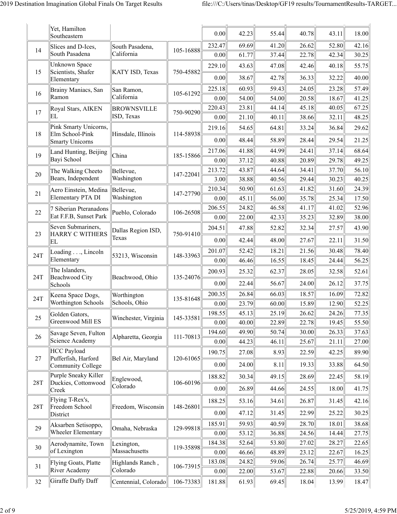|            | Yet, Hamilton<br>Southeastern                    |                               |           | 0.00           | 42.23          | 55.44          | 40.78          | 43.11          | 18.00          |
|------------|--------------------------------------------------|-------------------------------|-----------|----------------|----------------|----------------|----------------|----------------|----------------|
| 14         | Slices and D-Ices,<br>South Pasadena             | South Pasadena,<br>California | 105-16888 | 232.47<br>0.00 | 69.69<br>61.77 | 41.20<br>37.44 | 26.62<br>22.78 | 52.80<br>42.34 | 42.16<br>30.25 |
|            | <b>Unknown Space</b>                             |                               |           | 229.10         | 43.63          | 47.08          | 42.46          | 40.18          | 55.75          |
| 15         | Scientists, Shafer<br>Elementary                 | KATY ISD, Texas               | 750-45882 | 0.00           | 38.67          | 42.78          | 36.33          | 32.22          | 40.00          |
|            | Brainy Maniacs, San                              | San Ramon,                    |           | 225.18         | 60.93          | 59.43          | 24.05          | 23.28          | 57.49          |
| 16         | Ramon                                            | California                    | 105-61292 | 0.00           | 54.00          | 54.00          | 20.58          | 18.67          | 41.25          |
| 17         | Royal Stars, AIKEN                               | <b>BROWNSVILLE</b>            | 750-90290 | 220.43         | 23.81          | 44.14          | 45.18          | 40.05          | 67.25          |
|            | EL                                               | ISD, Texas                    |           | 0.00           | 21.10          | 40.11          | 38.66          | 32.11          | 48.25          |
| 18         | Pink Smarty Unicorns,<br>Elm School-Pink         | Hinsdale, Illinois            | 114-58938 | 219.16         | 54.65          | 64.81          | 33.24          | 36.84          | 29.62          |
|            | Smarty Unicorns                                  |                               |           | 0.00           | 48.44          | 58.89          | 28.44          | 29.54          | 21.25          |
| 19         | Land Hunting, Beijing                            | China                         | 185-15866 | 217.06         | 41.88          | 44.99          | 24.41          | 37.14          | 68.64          |
|            | Bayi School                                      |                               |           | 0.00           | 37.12          | 40.88          | 20.89          | 29.78          | 49.25          |
| 20         | The Walking Cheeto                               | Bellevue,                     | 147-22041 | 213.72         | 43.87          | 44.64          | 34.41          | 37.70          | 56.10          |
|            | Bears, Independent                               | Washington                    |           | 3.00           | 38.88          | 40.56          | 29.44          | 30.23          | 40.25          |
| 21         | Aero Einstein, Medina<br>Elementary PTA DI       | Bellevue,<br>Washington       | 147-27790 | 210.34         | 50.90          | 61.63          | 41.82          | 31.60          | 24.39          |
|            |                                                  |                               |           | 0.00<br>206.55 | 45.11<br>24.82 | 56.00<br>46.58 | 35.78<br>41.17 | 25.34<br>41.02 | 17.50<br>52.96 |
| 22         | 7 Siberian Pteranadons<br>Eat F.F.B, Sunset Park | Pueblo, Colorado              | 106-26508 | 0.00           | 22.00          | 42.33          | 35.23          | 32.89          | 38.00          |
|            | Seven Submariners,                               |                               |           |                |                |                |                |                |                |
| 23         | HARRY C WITHERS<br>EL                            | Dallas Region ISD,<br>Texas   | 750-91410 | 204.51<br>0.00 | 47.88<br>42.44 | 52.82<br>48.00 | 32.34<br>27.67 | 27.57<br>22.11 | 43.90<br>31.50 |
|            | Loading, Lincoln                                 |                               |           | 201.07         | 52.42          | 18.21          | 21.56          | 30.48          | 78.40          |
| 24T        | Elementary                                       | 53213, Wisconsin              | 148-33963 | 0.00           | 46.46          | 16.55          | 18.45          | 24.44          | 56.25          |
|            | The Islanders,                                   |                               |           | 200.93         | 25.32          | 62.37          | 28.05          | 32.58          | 52.61          |
| 24T        | Beachwood City<br>Schools                        | Beachwood, Ohio               | 135-24076 | 0.00           | 22.44          | 56.67          | 24.00          | 26.12          | 37.75          |
|            | Keena Space Dogs,                                | Worthington                   |           | 200.35         | 26.84          | 66.03          | 18.57          | 16.09          | 72.82          |
| 24T        | Worthington Schools                              | Schools, Ohio                 | 135-81648 | 0.00           | 23.79          | 60.00          | 15.89          | 12.90          | 52.25          |
|            | Golden Gators,                                   |                               |           | 198.55         | 45.13          | 25.19          | 26.62          | 24.26          | 77.35          |
| 25         | Greenwood Mill ES                                | Winchester, Virginia          | 145-33581 | 0.00           | 40.00          | 22.89          | 22.78          | 19.45          | 55.50          |
| 26         | Savage Seven, Fulton                             | Alpharetta, Georgia           | 111-70813 | 194.60         | 49.90          | 50.74          | 30.00          | 26.33          | 37.63          |
|            | Science Academy                                  |                               |           | 0.00           | 44.23          | 46.11          | 25.67          | 21.11          | 27.00          |
|            | HCC Payload                                      |                               |           | 190.75         | 27.08          | 8.93           | 22.59          | 42.25          | 89.90          |
| 27         | Pufferfish, Harford<br>Community College         | Bel Air, Maryland             | 120-61065 | 0.00           | 24.00          | 8.11           | 19.33          | 33.88          | 64.50          |
| <b>28T</b> | Purple Sneaky Killer<br>Duckies, Cottonwood      | Englewood,                    | 106-60196 | 188.82         | 30.34          | 49.15          | 28.69          | 22.45          | 58.19          |
|            | Creek                                            | Colorado                      |           | 0.00           | 26.89          | 44.66          | 24.55          | 18.00          | 41.75          |
| 28T        | Flying T-Rex's,<br>Freedom School                | Freedom, Wisconsin            | 148-26801 | 188.25         | 53.16          | 34.61          | 26.87          | 31.45          | 42.16          |
|            | District                                         |                               |           | 0.00           | 47.12          | 31.45          | 22.99          | 25.22          | 30.25          |
|            | Aksarben Setisoppo,                              |                               |           | 185.91         | 59.93          | 40.59          | 28.70          | 18.01          | 38.68          |
| 29         | Wheeler Elementary                               | Omaha, Nebraska               | 129-99818 | 0.00           | 53.12          | 36.88          | 24.56          | 14.44          | 27.75          |
| 30         | Aerodynamite, Town                               | Lexington,                    | 119-35898 | 184.38         | 52.64          | 53.80          | 27.02          | 28.27          | 22.65          |
|            | of Lexington                                     | Massachusetts                 |           | 0.00           | 46.66          | 48.89          | 23.12          | 22.67          | 16.25          |
| 31         | Flying Goats, Platte                             | Highlands Ranch,              | 106-73915 | 183.08         | 24.82          | 59.06          | 26.74          | 25.77          | 46.69          |
|            | River Academy                                    | Colorado                      |           | 0.00           | 22.00          | 53.67          | 22.88          | 20.66          | 33.50          |
| 32         | Giraffe Daffy Daff                               | Centennial, Colorado          | 106-73383 | 181.88         | 61.93          | 69.45          | 18.04          | 13.99          | 18.47          |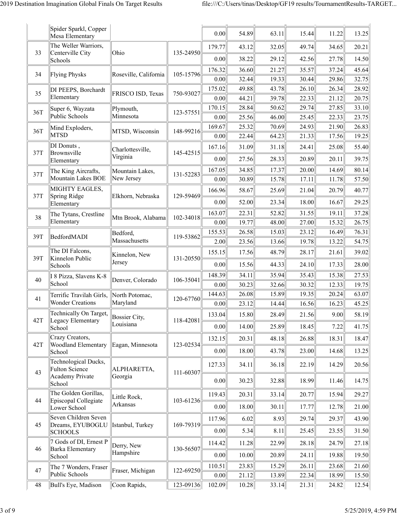|     | Spider Sparkl, Copper<br>Mesa Elementary      |                       |           | 0.00   | 54.89 | 63.11 | 15.44 | 11.22 | 13.25 |
|-----|-----------------------------------------------|-----------------------|-----------|--------|-------|-------|-------|-------|-------|
|     | The Weller Warriors,                          |                       |           | 179.77 | 43.12 | 32.05 | 49.74 | 34.65 | 20.21 |
| 33  | Centerville City<br>Schools                   | Ohio                  | 135-24950 | 0.00   | 38.22 | 29.12 | 42.56 | 27.78 | 14.50 |
|     |                                               |                       |           | 176.32 | 36.60 | 21.27 | 35.57 | 37.24 | 45.64 |
| 34  | Flying Physks                                 | Roseville, California | 105-15796 | 0.00   | 32.44 | 19.33 | 30.44 | 29.86 | 32.75 |
|     | DI PEEPS, Borchardt                           |                       |           | 175.02 | 49.88 | 43.78 | 26.10 | 26.34 | 28.92 |
| 35  | Elementary                                    | FRISCO ISD, Texas     | 750-93027 | 0.00   | 44.21 | 39.78 | 22.33 | 21.12 | 20.75 |
| 36T | Super 6, Wayzata                              | Plymouth,             | 123-57551 | 170.15 | 28.84 | 50.62 | 29.74 | 27.85 | 33.10 |
|     | Public Schools                                | Minnesota             |           | 0.00   | 25.56 | 46.00 | 25.45 | 22.33 | 23.75 |
| 36T | Mind Exploders,                               | MTSD, Wisconsin       | 148-99216 | 169.67 | 25.32 | 70.69 | 24.93 | 21.90 | 26.83 |
|     | <b>MTSD</b>                                   |                       |           | 0.00   | 22.44 | 64.23 | 21.33 | 17.56 | 19.25 |
| 37T | DI Donuts,<br>Brownsville                     | Charlottesville,      | 145-42515 | 167.16 | 31.09 | 31.18 | 24.41 | 25.08 | 55.40 |
|     | Elementary                                    | Virginia              |           | 0.00   | 27.56 | 28.33 | 20.89 | 20.11 | 39.75 |
| 37T | The King Aircrafts,                           | Mountain Lakes,       | 131-52283 | 167.05 | 34.85 | 17.37 | 20.00 | 14.69 | 80.14 |
|     | Mountain Lakes BOE                            | New Jersey            |           | 0.00   | 30.89 | 15.78 | 17.11 | 11.78 | 57.50 |
|     | MIGHTY EAGLES,                                |                       |           | 166.96 | 58.67 | 25.69 | 21.04 | 20.79 | 40.77 |
| 37T | Spring Ridge<br>Elementary                    | Elkhorn, Nebraska     | 129-59469 | 0.00   | 52.00 | 23.34 | 18.00 | 16.67 | 29.25 |
|     | The Tytans, Crestline                         |                       |           | 163.07 | 22.31 | 52.82 | 31.55 | 19.11 | 37.28 |
| 38  | Elementary                                    | Mtn Brook, Alabama    | 102-34018 | 0.00   | 19.77 | 48.00 | 27.00 | 15.32 | 26.75 |
|     |                                               | Bedford,              |           | 155.53 | 26.58 | 15.03 | 23.12 | 16.49 | 76.31 |
| 39T | BedfordMADI                                   | Massachusetts         | 119-53862 | 2.00   | 23.56 | 13.66 | 19.78 | 13.22 | 54.75 |
| 39T | The DI Falcons,<br>Kinnelon Public            | Kinnelon, New         | 131-20550 | 155.15 | 17.56 | 48.79 | 28.17 | 21.61 | 39.02 |
|     | Schools                                       | Jersey                |           | 0.00   | 15.56 | 44.33 | 24.10 | 17.33 | 28.00 |
| 40  | I 8 Pizza, Slavens K-8                        | Denver, Colorado      | 106-35041 | 148.39 | 34.11 | 35.94 | 35.43 | 15.38 | 27.53 |
|     | School                                        |                       |           | 0.00   | 30.23 | 32.66 | 30.32 | 12.33 | 19.75 |
| 41  | Terrific Travilah Girls,                      | North Potomac,        | 120-67760 | 144.63 | 26.08 | 15.89 | 19.35 | 20.24 | 63.07 |
|     | <b>Wonder Creations</b>                       | Maryland              |           | 0.00   | 23.12 | 14.44 | 16.56 | 16.23 | 45.25 |
| 42T | Technically On Target,<br>Legacy Elementary   | Bossier City,         | 118-42081 | 133.04 | 15.80 | 28.49 | 21.56 | 9.00  | 58.19 |
|     | School                                        | Louisiana             |           | 0.00   | 14.00 | 25.89 | 18.45 | 7.22  | 41.75 |
| 42T | Crazy Creators,<br><b>Woodland Elementary</b> | Eagan, Minnesota      | 123-02534 | 132.15 | 20.31 | 48.18 | 26.88 | 18.31 | 18.47 |
|     | School                                        |                       |           | 0.00   | 18.00 | 43.78 | 23.00 | 14.68 | 13.25 |
|     | Technological Ducks,<br>Fulton Science        | ALPHARETTA,           |           | 127.33 | 34.11 | 36.18 | 22.19 | 14.29 | 20.56 |
| 43  | Academy Private                               | Georgia               | 111-60307 |        |       |       |       |       |       |
|     | School                                        |                       |           | 0.00   | 30.23 | 32.88 | 18.99 | 11.46 | 14.75 |
| 44  | The Golden Gorillas,<br>Episcopal Collegiate  | Little Rock,          | 103-61236 | 119.43 | 20.31 | 33.14 | 20.77 | 15.94 | 29.27 |
|     | Lower School                                  | Arkansas              |           | 0.00   | 18.00 | 30.11 | 17.77 | 12.78 | 21.00 |
| 45  | Seven Children Seven<br>Dreams, EYUBOGLU      | Istanbul, Turkey      | 169-79319 | 117.96 | 6.02  | 8.93  | 29.74 | 29.37 | 43.90 |
|     | <b>SCHOOLS</b>                                |                       |           | 0.00   | 5.34  | 8.11  | 25.45 | 23.55 | 31.50 |
|     | 7 Gods of DI, Ernest P                        | Derry, New            |           | 114.42 | 11.28 | 22.99 | 28.18 | 24.79 | 27.18 |
| 46  | Barka Elementary<br>School                    | Hampshire             | 130-56507 | 0.00   | 10.00 | 20.89 | 24.11 | 19.88 | 19.50 |
| 47  | The 7 Wonders, Fraser                         |                       |           | 110.51 | 23.83 | 15.29 | 26.11 | 23.68 | 21.60 |
|     | Public Schools                                | Fraser, Michigan      | 122-69250 | 0.00   | 21.12 | 13.89 | 22.34 | 18.99 | 15.50 |
| 48  | Bull's Eye, Madison                           | Coon Rapids,          | 123-09136 | 102.09 | 10.28 | 33.14 | 21.31 | 24.82 | 12.54 |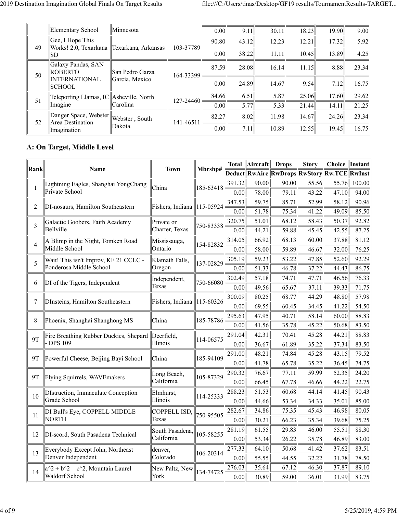|    | Elementary School                                 | Minnesota       |           | 0.00              | 9.11  | 30.11 | 18.23 | 19.90 | 9.00  |
|----|---------------------------------------------------|-----------------|-----------|-------------------|-------|-------|-------|-------|-------|
| 49 | Gee, I Hope This                                  |                 | 103-37789 | 90.80             | 43.12 | 12.23 | 12.21 | 17.32 | 5.92  |
|    | Works! 2.0, Texarkana   Texarkana, Arkansas<br>SD |                 |           | 0.00              | 38.22 | 11.11 | 10.45 | 13.89 | 4.25  |
| 50 | Galaxy Pandas, SAN<br><b>ROBERTO</b>              | San Pedro Garza | 164-33399 | 87.59             | 28.08 | 16.14 | 11.15 | 8.88  | 23.34 |
|    | <b>INTERNATIONAL</b><br><b>SCHOOL</b>             | García, Mexico  |           | 0.00 <sub>l</sub> | 24.89 | 14.67 | 9.54  | 7.12  | 16.75 |
| 51 | Teleporting Llamas, IC Asheville, North           |                 | 127-24460 | 84.66             | 6.51  | 5.87  | 25.06 | 17.60 | 29.62 |
|    | Imagine                                           | Carolina        |           | 0.00 <sub>l</sub> | 5.77  | 5.33  | 21.44 | 14.11 | 21.25 |
| 52 | Danger Space, Webster<br>Area Destination         | Webster, South  | 141-46511 | 82.27             | 8.02  | 11.98 | 14.67 | 24.26 | 23.34 |
|    | Imagination                                       | Dakota          |           | 0.00              | 7.11  | 10.89 | 12.55 | 19.45 | 16.75 |

#### **A: On Target, Middle Level**

|                                       |                                        | <b>Town</b>      |                                      | <b>Total</b> | Aircraft | <b>Drops</b>                                | <b>Story</b> | Choice   Instant |        |
|---------------------------------------|----------------------------------------|------------------|--------------------------------------|--------------|----------|---------------------------------------------|--------------|------------------|--------|
| <b>Rank</b>                           | Name                                   |                  | Mbrshp#                              |              |          | Deduct RwAirc RwDrops RwStory Rw.TCE RwInst |              |                  |        |
| 1                                     | Lightning Eagles, Shanghai YongChang   | China            | 185-63418                            | 391.32       | 90.00    | 90.00                                       | 55.56        | 55.76            | 100.00 |
|                                       | Private School                         |                  |                                      | 0.00         | 78.00    | 79.11                                       | 43.22        | 47.10            | 94.00  |
| 2                                     | DI-nosaurs, Hamilton Southeastern      | Fishers, Indiana | $\ 115 - 05924\ $                    | 347.53       | 59.75    | 85.71                                       | 52.99        | 58.12            | 90.96  |
|                                       |                                        |                  |                                      | 0.00         | 51.78    | 75.34                                       | 41.22        | 49.09            | 85.50  |
| 3                                     | Galactic Goobers, Faith Academy        | Private or       | 750-83338                            | 320.75       | 51.01    | 68.12                                       | 58.43        | 50.37            | 92.82  |
|                                       | Bellville                              | Charter, Texas   |                                      | 0.00         | 44.21    | 59.88                                       | 45.45        | 42.55            | 87.25  |
| $\overline{4}$                        | A Blimp in the Night, Tomken Road      | Mississauga,     | 154-82832                            | 314.05       | 66.92    | 68.13                                       | 60.00        | 37.88            | 81.12  |
|                                       | Middle School                          | Ontario          |                                      | 0.00         | 58.00    | 59.89                                       | 46.67        | 32.00            | 76.25  |
| 5                                     | Wait! This isn't Improv, KF 21 CCLC -  | Klamath Falls,   | 137-02829                            | 305.19       | 59.23    | 53.22                                       | 47.85        | 52.60            | 92.29  |
|                                       | Ponderosa Middle School                | Oregon           |                                      | 0.00         | 51.33    | 46.78                                       | 37.22        | 44.43            | 86.75  |
| 6                                     | DI of the Tigers, Independent          | Independent,     | 750-66080                            | 302.49       | 57.18    | 74.71                                       | 47.71        | 46.56            | 76.33  |
|                                       |                                        | Texas            |                                      | 0.00         | 49.56    | 65.67                                       | 37.11        | 39.33            | 71.75  |
| 7<br>DInsteins, Hamilton Southeastern |                                        | Fishers, Indiana | 80.25<br>300.09<br>$\ 115 - 60326\ $ | 68.77        | 44.29    | 48.80                                       | 57.98        |                  |        |
|                                       |                                        |                  |                                      | 0.00         | 69.55    | 60.45                                       | 34.45        | 41.22            | 54.50  |
| 8                                     | Phoenix, Shanghai Shanghong MS         | China            | 185-78786                            | 295.63       | 47.95    | 40.71                                       | 58.14        | 60.00            | 88.83  |
|                                       |                                        |                  |                                      | 0.00         | 41.56    | 35.78                                       | 45.22        | 50.68            | 83.50  |
| 9T                                    | Fire Breathing Rubber Duckies, Shepard | Deerfield,       | 114-06575                            | 291.04       | 42.31    | 70.41                                       | 45.28        | 44.21            | 88.83  |
|                                       | - DPS 109                              | Illinois         |                                      | 0.00         | 36.67    | 61.89                                       | 35.22        | 37.34            | 83.50  |
| 9T                                    | Powerful Cheese, Beijing Bayi School   | China            | 185-94109                            | 291.00       | 48.21    | 74.84                                       | 45.28        | 43.15            | 79.52  |
|                                       |                                        |                  |                                      | 0.00         | 41.78    | 65.78                                       | 35.22        | 36.45            | 74.75  |
| 9T                                    | Flying Squirrels, WAVEmakers           | Long Beach,      | 105-87329                            | 290.32       | 76.67    | 77.11                                       | 59.99        | 52.35            | 24.20  |
|                                       |                                        | California       |                                      | 0.00         | 66.45    | 67.78                                       | 46.66        | 44.22            | 22.75  |
| 10                                    | DIstruction, Immaculate Conception     | Elmhurst,        | 114-25333                            | 288.23       | 51.53    | 60.68                                       | 44.14        | 41.45            | 90.43  |
|                                       | Grade School                           | Illinois         |                                      | 0.00         | 44.66    | 53.34                                       | 34.33        | 35.01            | 85.00  |
| 11                                    | DI Bull's Eye, COPPELL MIDDLE          | COPPELL ISD,     | 750-95505                            | 282.67       | 34.86    | 75.35                                       | 45.43        | 46.98            | 80.05  |
|                                       | NORTH                                  | Texas            |                                      | 0.00         | 30.21    | 66.23                                       | 35.34        | 39.68            | 75.25  |
| 12                                    | DI-scord, South Pasadena Technical     | South Pasadena,  | 105-58255                            | 281.19       | 61.55    | 29.83                                       | 46.00        | 55.51            | 88.30  |
|                                       |                                        | California       |                                      | 0.00         | 53.34    | 26.22                                       | 35.78        | 46.89            | 83.00  |
| 13                                    | Everybody Except John, Northeast       | denver,          | 106-20314                            | 277.33       | 64.10    | 50.68                                       | 41.42        | 37.62            | 83.51  |
|                                       | Denver Independent                     | Colorado         |                                      | 0.00         | 55.55    | 44.55                                       | 32.22        | 31.78            | 78.50  |
| 14                                    | $ a^2 + b^2 = c^2$ , Mountain Laurel   | New Paltz, New   | 134-74725                            | 276.03       | 35.64    | 67.12                                       | 46.30        | 37.87            | 89.10  |
|                                       | Waldorf School                         | York             |                                      | 0.00         | 30.89    | 59.00                                       | 36.01        | 31.99            | 83.75  |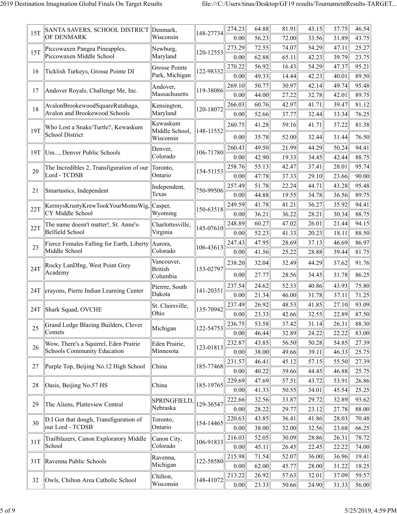| 15T | SANTA SAVERS, SCHOOL DISTRICT Denmark,                           |                              | 148-27734 | 274.23                   | 64.88          | 81.91          | 43.15          | 37.75          | 46.54          |
|-----|------------------------------------------------------------------|------------------------------|-----------|--------------------------|----------------|----------------|----------------|----------------|----------------|
|     | OF DENMARK                                                       | Wisconsin                    |           | 0.00                     | 56.23          | 72.00          | 33.56          | 31.89          | 43.75          |
| 15T | Piccowaxen Pangea Pineapples,                                    | Newburg,                     | 120-12553 | 273.29                   | 72.55          | 74.07          | 54.29          | 47.11          | 25.27          |
|     | Piccowaxen Middle School                                         | Maryland                     |           | 0.00                     | 62.88          | 65.11          | 42.23          | 39.79          | 23.75          |
| 16  | Ticklish Turkeys, Grosse Pointe DI                               | Grosse Pointe                | 122-98332 | 270.22                   | 56.92          | 16.43          | 54.29          | 47.37          | 95.21          |
|     |                                                                  | Park, Michigan               |           | 0.00                     | 49.33          | 14.44          | 42.23          | 40.01          | 89.50          |
| 17  | Andover Royals, Challenge Me, Inc.                               | Andover,                     | 119-38086 | 269.10                   | 50.77          | 30.97          | 42.14          | 49.74          | 95.48          |
|     |                                                                  | Massachusetts                |           | 0.00                     | 44.00          | 27.22          | 32.78          | 42.01          | 89.75          |
| 18  | AvalonBrookewoodSquareRutabaga,<br>Avalon and Brookewood Schools | Kensington,<br>Maryland      | 120-18072 | 266.03                   | 60.76          | 42.97          | 41.71          | 39.47          | 81.12          |
|     |                                                                  | Kewaskum                     |           | 0.00                     | 52.66          | 37.77          | 32.44          | 33.34          | 76.25          |
| 19T | Who Lost a Snake/Turtle?, Kewaskum                               | Middle School,               | 148-11552 | 260.75                   | 41.28          | 59.16          | 41.71          | 37.22          | 81.38          |
|     | <b>School District</b>                                           | Wisconsin                    |           | 0.00                     | 35.78          | 52.00          | 32.44          | 31.44          | 76.50          |
| 19T | Um, Denver Public Schools                                        | Denver,                      | 106-71780 | 260.43                   | 49.50          | 21.99          | 44.29          | 50.24          | 94.41          |
|     |                                                                  | Colorado                     |           | 0.00                     | 42.90          | 19.33          | 34.45          | 42.44          | 88.75          |
| 20  | The Incredibles 2, Transfiguration of our                        | Toronto,                     | 154-51153 | 258.76                   | 55.13          | 42.47          | 37.41          | 28.01          | 95.74          |
|     | Lord - TCDSB                                                     | Ontario                      |           | 0.00                     | 47.78          | 37.33          | 29.10          | 23.66          | 90.00          |
| 21  | Smartastics, Independent                                         | Independent,                 | 750-99506 | 257.49                   | 51.78          | 22.24          | 44.71          | 43.28          | 95.48          |
|     |                                                                  | Texas                        |           | 0.00                     | 44.88          | 19.55          | 34.78          | 36.56          | 89.75          |
| 22T | KermysKrustyKrewTookYourMomsWig,                                 | Casper,                      | 150-63518 | 249.59                   | 41.78          | 41.21          | 36.27          | 35.92          | 94.41          |
|     | CY Middle School                                                 | Wyoming                      |           | 0.00                     | 36.21          | 36.22          | 28.21          | 30.34          | 88.75          |
| 22T | The name doesn't matter!, St. Anne's-                            | Charlottesville,             | 145-07610 | 248.89<br>60.27<br>47.02 |                | 26.01          | 21.44          | 94.15          |                |
|     | Belfield School                                                  | Virginia                     |           | 0.00                     | 52.23          | 41.33          | 20.23          | 18.11          | 88.50          |
| 23  | Fierce Females Falling for Earth, Liberty                        | Aurora,                      | 106-43613 | 247.43                   | 47.95          | 28.69          | 37.13          | 46.69          | 86.97          |
|     | Middle School                                                    | Colorado                     |           | 0.00                     | 41.56          | 25.22          | 28.88          | 39.44          | 81.75          |
| 24T | Rocky LanDIng, West Point Grey                                   | Vancouver,<br><b>British</b> | 153-02797 | 238.20                   | 32.04          | 32.49          | 44.29          | 37.62          | 91.76          |
|     | Academy                                                          | Columbia                     |           | 0.00                     | 27.77          | 28.56          | 34.45          | 31.78          | 86.25          |
|     |                                                                  | Pierrre, South               | 141-20351 | 237.54                   | 24.62          | 52.33          | 40.86          | 43.93          | 75.80          |
| 24T | crayons, Pierre Indian Learning Center                           | Dakota                       |           | 0.00                     | 21.34          | 46.00          | 31.78          | 37.11          | 71.25          |
|     | 24T Shark Squad, OVCHE                                           | St. Clairsville,             | 135-70942 | 237.49                   | 26.92          | 48.53          | 41.85          | 27.10          | 93.09          |
|     |                                                                  | Ohio                         |           | 0.00                     | 23.33          | 42.66          | 32.55          | 22.89          | 87.50          |
| 25  | Grand Ledge Blazing Builders, Clever                             | Michigan                     | 122-54753 | 236.75                   | 53.58          | 37.42          | 31.14          | 26.31          | 88.30          |
|     | Comets                                                           |                              |           | 0.00                     | 46.44          | 32.89          | 24.22          | 22.22          | 83.00          |
| 26  | Wow, There's a Squirrel, Eden Prairie                            | Eden Prairie,                | 123-01813 | 232.87                   | 43.85          | 56.50          | 50.28          | 54.85          | 27.39          |
|     | Schools Community Education                                      | Minnesota                    |           | 0.00                     | 38.00          | 49.66          | 39.11          | 46.33          | 25.75          |
| 27  | Purple Top, Beijing No.12 High School                            | China                        | 185-77468 | 231.57                   | 46.41          | 45.12          | 57.15          | 55.50          | 27.39          |
|     |                                                                  |                              |           | 0.00                     | 40.22          | 39.66          | 44.45          | 46.88          | 25.75          |
| 28  | Oasis, Beijing No.57 HS                                          | China                        | 185-19765 | 229.69                   | 47.69          | 57.51          | 43.72          | 53.91          | 26.86          |
|     |                                                                  |                              |           | 0.00                     | 41.33          | 50.55          | 34.01          | 45.54          | 25.25          |
| 29  | The Aliens, Platteview Central                                   | SPRINGFIELD,<br>Nebraska     | 129-36547 | 222.66                   | 32.56          | 33.87          | 29.72          | 32.89          | 93.62          |
|     |                                                                  |                              |           | 0.00                     | 28.22          | 29.77          | 23.12          | 27.78          | 88.00          |
| 30  | D.I Got that dough, Transfiguration of<br>our Lord - TCDSB       | Toronto,                     | 154-14465 | 220.63                   | 43.85          | 36.41          | 41.86          | 28.03          | 70.48          |
|     |                                                                  | Ontario                      |           | 0.00                     | 38.00          | 32.00          | 32.56          | 23.68          | 66.25          |
| 31T | Trailblazers, Canon Exploratory Middle<br>School                 | Canon City,<br>Colorado      | 106-91833 | 216.03                   | 52.05          | 30.09          | 28.86          | 26.31          | 78.72          |
|     |                                                                  |                              |           | 0.00                     | 45.11          | 26.45          | 22.45          | 22.22          | 74.00          |
| 31T | Ravenna Public Schools                                           | Ravenna,<br>Michigan         | 122-58580 | 215.98<br>0.00           | 71.54<br>62.00 | 52.07<br>45.77 | 36.00<br>28.00 | 36.96<br>31.22 | 19.41<br>18.25 |
|     |                                                                  |                              |           | 213.22                   | 26.92          | 57.63          | 32.01          | 37.09          | 59.57          |
| 32  | Owls, Chilton Area Catholic School                               | Chilton,                     | 148-41072 |                          |                |                |                |                |                |
|     |                                                                  | Wisconsin                    |           | 0.00                     | 23.33          | 50.66          | 24.90          | 31.33          | 56.00          |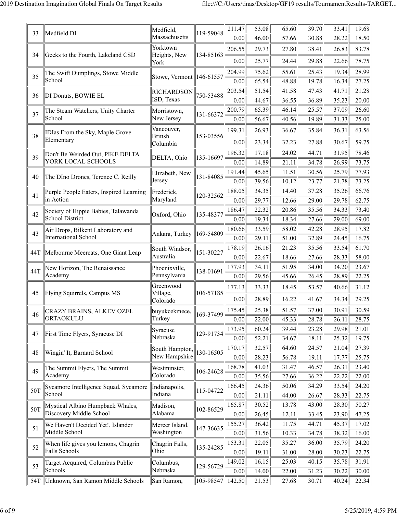| 33  | Medfield DI                                 | Medfield,<br>Massachusetts    | 119-59048              | 211.47<br>0.00 | 53.08<br>46.00 | 65.60<br>57.66 | 39.70<br>30.88 | 33.41<br>28.22 | 19.68<br>18.50                                                                                                                               |
|-----|---------------------------------------------|-------------------------------|------------------------|----------------|----------------|----------------|----------------|----------------|----------------------------------------------------------------------------------------------------------------------------------------------|
|     |                                             | Yorktown                      |                        | 206.55         | 29.73          | 27.80          | 38.41          | 26.83          | 83.78                                                                                                                                        |
| 34  | Geeks to the Fourth, Lakeland CSD           | Heights, New<br>York          | 134-85163              | 0.00           | 25.77          | 24.44          | 29.88          | 22.66          | 78.75                                                                                                                                        |
| 35  | The Swift Dumplings, Stowe Middle           | Stowe, Vermont   146-61557    |                        | 204.99         | 75.62          | 55.61          | 25.43          | 19.34          | 28.99                                                                                                                                        |
|     | School                                      |                               |                        | 0.00           | 65.54          | 48.88          | 19.78          | 16.34          | 27.25                                                                                                                                        |
| 36  | DI Donuts, BOWIE EL                         | <b>RICHARDSON</b>             | 750-53488              | 203.54         | 51.54          | 41.58          | 47.43          | 41.71          | 21.28                                                                                                                                        |
|     |                                             | ISD, Texas                    |                        | 0.00           | 44.67          | 36.55          | 36.89          | 35.23          | 20.00                                                                                                                                        |
| 37  | The Steam Watchers, Unity Charter<br>School | Morristown,<br>New Jersey     | 131-66372              | 200.79         | 65.39          | 46.14          | 25.57          | 37.09          | 26.60                                                                                                                                        |
|     |                                             | Vancouver,                    |                        | 0.00           | 56.67          | 40.56          | 19.89          | 31.33          | 25.00                                                                                                                                        |
| 38  | <b>IDIas From the Sky, Maple Grove</b>      | <b>British</b>                | 153-03556              | 199.31         | 26.93          | 36.67          | 35.84          | 36.31          | 63.56                                                                                                                                        |
|     | Elementary                                  | Columbia                      |                        | 0.00           | 23.34          | 32.23          | 27.88          | 30.67          | 59.75                                                                                                                                        |
| 39  | Don't Be Weirded Out, PIKE DELTA            | DELTA, Ohio                   | 135-16697              | 196.32         | 17.18          | 24.02          | 44.71          | 31.95          | 78.46                                                                                                                                        |
|     | YORK LOCAL SCHOOLS                          |                               |                        | 0.00           | 14.89          | 21.11          | 34.78          | 26.99          | 73.75                                                                                                                                        |
| 40  | The DIno Drones, Terence C. Reilly          | Elizabeth, New                | 131-84085              | 191.44         | 45.65          | 11.51          | 30.56          | 25.79          | 77.93                                                                                                                                        |
|     |                                             | Jersey                        | 120-32562<br>135-48377 | 0.00           | 39.56          | 10.12          | 23.77          | 21.78          | 73.25                                                                                                                                        |
| 41  | Purple People Eaters, Inspired Learning     | Frederick,                    |                        | 188.05         | 34.35          | 14.40          | 37.28          | 35.26          | 66.76                                                                                                                                        |
|     | in Action                                   | Maryland                      |                        | 0.00           | 29.77          | 12.66          | 29.00          | 29.78          | 62.75                                                                                                                                        |
|     | Society of Hippie Babies, Talawanda<br>42   | Oxford, Ohio                  |                        | 186.47         | 22.32          | 20.86          | 35.56          | 34.33          | 73.40                                                                                                                                        |
|     | School District                             |                               | 0.00<br>180.66         | 19.34          | 18.34          | 27.66          | 29.00          | 69.00          |                                                                                                                                              |
| 43  | Air Drops, Bilkent Laboratory and           | Ankara, Turkey                | 169-54809              |                | 33.59          | 58.02          | 42.28          | 28.95          | 17.82                                                                                                                                        |
|     | <b>International School</b>                 |                               |                        | 0.00           | 29.11          | 51.00          | 32.89          | 24.45          |                                                                                                                                              |
| 44T | Melbourne Meercats, One Giant Leap          | South Windsor,<br>Australia   | 151-30227              | 178.19         | 26.16          | 21.23          | 35.56          | 33.54          |                                                                                                                                              |
|     |                                             |                               |                        | 0.00           | 22.67<br>34.11 | 18.66          | 27.66          | 28.33<br>34.20 |                                                                                                                                              |
| 44T | New Horizon, The Renaissance<br>Academy     | Phoenixville,<br>Pennsylvania | 138-01691              | 177.93<br>0.00 | 29.56          | 51.95<br>45.66 | 34.00<br>26.45 | 28.89          |                                                                                                                                              |
|     |                                             | Greenwood                     | 106-57185              |                |                |                |                |                |                                                                                                                                              |
| 45  | Flying Squirrels, Campus MS                 | Village,<br>Colorado          |                        | 177.13<br>0.00 | 33.33<br>28.89 | 18.45<br>16.22 | 53.57<br>41.67 | 40.66<br>34.34 | 29.25                                                                                                                                        |
|     | <b>CRAZY BRAINS, ALKEV OZEL</b>             | buyukcekmece,                 |                        | 175.45         | 25.38          | 51.57          | 37.00          | 30.91          |                                                                                                                                              |
| 46  | ORTAOKULU                                   | Turkey                        | 169-37499              | 0.00           | 22.00          | 45.33          | 28.78          | 26.11          |                                                                                                                                              |
|     |                                             | Syracuse                      |                        | 173.95         | 60.24          | 39.44          | 23.28          | 29.98          |                                                                                                                                              |
| 47  | First Time Flyers, Syracuse DI              | Nebraska                      | 129-91734              | 0.00           | 52.21          | 34.67          | 18.11          | 25.32          | 19.75                                                                                                                                        |
|     |                                             | South Hampton,                |                        | 170.17         | 32.57          | 64.60          | 24.57          | 21.04          | 27.39                                                                                                                                        |
| 48  | Wingin' It, Barnard School                  | New Hampshire                 | 130-16505              | 0.00           | 28.23          | 56.78          | 19.11          | 17.77          | 25.75                                                                                                                                        |
| 49  | The Summit Flyers, The Summit               | Westminster,                  | 106-24628              | 168.78         | 41.03          | 31.47          | 46.57          | 26.31          | 16.75<br>61.70<br>58.00<br>23.67<br>22.25<br>31.12<br>30.59<br>28.75<br>21.01<br>23.40<br>22.00<br>24.20<br>22.75<br>50.27<br>47.25<br>17.02 |
|     | Academy                                     | Colorado                      |                        | 0.00           | 35.56          | 27.66          | 36.22          | 22.22          |                                                                                                                                              |
| 50T | Sycamore Intelligence Squad, Sycamore       | Indianapolis,                 | 115-04722              | 166.45         | 24.36          | 50.06          | 34.29          | 33.54          |                                                                                                                                              |
|     | School                                      | Indiana                       |                        | 0.00           | 21.11          | 44.00          | 26.67          | 28.33          |                                                                                                                                              |
| 50T | Mystical Albino Humpback Whales,            | Madison,                      | 102-86529              | 165.87         | 30.52          | 13.78          | 43.00          | 28.30          |                                                                                                                                              |
|     | Discovery Middle School                     | Alabama                       |                        | 0.00           | 26.45          | 12.11          | 33.45          | 23.90          |                                                                                                                                              |
| 51  | We Haven't Decided Yet!, Islander           | Mercer Island,                | 147-36635              | 155.27         | 36.42          | 11.75          | 44.71          | 45.37          |                                                                                                                                              |
|     | Middle School                               | Washington                    |                        | 0.00           | 31.56          | 10.33          | 34.78          | 38.32          | 16.00                                                                                                                                        |
| 52  | When life gives you lemons, Chagrin         | Chagrin Falls,                | 135-24285              | 153.31         | 22.05          | 35.27          | 36.00          | 35.79          | 24.20                                                                                                                                        |
|     | Falls Schools                               | Ohio                          |                        | 0.00           | 19.11          | 31.00          | 28.00          | 30.23          | 22.75                                                                                                                                        |
| 53  | Target Acquired, Columbus Public            | Columbus,                     | 129-56729              | 149.02         | 16.15          | 25.03          | 40.15          | 35.78          | 31.91                                                                                                                                        |
|     | Schools                                     | Nebraska                      |                        | 0.00           | 14.00          | 22.00          | 31.23          | 30.22          | 30.00                                                                                                                                        |
|     | 54T  Unknown, San Ramon Middle Schools      | San Ramon,                    | 105-98547              | 142.50         | 21.53          | 27.68          | 30.71          | 40.24          | 22.34                                                                                                                                        |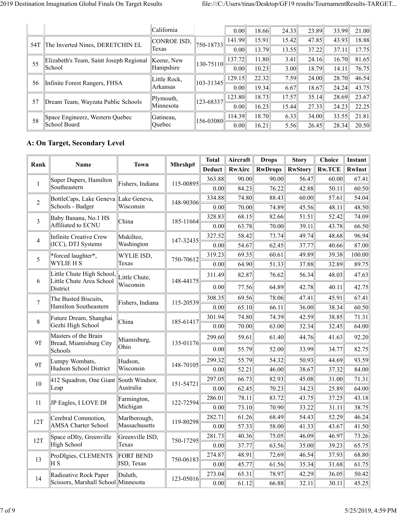|     |                                                          | California          |                   | 0.00   | 18.66 | 24.33  | 23.89 | 33.99 | 21.00 |
|-----|----------------------------------------------------------|---------------------|-------------------|--------|-------|--------|-------|-------|-------|
| 54T | The Inverted Nines, DERETCHIN EL                         | CONROE ISD,         | $750 - 18733$     | 141.99 | 15.91 | 15.42  | 47.85 | 43.93 | 18.88 |
|     |                                                          | Texas               |                   | 0.00   | 13.79 | 13.55  | 37.22 | 37.11 | 17.75 |
|     | Elizabeth's Team, Saint Joseph Regional<br>55<br> School | Keene, New          | $130 - 75110$     | 137.72 | 11.80 | $3.41$ | 24.16 | 16.70 | 81.65 |
|     |                                                          | Hampshire           |                   | 0.00   | 10.23 | 3.00   | 18.79 | 14.11 | 76.75 |
| 56  |                                                          | Little Rock,        | $\ 103 - 31345\ $ | 129.15 | 22.32 | 7.59   | 24.00 | 28.70 | 46.54 |
|     | Infinite Forest Rangers, FHSA                            | Arkansas            |                   | 0.00   | 19.34 | 6.67   | 18.67 | 24.24 | 43.75 |
| 57  | Dream Team, Wayzata Public Schools                       | Plymouth,           | 123-68337         | 123.80 | 18.73 | 17.57  | 35.14 | 28.69 | 23.67 |
|     |                                                          | Minnesota           |                   | 0.00   | 16.23 | 15.44  | 27.33 | 24.23 | 22.25 |
| 58  | Space Engineerz, Western Quebec<br>School Board          | Gatineau,<br>Quebec | $\ 156 - 03080\ $ | 114.39 | 18.70 | 6.33   | 34.00 | 33.55 | 21.81 |
|     |                                                          |                     |                   | 0.00   | 16.21 | 5.56   | 26.45 | 28.34 | 20.50 |

#### **A: On Target, Secondary Level**

| Rank           | <b>Name</b>                                           | <b>Town</b>      | Mbrshp#   | <b>Total</b>  | Aircraft | <b>Drops</b>   | <b>Story</b>   | <b>Choice</b> | Instant       |
|----------------|-------------------------------------------------------|------------------|-----------|---------------|----------|----------------|----------------|---------------|---------------|
|                |                                                       |                  |           | <b>Deduct</b> | RwAirc   | <b>RwDrops</b> | <b>RwStory</b> | <b>Rw.TCE</b> | <b>RwInst</b> |
| $\mathbf{1}$   | Super Dupers, Hamilton                                | Fishers, Indiana | 115-00895 | 363.88        | 90.00    | 90.00          | 56.47          | 60.00         | 67.41         |
|                | Southeastern                                          |                  |           | 0.00          | 84.23    | 76.22          | 42.88          | 50.11         | 60.50         |
| $\overline{c}$ | BottleCaps, Lake Geneva Lake Geneva,                  |                  | 148-90306 | 334.88        | 74.80    | 88.43          | 60.00          | 57.61         | 54.04         |
|                | Schools - Badger                                      | Wisconsin        |           | 0.00          | 70.00    | 74.89          | 45.56          | 48.11         | 48.50         |
| 3              | Baby Banana, No.1 HS                                  | China            | 185-11664 | 328.83        | 68.15    | 82.66          | 51.51          | 52.42         | 74.09         |
|                | Affiliated to ECNU                                    |                  |           | 0.00          | 63.78    | 70.00          | 39.11          | 43.78         | 66.50         |
| $\overline{4}$ | <b>Infinite Creative Crew</b>                         | Mukilteo,        | 147-32435 | 327.52        | 58.42    | 73.74          | 49.74          | 48.68         | 96.94         |
|                | (ICC), DTJ Systems                                    | Washington       |           | 0.00          | 54.67    | 62.45          | 37.77          | 40.66         | 87.00         |
| 5              | *forced laughter*,                                    | WYLIE ISD,       | 750-70612 | 319.23        | 69.35    | 60.61          | 49.89          | 39.38         | 100.00        |
|                | <b>WYLIE H S</b>                                      | Texas            |           | 0.00          | 64.90    | 51.33          | 37.88          | 32.89         | 89.75         |
| 6              | Little Chute High School,<br>Little Chute Area School | Little Chute,    | 148-44175 | 311.49        | 82.87    | 76.62          | 56.34          | 48.03         | 47.63         |
|                | District                                              | Wisconsin        |           | 0.00          | 77.56    | 64.89          | 42.78          | 40.11         | 42.75         |
| $\overline{7}$ | The Busted Biscuits,                                  | Fishers, Indiana | 115-20539 | 308.35        | 69.56    | 78.06          | 47.41          | 45.91         | 67.41         |
|                | Hamilton Southeastern                                 |                  |           | 0.00          | 65.10    | 66.11          | 36.00          | 38.34         | 60.50         |
| 8              | Future Dream, Shanghai                                | China            | 185-61417 | 301.94        | 74.80    | 74.39          | 42.59          | 38.85         | 71.31         |
|                | Gezhi High School                                     |                  |           | 0.00          | 70.00    | 63.00          | 32.34          | 32.45         | 64.00         |
| <b>9T</b>      | Masters of the Brain<br>Bread, Miamisburg City        | Miamisburg,      | 135-01176 | 299.60        | 59.61    | 61.40          | 44.76          | 41.63         | 92.20         |
|                | Schools                                               | Ohio             |           | 0.00          | 55.79    | 52.00          | 33.99          | 34.77         | 82.75         |
| 9T             | Lumpy Wombats,                                        | Hudson,          | 148-70105 | 299.32        | 55.79    | 54.32          | 50.93          | 44.69         | 93.59         |
|                | Hudson School District                                | Wisconsin        |           | 0.00          | 52.21    | 46.00          | 38.67          | 37.32         | 84.00         |
| 10             | 412 Squadron, One Giant South Windsor,                |                  | 151-54721 | 297.05        | 66.73    | 82.93          | 45.08          | 31.00         | 71.31         |
|                | Leap                                                  | Australia        |           | 0.00          | 62.45    | 70.23          | 34.23          | 25.89         | 64.00         |
| 11             | JP Eagles, I LOVE DI                                  | Farmington,      | 122-72594 | 286.01        | 78.11    | 83.72          | 43.75          | 37.25         | 43.18         |
|                |                                                       | Michigan         |           | 0.00          | 73.10    | 70.90          | 33.22          | 31.11         | 38.75         |
| 12T            | Cerebral Commotion,                                   | Marlborough,     | 119-80298 | 282.71        | 61.26    | 68.49          | 54.43          | 52.29         | 46.24         |
|                | <b>AMSA Charter School</b>                            | Massachusetts    |           | 0.00          | 57.33    | 58.00          | 41.33          | 43.67         | 41.50         |
| 12T            | Space oDIty, Greenville                               | Greenville ISD,  | 750-17295 | 281.73        | 40.36    | 75.05          | 46.09          | 46.97         | 73.26         |
|                | High School                                           | Texas            |           | 0.00          | 37.77    | 63.56          | 35.00          | 39.23         | 65.75         |
| 13             | ProDIgies, CLEMENTS                                   | <b>FORT BEND</b> | 750-06183 | 274.87        | 48.91    | 72.69          | 46.54          | 37.93         | 68.80         |
|                | H <sub>S</sub>                                        | ISD, Texas       |           | 0.00          | 45.77    | 61.56          | 35.34          | 31.68         | 61.75         |
| 14             | Radioative Rock Paper                                 | Duluth,          | 123-05016 | 273.04        | 65.31    | 78.97          | 42.29          | 36.05         | 50.42         |
|                | Scissors, Marshall School  Minnesota                  |                  |           | 0.00          | 61.12    | 66.88          | 32.11          | 30.11         | 45.25         |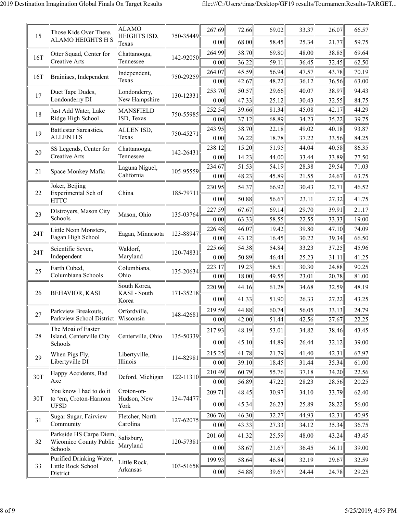| 15  | Those Kids Over There,                            | <b>ALAMO</b><br>HEIGHTS ISD,   | 750-35449      | 267.69         | 72.66          | 69.02          | 33.37          | 26.07          | 66.57          |
|-----|---------------------------------------------------|--------------------------------|----------------|----------------|----------------|----------------|----------------|----------------|----------------|
|     | <b>ALAMO HEIGHTS H S</b>                          | Texas                          |                | 0.00           | 68.00          | 58.45          | 25.34          | 21.77          | 59.75          |
| 16T | Otter Squad, Center for                           | Chattanooga,                   | 142-92050      | 264.99         | 38.70          | 69.80          | 48.00          | 38.85          | 69.64          |
|     | <b>Creative Arts</b>                              | Tennessee                      |                | 0.00           | 36.22          | 59.11          | 36.45          | 32.45          | 62.50          |
| 16T | Brainiacs, Independent                            | Independent,                   | 750-29259      | 264.07         | 45.59          | 56.94          | 47.57          | 43.78          | 70.19          |
|     |                                                   | Texas                          |                | 0.00           | 42.67          | 48.22          | 36.12          | 36.56          | 63.00          |
| 17  | Duct Tape Dudes,                                  | Londonderry,                   | 130-12331      | 253.70         | 50.57          | 29.66          | 40.07          | 38.97          | 94.43          |
|     | Londonderry DI                                    | New Hampshire                  |                | 0.00           | 47.33          | 25.12          | 30.43          | 32.55          | 84.75          |
| 18  | Just Add Water, Lake<br>Ridge High School         | <b>MANSFIELD</b><br>ISD, Texas | 750-55985      | 252.54<br>0.00 | 39.66<br>37.12 | 81.34<br>68.89 | 45.08<br>34.23 | 42.17<br>35.22 | 44.29<br>39.75 |
|     | Battlestar Sarcastica,                            | ALLEN ISD,                     |                | 243.95         | 38.70          | 22.18          | 49.02          | 40.18          | 93.87          |
| 19  | <b>ALLEN H S</b>                                  | Texas                          | 750-45271      | 0.00           | 36.22          | 18.78          | 37.22          | 33.56          | 84.25          |
|     | SS Legends, Center for                            | Chattanooga,                   |                | 238.12         | 15.20          | 51.95          | 44.04          | 40.58          | 86.35          |
| 20  | <b>Creative Arts</b>                              | Tennessee                      | 142-26431      | 0.00           | 14.23          | 44.00          | 33.44          | 33.89          | 77.50          |
|     |                                                   | Laguna Niguel,                 |                | 234.67         | 51.53          | 54.19          | 28.38          | 29.54          | 71.03          |
| 21  | Space Monkey Mafia                                | California                     | 105-95559      | 0.00           | 48.23          | 45.89          | 21.55          | 24.67          | 63.75          |
|     | Joker, Beijing                                    |                                |                | 230.95         | 54.37          | 66.92          | 30.43          | 32.71          | 46.52          |
| 22  | Experimental Sch of<br><b>HTTC</b>                | China                          | 185-79711      | 0.00           | 50.88          | 56.67          | 23.11          | 27.32          | 41.75          |
|     | DIstroyers, Mason City                            |                                |                | 227.59         | 67.67          | 69.14          | 29.70          | 39.91          | 21.17          |
| 23  | Schools                                           | Mason, Ohio                    | 135-03764      | 0.00           | 63.33          | 58.55          | 22.55          | 33.33          | 19.00          |
|     | Little Neon Monsters,<br>24T<br>Eagan High School | Eagan, Minnesota               | 123-88947      | 226.48         | 46.07          | 19.42          | 39.80          | 47.10          | 74.09          |
|     |                                                   |                                | 0.00<br>225.66 | 43.12          | 16.45          | 30.22          | 39.34          | 66.50          |                |
| 24T | Scientific Seven,                                 | Waldorf,                       | 120-74831      |                | 54.38          | 54.84          | 33.23          | 37.25          | 45.96          |
|     | Independent                                       | Maryland                       |                | 0.00           | 50.89          | 46.44          | 25.23          | 31.11          | 41.25          |
| 25  | Earth Cubed,                                      | Columbiana,                    | 135-20634      | 223.17         | 19.23          | 58.51          | 30.30          | 24.88          | 90.25          |
|     | Columbiana Schools                                | Ohio                           |                | 0.00           | 18.00          | 49.55          | 23.01          | 20.78          | 81.00          |
| 26  | <b>BEHAVIOR, KASI</b>                             | South Korea,<br>KASI - South   | 171-35218      | 220.90         | 44.16          | 61.28          | 34.68          | 32.59          | 48.19          |
|     |                                                   | Korea                          |                | 0.00           | 41.33          | 51.90          | 26.33          | 27.22          | 43.25          |
| 27  | Parkview Breakouts,                               | Orfordville,                   | 148-42681      | 219.59         | 44.88          | 60.74          | 56.05          | 33.13          | 24.79          |
|     | Parkview School District Wisconsin                |                                |                | 0.00           | 42.00          | 51.44          | 42.56          | 27.67          | 22.25          |
| 28  | The Moai of Easter<br>Island, Centerville City    | Centerville, Ohio              | 135-50339      | 217.93         | 48.19          | 53.01          | 34.82          | 38.46          | 43.45          |
|     | Schools                                           |                                |                | 0.00           | 45.10          | 44.89          | 26.44          | 32.12          | 39.00          |
| 29  | When Pigs Fly,                                    | Libertyville,                  | 114-82981      | 215.25         | 41.78          | 21.79          | 41.40          | 42.31          | 67.97          |
|     | Libertyville DI                                   | Illinois                       |                | 0.00           | 39.10          | 18.45          | 31.44          | 35.34          | 61.00          |
| 30T | Happy Accidents, Bad                              | Deford, Michigan               | 122-11310      | 210.49         | 60.79          | 55.76          | 37.18          | 34.20          | 22.56          |
|     | Axe                                               |                                |                | 0.00           | 56.89          | 47.22          | 28.23          | 28.56          | 20.25          |
| 30T | You know I had to do it<br>to 'em, Croton-Harmon  | Croton-on-<br>Hudson, New      | 134-74477      | 209.71         | 48.45          | 30.97          | 34.10          | 33.79          | 62.40          |
|     | <b>UFSD</b>                                       | York                           |                | 0.00           | 45.34          | 26.23          | 25.89          | 28.22          | 56.00          |
| 31  | Sugar Sugar, Fairview                             | Fletcher, North                | 127-62075      | 206.76         | 46.30          | 32.27          | 44.93          | 42.31          | 40.95          |
|     | Community                                         | Carolina                       |                | 0.00           | 43.33          | 27.33          | 34.12          | 35.34          | 36.75          |
| 32  | Parkside HS Carpe Diem,<br>Wicomico County Public | Salisbury,<br>Maryland         | 120-57381      | 201.60         | 41.32          | 25.59          | 48.00          | 43.24          | 43.45          |
|     | Schools                                           |                                |                | 0.00           | 38.67          | 21.67          | 36.45          | 36.11          | 39.00          |
| 33  | Purified Drinking Water,<br>Little Rock School    | Little Rock,                   | 103-51658      | 199.93         | 58.64          | 46.84          | 32.19          | 29.67          | 32.59          |
|     | District                                          | Arkansas                       |                | 0.00           | 54.88          | 39.67          | 24.44          | 24.78          | 29.25          |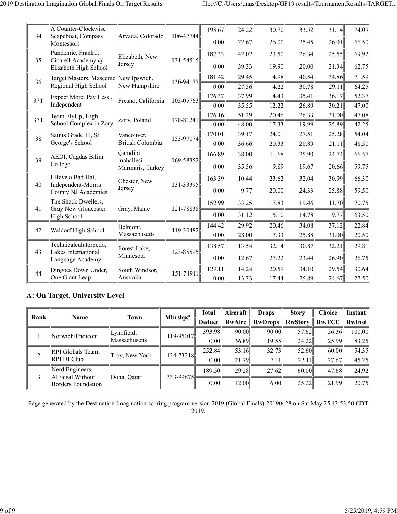| 34  | A Counter-Clockwise<br>Scapeboat, Compass         | Arvada, Colorado        | 106-47744 | 193.67 | 24.22 | 30.70 | 33.52 | 31.14 | 74.09 |
|-----|---------------------------------------------------|-------------------------|-----------|--------|-------|-------|-------|-------|-------|
|     | Montessori                                        |                         |           | 0.00   | 22.67 | 26.00 | 25.45 | 26.01 | 66.50 |
|     | Pundemic, Frank J.                                | Elizabeth, New          |           | 187.33 | 42.02 | 23.50 | 26.34 | 25.55 | 69.92 |
| 35  | Cicarell Academy @<br>Elizabeth High School       | Jersey                  | 131-54515 | 0.00   | 39.33 | 19.90 | 20.00 | 21.34 | 62.75 |
| 36  | Target Masters, Mascenic New Ipswich,             |                         | 130-94177 | 181.42 | 29.45 | 4.98  | 40.54 | 34.86 | 71.59 |
|     | Regional High School                              | New Hampshire           |           | 0.00   | 27.56 | 4.22  | 30.78 | 29.11 | 64.25 |
| 37T | Expect More. Pay Less.,                           | Fresno, California      | 105-05763 | 176.37 | 37.99 | 14.43 | 35.41 | 36.17 | 52.37 |
|     | Independent                                       |                         |           | 0.00   | 35.55 | 12.22 | 26.89 | 30.21 | 47.00 |
| 37T | Team FlyUp, High                                  | Zory, Poland            | 178-81241 | 176.16 | 51.29 | 20.46 | 26.33 | 31.00 | 47.08 |
|     | School Complex in Zory                            |                         |           | 0.00   | 48.00 | 17.33 | 19.99 | 25.89 | 42.25 |
| 38  | Saints Grade 11, St.                              | Vancouver,              | 153-97074 | 170.01 | 39.17 | 24.01 | 27.51 | 25.28 | 54.04 |
|     | George's School                                   | <b>British Columbia</b> |           | 0.00   | 36.66 | 20.33 | 20.89 | 21.11 | 48.50 |
| 39  | Camdibi<br>AEDI, Cagdas Bilim                     | mahallesi.              | 169-58352 | 166.89 | 38.00 | 11.68 | 25.90 | 24.74 | 66.57 |
|     | College                                           | Marmaris, Turkey        |           | 0.00   | 35.56 | 9.89  | 19.67 | 20.66 | 59.75 |
| 40  | I Have a Bad Hat,<br>Independent-Morris           | Chester, New            | 131-33395 | 163.39 | 10.44 | 23.62 | 32.04 | 30.99 | 66.30 |
|     | County NJ Academies                               | Jersey                  |           | 0.00   | 9.77  | 20.00 | 24.33 | 25.88 | 59.50 |
| 41  | The Shack Dwellers,<br><b>Gray New Gloucester</b> | Gray, Maine             | 121-78838 | 152.99 | 33.25 | 17.83 | 19.46 | 11.70 | 70.75 |
|     | High School                                       |                         |           | 0.00   | 31.12 | 15.10 | 14.78 | 9.77  | 63.50 |
| 42  | Waldorf High School                               | Belmont,                | 119-30482 | 144.42 | 29.92 | 20.46 | 34.08 | 37.12 | 22.84 |
|     |                                                   | Massachusetts           |           | 0.00   | 28.00 | 17.33 | 25.88 | 31.00 | 20.50 |
| 43  | Technicalculatorpedo,<br>Lakes International      | Forest Lake,            | 123-85595 | 138.57 | 13.54 | 32.14 | 30.87 | 32.21 | 29.81 |
|     | Language Academy                                  | Minnesota               |           | 0.00   | 12.67 | 27.22 | 23.44 | 26.90 | 26.75 |
| 44  | Dingoes Down Under,                               | South Windsor,          | 151-74911 | 129.11 | 14.24 | 20.59 | 34.10 | 29.54 | 30.64 |
|     | One Giant Leap                                    | Australia               |           | 0.00   | 13.33 | 17.44 | 25.89 | 24.67 | 27.50 |

#### **A: On Target, University Level**

| Rank | <b>Name</b>                         | <b>Town</b>    | Mbrshp#   | <b>Total</b>      | Aircraft | <b>Drops</b>   | <b>Story</b>   | Choice        | Instant |
|------|-------------------------------------|----------------|-----------|-------------------|----------|----------------|----------------|---------------|---------|
|      |                                     |                |           | <b>Deduct</b>     | RwAirc   | <b>RwDrops</b> | <b>RwStory</b> | <b>Rw.TCE</b> | RwInst  |
|      | Norwich/Endicott                    | Lynnfield,     | 119-95017 | 393.98            | 90.00    | 90.00          | 57.62          | 56.36         | 100.00  |
|      |                                     | Massachusetts  |           | 0.00              | 36.89    | 19.55          | 24.22          | 25.99         | 83.25   |
| 2    | RPI Globals Team,                   | Troy, New York | 134-73318 | 252.84            | 53.16    | 32.73          | 52.60          | 60.00         | 54.35   |
|      | RPI DI Club                         |                |           | 0.00              | 21.79    | 7.11           | 22.11          | 27.67         | 45.25   |
| 3    | Nerd Engineers,<br>AlFaisal Without | Doha, Oatar    | 333-99875 | 189.50            | 29.28    | 27.62          | 60.00          | 47.68         | 24.92   |
|      | <b>Borders Foundation</b>           |                |           | 0.00 <sub>l</sub> | 12.00    | 6.00           | 25.22          | 21.99         | 20.75   |

Page generated by the Destination Imagination scoring program version 2019 (Global Finals)-20190428 on Sat May 25 13:53:50 CDT 2019.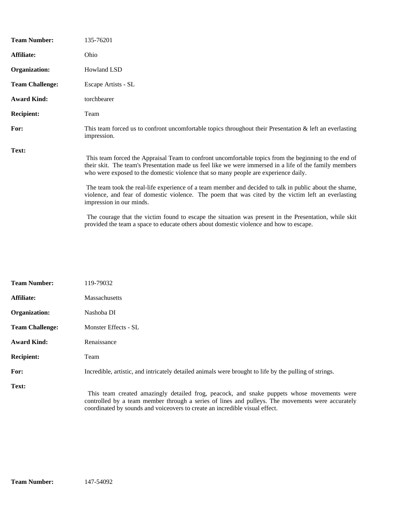| <b>Team Number:</b>    | 135-76201                                                                                                                                                                                                                                                                                                                                                                                                                                                                                                                                          |
|------------------------|----------------------------------------------------------------------------------------------------------------------------------------------------------------------------------------------------------------------------------------------------------------------------------------------------------------------------------------------------------------------------------------------------------------------------------------------------------------------------------------------------------------------------------------------------|
| Affiliate:             | Ohio                                                                                                                                                                                                                                                                                                                                                                                                                                                                                                                                               |
| Organization:          | Howland LSD                                                                                                                                                                                                                                                                                                                                                                                                                                                                                                                                        |
| <b>Team Challenge:</b> | Escape Artists - SL                                                                                                                                                                                                                                                                                                                                                                                                                                                                                                                                |
| <b>Award Kind:</b>     | torchbearer                                                                                                                                                                                                                                                                                                                                                                                                                                                                                                                                        |
| <b>Recipient:</b>      | Team                                                                                                                                                                                                                                                                                                                                                                                                                                                                                                                                               |
| For:                   | This team forced us to confront uncomfortable topics throughout their Presentation $\&$ left an everlasting<br>impression.                                                                                                                                                                                                                                                                                                                                                                                                                         |
| Text:                  | This team forced the Appraisal Team to confront uncomfortable topics from the beginning to the end of<br>their skit. The team's Presentation made us feel like we were immersed in a life of the family members<br>who were exposed to the domestic violence that so many people are experience daily.<br>The team took the real-life experience of a team member and decided to talk in public about the shame,<br>violence, and fear of domestic violence. The poem that was cited by the victim left an everlasting<br>impression in our minds. |
|                        | The courage that the victim found to escape the situation was present in the Presentation, while skit                                                                                                                                                                                                                                                                                                                                                                                                                                              |

provided the team a space to educate others about domestic violence and how to escape.

| <b>Team Number:</b>    | 119-79032                                                                                                                                                                                                                                                                     |
|------------------------|-------------------------------------------------------------------------------------------------------------------------------------------------------------------------------------------------------------------------------------------------------------------------------|
| Affiliate:             | <b>Massachusetts</b>                                                                                                                                                                                                                                                          |
| Organization:          | Nashoba DI                                                                                                                                                                                                                                                                    |
| <b>Team Challenge:</b> | Monster Effects - SL                                                                                                                                                                                                                                                          |
| <b>Award Kind:</b>     | Renaissance                                                                                                                                                                                                                                                                   |
| <b>Recipient:</b>      | Team                                                                                                                                                                                                                                                                          |
| For:                   | Incredible, artistic, and intricately detailed animals were brought to life by the pulling of strings.                                                                                                                                                                        |
| Text:                  | This team created amazingly detailed frog, peacock, and snake puppets whose movements were<br>controlled by a team member through a series of lines and pulleys. The movements were accurately<br>coordinated by sounds and voiceovers to create an incredible visual effect. |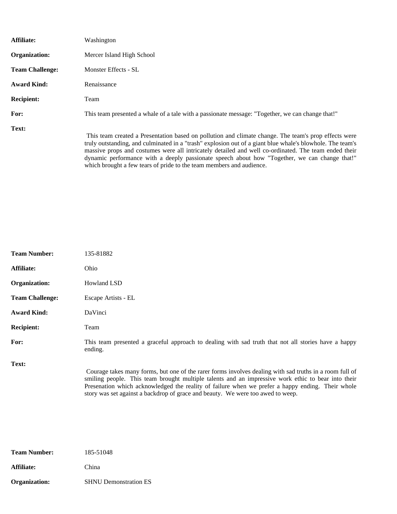| Affiliate:             | Washington                                                                                                                                                                                                                                                                                                                                                                                                                 |
|------------------------|----------------------------------------------------------------------------------------------------------------------------------------------------------------------------------------------------------------------------------------------------------------------------------------------------------------------------------------------------------------------------------------------------------------------------|
| Organization:          | Mercer Island High School                                                                                                                                                                                                                                                                                                                                                                                                  |
| <b>Team Challenge:</b> | Monster Effects - SL                                                                                                                                                                                                                                                                                                                                                                                                       |
| <b>Award Kind:</b>     | Renaissance                                                                                                                                                                                                                                                                                                                                                                                                                |
| <b>Recipient:</b>      | Team                                                                                                                                                                                                                                                                                                                                                                                                                       |
| For:                   | This team presented a whale of a tale with a passionate message: "Together, we can change that!"                                                                                                                                                                                                                                                                                                                           |
| Text:                  | This team created a Presentation based on pollution and climate change. The team's prop effects were<br>truly outstanding, and culminated in a "trash" explosion out of a giant blue whale's blowhole. The team's<br>massive props and costumes were all intricately detailed and well co-ordinated. The team ended their<br>dynamic performance with a deeply passionate speech about how "Together, we can change that!" |

which brought a few tears of pride to the team members and audience.

| <b>Team Number:</b>    | 135-81882                                                                                                                                                                                                                                                                                                                                                                                            |
|------------------------|------------------------------------------------------------------------------------------------------------------------------------------------------------------------------------------------------------------------------------------------------------------------------------------------------------------------------------------------------------------------------------------------------|
| Affiliate:             | Ohio                                                                                                                                                                                                                                                                                                                                                                                                 |
| Organization:          | <b>Howland LSD</b>                                                                                                                                                                                                                                                                                                                                                                                   |
| <b>Team Challenge:</b> | Escape Artists - EL                                                                                                                                                                                                                                                                                                                                                                                  |
| <b>Award Kind:</b>     | DaVinci                                                                                                                                                                                                                                                                                                                                                                                              |
| <b>Recipient:</b>      | Team                                                                                                                                                                                                                                                                                                                                                                                                 |
| For:                   | This team presented a graceful approach to dealing with sad truth that not all stories have a happy<br>ending.                                                                                                                                                                                                                                                                                       |
| Text:                  | Courage takes many forms, but one of the rarer forms involves dealing with sad truths in a room full of<br>smiling people. This team brought multiple talents and an impressive work ethic to bear into their<br>Presenation which acknowledged the reality of failure when we prefer a happy ending. Their whole<br>story was set against a backdrop of grace and beauty. We were too awed to weep. |

| <b>Team Number:</b> | 185-51048                    |
|---------------------|------------------------------|
| Affiliate:          | China                        |
| Organization:       | <b>SHNU Demonstration ES</b> |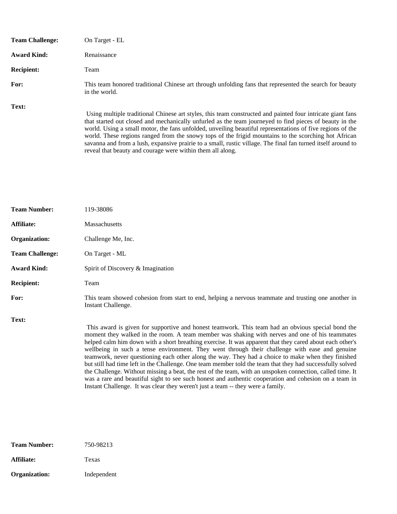| <b>Team Challenge:</b> | On Target - EL                                                                                                                                                                                                                                                                                                                                                                                                                                                                                                                                                                                                           |
|------------------------|--------------------------------------------------------------------------------------------------------------------------------------------------------------------------------------------------------------------------------------------------------------------------------------------------------------------------------------------------------------------------------------------------------------------------------------------------------------------------------------------------------------------------------------------------------------------------------------------------------------------------|
| <b>Award Kind:</b>     | Renaissance                                                                                                                                                                                                                                                                                                                                                                                                                                                                                                                                                                                                              |
| <b>Recipient:</b>      | Team                                                                                                                                                                                                                                                                                                                                                                                                                                                                                                                                                                                                                     |
| For:                   | This team honored traditional Chinese art through unfolding fans that represented the search for beauty<br>in the world.                                                                                                                                                                                                                                                                                                                                                                                                                                                                                                 |
| Text:                  | Using multiple traditional Chinese art styles, this team constructed and painted four intricate giant fans<br>that started out closed and mechanically unfurled as the team journeyed to find pieces of beauty in the<br>world. Using a small motor, the fans unfolded, unveiling beautiful representations of five regions of the<br>world. These regions ranged from the snowy tops of the frigid mountains to the scorching hot African<br>savanna and from a lush, expansive prairie to a small, rustic village. The final fan turned itself around to<br>reveal that beauty and courage were within them all along. |

| <b>Team Number:</b>    | 119-38086                                                                                                                                                                                                                                                                                                                                                                                                                                                                                                                                                                                                                                                                                                                                                                                                                                                                                                                                     |
|------------------------|-----------------------------------------------------------------------------------------------------------------------------------------------------------------------------------------------------------------------------------------------------------------------------------------------------------------------------------------------------------------------------------------------------------------------------------------------------------------------------------------------------------------------------------------------------------------------------------------------------------------------------------------------------------------------------------------------------------------------------------------------------------------------------------------------------------------------------------------------------------------------------------------------------------------------------------------------|
| Affiliate:             | Massachusetts                                                                                                                                                                                                                                                                                                                                                                                                                                                                                                                                                                                                                                                                                                                                                                                                                                                                                                                                 |
| Organization:          | Challenge Me, Inc.                                                                                                                                                                                                                                                                                                                                                                                                                                                                                                                                                                                                                                                                                                                                                                                                                                                                                                                            |
| <b>Team Challenge:</b> | On Target - ML                                                                                                                                                                                                                                                                                                                                                                                                                                                                                                                                                                                                                                                                                                                                                                                                                                                                                                                                |
| <b>Award Kind:</b>     | Spirit of Discovery & Imagination                                                                                                                                                                                                                                                                                                                                                                                                                                                                                                                                                                                                                                                                                                                                                                                                                                                                                                             |
| <b>Recipient:</b>      | Team                                                                                                                                                                                                                                                                                                                                                                                                                                                                                                                                                                                                                                                                                                                                                                                                                                                                                                                                          |
| For:                   | This team showed cohesion from start to end, helping a nervous teammate and trusting one another in<br>Instant Challenge.                                                                                                                                                                                                                                                                                                                                                                                                                                                                                                                                                                                                                                                                                                                                                                                                                     |
| Text:                  | This award is given for supportive and honest teamwork. This team had an obvious special bond the<br>moment they walked in the room. A team member was shaking with nerves and one of his teammates<br>helped calm him down with a short breathing exercise. It was apparent that they cared about each other's<br>wellbeing in such a tense environment. They went through their challenge with ease and genuine<br>teamwork, never questioning each other along the way. They had a choice to make when they finished<br>but still had time left in the Challenge. One team member told the team that they had successfully solved<br>the Challenge. Without missing a beat, the rest of the team, with an unspoken connection, called time. It<br>was a rare and beautiful sight to see such honest and authentic cooperation and cohesion on a team in<br>Instant Challenge. It was clear they weren't just a team -- they were a family. |

| <b>Team Number:</b> | 750-98213   |
|---------------------|-------------|
| Affiliate:          | Texas       |
| Organization:       | Independent |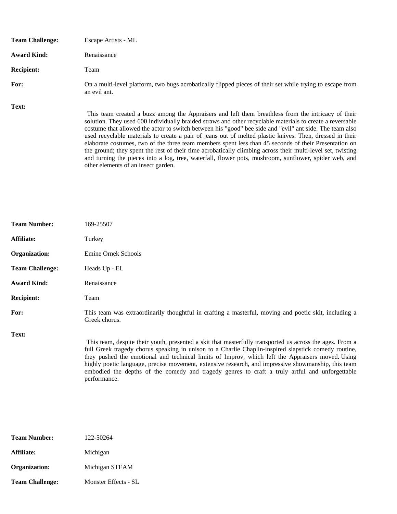| <b>Team Challenge:</b> | Escape Artists - ML                                                                                                                                                                                                                                                                                                                                                                                                                                                                                                                             |
|------------------------|-------------------------------------------------------------------------------------------------------------------------------------------------------------------------------------------------------------------------------------------------------------------------------------------------------------------------------------------------------------------------------------------------------------------------------------------------------------------------------------------------------------------------------------------------|
| <b>Award Kind:</b>     | Renaissance                                                                                                                                                                                                                                                                                                                                                                                                                                                                                                                                     |
| <b>Recipient:</b>      | Team                                                                                                                                                                                                                                                                                                                                                                                                                                                                                                                                            |
| For:                   | On a multi-level platform, two bugs acrobatically flipped pieces of their set while trying to escape from<br>an evil ant.                                                                                                                                                                                                                                                                                                                                                                                                                       |
| Text:                  | This team created a buzz among the Appraisers and left them breathless from the intricacy of their<br>solution. They used 600 individually braided straws and other recyclable materials to create a reversable<br>costume that allowed the actor to switch between his "good" bee side and "evil" ant side. The team also<br>used recyclable materials to create a pair of jeans out of melted plastic knives. Then, dressed in their<br>elaborate costumes, two of the three team members spent less than 45 seconds of their Presentation on |

other elements of an insect garden.

the ground; they spent the rest of their time acrobatically climbing across their multi-level set, twisting and turning the pieces into a log, tree, waterfall, flower pots, mushroom, sunflower, spider web, and

| <b>Team Number:</b>    | 169-25507                                                                                                                                                                                                                                                                                                                                                                                                                                                                                                                                     |
|------------------------|-----------------------------------------------------------------------------------------------------------------------------------------------------------------------------------------------------------------------------------------------------------------------------------------------------------------------------------------------------------------------------------------------------------------------------------------------------------------------------------------------------------------------------------------------|
| Affiliate:             | Turkey                                                                                                                                                                                                                                                                                                                                                                                                                                                                                                                                        |
| Organization:          | Emine Ornek Schools                                                                                                                                                                                                                                                                                                                                                                                                                                                                                                                           |
| <b>Team Challenge:</b> | Heads Up - EL                                                                                                                                                                                                                                                                                                                                                                                                                                                                                                                                 |
| <b>Award Kind:</b>     | Renaissance                                                                                                                                                                                                                                                                                                                                                                                                                                                                                                                                   |
| <b>Recipient:</b>      | Team                                                                                                                                                                                                                                                                                                                                                                                                                                                                                                                                          |
| For:                   | This team was extraordinarily thoughtful in crafting a masterful, moving and poetic skit, including a<br>Greek chorus.                                                                                                                                                                                                                                                                                                                                                                                                                        |
| Text:                  | This team, despite their youth, presented a skit that masterfully transported us across the ages. From a<br>full Greek tragedy chorus speaking in unison to a Charlie Chaplin-inspired slapstick comedy routine,<br>they pushed the emotional and technical limits of Improv, which left the Appraisers moved. Using<br>highly poetic language, precise movement, extensive research, and impressive showmanship, this team<br>embodied the depths of the comedy and tragedy genres to craft a truly artful and unforgettable<br>performance. |

| <b>Team Number:</b>    | 122-50264            |
|------------------------|----------------------|
| Affiliate:             | Michigan             |
| Organization:          | Michigan STEAM       |
| <b>Team Challenge:</b> | Monster Effects - SL |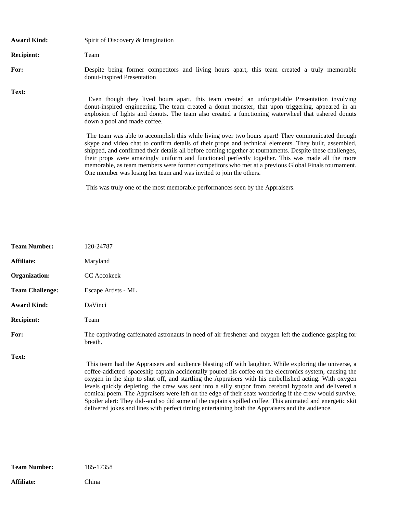| <b>Award Kind:</b> | Spirit of Discovery & Imagination                                                                                                                                                                                                                                                                                                                                                                                                                                                                                                                                                                       |
|--------------------|---------------------------------------------------------------------------------------------------------------------------------------------------------------------------------------------------------------------------------------------------------------------------------------------------------------------------------------------------------------------------------------------------------------------------------------------------------------------------------------------------------------------------------------------------------------------------------------------------------|
| <b>Recipient:</b>  | Team                                                                                                                                                                                                                                                                                                                                                                                                                                                                                                                                                                                                    |
| For:               | Despite being former competitors and living hours apart, this team created a truly memorable<br>donut-inspired Presentation                                                                                                                                                                                                                                                                                                                                                                                                                                                                             |
| Text:              | Even though they lived hours apart, this team created an unforgettable Presentation involving<br>donut-inspired engineering. The team created a donut monster, that upon triggering, appeared in an<br>explosion of lights and donuts. The team also created a functioning waterwheel that ushered donuts<br>down a pool and made coffee.                                                                                                                                                                                                                                                               |
|                    | The team was able to accomplish this while living over two hours apart! They communicated through<br>skype and video chat to confirm details of their props and technical elements. They built, assembled,<br>shipped, and confirmed their details all before coming together at tournaments. Despite these challenges,<br>their props were amazingly uniform and functioned perfectly together. This was made all the more<br>memorable, as team members were former competitors who met at a previous Global Finals tournament.<br>One member was losing her team and was invited to join the others. |
|                    | This was truly one of the most memorable performances seen by the Appraisers.                                                                                                                                                                                                                                                                                                                                                                                                                                                                                                                           |

| <b>Team Number:</b>    | 120-24787                                                                                                                                                                                                                                                                                                                                                                                                                                                                                                                                                                                                                                                                                                                                                      |
|------------------------|----------------------------------------------------------------------------------------------------------------------------------------------------------------------------------------------------------------------------------------------------------------------------------------------------------------------------------------------------------------------------------------------------------------------------------------------------------------------------------------------------------------------------------------------------------------------------------------------------------------------------------------------------------------------------------------------------------------------------------------------------------------|
| Affiliate:             | Maryland                                                                                                                                                                                                                                                                                                                                                                                                                                                                                                                                                                                                                                                                                                                                                       |
| Organization:          | CC Accokeek                                                                                                                                                                                                                                                                                                                                                                                                                                                                                                                                                                                                                                                                                                                                                    |
| <b>Team Challenge:</b> | Escape Artists - ML                                                                                                                                                                                                                                                                                                                                                                                                                                                                                                                                                                                                                                                                                                                                            |
| <b>Award Kind:</b>     | DaVinci                                                                                                                                                                                                                                                                                                                                                                                                                                                                                                                                                                                                                                                                                                                                                        |
| <b>Recipient:</b>      | Team                                                                                                                                                                                                                                                                                                                                                                                                                                                                                                                                                                                                                                                                                                                                                           |
| For:                   | The captivating caffeinated astronauts in need of air freshener and oxygen left the audience gasping for<br>breath.                                                                                                                                                                                                                                                                                                                                                                                                                                                                                                                                                                                                                                            |
| Text:                  | This team had the Appraisers and audience blasting off with laughter. While exploring the universe, a<br>coffee-addicted spaceship captain accidentally poured his coffee on the electronics system, causing the<br>oxygen in the ship to shut off, and startling the Appraisers with his embellished acting. With oxygen<br>levels quickly depleting, the crew was sent into a silly stupor from cerebral hypoxia and delivered a<br>comical poem. The Appraisers were left on the edge of their seats wondering if the crew would survive.<br>Spoiler alert: They did--and so did some of the captain's spilled coffee. This animated and energetic skit<br>delivered jokes and lines with perfect timing entertaining both the Appraisers and the audience. |

**Affiliate:** China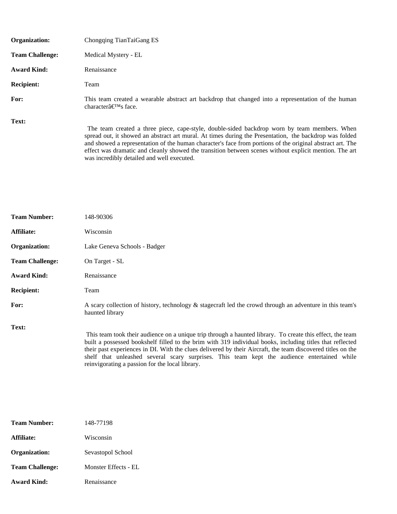| <b>Organization:</b>   | Chongqing TianTaiGang ES                                                                                                                                                                                                                                                                                                                                                                                                                                                    |
|------------------------|-----------------------------------------------------------------------------------------------------------------------------------------------------------------------------------------------------------------------------------------------------------------------------------------------------------------------------------------------------------------------------------------------------------------------------------------------------------------------------|
| <b>Team Challenge:</b> | Medical Mystery - EL                                                                                                                                                                                                                                                                                                                                                                                                                                                        |
| <b>Award Kind:</b>     | Renaissance                                                                                                                                                                                                                                                                                                                                                                                                                                                                 |
| <b>Recipient:</b>      | Team                                                                                                                                                                                                                                                                                                                                                                                                                                                                        |
| For:                   | This team created a wearable abstract art backdrop that changed into a representation of the human<br>character $\hat{a} \in T^{M}$ s face.                                                                                                                                                                                                                                                                                                                                 |
| Text:                  | The team created a three piece, cape-style, double-sided backdrop worn by team members. When<br>spread out, it showed an abstract art mural. At times during the Presentation, the backdrop was folded<br>and showed a representation of the human character's face from portions of the original abstract art. The<br>effect was dramatic and cleanly showed the transition between scenes without explicit mention. The art<br>was incredibly detailed and well executed. |

| <b>Team Number:</b>    | 148-90306                                                                                                                                                                                                                                                                                                                                                                                                                                                                               |
|------------------------|-----------------------------------------------------------------------------------------------------------------------------------------------------------------------------------------------------------------------------------------------------------------------------------------------------------------------------------------------------------------------------------------------------------------------------------------------------------------------------------------|
| Affiliate:             | Wisconsin                                                                                                                                                                                                                                                                                                                                                                                                                                                                               |
| Organization:          | Lake Geneva Schools - Badger                                                                                                                                                                                                                                                                                                                                                                                                                                                            |
| <b>Team Challenge:</b> | On Target - SL                                                                                                                                                                                                                                                                                                                                                                                                                                                                          |
| <b>Award Kind:</b>     | Renaissance                                                                                                                                                                                                                                                                                                                                                                                                                                                                             |
| <b>Recipient:</b>      | Team                                                                                                                                                                                                                                                                                                                                                                                                                                                                                    |
| For:                   | A scary collection of history, technology & stagecraft led the crowd through an adventure in this team's<br>haunted library                                                                                                                                                                                                                                                                                                                                                             |
| Text:                  | This team took their audience on a unique trip through a haunted library. To create this effect, the team<br>built a possessed bookshelf filled to the brim with 319 individual books, including titles that reflected<br>their past experiences in DI. With the clues delivered by their Aircraft, the team discovered titles on the<br>shelf that unleashed several scary surprises. This team kept the audience entertained while<br>reinvigorating a passion for the local library. |

| <b>Team Number:</b>    | 148-77198            |
|------------------------|----------------------|
| Affiliate:             | Wisconsin            |
| Organization:          | Sevastopol School    |
| <b>Team Challenge:</b> | Monster Effects - EL |
| <b>Award Kind:</b>     | Renaissance          |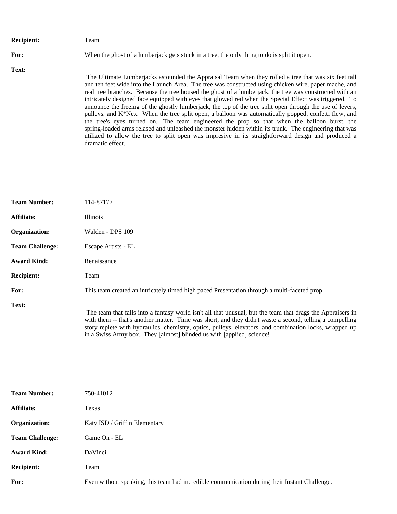| <b>Recipient:</b> | Team                                                                                                                                                                                                                                                                                                                                                                                                                                                                                                                                                                                                                                                                                                                                                                                                                                                                                                                                                                                        |
|-------------------|---------------------------------------------------------------------------------------------------------------------------------------------------------------------------------------------------------------------------------------------------------------------------------------------------------------------------------------------------------------------------------------------------------------------------------------------------------------------------------------------------------------------------------------------------------------------------------------------------------------------------------------------------------------------------------------------------------------------------------------------------------------------------------------------------------------------------------------------------------------------------------------------------------------------------------------------------------------------------------------------|
| For:              | When the ghost of a lumber jack gets stuck in a tree, the only thing to do is split it open.                                                                                                                                                                                                                                                                                                                                                                                                                                                                                                                                                                                                                                                                                                                                                                                                                                                                                                |
| Text:             | The Ultimate Lumberjacks astounded the Appraisal Team when they rolled a tree that was six feet tall<br>and ten feet wide into the Launch Area. The tree was constructed using chicken wire, paper mache, and<br>real tree branches. Because the tree housed the ghost of a lumberjack, the tree was constructed with an<br>intricately designed face equipped with eyes that glowed red when the Special Effect was triggered. To<br>announce the freeing of the ghostly lumberjack, the top of the tree split open through the use of levers,<br>pulleys, and K*Nex. When the tree split open, a balloon was automatically popped, confetti flew, and<br>the tree's eyes turned on. The team engineered the prop so that when the balloon burst, the<br>spring-loaded arms relased and unleashed the monster hidden within its trunk. The engineering that was<br>utilized to allow the tree to split open was impresive in its straightforward design and produced a<br>dramatic effect. |

| <b>Team Number:</b>    | 114-87177                                                                                                  |
|------------------------|------------------------------------------------------------------------------------------------------------|
| Affiliate:             | <b>Illinois</b>                                                                                            |
| Organization:          | Walden - DPS 109                                                                                           |
| <b>Team Challenge:</b> | Escape Artists - EL                                                                                        |
| <b>Award Kind:</b>     | Renaissance                                                                                                |
| <b>Recipient:</b>      | Team                                                                                                       |
| For:                   | This team created an intricately timed high paced Presentation through a multi-faceted prop.               |
| Text:                  | The team that falls into a fantasy world isn't all that unusual, but the team that drags the Appraisers in |

with them -- that's another matter. Time was short, and they didn't waste a second, telling a compelling story replete with hydraulics, chemistry, optics, pulleys, elevators, and combination locks, wrapped up in a Swiss Army box. They [almost] blinded us with [applied] science!

| <b>Team Number:</b>    | 750-41012                                                                                     |
|------------------------|-----------------------------------------------------------------------------------------------|
| Affiliate:             | Texas                                                                                         |
| Organization:          | Katy ISD / Griffin Elementary                                                                 |
| <b>Team Challenge:</b> | Game On - EL                                                                                  |
| <b>Award Kind:</b>     | DaVinci                                                                                       |
| <b>Recipient:</b>      | Team                                                                                          |
| For:                   | Even without speaking, this team had incredible communication during their Instant Challenge. |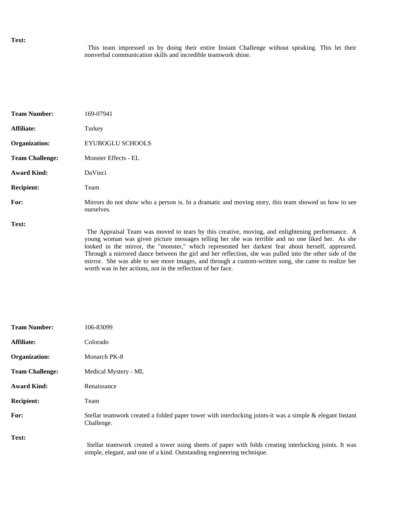## **Text:**

 This team impressed us by doing their entire Instant Challenge without speaking. This let their nonverbal communication skills and incredible teamwork shine.

| <b>Team Number:</b>    | 169-07941                                                                                                                                                                                                                                                                                                                                                                                                                                                                                                                  |
|------------------------|----------------------------------------------------------------------------------------------------------------------------------------------------------------------------------------------------------------------------------------------------------------------------------------------------------------------------------------------------------------------------------------------------------------------------------------------------------------------------------------------------------------------------|
| Affiliate:             | Turkey                                                                                                                                                                                                                                                                                                                                                                                                                                                                                                                     |
| Organization:          | <b>EYUBOGLU SCHOOLS</b>                                                                                                                                                                                                                                                                                                                                                                                                                                                                                                    |
| <b>Team Challenge:</b> | Monster Effects - EL                                                                                                                                                                                                                                                                                                                                                                                                                                                                                                       |
| <b>Award Kind:</b>     | DaVinci                                                                                                                                                                                                                                                                                                                                                                                                                                                                                                                    |
| <b>Recipient:</b>      | Team                                                                                                                                                                                                                                                                                                                                                                                                                                                                                                                       |
| For:                   | Mirrors do not show who a person is. In a dramatic and moving story, this team showed us how to see<br>ourselves.                                                                                                                                                                                                                                                                                                                                                                                                          |
| Text:                  | The Appraisal Team was moved to tears by this creative, moving, and enlightening performance. A<br>young woman was given picture messages telling her she was terrible and no one liked her. As she<br>looked in the mirror, the "monster," which represented her darkest fear about herself, appreared.<br>Through a mirrored dance between the girl and her reflection, she was pulled into the other side of the<br>mirror. She was able to see more images, and through a custom-written song, she came to realize her |

worth was in her actions, not in the reflection of her face.

| <b>Team Number:</b>    | 106-83099                                                                                                                                                                        |
|------------------------|----------------------------------------------------------------------------------------------------------------------------------------------------------------------------------|
| <b>Affiliate:</b>      | Colorado                                                                                                                                                                         |
| Organization:          | Monarch PK-8                                                                                                                                                                     |
| <b>Team Challenge:</b> | Medical Mystery - ML                                                                                                                                                             |
| <b>Award Kind:</b>     | Renaissance                                                                                                                                                                      |
| <b>Recipient:</b>      | Team                                                                                                                                                                             |
| For:                   | Stellar teamwork created a folded paper tower with interlocking joints-it was a simple & elegant Instant<br>Challenge.                                                           |
| Text:                  | Stellar teamwork created a tower using sheets of paper with folds creating interlocking joints. It was<br>simple, elegant, and one of a kind. Outstanding engineering technique. |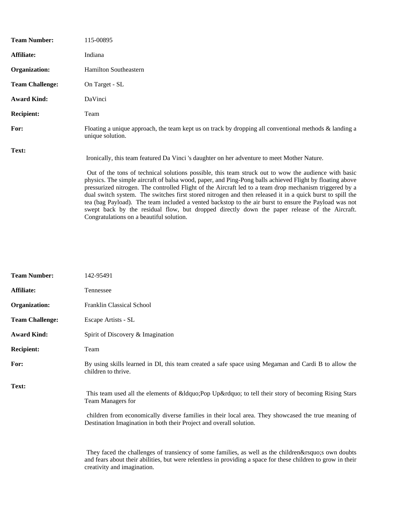| <b>Team Number:</b>    | 115-00895                                                                                                                                                                                                                                                                                                                                                                                                                                                                                                                                                                                                                                                                                                                                                                                    |
|------------------------|----------------------------------------------------------------------------------------------------------------------------------------------------------------------------------------------------------------------------------------------------------------------------------------------------------------------------------------------------------------------------------------------------------------------------------------------------------------------------------------------------------------------------------------------------------------------------------------------------------------------------------------------------------------------------------------------------------------------------------------------------------------------------------------------|
| Affiliate:             | Indiana                                                                                                                                                                                                                                                                                                                                                                                                                                                                                                                                                                                                                                                                                                                                                                                      |
| Organization:          | <b>Hamilton Southeastern</b>                                                                                                                                                                                                                                                                                                                                                                                                                                                                                                                                                                                                                                                                                                                                                                 |
| <b>Team Challenge:</b> | On Target - SL                                                                                                                                                                                                                                                                                                                                                                                                                                                                                                                                                                                                                                                                                                                                                                               |
| <b>Award Kind:</b>     | DaVinci                                                                                                                                                                                                                                                                                                                                                                                                                                                                                                                                                                                                                                                                                                                                                                                      |
| <b>Recipient:</b>      | Team                                                                                                                                                                                                                                                                                                                                                                                                                                                                                                                                                                                                                                                                                                                                                                                         |
| For:                   | Floating a unique approach, the team kept us on track by dropping all conventional methods $\&$ landing a<br>unique solution.                                                                                                                                                                                                                                                                                                                                                                                                                                                                                                                                                                                                                                                                |
| Text:                  | Ironically, this team featured Da Vinci's daughter on her adventure to meet Mother Nature.<br>Out of the tons of technical solutions possible, this team struck out to wow the audience with basic<br>physics. The simple aircraft of balsa wood, paper, and Ping-Pong balls achieved Flight by floating above<br>pressurized nitrogen. The controlled Flight of the Aircraft led to a team drop mechanism triggered by a<br>dual switch system. The switches first stored nitrogen and then released it in a quick burst to spill the<br>tea (bag Payload). The team included a vented backstop to the air burst to ensure the Payload was not<br>swept back by the residual flow, but dropped directly down the paper release of the Aircraft.<br>Congratulations on a beautiful solution. |

| <b>Team Number:</b>    | 142-95491                                                                                                                                                                                                                                                                                    |
|------------------------|----------------------------------------------------------------------------------------------------------------------------------------------------------------------------------------------------------------------------------------------------------------------------------------------|
| Affiliate:             | Tennessee                                                                                                                                                                                                                                                                                    |
| Organization:          | Franklin Classical School                                                                                                                                                                                                                                                                    |
| <b>Team Challenge:</b> | Escape Artists - SL                                                                                                                                                                                                                                                                          |
| <b>Award Kind:</b>     | Spirit of Discovery & Imagination                                                                                                                                                                                                                                                            |
| <b>Recipient:</b>      | Team                                                                                                                                                                                                                                                                                         |
| For:                   | By using skills learned in DI, this team created a safe space using Megaman and Cardi B to allow the<br>children to thrive.                                                                                                                                                                  |
| Text:                  | This team used all the elements of " Pop Up" to tell their story of becoming Rising Stars<br>Team Managers for<br>children from economically diverse families in their local area. They showcased the true meaning of<br>Destination Imagination in both their Project and overall solution. |
|                        | They faced the challenges of transiency of some families, as well as the children' sown doubts<br>and fears about their abilities, but were relentless in providing a space for these children to grow in their<br>creativity and imagination.                                               |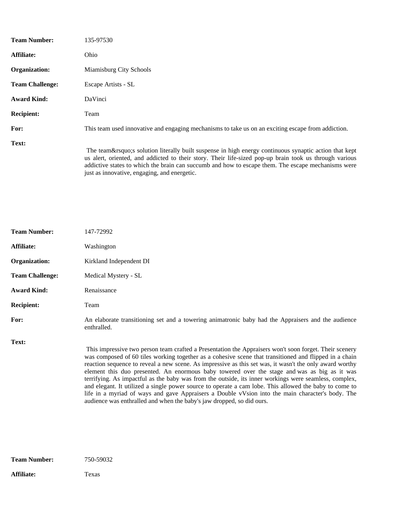| <b>Team Number:</b>    | 135-97530                                                                                                                                                                                                                                                                                                        |
|------------------------|------------------------------------------------------------------------------------------------------------------------------------------------------------------------------------------------------------------------------------------------------------------------------------------------------------------|
| Affiliate:             | Ohio                                                                                                                                                                                                                                                                                                             |
| Organization:          | Miamisburg City Schools                                                                                                                                                                                                                                                                                          |
| <b>Team Challenge:</b> | Escape Artists - SL                                                                                                                                                                                                                                                                                              |
| <b>Award Kind:</b>     | DaVinci                                                                                                                                                                                                                                                                                                          |
| <b>Recipient:</b>      | Team                                                                                                                                                                                                                                                                                                             |
| For:                   | This team used innovative and engaging mechanisms to take us on an exciting escape from addiction.                                                                                                                                                                                                               |
| Text:                  | The team's solution literally built suspense in high energy continuous synaptic action that kept<br>us alert, oriented, and addicted to their story. Their life-sized pop-up brain took us through various<br>addictive states to which the brain can succumb and how to escape them. The escape mechanisms were |

just as innovative, engaging, and energetic.

| <b>Team Number:</b>    | 147-72992                                                                                                                                                                                                                                                                                                                                                                                                                                                                                                                                                                                                                                                                                                                                                                                                                   |
|------------------------|-----------------------------------------------------------------------------------------------------------------------------------------------------------------------------------------------------------------------------------------------------------------------------------------------------------------------------------------------------------------------------------------------------------------------------------------------------------------------------------------------------------------------------------------------------------------------------------------------------------------------------------------------------------------------------------------------------------------------------------------------------------------------------------------------------------------------------|
| Affiliate:             | Washington                                                                                                                                                                                                                                                                                                                                                                                                                                                                                                                                                                                                                                                                                                                                                                                                                  |
| Organization:          | Kirkland Independent DI                                                                                                                                                                                                                                                                                                                                                                                                                                                                                                                                                                                                                                                                                                                                                                                                     |
| <b>Team Challenge:</b> | Medical Mystery - SL                                                                                                                                                                                                                                                                                                                                                                                                                                                                                                                                                                                                                                                                                                                                                                                                        |
| <b>Award Kind:</b>     | Renaissance                                                                                                                                                                                                                                                                                                                                                                                                                                                                                                                                                                                                                                                                                                                                                                                                                 |
| <b>Recipient:</b>      | Team                                                                                                                                                                                                                                                                                                                                                                                                                                                                                                                                                                                                                                                                                                                                                                                                                        |
| For:                   | An elaborate transitioning set and a towering animatronic baby had the Appraisers and the audience<br>enthralled.                                                                                                                                                                                                                                                                                                                                                                                                                                                                                                                                                                                                                                                                                                           |
| Text:                  | This impressive two person team crafted a Presentation the Appraisers won't soon forget. Their scenery<br>was composed of 60 tiles working together as a cohesive scene that transitioned and flipped in a chain<br>reaction sequence to reveal a new scene. As impressive as this set was, it wasn't the only award worthy<br>element this duo presented. An enormous baby towered over the stage and was as big as it was<br>terrifying. As impactful as the baby was from the outside, its inner workings were seamless, complex,<br>and elegant. It utilized a single power source to operate a cam lobe. This allowed the baby to come to<br>life in a myriad of ways and gave Appraisers a Double vVsion into the main character's body. The<br>audience was enthralled and when the baby's jaw dropped, so did ours. |

**Affiliate:** Texas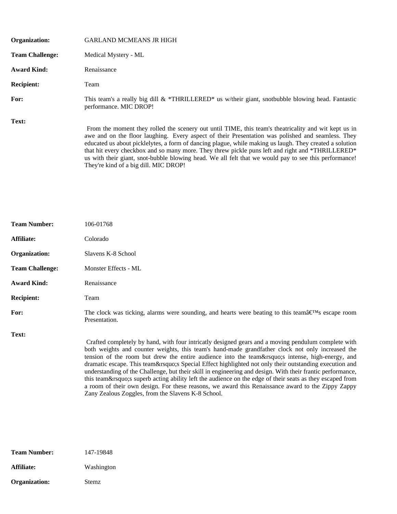| Organization:          | <b>GARLAND MCMEANS JR HIGH</b>                                                                                                                                                                                                                                                                                                                                                                                                                                                                                                                                             |
|------------------------|----------------------------------------------------------------------------------------------------------------------------------------------------------------------------------------------------------------------------------------------------------------------------------------------------------------------------------------------------------------------------------------------------------------------------------------------------------------------------------------------------------------------------------------------------------------------------|
| <b>Team Challenge:</b> | Medical Mystery - ML                                                                                                                                                                                                                                                                                                                                                                                                                                                                                                                                                       |
| <b>Award Kind:</b>     | Renaissance                                                                                                                                                                                                                                                                                                                                                                                                                                                                                                                                                                |
| <b>Recipient:</b>      | Team                                                                                                                                                                                                                                                                                                                                                                                                                                                                                                                                                                       |
| For:                   | This team's a really big dill $\&$ *THRILLERED* us w/their giant, snotbubble blowing head. Fantastic<br>performance. MIC DROP!                                                                                                                                                                                                                                                                                                                                                                                                                                             |
| Text:                  | From the moment they rolled the scenery out until TIME, this team's theatricality and wit kept us in<br>awe and on the floor laughing. Every aspect of their Presentation was polished and seamless. They<br>educated us about picklelytes, a form of dancing plague, while making us laugh. They created a solution<br>that hit every checkbox and so many more. They threw pickle puns left and right and *THRILLERED*<br>us with their giant, snot-bubble blowing head. We all felt that we would pay to see this performance!<br>They're kind of a big dill. MIC DROP! |

| <b>Team Number:</b>    | 106-01768                                                                                                                                                                                                                                                                                                                                                                                                                                                                                                                                                                                                                                                                                                                                                                                 |  |
|------------------------|-------------------------------------------------------------------------------------------------------------------------------------------------------------------------------------------------------------------------------------------------------------------------------------------------------------------------------------------------------------------------------------------------------------------------------------------------------------------------------------------------------------------------------------------------------------------------------------------------------------------------------------------------------------------------------------------------------------------------------------------------------------------------------------------|--|
| Affiliate:             | Colorado                                                                                                                                                                                                                                                                                                                                                                                                                                                                                                                                                                                                                                                                                                                                                                                  |  |
| Organization:          | Slavens K-8 School                                                                                                                                                                                                                                                                                                                                                                                                                                                                                                                                                                                                                                                                                                                                                                        |  |
| <b>Team Challenge:</b> | Monster Effects - ML                                                                                                                                                                                                                                                                                                                                                                                                                                                                                                                                                                                                                                                                                                                                                                      |  |
| <b>Award Kind:</b>     | Renaissance                                                                                                                                                                                                                                                                                                                                                                                                                                                                                                                                                                                                                                                                                                                                                                               |  |
| <b>Recipient:</b>      | Team                                                                                                                                                                                                                                                                                                                                                                                                                                                                                                                                                                                                                                                                                                                                                                                      |  |
| For:                   | The clock was ticking, alarms were sounding, and hearts were beating to this teamâ $\infty^N$ s escape room<br>Presentation.                                                                                                                                                                                                                                                                                                                                                                                                                                                                                                                                                                                                                                                              |  |
| Text:                  | Crafted completely by hand, with four intricatly designed gears and a moving pendulum complete with<br>both weights and counter weights, this team's hand-made grandfather clock not only increased the<br>tension of the room but drew the entire audience into the team' intense, high-energy, and<br>dramatic escape. This team' s Special Effect highlighted not only their outstanding execution and<br>understanding of the Challenge, but their skill in engineering and design. With their frantic performance,<br>this team's superb acting ability left the audience on the edge of their seats as they escaped from<br>a room of their own design. For these reasons, we award this Renaissance award to the Zippy Zappy<br>Zany Zealous Zoggles, from the Slavens K-8 School. |  |

| Team Number:  | 147-19848    |
|---------------|--------------|
| Affiliate:    | Washington   |
| Organization: | <b>Stemz</b> |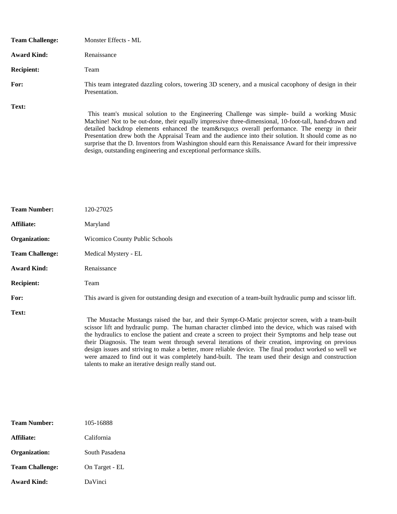| <b>Team Challenge:</b> | Monster Effects - ML                                                                                                                                                                                 |
|------------------------|------------------------------------------------------------------------------------------------------------------------------------------------------------------------------------------------------|
| <b>Award Kind:</b>     | Renaissance                                                                                                                                                                                          |
| <b>Recipient:</b>      | Team                                                                                                                                                                                                 |
| For:                   | This team integrated dazzling colors, towering 3D scenery, and a musical cacophony of design in their<br>Presentation.                                                                               |
| Text:                  | This team's musical solution to the Engineering Challenge was simple- build a working Music<br>Maakinal Matta ka sur dana thaig saually inggrasiya those dinagraighed. 10 Canttall, kand docum and i |

Machine! Not to be out-done, their equally impressive three-dimensional, 10-foot-tall, hand-drawn and detailed backdrop elements enhanced the team's overall performance. The energy in their Presentation drew both the Appraisal Team and the audience into their solution. It should come as no surprise that the D. Inventors from Washington should earn this Renaissance Award for their impressive design, outstanding engineering and exceptional performance skills.

| <b>Team Number:</b>    | 120-27025                                                                                                                                                                                                                                                                                                                                                                                                                                                                                                                                                                                                                                                                                        |  |
|------------------------|--------------------------------------------------------------------------------------------------------------------------------------------------------------------------------------------------------------------------------------------------------------------------------------------------------------------------------------------------------------------------------------------------------------------------------------------------------------------------------------------------------------------------------------------------------------------------------------------------------------------------------------------------------------------------------------------------|--|
| Affiliate:             | Maryland                                                                                                                                                                                                                                                                                                                                                                                                                                                                                                                                                                                                                                                                                         |  |
| Organization:          | Wicomico County Public Schools                                                                                                                                                                                                                                                                                                                                                                                                                                                                                                                                                                                                                                                                   |  |
| <b>Team Challenge:</b> | Medical Mystery - EL                                                                                                                                                                                                                                                                                                                                                                                                                                                                                                                                                                                                                                                                             |  |
| <b>Award Kind:</b>     | Renaissance                                                                                                                                                                                                                                                                                                                                                                                                                                                                                                                                                                                                                                                                                      |  |
| <b>Recipient:</b>      | Team                                                                                                                                                                                                                                                                                                                                                                                                                                                                                                                                                                                                                                                                                             |  |
| For:                   | This award is given for outstanding design and execution of a team-built hydraulic pump and scissor lift.                                                                                                                                                                                                                                                                                                                                                                                                                                                                                                                                                                                        |  |
| Text:                  | The Mustache Mustangs raised the bar, and their Sympt-O-Matic projector screen, with a team-built<br>scissor lift and hydraulic pump. The human character climbed into the device, which was raised with<br>the hydraulics to enclose the patient and create a screen to project their Symptoms and help tease out<br>their Diagnosis. The team went through several iterations of their creation, improving on previous<br>design issues and striving to make a better, more reliable device. The final product worked so well we<br>were amazed to find out it was completely hand-built. The team used their design and construction<br>talents to make an iterative design really stand out. |  |

| <b>Team Number:</b>    | 105-16888      |
|------------------------|----------------|
| <b>Affiliate:</b>      | California     |
| Organization:          | South Pasadena |
| <b>Team Challenge:</b> | On Target - EL |
| Award Kind:            | DaVinci        |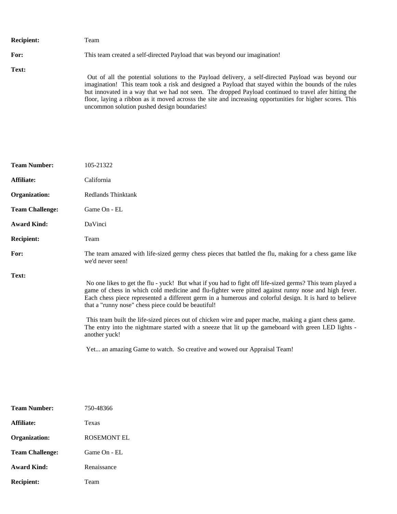| <b>Recipient:</b> | Team                                                                                                                                                                                                                                                                                                                                                                                                                                                                           |
|-------------------|--------------------------------------------------------------------------------------------------------------------------------------------------------------------------------------------------------------------------------------------------------------------------------------------------------------------------------------------------------------------------------------------------------------------------------------------------------------------------------|
| For:              | This team created a self-directed Payload that was beyond our imagination!                                                                                                                                                                                                                                                                                                                                                                                                     |
| Text:             | Out of all the potential solutions to the Payload delivery, a self-directed Payload was beyond our<br>imagination! This team took a risk and designed a Payload that stayed within the bounds of the rules<br>but innovated in a way that we had not seen. The dropped Payload continued to travel afer hitting the<br>floor, laying a ribbon as it moved acrosss the site and increasing opportunities for higher scores. This<br>uncommon solution pushed design boundaries! |

| <b>Team Number:</b>    | 105-21322                                                                                                                                                                                                                                                                                                                                                                                                                                                                                                                                                                                                                                                                                      |  |
|------------------------|------------------------------------------------------------------------------------------------------------------------------------------------------------------------------------------------------------------------------------------------------------------------------------------------------------------------------------------------------------------------------------------------------------------------------------------------------------------------------------------------------------------------------------------------------------------------------------------------------------------------------------------------------------------------------------------------|--|
| Affiliate:             | California                                                                                                                                                                                                                                                                                                                                                                                                                                                                                                                                                                                                                                                                                     |  |
| Organization:          | Redlands Thinktank                                                                                                                                                                                                                                                                                                                                                                                                                                                                                                                                                                                                                                                                             |  |
| <b>Team Challenge:</b> | Game On - EL                                                                                                                                                                                                                                                                                                                                                                                                                                                                                                                                                                                                                                                                                   |  |
| <b>Award Kind:</b>     | DaVinci                                                                                                                                                                                                                                                                                                                                                                                                                                                                                                                                                                                                                                                                                        |  |
| <b>Recipient:</b>      | Team                                                                                                                                                                                                                                                                                                                                                                                                                                                                                                                                                                                                                                                                                           |  |
| For:                   | The team amazed with life-sized germy chess pieces that battled the flu, making for a chess game like<br>we'd never seen!                                                                                                                                                                                                                                                                                                                                                                                                                                                                                                                                                                      |  |
| Text:                  | No one likes to get the flu - yuck! But what if you had to fight off life-sized germs? This team played a<br>game of chess in which cold medicine and flu-fighter were pitted against runny nose and high fever.<br>Each chess piece represented a different germ in a humerous and colorful design. It is hard to believe<br>that a "runny nose" chess piece could be beautiful!<br>This team built the life-sized pieces out of chicken wire and paper mache, making a giant chess game.<br>The entry into the nightmare started with a sneeze that lit up the gameboard with green LED lights -<br>another yuck!<br>Yet an amazing Game to watch. So creative and wowed our Appraisal Team! |  |

| <b>Team Number:</b>    | 750-48366          |
|------------------------|--------------------|
| Affiliate:             | Texas              |
| Organization:          | <b>ROSEMONT EL</b> |
| <b>Team Challenge:</b> | Game On - EL       |
| Award Kind:            | Renaissance        |
| <b>Recipient:</b>      | Team               |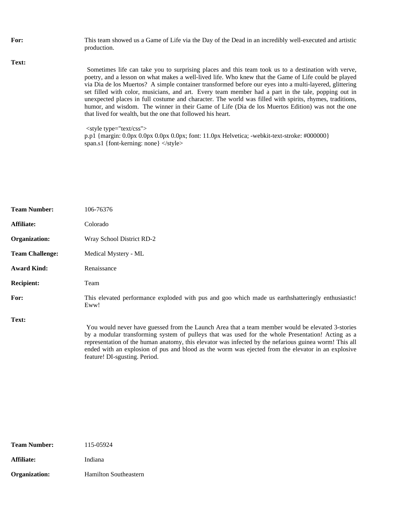For: This team showed us a Game of Life via the Day of the Dead in an incredibly well-executed and artistic production. **Text:** Sometimes life can take you to surprising places and this team took us to a destination with verve, poetry, and a lesson on what makes a well-lived life. Who knew that the Game of Life could be played via Dia de los Muertos? A simple container transformed before our eyes into a multi-layered, glittering set filled with color, musicians, and art. Every team member had a part in the tale, popping out in unexpected places in full costume and character. The world was filled with spirits, rhymes, traditions, humor, and wisdom. The winner in their Game of Life (Dia de los Muertos Edition) was not the one that lived for wealth, but the one that followed his heart. <style type="text/css"> p.p1 {margin: 0.0px 0.0px 0.0px 0.0px; font: 11.0px Helvetica; -webkit-text-stroke: #000000} span.s1 {font-kerning: none} </style>

| <b>Team Number:</b>    | 106-76376                                                                                                                                                                                                                                                                                                                                                                                                                                              |  |
|------------------------|--------------------------------------------------------------------------------------------------------------------------------------------------------------------------------------------------------------------------------------------------------------------------------------------------------------------------------------------------------------------------------------------------------------------------------------------------------|--|
| Affiliate:             | Colorado                                                                                                                                                                                                                                                                                                                                                                                                                                               |  |
| Organization:          | Wray School District RD-2                                                                                                                                                                                                                                                                                                                                                                                                                              |  |
| <b>Team Challenge:</b> | Medical Mystery - ML                                                                                                                                                                                                                                                                                                                                                                                                                                   |  |
| <b>Award Kind:</b>     | Renaissance                                                                                                                                                                                                                                                                                                                                                                                                                                            |  |
| <b>Recipient:</b>      | Team                                                                                                                                                                                                                                                                                                                                                                                                                                                   |  |
| For:                   | This elevated performance exploded with pus and goo which made us earthshatteringly enthusiastic!<br>Eww!                                                                                                                                                                                                                                                                                                                                              |  |
| Text:                  | You would never have guessed from the Launch Area that a team member would be elevated 3-stories<br>by a modular transforming system of pulleys that was used for the whole Presentation! Acting as a<br>representation of the human anatomy, this elevator was infected by the nefarious guinea worm! This all<br>ended with an explosion of pus and blood as the worm was ejected from the elevator in an explosive<br>feature! DI-sgusting. Period. |  |

**Team Number:** 115-05924 Affiliate: Indiana **Organization:** Hamilton Southeastern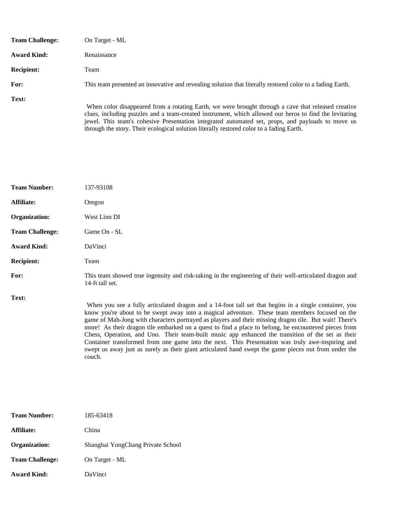| <b>Team Challenge:</b> | On Target - ML                                                                                                                                                                                                                                                                                                     |
|------------------------|--------------------------------------------------------------------------------------------------------------------------------------------------------------------------------------------------------------------------------------------------------------------------------------------------------------------|
| <b>Award Kind:</b>     | Renaissance                                                                                                                                                                                                                                                                                                        |
| <b>Recipient:</b>      | Team                                                                                                                                                                                                                                                                                                               |
| For:                   | This team presented an innovative and revealing solution that literally restored color to a fading Earth.                                                                                                                                                                                                          |
| Text:                  | When color disappeared from a rotating Earth, we were brought through a cave that released creative<br>clues, including puzzles and a team-created instrument, which allowed our heros to find the levitating<br>jewel. This team's cohesive Presentation integrated automated set, props, and payloads to move us |

through the story. Their ecological solution literally restored color to a fading Earth.

| <b>Team Number:</b>    | 137-93108                                                                                                                                                                                                                                                                                                                                                                                                                                                                                                                                                                                                                                                                                                                                             |  |
|------------------------|-------------------------------------------------------------------------------------------------------------------------------------------------------------------------------------------------------------------------------------------------------------------------------------------------------------------------------------------------------------------------------------------------------------------------------------------------------------------------------------------------------------------------------------------------------------------------------------------------------------------------------------------------------------------------------------------------------------------------------------------------------|--|
| Affiliate:             | Oregon                                                                                                                                                                                                                                                                                                                                                                                                                                                                                                                                                                                                                                                                                                                                                |  |
| Organization:          | West Linn DI                                                                                                                                                                                                                                                                                                                                                                                                                                                                                                                                                                                                                                                                                                                                          |  |
| <b>Team Challenge:</b> | Game On - SL                                                                                                                                                                                                                                                                                                                                                                                                                                                                                                                                                                                                                                                                                                                                          |  |
| <b>Award Kind:</b>     | DaVinci                                                                                                                                                                                                                                                                                                                                                                                                                                                                                                                                                                                                                                                                                                                                               |  |
| <b>Recipient:</b>      | Team                                                                                                                                                                                                                                                                                                                                                                                                                                                                                                                                                                                                                                                                                                                                                  |  |
| For:                   | This team showed true ingenuity and risk-taking in the engineering of their well-articulated dragon and<br>14-ft tall set.                                                                                                                                                                                                                                                                                                                                                                                                                                                                                                                                                                                                                            |  |
| Text:                  | When you see a fully articulated dragon and a 14-foot tall set that begins in a single container, you<br>know you're about to be swept away into a magical adventure. These team members focused on the<br>game of Mah-Jong with characters portrayed as players and their missing dragon tile. But wait! There's<br>more! As their dragon tile embarked on a quest to find a place to belong, he encountered pieces from<br>Chess, Operation, and Uno. Their team-built music app enhanced the transition of the set as their<br>Container transformed from one game into the next. This Presentation was truly awe-inspiring and<br>swept us away just as surely as their giant articulated hand swept the game pieces out from under the<br>couch. |  |

| <b>Team Number:</b>    | 185-63418                         |
|------------------------|-----------------------------------|
| Affiliate:             | China                             |
| Organization:          | Shanghai YongChang Private School |
| <b>Team Challenge:</b> | On Target - ML                    |
| <b>Award Kind:</b>     | DaVinci                           |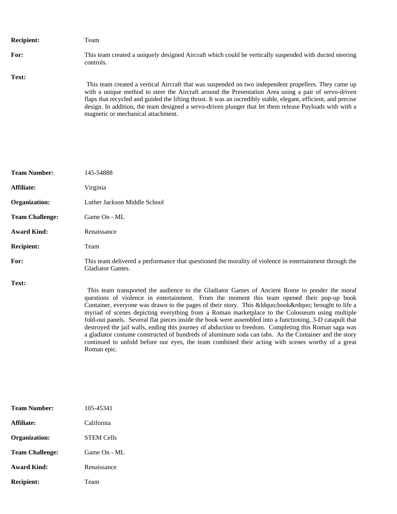| <b>Recipient:</b> | Team                                                                                                                                                                                                                                                                                                                                                                                                                                                                              |
|-------------------|-----------------------------------------------------------------------------------------------------------------------------------------------------------------------------------------------------------------------------------------------------------------------------------------------------------------------------------------------------------------------------------------------------------------------------------------------------------------------------------|
| For:              | This team created a uniquely designed Aircraft which could be vertically suspended with ducted steering<br>controls.                                                                                                                                                                                                                                                                                                                                                              |
| Text:             | This team created a vertical Aircraft that was suspended on two independent propellers. They came up<br>with a unique method to steer the Aircraft around the Presentation Area using a pair of servo-driven<br>flaps that recycled and guided the lifting thrust. It was an incredibly stable, elegant, efficient, and precise<br>design. In addition, the team designed a servo-driven plunger that let them release Payloads with with a<br>magnetic or mechanical attachment. |

| <b>Team Number:</b>    | 145-54888                                                                                                                                                                                                                                                                                                                                                                                                                                                                                                                                                                                                                                                                                                                     |  |
|------------------------|-------------------------------------------------------------------------------------------------------------------------------------------------------------------------------------------------------------------------------------------------------------------------------------------------------------------------------------------------------------------------------------------------------------------------------------------------------------------------------------------------------------------------------------------------------------------------------------------------------------------------------------------------------------------------------------------------------------------------------|--|
| Affiliate:             | Virginia                                                                                                                                                                                                                                                                                                                                                                                                                                                                                                                                                                                                                                                                                                                      |  |
| Organization:          | Luther Jackson Middle School                                                                                                                                                                                                                                                                                                                                                                                                                                                                                                                                                                                                                                                                                                  |  |
| <b>Team Challenge:</b> | Game On - ML                                                                                                                                                                                                                                                                                                                                                                                                                                                                                                                                                                                                                                                                                                                  |  |
| <b>Award Kind:</b>     | Renaissance                                                                                                                                                                                                                                                                                                                                                                                                                                                                                                                                                                                                                                                                                                                   |  |
| <b>Recipient:</b>      | Team                                                                                                                                                                                                                                                                                                                                                                                                                                                                                                                                                                                                                                                                                                                          |  |
| For:                   | This team delivered a performance that questioned the morality of violence in entertainment through the<br><b>Gladiator Games.</b>                                                                                                                                                                                                                                                                                                                                                                                                                                                                                                                                                                                            |  |
| Text:                  | This team transported the audience to the Gladiator Games of Ancient Rome to ponder the moral<br>questions of violence in entertainment. From the moment this team opened their pop-up book<br>Container, everyone was drawn to the pages of their story. This &Idquobook" brought to life a<br>myriad of scenes depicting everything from a Roman marketplace to the Colosseum using multiple<br>fold-out panels. Several flat pieces inside the book were assembled into a functioning, 3-D catapult that<br>destroyed the jail walls, ending this journey of abduction to freedom. Completing this Roman saga was<br>a gladiator costume constructed of hundreds of aluminum soda can tabs. As the Container and the story |  |

continued to unfold before our eyes, the team combined their acting with scenes worthy of a great

| <b>Team Number:</b>    | 105-45341         |
|------------------------|-------------------|
| Affiliate:             | California        |
| Organization:          | <b>STEM Cells</b> |
| <b>Team Challenge:</b> | Game On - ML      |
| Award Kind:            | Renaissance       |
| <b>Recipient:</b>      | Team              |

Roman epic.